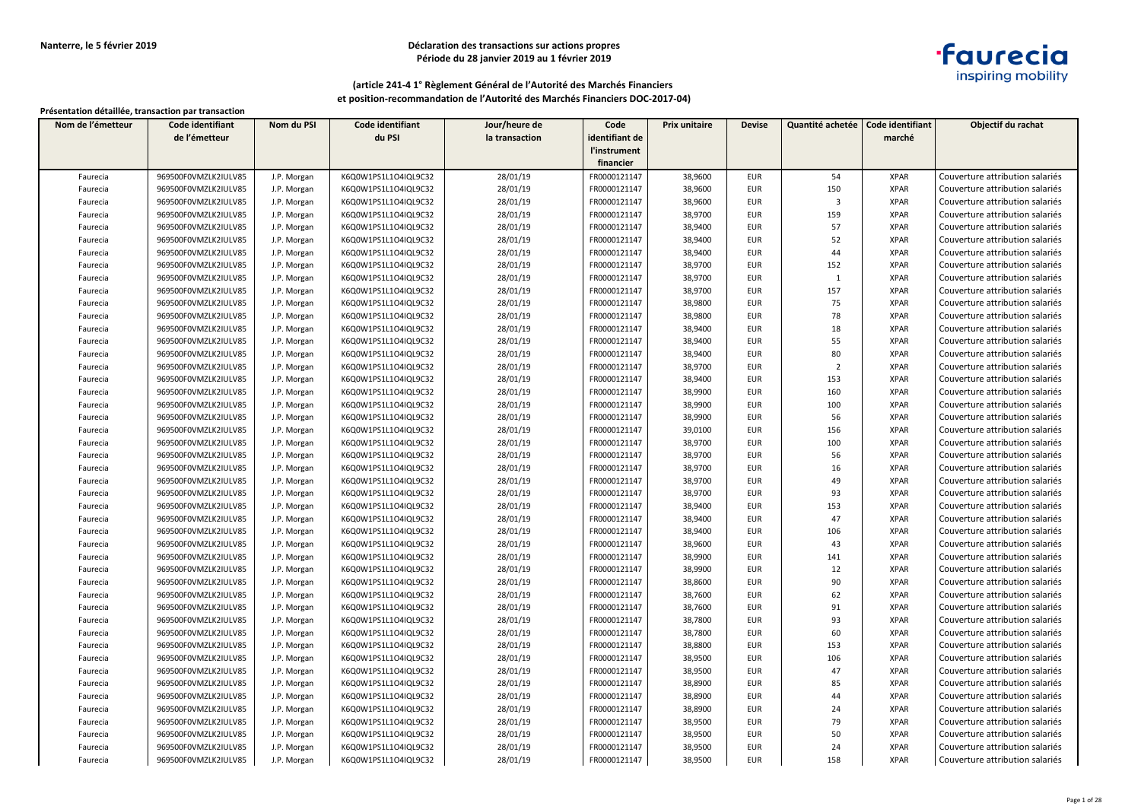## **Déclaration des transactions sur actions propres Période du 28 janvier 2019 au 1 février 2019**



### **(article 241-4 1° Règlement Général de l'Autorité des Marchés Financiers et position-recommandation de l'Autorité des Marchés Financiers DOC-2017-04)**

| Nom de l'émetteur | Code identifiant     | Nom du PSI  | Code identifiant     | Jour/heure de  | Code           | <b>Prix unitaire</b> | <b>Devise</b> | Quantité achetée        | Code identifiant | Objectif du rachat              |
|-------------------|----------------------|-------------|----------------------|----------------|----------------|----------------------|---------------|-------------------------|------------------|---------------------------------|
|                   | de l'émetteur        |             | du PSI               | la transaction | identifiant de |                      |               |                         | marché           |                                 |
|                   |                      |             |                      |                | l'instrument   |                      |               |                         |                  |                                 |
|                   |                      |             |                      |                | financier      |                      |               |                         |                  |                                 |
| Faurecia          | 969500F0VMZLK2IULV85 | J.P. Morgan | K6Q0W1PS1L1O4IQL9C32 | 28/01/19       | FR0000121147   | 38,9600              | <b>EUR</b>    | 54                      | <b>XPAR</b>      | Couverture attribution salariés |
| Faurecia          | 969500F0VMZLK2IULV85 | J.P. Morgan | K6Q0W1PS1L1O4IQL9C32 | 28/01/19       | FR0000121147   | 38,9600              | <b>EUR</b>    | 150                     | <b>XPAR</b>      | Couverture attribution salariés |
| Faurecia          | 969500F0VMZLK2IULV85 | J.P. Morgan | K6Q0W1PS1L1O4IQL9C32 | 28/01/19       | FR0000121147   | 38,9600              | <b>EUR</b>    | $\overline{\mathbf{3}}$ | <b>XPAR</b>      | Couverture attribution salariés |
| Faurecia          | 969500F0VMZLK2IULV85 | J.P. Morgan | K6Q0W1PS1L1O4IQL9C32 | 28/01/19       | FR0000121147   | 38,9700              | <b>EUR</b>    | 159                     | <b>XPAR</b>      | Couverture attribution salariés |
| Faurecia          | 969500F0VMZLK2IULV85 | J.P. Morgan | K6Q0W1PS1L1O4IQL9C32 | 28/01/19       | FR0000121147   | 38,9400              | <b>EUR</b>    | 57                      | <b>XPAR</b>      | Couverture attribution salariés |
| Faurecia          | 969500F0VMZLK2IULV85 | J.P. Morgan | K6Q0W1PS1L1O4IQL9C32 | 28/01/19       | FR0000121147   | 38,9400              | <b>EUR</b>    | 52                      | <b>XPAR</b>      | Couverture attribution salariés |
| Faurecia          | 969500F0VMZLK2IULV85 | J.P. Morgan | K6Q0W1PS1L1O4IQL9C32 | 28/01/19       | FR0000121147   | 38,9400              | <b>EUR</b>    | 44                      | <b>XPAR</b>      | Couverture attribution salariés |
| Faurecia          | 969500F0VMZLK2IULV85 | J.P. Morgan | K6Q0W1PS1L1O4IQL9C32 | 28/01/19       | FR0000121147   | 38,9700              | <b>EUR</b>    | 152                     | <b>XPAR</b>      | Couverture attribution salariés |
| Faurecia          | 969500F0VMZLK2IULV85 | J.P. Morgan | K6Q0W1PS1L1O4IQL9C32 | 28/01/19       | FR0000121147   | 38,9700              | <b>EUR</b>    | $\mathbf{1}$            | <b>XPAR</b>      | Couverture attribution salariés |
| Faurecia          | 969500F0VMZLK2IULV85 | J.P. Morgan | K6Q0W1PS1L1O4IQL9C32 | 28/01/19       | FR0000121147   | 38,9700              | EUR           | 157                     | <b>XPAR</b>      | Couverture attribution salariés |
| Faurecia          | 969500F0VMZLK2IULV85 | J.P. Morgan | K6Q0W1PS1L1O4IQL9C32 | 28/01/19       | FR0000121147   | 38,9800              | <b>EUR</b>    | 75                      | <b>XPAR</b>      | Couverture attribution salariés |
| Faurecia          | 969500F0VMZLK2IULV85 | J.P. Morgan | K6Q0W1PS1L1O4IQL9C32 | 28/01/19       | FR0000121147   | 38,9800              | <b>EUR</b>    | 78                      | <b>XPAR</b>      | Couverture attribution salariés |
| Faurecia          | 969500F0VMZLK2IULV85 | J.P. Morgan | K6Q0W1PS1L1O4IQL9C32 | 28/01/19       | FR0000121147   | 38,9400              | <b>EUR</b>    | 18                      | <b>XPAR</b>      | Couverture attribution salariés |
| Faurecia          | 969500F0VMZLK2IULV85 | J.P. Morgan | K6Q0W1PS1L1O4IQL9C32 | 28/01/19       | FR0000121147   | 38,9400              | <b>EUR</b>    | 55                      | <b>XPAR</b>      | Couverture attribution salariés |
| Faurecia          | 969500F0VMZLK2IULV85 | J.P. Morgan | K6Q0W1PS1L1O4IQL9C32 | 28/01/19       | FR0000121147   | 38,9400              | <b>EUR</b>    | 80                      | <b>XPAR</b>      | Couverture attribution salariés |
| Faurecia          | 969500F0VMZLK2IULV85 | J.P. Morgan | K6Q0W1PS1L1O4IQL9C32 | 28/01/19       | FR0000121147   | 38,9700              | <b>EUR</b>    | $\overline{2}$          | <b>XPAR</b>      | Couverture attribution salariés |
| Faurecia          | 969500F0VMZLK2IULV85 | J.P. Morgan | K6Q0W1PS1L1O4IQL9C32 | 28/01/19       | FR0000121147   | 38,9400              | <b>EUR</b>    | 153                     | <b>XPAR</b>      | Couverture attribution salariés |
| Faurecia          | 969500F0VMZLK2IULV85 | J.P. Morgan | K6Q0W1PS1L1O4IQL9C32 | 28/01/19       | FR0000121147   | 38,9900              | <b>EUR</b>    | 160                     | <b>XPAR</b>      | Couverture attribution salariés |
| Faurecia          | 969500F0VMZLK2IULV85 | J.P. Morgan | K6Q0W1PS1L1O4IQL9C32 | 28/01/19       | FR0000121147   | 38,9900              | <b>EUR</b>    | 100                     | <b>XPAR</b>      | Couverture attribution salariés |
| Faurecia          | 969500F0VMZLK2IULV85 | J.P. Morgan | K6Q0W1PS1L1O4IQL9C32 | 28/01/19       | FR0000121147   | 38,9900              | <b>EUR</b>    | 56                      | <b>XPAR</b>      | Couverture attribution salariés |
| Faurecia          | 969500F0VMZLK2IULV85 | J.P. Morgan | K6Q0W1PS1L1O4IQL9C32 | 28/01/19       | FR0000121147   | 39,0100              | <b>EUR</b>    | 156                     | <b>XPAR</b>      | Couverture attribution salariés |
| Faurecia          | 969500F0VMZLK2IULV85 | J.P. Morgan | K6Q0W1PS1L1O4IQL9C32 | 28/01/19       | FR0000121147   | 38,9700              | <b>EUR</b>    | 100                     | <b>XPAR</b>      | Couverture attribution salariés |
| Faurecia          | 969500F0VMZLK2IULV85 | J.P. Morgan | K6Q0W1PS1L1O4IQL9C32 | 28/01/19       | FR0000121147   | 38,9700              | <b>EUR</b>    | 56                      | <b>XPAR</b>      | Couverture attribution salariés |
| Faurecia          | 969500F0VMZLK2IULV85 | J.P. Morgan | K6Q0W1PS1L1O4IQL9C32 | 28/01/19       | FR0000121147   | 38,9700              | <b>EUR</b>    | 16                      | <b>XPAR</b>      | Couverture attribution salariés |
| Faurecia          | 969500F0VMZLK2IULV85 | J.P. Morgan | K6Q0W1PS1L1O4IQL9C32 | 28/01/19       | FR0000121147   | 38,9700              | EUR           | 49                      | <b>XPAR</b>      | Couverture attribution salariés |
| Faurecia          | 969500F0VMZLK2IULV85 | J.P. Morgan | K6Q0W1PS1L1O4IQL9C32 | 28/01/19       | FR0000121147   | 38,9700              | <b>EUR</b>    | 93                      | <b>XPAR</b>      | Couverture attribution salariés |
| Faurecia          | 969500F0VMZLK2IULV85 | J.P. Morgan | K6Q0W1PS1L1O4IQL9C32 | 28/01/19       | FR0000121147   | 38,9400              | <b>EUR</b>    | 153                     | <b>XPAR</b>      | Couverture attribution salariés |
| Faurecia          | 969500F0VMZLK2IULV85 | J.P. Morgan | K6Q0W1PS1L1O4IQL9C32 | 28/01/19       | FR0000121147   | 38,9400              | <b>EUR</b>    | 47                      | <b>XPAR</b>      | Couverture attribution salariés |
| Faurecia          | 969500F0VMZLK2IULV85 | J.P. Morgan | K6Q0W1PS1L1O4IQL9C32 | 28/01/19       | FR0000121147   | 38,9400              | <b>EUR</b>    | 106                     | <b>XPAR</b>      | Couverture attribution salariés |
| Faurecia          | 969500F0VMZLK2IULV85 | J.P. Morgan | K6Q0W1PS1L1O4IQL9C32 | 28/01/19       | FR0000121147   | 38,9600              | <b>EUR</b>    | 43                      | <b>XPAR</b>      | Couverture attribution salariés |
| Faurecia          | 969500F0VMZLK2IULV85 | J.P. Morgan | K6Q0W1PS1L1O4IQL9C32 | 28/01/19       | FR0000121147   | 38,9900              | <b>EUR</b>    | 141                     | <b>XPAR</b>      | Couverture attribution salariés |
| Faurecia          | 969500F0VMZLK2IULV85 | J.P. Morgan | K6Q0W1PS1L1O4IQL9C32 | 28/01/19       | FR0000121147   | 38,9900              | <b>EUR</b>    | 12                      | <b>XPAR</b>      | Couverture attribution salariés |
| Faurecia          | 969500F0VMZLK2IULV85 | J.P. Morgan | K6Q0W1PS1L1O4IQL9C32 | 28/01/19       | FR0000121147   | 38,8600              | <b>EUR</b>    | 90                      | <b>XPAR</b>      | Couverture attribution salariés |
| Faurecia          | 969500F0VMZLK2IULV85 | J.P. Morgan | K6Q0W1PS1L1O4IQL9C32 | 28/01/19       | FR0000121147   | 38,7600              | <b>EUR</b>    | 62                      | <b>XPAR</b>      | Couverture attribution salariés |
| Faurecia          | 969500F0VMZLK2IULV85 | J.P. Morgan | K6Q0W1PS1L1O4IQL9C32 | 28/01/19       | FR0000121147   | 38,7600              | <b>EUR</b>    | 91                      | <b>XPAR</b>      | Couverture attribution salariés |
| Faurecia          | 969500F0VMZLK2IULV85 | J.P. Morgan | K6Q0W1PS1L1O4IQL9C32 | 28/01/19       | FR0000121147   | 38,7800              | <b>EUR</b>    | 93                      | <b>XPAR</b>      | Couverture attribution salariés |
| Faurecia          | 969500F0VMZLK2IULV85 | J.P. Morgan | K6Q0W1PS1L1O4IQL9C32 | 28/01/19       | FR0000121147   | 38,7800              | EUR           | 60                      | <b>XPAR</b>      | Couverture attribution salariés |
| Faurecia          | 969500F0VMZLK2IULV85 | J.P. Morgan | K6Q0W1PS1L1O4IQL9C32 | 28/01/19       | FR0000121147   | 38,8800              | <b>EUR</b>    | 153                     | <b>XPAR</b>      | Couverture attribution salariés |
| Faurecia          | 969500F0VMZLK2IULV85 | J.P. Morgan | K6Q0W1PS1L1O4IQL9C32 | 28/01/19       | FR0000121147   | 38,9500              | <b>EUR</b>    | 106                     | <b>XPAR</b>      | Couverture attribution salariés |
| Faurecia          | 969500F0VMZLK2IULV85 | J.P. Morgan | K6Q0W1PS1L1O4IQL9C32 | 28/01/19       | FR0000121147   | 38,9500              | <b>EUR</b>    | 47                      | <b>XPAR</b>      | Couverture attribution salariés |
| Faurecia          | 969500F0VMZLK2IULV85 | J.P. Morgan | K6Q0W1PS1L1O4IQL9C32 | 28/01/19       | FR0000121147   | 38,8900              | <b>EUR</b>    | 85                      | <b>XPAR</b>      | Couverture attribution salariés |
| Faurecia          | 969500F0VMZLK2IULV85 | J.P. Morgan | K6Q0W1PS1L1O4IQL9C32 | 28/01/19       | FR0000121147   | 38,8900              | <b>EUR</b>    | 44                      | <b>XPAR</b>      | Couverture attribution salariés |
| Faurecia          | 969500F0VMZLK2IULV85 | J.P. Morgan | K6Q0W1PS1L1O4IQL9C32 | 28/01/19       | FR0000121147   | 38,8900              | <b>EUR</b>    | 24                      | <b>XPAR</b>      | Couverture attribution salariés |
| Faurecia          | 969500F0VMZLK2IULV85 | J.P. Morgan | K6Q0W1PS1L1O4IQL9C32 | 28/01/19       | FR0000121147   | 38,9500              | <b>EUR</b>    | 79                      | <b>XPAR</b>      | Couverture attribution salariés |
| Faurecia          | 969500F0VMZLK2IULV85 | J.P. Morgan | K6Q0W1PS1L1O4IQL9C32 | 28/01/19       | FR0000121147   | 38,9500              | <b>EUR</b>    | 50                      | <b>XPAR</b>      | Couverture attribution salariés |
| Faurecia          | 969500F0VMZLK2IULV85 | J.P. Morgan | K6Q0W1PS1L1O4IQL9C32 | 28/01/19       | FR0000121147   | 38,9500              | <b>EUR</b>    | 24                      | <b>XPAR</b>      | Couverture attribution salariés |
| Faurecia          | 969500F0VMZLK2IULV85 | J.P. Morgan | K6Q0W1PS1L1O4IQL9C32 | 28/01/19       | FR0000121147   | 38,9500              | EUR           | 158                     | <b>XPAR</b>      | Couverture attribution salariés |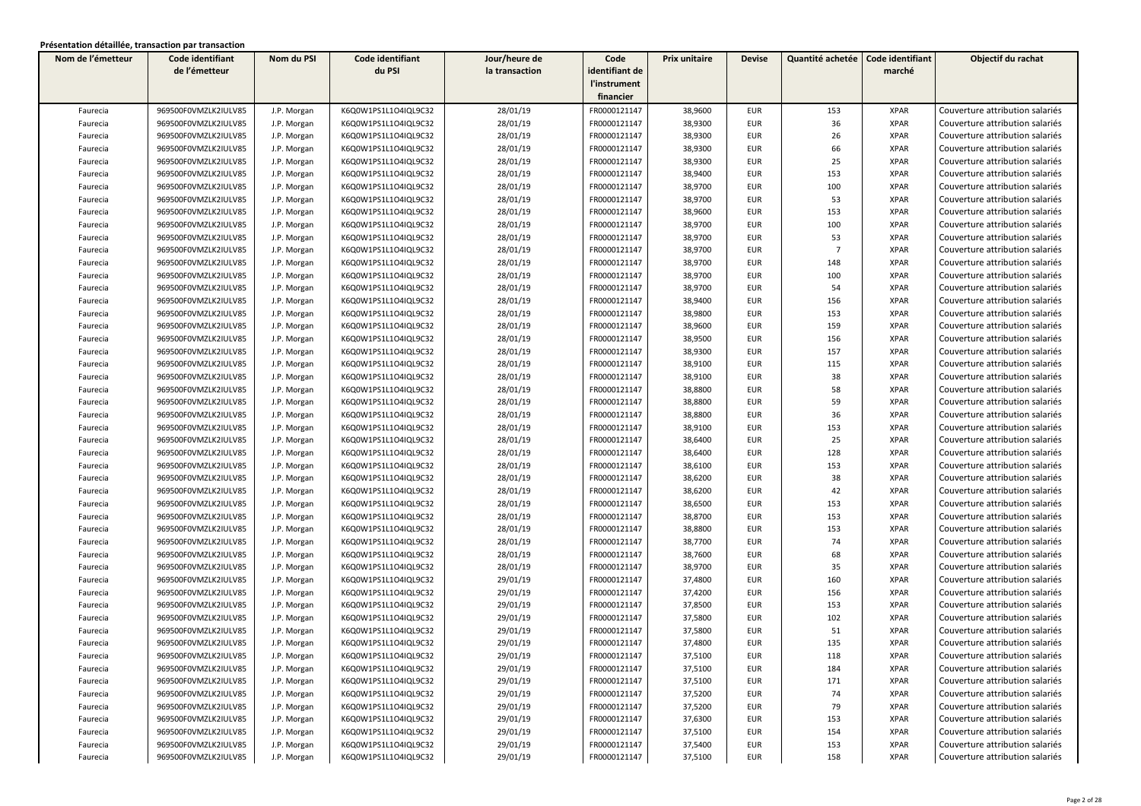| Nom de l'émetteur | Code identifiant     | Nom du PSI  | Code identifiant     | Jour/heure de  | Code           | Prix unitaire | <b>Devise</b> | Quantité achetée | Code identifiant | Objectif du rachat              |
|-------------------|----------------------|-------------|----------------------|----------------|----------------|---------------|---------------|------------------|------------------|---------------------------------|
|                   | de l'émetteur        |             | du PSI               | la transaction | identifiant de |               |               |                  | marché           |                                 |
|                   |                      |             |                      |                | l'instrument   |               |               |                  |                  |                                 |
|                   |                      |             |                      |                | financier      |               |               |                  |                  |                                 |
| Faurecia          | 969500F0VMZLK2IULV85 | J.P. Morgan | K6Q0W1PS1L1O4IQL9C32 | 28/01/19       | FR0000121147   | 38,9600       | <b>EUR</b>    | 153              | <b>XPAR</b>      | Couverture attribution salariés |
| Faurecia          | 969500F0VMZLK2IULV85 | J.P. Morgan | K6Q0W1PS1L1O4IQL9C32 | 28/01/19       | FR0000121147   | 38,9300       | <b>EUR</b>    | 36               | <b>XPAR</b>      | Couverture attribution salariés |
| Faurecia          | 969500F0VMZLK2IULV85 | J.P. Morgan | K6Q0W1PS1L1O4IQL9C32 | 28/01/19       | FR0000121147   | 38,9300       | <b>EUR</b>    | 26               | <b>XPAR</b>      | Couverture attribution salariés |
| Faurecia          | 969500F0VMZLK2IULV85 | J.P. Morgan | K6Q0W1PS1L1O4IQL9C32 | 28/01/19       | FR0000121147   | 38,9300       | EUR           | 66               | <b>XPAR</b>      | Couverture attribution salariés |
| Faurecia          | 969500F0VMZLK2IULV85 | J.P. Morgan | K6Q0W1PS1L1O4IQL9C32 | 28/01/19       | FR0000121147   | 38,9300       | <b>EUR</b>    | 25               | <b>XPAR</b>      | Couverture attribution salariés |
| Faurecia          | 969500F0VMZLK2IULV85 | J.P. Morgan | K6Q0W1PS1L1O4IQL9C32 | 28/01/19       | FR0000121147   | 38,9400       | <b>EUR</b>    | 153              | <b>XPAR</b>      | Couverture attribution salariés |
| Faurecia          | 969500F0VMZLK2IULV85 | J.P. Morgan | K6Q0W1PS1L1O4IQL9C32 | 28/01/19       | FR0000121147   | 38,9700       | <b>EUR</b>    | 100              | <b>XPAR</b>      | Couverture attribution salariés |
| Faurecia          | 969500F0VMZLK2IULV85 | J.P. Morgan | K6Q0W1PS1L1O4IQL9C32 | 28/01/19       | FR0000121147   | 38,9700       | EUR           | 53               | <b>XPAR</b>      | Couverture attribution salariés |
| Faurecia          | 969500F0VMZLK2IULV85 | J.P. Morgan | K6Q0W1PS1L1O4IQL9C32 | 28/01/19       | FR0000121147   | 38,9600       | <b>EUR</b>    | 153              | <b>XPAR</b>      | Couverture attribution salariés |
| Faurecia          | 969500F0VMZLK2IULV85 | J.P. Morgan | K6Q0W1PS1L1O4IQL9C32 | 28/01/19       | FR0000121147   | 38,9700       | <b>EUR</b>    | 100              | <b>XPAR</b>      | Couverture attribution salariés |
| Faurecia          | 969500F0VMZLK2IULV85 | J.P. Morgan | K6Q0W1PS1L1O4IQL9C32 | 28/01/19       | FR0000121147   | 38,9700       | <b>EUR</b>    | 53               | <b>XPAR</b>      | Couverture attribution salariés |
| Faurecia          | 969500F0VMZLK2IULV85 | J.P. Morgan | K6Q0W1PS1L1O4IQL9C32 | 28/01/19       | FR0000121147   | 38,9700       | <b>EUR</b>    | $\overline{7}$   | <b>XPAR</b>      | Couverture attribution salariés |
| Faurecia          | 969500F0VMZLK2IULV85 | J.P. Morgan | K6Q0W1PS1L1O4IQL9C32 | 28/01/19       | FR0000121147   | 38,9700       | EUR           | 148              | <b>XPAR</b>      | Couverture attribution salariés |
| Faurecia          | 969500F0VMZLK2IULV85 | J.P. Morgan | K6Q0W1PS1L1O4IQL9C32 | 28/01/19       | FR0000121147   | 38,9700       | EUR           | 100              | <b>XPAR</b>      | Couverture attribution salariés |
| Faurecia          | 969500F0VMZLK2IULV85 | J.P. Morgan | K6Q0W1PS1L1O4IQL9C32 | 28/01/19       | FR0000121147   | 38,9700       | <b>EUR</b>    | 54               | <b>XPAR</b>      | Couverture attribution salariés |
| Faurecia          | 969500F0VMZLK2IULV85 | J.P. Morgan | K6Q0W1PS1L1O4IQL9C32 | 28/01/19       | FR0000121147   | 38,9400       | <b>EUR</b>    | 156              | <b>XPAR</b>      | Couverture attribution salariés |
| Faurecia          | 969500F0VMZLK2IULV85 | J.P. Morgan | K6Q0W1PS1L1O4IQL9C32 | 28/01/19       | FR0000121147   | 38,9800       | <b>EUR</b>    | 153              | <b>XPAR</b>      | Couverture attribution salariés |
| Faurecia          | 969500F0VMZLK2IULV85 | J.P. Morgan | K6Q0W1PS1L1O4IQL9C32 | 28/01/19       | FR0000121147   | 38,9600       | <b>EUR</b>    | 159              | <b>XPAR</b>      | Couverture attribution salariés |
| Faurecia          | 969500F0VMZLK2IULV85 | J.P. Morgan | K6Q0W1PS1L1O4IQL9C32 | 28/01/19       | FR0000121147   | 38,9500       | <b>EUR</b>    | 156              | <b>XPAR</b>      | Couverture attribution salariés |
| Faurecia          | 969500F0VMZLK2IULV85 | J.P. Morgan | K6Q0W1PS1L1O4IQL9C32 | 28/01/19       | FR0000121147   | 38,9300       | <b>EUR</b>    | 157              | <b>XPAR</b>      | Couverture attribution salariés |
| Faurecia          | 969500F0VMZLK2IULV85 | J.P. Morgan | K6Q0W1PS1L1O4IQL9C32 | 28/01/19       | FR0000121147   | 38,9100       | EUR           | 115              | <b>XPAR</b>      | Couverture attribution salariés |
| Faurecia          | 969500F0VMZLK2IULV85 | J.P. Morgan | K6Q0W1PS1L1O4IQL9C32 | 28/01/19       | FR0000121147   | 38,9100       | <b>EUR</b>    | 38               | <b>XPAR</b>      | Couverture attribution salariés |
| Faurecia          | 969500F0VMZLK2IULV85 | J.P. Morgan | K6Q0W1PS1L1O4IQL9C32 | 28/01/19       | FR0000121147   | 38,8800       | <b>EUR</b>    | 58               | <b>XPAR</b>      | Couverture attribution salariés |
| Faurecia          | 969500F0VMZLK2IULV85 | J.P. Morgan | K6Q0W1PS1L1O4IQL9C32 | 28/01/19       | FR0000121147   | 38,8800       | <b>EUR</b>    | 59               | <b>XPAR</b>      | Couverture attribution salariés |
| Faurecia          | 969500F0VMZLK2IULV85 | J.P. Morgan | K6Q0W1PS1L1O4IQL9C32 | 28/01/19       | FR0000121147   | 38,8800       | <b>EUR</b>    | 36               | <b>XPAR</b>      | Couverture attribution salariés |
| Faurecia          | 969500F0VMZLK2IULV85 | J.P. Morgan | K6Q0W1PS1L1O4IQL9C32 | 28/01/19       | FR0000121147   | 38,9100       | <b>EUR</b>    | 153              | <b>XPAR</b>      | Couverture attribution salariés |
| Faurecia          | 969500F0VMZLK2IULV85 | J.P. Morgan | K6Q0W1PS1L1O4IQL9C32 | 28/01/19       | FR0000121147   | 38,6400       | EUR           | 25               | <b>XPAR</b>      | Couverture attribution salariés |
| Faurecia          | 969500F0VMZLK2IULV85 | J.P. Morgan | K6Q0W1PS1L1O4IQL9C32 | 28/01/19       | FR0000121147   | 38,6400       | <b>EUR</b>    | 128              | <b>XPAR</b>      | Couverture attribution salariés |
| Faurecia          | 969500F0VMZLK2IULV85 | J.P. Morgan | K6Q0W1PS1L1O4IQL9C32 | 28/01/19       | FR0000121147   | 38,6100       | EUR           | 153              | <b>XPAR</b>      | Couverture attribution salariés |
| Faurecia          | 969500F0VMZLK2IULV85 | J.P. Morgan | K6Q0W1PS1L1O4IQL9C32 | 28/01/19       | FR0000121147   | 38,6200       | EUR           | 38               | <b>XPAR</b>      | Couverture attribution salariés |
| Faurecia          | 969500F0VMZLK2IULV85 | J.P. Morgan | K6Q0W1PS1L1O4IQL9C32 | 28/01/19       | FR0000121147   | 38,6200       | <b>EUR</b>    | 42               | <b>XPAR</b>      | Couverture attribution salariés |
| Faurecia          | 969500F0VMZLK2IULV85 | J.P. Morgan | K6Q0W1PS1L1O4IQL9C32 | 28/01/19       | FR0000121147   | 38,6500       | <b>EUR</b>    | 153              | <b>XPAR</b>      | Couverture attribution salariés |
| Faurecia          | 969500F0VMZLK2IULV85 | J.P. Morgan | K6Q0W1PS1L1O4IQL9C32 | 28/01/19       | FR0000121147   | 38,8700       | <b>EUR</b>    | 153              | <b>XPAR</b>      | Couverture attribution salariés |
| Faurecia          | 969500F0VMZLK2IULV85 | J.P. Morgan | K6Q0W1PS1L1O4IQL9C32 | 28/01/19       | FR0000121147   | 38,8800       | <b>EUR</b>    | 153              | <b>XPAR</b>      | Couverture attribution salariés |
| Faurecia          | 969500F0VMZLK2IULV85 | J.P. Morgan | K6Q0W1PS1L1O4IQL9C32 | 28/01/19       | FR0000121147   | 38,7700       | <b>EUR</b>    | 74               | <b>XPAR</b>      | Couverture attribution salariés |
| Faurecia          | 969500F0VMZLK2IULV85 | J.P. Morgan | K6Q0W1PS1L1O4IQL9C32 | 28/01/19       | FR0000121147   | 38,7600       | <b>EUR</b>    | 68               | <b>XPAR</b>      | Couverture attribution salariés |
| Faurecia          | 969500F0VMZLK2IULV85 | J.P. Morgan | K6Q0W1PS1L1O4IQL9C32 | 28/01/19       | FR0000121147   | 38,9700       | <b>EUR</b>    | 35               | <b>XPAR</b>      | Couverture attribution salariés |
| Faurecia          | 969500F0VMZLK2IULV85 | J.P. Morgan | K6Q0W1PS1L1O4IQL9C32 | 29/01/19       | FR0000121147   | 37,4800       | EUR           | 160              | <b>XPAR</b>      | Couverture attribution salariés |
| Faurecia          | 969500F0VMZLK2IULV85 | J.P. Morgan | K6Q0W1PS1L1O4IQL9C32 | 29/01/19       | FR0000121147   | 37,4200       | EUR           | 156              | <b>XPAR</b>      | Couverture attribution salariés |
| Faurecia          | 969500F0VMZLK2IULV85 | J.P. Morgan | K6Q0W1PS1L1O4IQL9C32 | 29/01/19       | FR0000121147   | 37,8500       | <b>EUR</b>    | 153              | <b>XPAR</b>      | Couverture attribution salariés |
| Faurecia          | 969500F0VMZLK2IULV85 | J.P. Morgan | K6Q0W1PS1L1O4IQL9C32 | 29/01/19       | FR0000121147   | 37,5800       | EUR           | 102              | <b>XPAR</b>      | Couverture attribution salariés |
| Faurecia          | 969500F0VMZLK2IULV85 | J.P. Morgan | K6Q0W1PS1L1O4IQL9C32 | 29/01/19       | FR0000121147   | 37,5800       | <b>EUR</b>    | 51               | <b>XPAR</b>      | Couverture attribution salariés |
| Faurecia          | 969500F0VMZLK2IULV85 | J.P. Morgan | K6Q0W1PS1L1O4IQL9C32 | 29/01/19       | FR0000121147   | 37,4800       | <b>EUR</b>    | 135              | <b>XPAR</b>      | Couverture attribution salariés |
| Faurecia          | 969500F0VMZLK2IULV85 | J.P. Morgan | K6Q0W1PS1L1O4IQL9C32 | 29/01/19       | FR0000121147   | 37,5100       | EUR           | 118              | XPAR             | Couverture attribution salariés |
| Faurecia          | 969500F0VMZLK2IULV85 | J.P. Morgan | K6Q0W1PS1L1O4IQL9C32 | 29/01/19       | FR0000121147   | 37,5100       | <b>EUR</b>    | 184              | <b>XPAR</b>      | Couverture attribution salariés |
| Faurecia          | 969500F0VMZLK2IULV85 | J.P. Morgan | K6Q0W1PS1L1O4IQL9C32 | 29/01/19       | FR0000121147   | 37,5100       | EUR           | 171              | <b>XPAR</b>      | Couverture attribution salariés |
| Faurecia          | 969500F0VMZLK2IULV85 | J.P. Morgan | K6Q0W1PS1L1O4IQL9C32 | 29/01/19       | FR0000121147   | 37,5200       | EUR           | 74               | XPAR             | Couverture attribution salariés |
| Faurecia          | 969500F0VMZLK2IULV85 | J.P. Morgan | K6Q0W1PS1L1O4IQL9C32 | 29/01/19       | FR0000121147   | 37,5200       | EUR           | 79               | <b>XPAR</b>      | Couverture attribution salariés |
| Faurecia          | 969500F0VMZLK2IULV85 | J.P. Morgan | K6Q0W1PS1L1O4IQL9C32 | 29/01/19       | FR0000121147   | 37,6300       | EUR           | 153              | <b>XPAR</b>      | Couverture attribution salariés |
| Faurecia          | 969500F0VMZLK2IULV85 | J.P. Morgan | K6Q0W1PS1L1O4IQL9C32 | 29/01/19       | FR0000121147   | 37,5100       | <b>EUR</b>    | 154              | <b>XPAR</b>      | Couverture attribution salariés |
| Faurecia          | 969500F0VMZLK2IULV85 | J.P. Morgan | K6Q0W1PS1L1O4IQL9C32 | 29/01/19       | FR0000121147   | 37,5400       | <b>EUR</b>    | 153              | <b>XPAR</b>      | Couverture attribution salariés |
| Faurecia          | 969500F0VMZLK2IULV85 | J.P. Morgan | K6Q0W1PS1L1O4IQL9C32 | 29/01/19       | FR0000121147   | 37,5100       | <b>EUR</b>    | 158              | <b>XPAR</b>      | Couverture attribution salariés |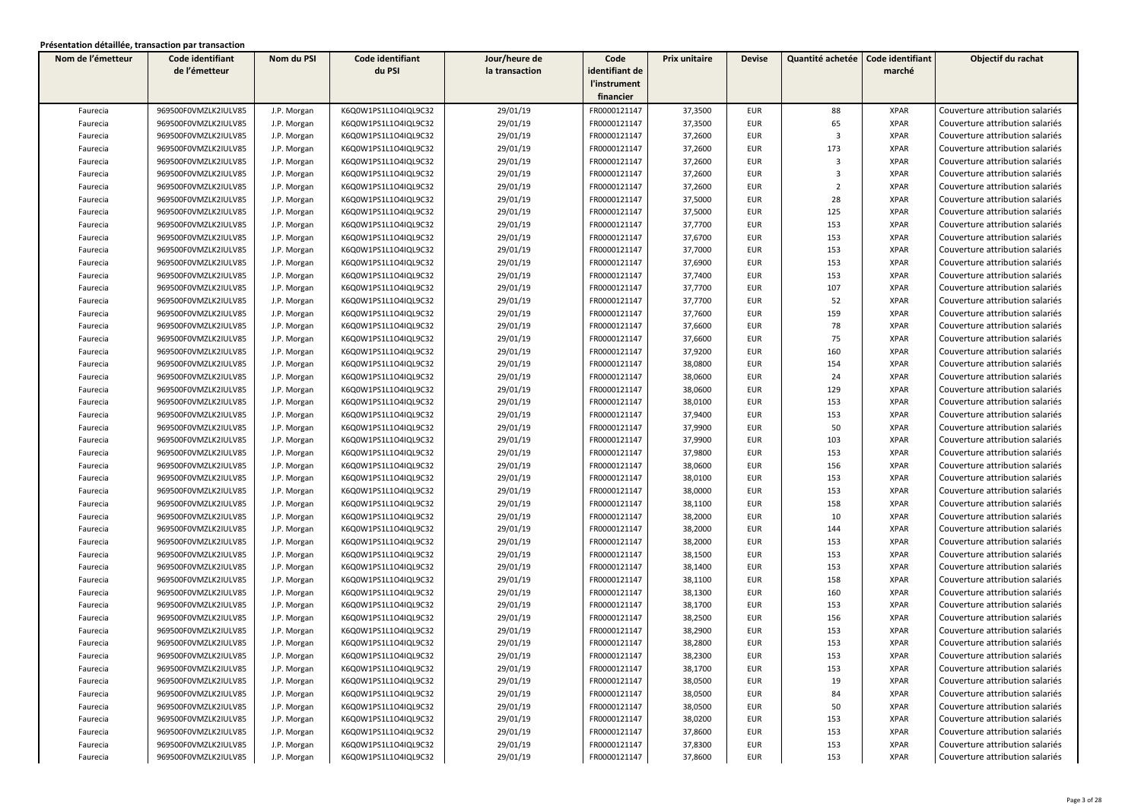| Nom de l'émetteur | Code identifiant     | Nom du PSI  | Code identifiant     | Jour/heure de  | Code           | Prix unitaire | <b>Devise</b> | Quantité achetée        | Code identifiant | Objectif du rachat              |
|-------------------|----------------------|-------------|----------------------|----------------|----------------|---------------|---------------|-------------------------|------------------|---------------------------------|
|                   | de l'émetteur        |             | du PSI               | la transaction | identifiant de |               |               |                         | marché           |                                 |
|                   |                      |             |                      |                | l'instrument   |               |               |                         |                  |                                 |
|                   |                      |             |                      |                | financier      |               |               |                         |                  |                                 |
| Faurecia          | 969500F0VMZLK2IULV85 | J.P. Morgan | K6Q0W1PS1L1O4IQL9C32 | 29/01/19       | FR0000121147   | 37,3500       | <b>EUR</b>    | 88                      | <b>XPAR</b>      | Couverture attribution salariés |
| Faurecia          | 969500F0VMZLK2IULV85 | J.P. Morgan | K6Q0W1PS1L1O4IQL9C32 | 29/01/19       | FR0000121147   | 37,3500       | <b>EUR</b>    | 65                      | <b>XPAR</b>      | Couverture attribution salariés |
| Faurecia          | 969500F0VMZLK2IULV85 | J.P. Morgan | K6Q0W1PS1L1O4IQL9C32 | 29/01/19       | FR0000121147   | 37,2600       | <b>EUR</b>    | $\overline{\mathbf{3}}$ | <b>XPAR</b>      | Couverture attribution salariés |
| Faurecia          | 969500F0VMZLK2IULV85 | J.P. Morgan | K6Q0W1PS1L1O4IQL9C32 | 29/01/19       | FR0000121147   | 37,2600       | EUR           | 173                     | <b>XPAR</b>      | Couverture attribution salariés |
| Faurecia          | 969500F0VMZLK2IULV85 | J.P. Morgan | K6Q0W1PS1L1O4IQL9C32 | 29/01/19       | FR0000121147   | 37,2600       | <b>EUR</b>    | 3                       | <b>XPAR</b>      | Couverture attribution salariés |
| Faurecia          | 969500F0VMZLK2IULV85 | J.P. Morgan | K6Q0W1PS1L1O4IQL9C32 | 29/01/19       | FR0000121147   | 37,2600       | <b>EUR</b>    | $\overline{3}$          | <b>XPAR</b>      | Couverture attribution salariés |
| Faurecia          | 969500F0VMZLK2IULV85 | J.P. Morgan | K6Q0W1PS1L1O4IQL9C32 | 29/01/19       | FR0000121147   | 37,2600       | <b>EUR</b>    | $\overline{2}$          | <b>XPAR</b>      | Couverture attribution salariés |
| Faurecia          | 969500F0VMZLK2IULV85 | J.P. Morgan | K6Q0W1PS1L1O4IQL9C32 | 29/01/19       | FR0000121147   | 37,5000       | <b>EUR</b>    | 28                      | <b>XPAR</b>      | Couverture attribution salariés |
| Faurecia          | 969500F0VMZLK2IULV85 | J.P. Morgan | K6Q0W1PS1L1O4IQL9C32 | 29/01/19       | FR0000121147   | 37,5000       | <b>EUR</b>    | 125                     | <b>XPAR</b>      | Couverture attribution salariés |
| Faurecia          | 969500F0VMZLK2IULV85 | J.P. Morgan | K6Q0W1PS1L1O4IQL9C32 | 29/01/19       | FR0000121147   | 37,7700       | <b>EUR</b>    | 153                     | <b>XPAR</b>      | Couverture attribution salariés |
| Faurecia          | 969500F0VMZLK2IULV85 | J.P. Morgan | K6Q0W1PS1L1O4IQL9C32 | 29/01/19       | FR0000121147   | 37,6700       | EUR           | 153                     | <b>XPAR</b>      | Couverture attribution salariés |
| Faurecia          | 969500F0VMZLK2IULV85 | J.P. Morgan | K6Q0W1PS1L1O4IQL9C32 | 29/01/19       | FR0000121147   | 37,7000       | <b>EUR</b>    | 153                     | <b>XPAR</b>      | Couverture attribution salariés |
| Faurecia          | 969500F0VMZLK2IULV85 | J.P. Morgan | K6Q0W1PS1L1O4IQL9C32 | 29/01/19       | FR0000121147   | 37,6900       | EUR           | 153                     | <b>XPAR</b>      | Couverture attribution salariés |
| Faurecia          | 969500F0VMZLK2IULV85 | J.P. Morgan | K6Q0W1PS1L1O4IQL9C32 | 29/01/19       | FR0000121147   | 37,7400       | EUR           | 153                     | <b>XPAR</b>      | Couverture attribution salariés |
| Faurecia          | 969500F0VMZLK2IULV85 | J.P. Morgan | K6Q0W1PS1L1O4IQL9C32 | 29/01/19       | FR0000121147   | 37,7700       | <b>EUR</b>    | 107                     | <b>XPAR</b>      | Couverture attribution salariés |
| Faurecia          | 969500F0VMZLK2IULV85 | J.P. Morgan | K6Q0W1PS1L1O4IQL9C32 | 29/01/19       | FR0000121147   | 37,7700       | <b>EUR</b>    | 52                      | <b>XPAR</b>      | Couverture attribution salariés |
| Faurecia          | 969500F0VMZLK2IULV85 | J.P. Morgan | K6Q0W1PS1L1O4IQL9C32 | 29/01/19       | FR0000121147   | 37,7600       | <b>EUR</b>    | 159                     | <b>XPAR</b>      | Couverture attribution salariés |
| Faurecia          | 969500F0VMZLK2IULV85 | J.P. Morgan | K6Q0W1PS1L1O4IQL9C32 | 29/01/19       | FR0000121147   | 37,6600       | <b>EUR</b>    | 78                      | <b>XPAR</b>      | Couverture attribution salariés |
| Faurecia          | 969500F0VMZLK2IULV85 | J.P. Morgan | K6Q0W1PS1L1O4IQL9C32 | 29/01/19       | FR0000121147   | 37,6600       | <b>EUR</b>    | 75                      | <b>XPAR</b>      | Couverture attribution salariés |
| Faurecia          | 969500F0VMZLK2IULV85 | J.P. Morgan | K6Q0W1PS1L1O4IQL9C32 | 29/01/19       | FR0000121147   | 37,9200       | <b>EUR</b>    | 160                     | <b>XPAR</b>      | Couverture attribution salariés |
| Faurecia          | 969500F0VMZLK2IULV85 | J.P. Morgan | K6Q0W1PS1L1O4IQL9C32 | 29/01/19       | FR0000121147   | 38,0800       | EUR           | 154                     | <b>XPAR</b>      | Couverture attribution salariés |
| Faurecia          | 969500F0VMZLK2IULV85 | J.P. Morgan | K6Q0W1PS1L1O4IQL9C32 | 29/01/19       | FR0000121147   | 38,0600       | EUR           | 24                      | <b>XPAR</b>      | Couverture attribution salariés |
| Faurecia          | 969500F0VMZLK2IULV85 | J.P. Morgan | K6Q0W1PS1L1O4IQL9C32 | 29/01/19       | FR0000121147   | 38,0600       | <b>EUR</b>    | 129                     | <b>XPAR</b>      | Couverture attribution salariés |
| Faurecia          | 969500F0VMZLK2IULV85 | J.P. Morgan | K6Q0W1PS1L1O4IQL9C32 | 29/01/19       | FR0000121147   | 38,0100       | <b>EUR</b>    | 153                     | <b>XPAR</b>      | Couverture attribution salariés |
| Faurecia          | 969500F0VMZLK2IULV85 | J.P. Morgan | K6Q0W1PS1L1O4IQL9C32 | 29/01/19       | FR0000121147   | 37,9400       | <b>EUR</b>    | 153                     | <b>XPAR</b>      | Couverture attribution salariés |
| Faurecia          | 969500F0VMZLK2IULV85 | J.P. Morgan | K6Q0W1PS1L1O4IQL9C32 | 29/01/19       | FR0000121147   | 37,9900       | <b>EUR</b>    | 50                      | <b>XPAR</b>      | Couverture attribution salariés |
| Faurecia          | 969500F0VMZLK2IULV85 | J.P. Morgan | K6Q0W1PS1L1O4IQL9C32 | 29/01/19       | FR0000121147   | 37,9900       | <b>EUR</b>    | 103                     | <b>XPAR</b>      | Couverture attribution salariés |
| Faurecia          | 969500F0VMZLK2IULV85 | J.P. Morgan | K6Q0W1PS1L1O4IQL9C32 | 29/01/19       | FR0000121147   | 37,9800       | <b>EUR</b>    | 153                     | <b>XPAR</b>      | Couverture attribution salariés |
| Faurecia          | 969500F0VMZLK2IULV85 | J.P. Morgan | K6Q0W1PS1L1O4IQL9C32 | 29/01/19       | FR0000121147   | 38,0600       | <b>EUR</b>    | 156                     | <b>XPAR</b>      | Couverture attribution salariés |
| Faurecia          | 969500F0VMZLK2IULV85 | J.P. Morgan | K6Q0W1PS1L1O4IQL9C32 | 29/01/19       | FR0000121147   | 38,0100       | <b>EUR</b>    | 153                     | <b>XPAR</b>      | Couverture attribution salariés |
| Faurecia          | 969500F0VMZLK2IULV85 | J.P. Morgan | K6Q0W1PS1L1O4IQL9C32 | 29/01/19       | FR0000121147   | 38,0000       | <b>EUR</b>    | 153                     | <b>XPAR</b>      | Couverture attribution salariés |
| Faurecia          | 969500F0VMZLK2IULV85 | J.P. Morgan | K6Q0W1PS1L1O4IQL9C32 | 29/01/19       | FR0000121147   | 38,1100       | <b>EUR</b>    | 158                     | <b>XPAR</b>      | Couverture attribution salariés |
| Faurecia          | 969500F0VMZLK2IULV85 | J.P. Morgan | K6Q0W1PS1L1O4IQL9C32 | 29/01/19       | FR0000121147   | 38,2000       | <b>EUR</b>    | 10                      | <b>XPAR</b>      | Couverture attribution salariés |
| Faurecia          | 969500F0VMZLK2IULV85 | J.P. Morgan | K6Q0W1PS1L1O4IQL9C32 | 29/01/19       | FR0000121147   | 38,2000       | <b>EUR</b>    | 144                     | <b>XPAR</b>      | Couverture attribution salariés |
| Faurecia          | 969500F0VMZLK2IULV85 | J.P. Morgan | K6Q0W1PS1L1O4IQL9C32 | 29/01/19       | FR0000121147   | 38,2000       | <b>EUR</b>    | 153                     | <b>XPAR</b>      | Couverture attribution salariés |
| Faurecia          | 969500F0VMZLK2IULV85 | J.P. Morgan | K6Q0W1PS1L1O4IQL9C32 | 29/01/19       | FR0000121147   | 38,1500       | <b>EUR</b>    | 153                     | <b>XPAR</b>      | Couverture attribution salariés |
| Faurecia          | 969500F0VMZLK2IULV85 | J.P. Morgan | K6Q0W1PS1L1O4IQL9C32 | 29/01/19       | FR0000121147   | 38,1400       | <b>EUR</b>    | 153                     | <b>XPAR</b>      | Couverture attribution salariés |
| Faurecia          | 969500F0VMZLK2IULV85 | J.P. Morgan | K6Q0W1PS1L1O4IQL9C32 | 29/01/19       | FR0000121147   | 38,1100       | <b>EUR</b>    | 158                     | <b>XPAR</b>      | Couverture attribution salariés |
| Faurecia          | 969500F0VMZLK2IULV85 | J.P. Morgan | K6Q0W1PS1L1O4IQL9C32 | 29/01/19       | FR0000121147   | 38,1300       | <b>EUR</b>    | 160                     | <b>XPAR</b>      | Couverture attribution salariés |
| Faurecia          | 969500F0VMZLK2IULV85 | J.P. Morgan | K6Q0W1PS1L1O4IQL9C32 | 29/01/19       | FR0000121147   | 38,1700       | <b>EUR</b>    | 153                     | <b>XPAR</b>      | Couverture attribution salariés |
| Faurecia          | 969500F0VMZLK2IULV85 | J.P. Morgan | K6Q0W1PS1L1O4IQL9C32 | 29/01/19       | FR0000121147   | 38,2500       | <b>EUR</b>    | 156                     | <b>XPAR</b>      | Couverture attribution salariés |
| Faurecia          | 969500F0VMZLK2IULV85 | J.P. Morgan | K6Q0W1PS1L1O4IQL9C32 | 29/01/19       | FR0000121147   | 38,2900       | <b>EUR</b>    | 153                     | <b>XPAR</b>      | Couverture attribution salariés |
| Faurecia          | 969500F0VMZLK2IULV85 | J.P. Morgan | K6Q0W1PS1L1O4IQL9C32 | 29/01/19       | FR0000121147   | 38,2800       | <b>EUR</b>    | 153                     | <b>XPAR</b>      | Couverture attribution salariés |
| Faurecia          | 969500F0VMZLK2IULV85 | J.P. Morgan | K6Q0W1PS1L1O4IQL9C32 | 29/01/19       | FR0000121147   | 38,2300       | EUR           | 153                     | XPAR             | Couverture attribution salariés |
| Faurecia          | 969500F0VMZLK2IULV85 | J.P. Morgan | K6Q0W1PS1L1O4IQL9C32 | 29/01/19       | FR0000121147   | 38,1700       | <b>EUR</b>    | 153                     | <b>XPAR</b>      | Couverture attribution salariés |
| Faurecia          | 969500F0VMZLK2IULV85 | J.P. Morgan | K6Q0W1PS1L1O4IQL9C32 | 29/01/19       | FR0000121147   | 38,0500       | EUR           | 19                      | <b>XPAR</b>      | Couverture attribution salariés |
| Faurecia          | 969500F0VMZLK2IULV85 | J.P. Morgan | K6Q0W1PS1L1O4IQL9C32 | 29/01/19       | FR0000121147   | 38,0500       | EUR           | 84                      | XPAR             | Couverture attribution salariés |
| Faurecia          | 969500F0VMZLK2IULV85 | J.P. Morgan | K6Q0W1PS1L1O4IQL9C32 | 29/01/19       | FR0000121147   | 38,0500       | EUR           | 50                      | <b>XPAR</b>      | Couverture attribution salariés |
| Faurecia          | 969500F0VMZLK2IULV85 | J.P. Morgan | K6Q0W1PS1L1O4IQL9C32 | 29/01/19       | FR0000121147   | 38,0200       | EUR           | 153                     | <b>XPAR</b>      | Couverture attribution salariés |
| Faurecia          | 969500F0VMZLK2IULV85 | J.P. Morgan | K6Q0W1PS1L1O4IQL9C32 | 29/01/19       | FR0000121147   | 37,8600       | EUR           | 153                     | <b>XPAR</b>      | Couverture attribution salariés |
| Faurecia          | 969500F0VMZLK2IULV85 | J.P. Morgan | K6Q0W1PS1L1O4IQL9C32 | 29/01/19       | FR0000121147   | 37,8300       | EUR           | 153                     | <b>XPAR</b>      | Couverture attribution salariés |
| Faurecia          | 969500F0VMZLK2IULV85 | J.P. Morgan | K6Q0W1PS1L1O4IQL9C32 | 29/01/19       | FR0000121147   | 37,8600       | EUR           | 153                     | <b>XPAR</b>      | Couverture attribution salariés |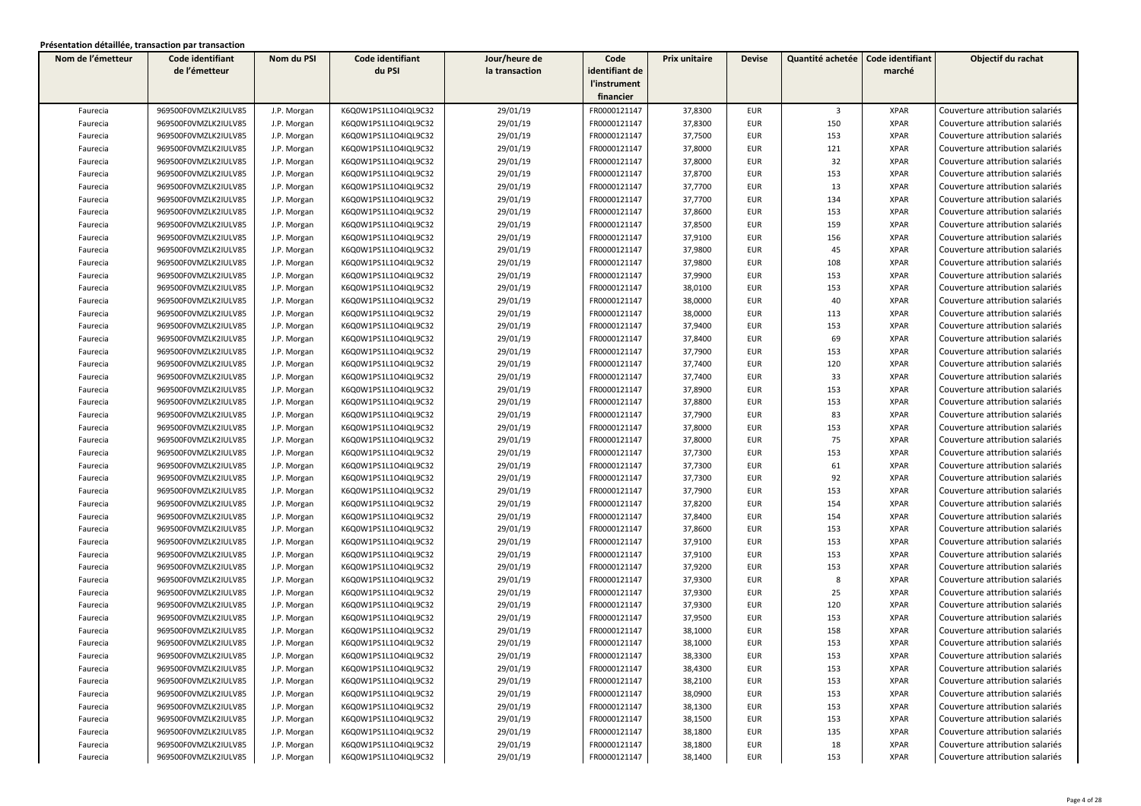| Nom de l'émetteur | Code identifiant     | Nom du PSI  | Code identifiant     | Jour/heure de  | Code           | Prix unitaire | <b>Devise</b> | Quantité achetée        | Code identifiant | Objectif du rachat              |
|-------------------|----------------------|-------------|----------------------|----------------|----------------|---------------|---------------|-------------------------|------------------|---------------------------------|
|                   | de l'émetteur        |             | du PSI               | la transaction | identifiant de |               |               |                         | marché           |                                 |
|                   |                      |             |                      |                | l'instrument   |               |               |                         |                  |                                 |
|                   |                      |             |                      |                | financier      |               |               |                         |                  |                                 |
| Faurecia          | 969500F0VMZLK2IULV85 | J.P. Morgan | K6Q0W1PS1L1O4IQL9C32 | 29/01/19       | FR0000121147   | 37,8300       | <b>EUR</b>    | $\overline{\mathbf{3}}$ | <b>XPAR</b>      | Couverture attribution salariés |
| Faurecia          | 969500F0VMZLK2IULV85 | J.P. Morgan | K6Q0W1PS1L1O4IQL9C32 | 29/01/19       | FR0000121147   | 37,8300       | <b>EUR</b>    | 150                     | <b>XPAR</b>      | Couverture attribution salariés |
| Faurecia          | 969500F0VMZLK2IULV85 | J.P. Morgan | K6Q0W1PS1L1O4IQL9C32 | 29/01/19       | FR0000121147   | 37,7500       | <b>EUR</b>    | 153                     | <b>XPAR</b>      | Couverture attribution salariés |
| Faurecia          | 969500F0VMZLK2IULV85 | J.P. Morgan | K6Q0W1PS1L1O4IQL9C32 | 29/01/19       | FR0000121147   | 37,8000       | <b>EUR</b>    | 121                     | <b>XPAR</b>      | Couverture attribution salariés |
| Faurecia          | 969500F0VMZLK2IULV85 | J.P. Morgan | K6Q0W1PS1L1O4IQL9C32 | 29/01/19       | FR0000121147   | 37,8000       | <b>EUR</b>    | 32                      | <b>XPAR</b>      | Couverture attribution salariés |
| Faurecia          | 969500F0VMZLK2IULV85 | J.P. Morgan | K6Q0W1PS1L1O4IQL9C32 | 29/01/19       | FR0000121147   | 37,8700       | <b>EUR</b>    | 153                     | <b>XPAR</b>      | Couverture attribution salariés |
| Faurecia          | 969500F0VMZLK2IULV85 | J.P. Morgan | K6Q0W1PS1L1O4IQL9C32 | 29/01/19       | FR0000121147   | 37,7700       | <b>EUR</b>    | 13                      | <b>XPAR</b>      | Couverture attribution salariés |
| Faurecia          | 969500F0VMZLK2IULV85 | J.P. Morgan | K6Q0W1PS1L1O4IQL9C32 | 29/01/19       | FR0000121147   | 37,7700       | <b>EUR</b>    | 134                     | <b>XPAR</b>      | Couverture attribution salariés |
| Faurecia          | 969500F0VMZLK2IULV85 | J.P. Morgan | K6Q0W1PS1L1O4IQL9C32 | 29/01/19       | FR0000121147   | 37,8600       | <b>EUR</b>    | 153                     | <b>XPAR</b>      | Couverture attribution salariés |
| Faurecia          | 969500F0VMZLK2IULV85 | J.P. Morgan | K6Q0W1PS1L1O4IQL9C32 | 29/01/19       | FR0000121147   | 37,8500       | <b>EUR</b>    | 159                     | <b>XPAR</b>      | Couverture attribution salariés |
| Faurecia          | 969500F0VMZLK2IULV85 | J.P. Morgan | K6Q0W1PS1L1O4IQL9C32 | 29/01/19       | FR0000121147   | 37,9100       | <b>EUR</b>    | 156                     | <b>XPAR</b>      | Couverture attribution salariés |
| Faurecia          | 969500F0VMZLK2IULV85 | J.P. Morgan | K6Q0W1PS1L1O4IQL9C32 | 29/01/19       | FR0000121147   | 37,9800       | <b>EUR</b>    | 45                      | <b>XPAR</b>      | Couverture attribution salariés |
| Faurecia          | 969500F0VMZLK2IULV85 | J.P. Morgan | K6Q0W1PS1L1O4IQL9C32 | 29/01/19       | FR0000121147   | 37,9800       | <b>EUR</b>    | 108                     | <b>XPAR</b>      | Couverture attribution salariés |
| Faurecia          | 969500F0VMZLK2IULV85 | J.P. Morgan | K6Q0W1PS1L1O4IQL9C32 | 29/01/19       | FR0000121147   | 37,9900       | <b>EUR</b>    | 153                     | <b>XPAR</b>      | Couverture attribution salariés |
| Faurecia          | 969500F0VMZLK2IULV85 | J.P. Morgan | K6Q0W1PS1L1O4IQL9C32 | 29/01/19       | FR0000121147   | 38,0100       | <b>EUR</b>    | 153                     | <b>XPAR</b>      | Couverture attribution salariés |
| Faurecia          | 969500F0VMZLK2IULV85 | J.P. Morgan | K6Q0W1PS1L1O4IQL9C32 | 29/01/19       | FR0000121147   | 38,0000       | <b>EUR</b>    | 40                      | <b>XPAR</b>      | Couverture attribution salariés |
| Faurecia          | 969500F0VMZLK2IULV85 | J.P. Morgan | K6Q0W1PS1L1O4IQL9C32 | 29/01/19       | FR0000121147   | 38,0000       | <b>EUR</b>    | 113                     | <b>XPAR</b>      | Couverture attribution salariés |
| Faurecia          | 969500F0VMZLK2IULV85 | J.P. Morgan | K6Q0W1PS1L1O4IQL9C32 | 29/01/19       | FR0000121147   | 37,9400       | <b>EUR</b>    | 153                     | <b>XPAR</b>      | Couverture attribution salariés |
| Faurecia          | 969500F0VMZLK2IULV85 | J.P. Morgan | K6Q0W1PS1L1O4IQL9C32 | 29/01/19       | FR0000121147   | 37,8400       | <b>EUR</b>    | 69                      | <b>XPAR</b>      | Couverture attribution salariés |
| Faurecia          | 969500F0VMZLK2IULV85 | J.P. Morgan | K6Q0W1PS1L1O4IQL9C32 | 29/01/19       | FR0000121147   | 37,7900       | <b>EUR</b>    | 153                     | <b>XPAR</b>      | Couverture attribution salariés |
| Faurecia          | 969500F0VMZLK2IULV85 | J.P. Morgan | K6Q0W1PS1L1O4IQL9C32 | 29/01/19       | FR0000121147   | 37,7400       | <b>EUR</b>    | 120                     | <b>XPAR</b>      | Couverture attribution salariés |
| Faurecia          | 969500F0VMZLK2IULV85 | J.P. Morgan | K6Q0W1PS1L1O4IQL9C32 | 29/01/19       | FR0000121147   | 37,7400       | <b>EUR</b>    | 33                      | <b>XPAR</b>      | Couverture attribution salariés |
| Faurecia          | 969500F0VMZLK2IULV85 | J.P. Morgan | K6Q0W1PS1L1O4IQL9C32 | 29/01/19       | FR0000121147   | 37,8900       | <b>EUR</b>    | 153                     | <b>XPAR</b>      | Couverture attribution salariés |
| Faurecia          | 969500F0VMZLK2IULV85 | J.P. Morgan | K6Q0W1PS1L1O4IQL9C32 | 29/01/19       | FR0000121147   | 37,8800       | <b>EUR</b>    | 153                     | <b>XPAR</b>      | Couverture attribution salariés |
| Faurecia          | 969500F0VMZLK2IULV85 | J.P. Morgan | K6Q0W1PS1L1O4IQL9C32 | 29/01/19       | FR0000121147   | 37,7900       | <b>EUR</b>    | 83                      | <b>XPAR</b>      | Couverture attribution salariés |
| Faurecia          | 969500F0VMZLK2IULV85 | J.P. Morgan | K6Q0W1PS1L1O4IQL9C32 | 29/01/19       | FR0000121147   | 37,8000       | <b>EUR</b>    | 153                     | <b>XPAR</b>      | Couverture attribution salariés |
| Faurecia          | 969500F0VMZLK2IULV85 | J.P. Morgan | K6Q0W1PS1L1O4IQL9C32 | 29/01/19       | FR0000121147   | 37,8000       | <b>EUR</b>    | 75                      | <b>XPAR</b>      | Couverture attribution salariés |
| Faurecia          | 969500F0VMZLK2IULV85 | J.P. Morgan | K6Q0W1PS1L1O4IQL9C32 | 29/01/19       | FR0000121147   | 37,7300       | <b>EUR</b>    | 153                     | <b>XPAR</b>      | Couverture attribution salariés |
| Faurecia          | 969500F0VMZLK2IULV85 | J.P. Morgan | K6Q0W1PS1L1O4IQL9C32 | 29/01/19       | FR0000121147   | 37,7300       | <b>EUR</b>    | 61                      | <b>XPAR</b>      | Couverture attribution salariés |
| Faurecia          | 969500F0VMZLK2IULV85 | J.P. Morgan | K6Q0W1PS1L1O4IQL9C32 | 29/01/19       | FR0000121147   | 37,7300       | <b>EUR</b>    | 92                      | <b>XPAR</b>      | Couverture attribution salariés |
| Faurecia          | 969500F0VMZLK2IULV85 | J.P. Morgan | K6Q0W1PS1L1O4IQL9C32 | 29/01/19       | FR0000121147   | 37,7900       | <b>EUR</b>    | 153                     | <b>XPAR</b>      | Couverture attribution salariés |
| Faurecia          | 969500F0VMZLK2IULV85 | J.P. Morgan | K6Q0W1PS1L1O4IQL9C32 | 29/01/19       | FR0000121147   | 37,8200       | <b>EUR</b>    | 154                     | <b>XPAR</b>      | Couverture attribution salariés |
| Faurecia          | 969500F0VMZLK2IULV85 | J.P. Morgan | K6Q0W1PS1L1O4IQL9C32 | 29/01/19       | FR0000121147   | 37,8400       | <b>EUR</b>    | 154                     | <b>XPAR</b>      | Couverture attribution salariés |
| Faurecia          | 969500F0VMZLK2IULV85 | J.P. Morgan | K6Q0W1PS1L1O4IQL9C32 | 29/01/19       | FR0000121147   | 37,8600       | <b>EUR</b>    | 153                     | <b>XPAR</b>      | Couverture attribution salariés |
| Faurecia          | 969500F0VMZLK2IULV85 | J.P. Morgan | K6Q0W1PS1L1O4IQL9C32 | 29/01/19       | FR0000121147   | 37,9100       | <b>EUR</b>    | 153                     | <b>XPAR</b>      | Couverture attribution salariés |
| Faurecia          | 969500F0VMZLK2IULV85 | J.P. Morgan | K6Q0W1PS1L1O4IQL9C32 | 29/01/19       | FR0000121147   | 37,9100       | <b>EUR</b>    | 153                     | <b>XPAR</b>      | Couverture attribution salariés |
| Faurecia          | 969500F0VMZLK2IULV85 | J.P. Morgan | K6Q0W1PS1L1O4IQL9C32 | 29/01/19       | FR0000121147   | 37,9200       | <b>EUR</b>    | 153                     | <b>XPAR</b>      | Couverture attribution salariés |
| Faurecia          | 969500F0VMZLK2IULV85 | J.P. Morgan | K6Q0W1PS1L1O4IQL9C32 | 29/01/19       | FR0000121147   | 37,9300       | EUR           | 8                       | <b>XPAR</b>      | Couverture attribution salariés |
| Faurecia          | 969500F0VMZLK2IULV85 | J.P. Morgan | K6Q0W1PS1L1O4IQL9C32 | 29/01/19       | FR0000121147   | 37,9300       | EUR           | 25                      | <b>XPAR</b>      | Couverture attribution salariés |
| Faurecia          | 969500F0VMZLK2IULV85 | J.P. Morgan | K6Q0W1PS1L1O4IQL9C32 | 29/01/19       | FR0000121147   | 37,9300       | <b>EUR</b>    | 120                     | <b>XPAR</b>      | Couverture attribution salariés |
| Faurecia          | 969500F0VMZLK2IULV85 | J.P. Morgan | K6Q0W1PS1L1O4IQL9C32 | 29/01/19       | FR0000121147   | 37,9500       | EUR           | 153                     | <b>XPAR</b>      | Couverture attribution salariés |
| Faurecia          | 969500F0VMZLK2IULV85 | J.P. Morgan | K6Q0W1PS1L1O4IQL9C32 | 29/01/19       | FR0000121147   | 38,1000       | <b>EUR</b>    | 158                     | <b>XPAR</b>      | Couverture attribution salariés |
| Faurecia          | 969500F0VMZLK2IULV85 | J.P. Morgan | K6Q0W1PS1L1O4IQL9C32 | 29/01/19       | FR0000121147   | 38,1000       | <b>EUR</b>    | 153                     | <b>XPAR</b>      | Couverture attribution salariés |
| Faurecia          | 969500F0VMZLK2IULV85 | J.P. Morgan | K6Q0W1PS1L1O4IQL9C32 | 29/01/19       | FR0000121147   | 38,3300       | EUR           | 153                     | XPAR             | Couverture attribution salariés |
| Faurecia          | 969500F0VMZLK2IULV85 | J.P. Morgan | K6Q0W1PS1L1O4IQL9C32 | 29/01/19       | FR0000121147   | 38,4300       | <b>EUR</b>    | 153                     | <b>XPAR</b>      | Couverture attribution salariés |
| Faurecia          | 969500F0VMZLK2IULV85 | J.P. Morgan | K6Q0W1PS1L1O4IQL9C32 | 29/01/19       | FR0000121147   | 38,2100       | EUR           | 153                     | <b>XPAR</b>      | Couverture attribution salariés |
| Faurecia          | 969500F0VMZLK2IULV85 | J.P. Morgan | K6Q0W1PS1L1O4IQL9C32 | 29/01/19       | FR0000121147   | 38,0900       | EUR           | 153                     | XPAR             | Couverture attribution salariés |
| Faurecia          | 969500F0VMZLK2IULV85 | J.P. Morgan | K6Q0W1PS1L1O4IQL9C32 | 29/01/19       | FR0000121147   | 38,1300       | EUR           | 153                     | <b>XPAR</b>      | Couverture attribution salariés |
| Faurecia          | 969500F0VMZLK2IULV85 | J.P. Morgan | K6Q0W1PS1L1O4IQL9C32 | 29/01/19       | FR0000121147   | 38,1500       | EUR           | 153                     | <b>XPAR</b>      | Couverture attribution salariés |
| Faurecia          | 969500F0VMZLK2IULV85 | J.P. Morgan | K6Q0W1PS1L1O4IQL9C32 | 29/01/19       | FR0000121147   | 38,1800       | <b>EUR</b>    | 135                     | <b>XPAR</b>      | Couverture attribution salariés |
| Faurecia          | 969500F0VMZLK2IULV85 | J.P. Morgan | K6Q0W1PS1L1O4IQL9C32 | 29/01/19       | FR0000121147   | 38,1800       | <b>EUR</b>    | 18                      | <b>XPAR</b>      | Couverture attribution salariés |
| Faurecia          | 969500F0VMZLK2IULV85 | J.P. Morgan | K6Q0W1PS1L1O4IQL9C32 | 29/01/19       | FR0000121147   | 38,1400       | <b>EUR</b>    | 153                     | <b>XPAR</b>      | Couverture attribution salariés |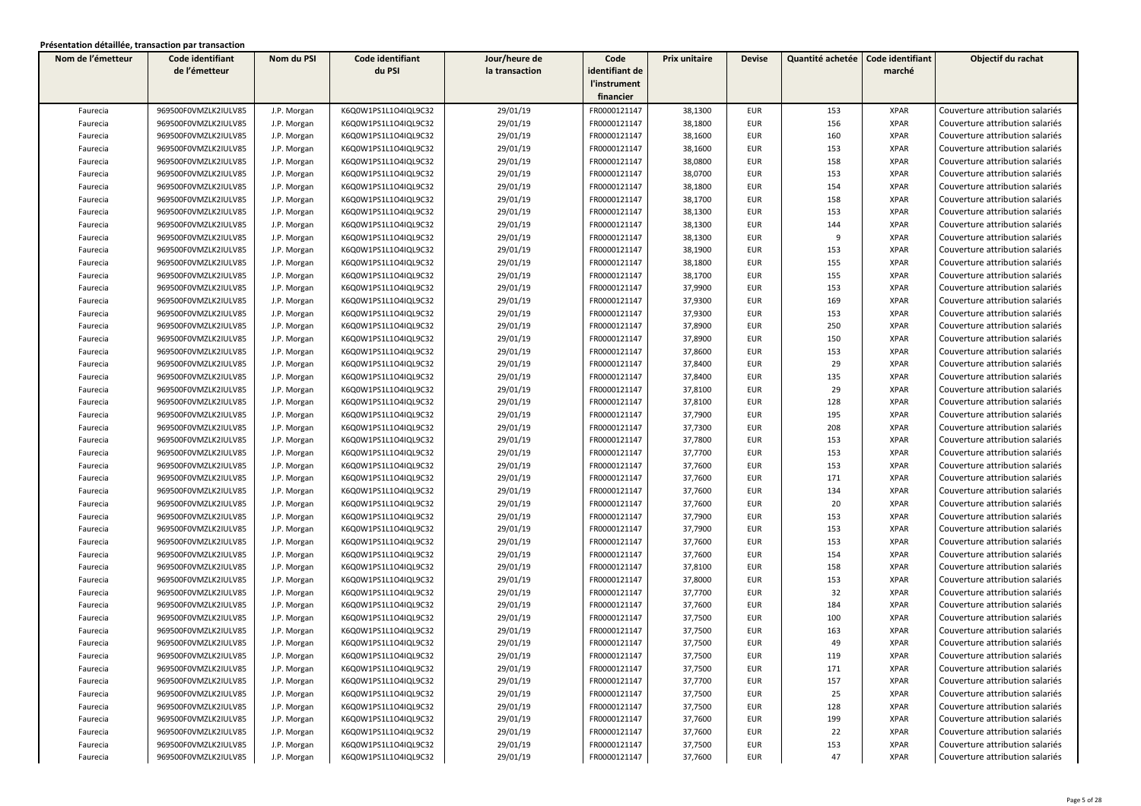| Nom de l'émetteur | Code identifiant     | Nom du PSI  | Code identifiant     | Jour/heure de  | Code           | Prix unitaire | <b>Devise</b> | Quantité achetée | Code identifiant | Objectif du rachat              |
|-------------------|----------------------|-------------|----------------------|----------------|----------------|---------------|---------------|------------------|------------------|---------------------------------|
|                   | de l'émetteur        |             | du PSI               | la transaction | identifiant de |               |               |                  | marché           |                                 |
|                   |                      |             |                      |                | l'instrument   |               |               |                  |                  |                                 |
|                   |                      |             |                      |                | financier      |               |               |                  |                  |                                 |
| Faurecia          | 969500F0VMZLK2IULV85 | J.P. Morgan | K6Q0W1PS1L1O4IQL9C32 | 29/01/19       | FR0000121147   | 38,1300       | <b>EUR</b>    | 153              | <b>XPAR</b>      | Couverture attribution salariés |
| Faurecia          | 969500F0VMZLK2IULV85 | J.P. Morgan | K6Q0W1PS1L1O4IQL9C32 | 29/01/19       | FR0000121147   | 38,1800       | <b>EUR</b>    | 156              | <b>XPAR</b>      | Couverture attribution salariés |
| Faurecia          | 969500F0VMZLK2IULV85 | J.P. Morgan | K6Q0W1PS1L1O4IQL9C32 | 29/01/19       | FR0000121147   | 38,1600       | <b>EUR</b>    | 160              | <b>XPAR</b>      | Couverture attribution salariés |
| Faurecia          | 969500F0VMZLK2IULV85 | J.P. Morgan | K6Q0W1PS1L1O4IQL9C32 | 29/01/19       | FR0000121147   | 38,1600       | EUR           | 153              | <b>XPAR</b>      | Couverture attribution salariés |
| Faurecia          | 969500F0VMZLK2IULV85 | J.P. Morgan | K6Q0W1PS1L1O4IQL9C32 | 29/01/19       | FR0000121147   | 38,0800       | <b>EUR</b>    | 158              | <b>XPAR</b>      | Couverture attribution salariés |
| Faurecia          | 969500F0VMZLK2IULV85 | J.P. Morgan | K6Q0W1PS1L1O4IQL9C32 | 29/01/19       | FR0000121147   | 38,0700       | <b>EUR</b>    | 153              | <b>XPAR</b>      | Couverture attribution salariés |
| Faurecia          | 969500F0VMZLK2IULV85 | J.P. Morgan | K6Q0W1PS1L1O4IQL9C32 | 29/01/19       | FR0000121147   | 38,1800       | <b>EUR</b>    | 154              | <b>XPAR</b>      | Couverture attribution salariés |
| Faurecia          | 969500F0VMZLK2IULV85 | J.P. Morgan | K6Q0W1PS1L1O4IQL9C32 | 29/01/19       | FR0000121147   | 38,1700       | EUR           | 158              | <b>XPAR</b>      | Couverture attribution salariés |
| Faurecia          | 969500F0VMZLK2IULV85 | J.P. Morgan | K6Q0W1PS1L1O4IQL9C32 | 29/01/19       | FR0000121147   | 38,1300       | <b>EUR</b>    | 153              | <b>XPAR</b>      | Couverture attribution salariés |
| Faurecia          | 969500F0VMZLK2IULV85 | J.P. Morgan | K6Q0W1PS1L1O4IQL9C32 | 29/01/19       | FR0000121147   | 38,1300       | <b>EUR</b>    | 144              | <b>XPAR</b>      | Couverture attribution salariés |
| Faurecia          | 969500F0VMZLK2IULV85 | J.P. Morgan | K6Q0W1PS1L1O4IQL9C32 | 29/01/19       | FR0000121147   | 38,1300       | EUR           | 9                | <b>XPAR</b>      | Couverture attribution salariés |
| Faurecia          | 969500F0VMZLK2IULV85 | J.P. Morgan | K6Q0W1PS1L1O4IQL9C32 | 29/01/19       | FR0000121147   | 38,1900       | <b>EUR</b>    | 153              | <b>XPAR</b>      | Couverture attribution salariés |
| Faurecia          | 969500F0VMZLK2IULV85 | J.P. Morgan | K6Q0W1PS1L1O4IQL9C32 | 29/01/19       | FR0000121147   | 38,1800       | EUR           | 155              | <b>XPAR</b>      | Couverture attribution salariés |
| Faurecia          | 969500F0VMZLK2IULV85 | J.P. Morgan | K6Q0W1PS1L1O4IQL9C32 | 29/01/19       | FR0000121147   | 38,1700       | EUR           | 155              | <b>XPAR</b>      | Couverture attribution salariés |
| Faurecia          | 969500F0VMZLK2IULV85 | J.P. Morgan | K6Q0W1PS1L1O4IQL9C32 | 29/01/19       | FR0000121147   | 37,9900       | <b>EUR</b>    | 153              | <b>XPAR</b>      | Couverture attribution salariés |
| Faurecia          | 969500F0VMZLK2IULV85 | J.P. Morgan | K6Q0W1PS1L1O4IQL9C32 | 29/01/19       | FR0000121147   | 37,9300       | <b>EUR</b>    | 169              | <b>XPAR</b>      | Couverture attribution salariés |
| Faurecia          | 969500F0VMZLK2IULV85 | J.P. Morgan | K6Q0W1PS1L1O4IQL9C32 | 29/01/19       | FR0000121147   | 37,9300       | <b>EUR</b>    | 153              | <b>XPAR</b>      | Couverture attribution salariés |
| Faurecia          | 969500F0VMZLK2IULV85 | J.P. Morgan | K6Q0W1PS1L1O4IQL9C32 | 29/01/19       | FR0000121147   | 37,8900       | <b>EUR</b>    | 250              | <b>XPAR</b>      | Couverture attribution salariés |
| Faurecia          | 969500F0VMZLK2IULV85 | J.P. Morgan | K6Q0W1PS1L1O4IQL9C32 | 29/01/19       | FR0000121147   | 37,8900       | <b>EUR</b>    | 150              | <b>XPAR</b>      | Couverture attribution salariés |
| Faurecia          | 969500F0VMZLK2IULV85 | J.P. Morgan | K6Q0W1PS1L1O4IQL9C32 | 29/01/19       | FR0000121147   | 37,8600       | <b>EUR</b>    | 153              | <b>XPAR</b>      | Couverture attribution salariés |
| Faurecia          | 969500F0VMZLK2IULV85 | J.P. Morgan | K6Q0W1PS1L1O4IQL9C32 | 29/01/19       | FR0000121147   | 37,8400       | EUR           | 29               | <b>XPAR</b>      | Couverture attribution salariés |
| Faurecia          | 969500F0VMZLK2IULV85 | J.P. Morgan | K6Q0W1PS1L1O4IQL9C32 | 29/01/19       | FR0000121147   | 37,8400       | EUR           | 135              | <b>XPAR</b>      | Couverture attribution salariés |
| Faurecia          | 969500F0VMZLK2IULV85 | J.P. Morgan | K6Q0W1PS1L1O4IQL9C32 | 29/01/19       | FR0000121147   | 37,8100       | <b>EUR</b>    | 29               | <b>XPAR</b>      | Couverture attribution salariés |
| Faurecia          | 969500F0VMZLK2IULV85 | J.P. Morgan | K6Q0W1PS1L1O4IQL9C32 | 29/01/19       | FR0000121147   | 37,8100       | EUR           | 128              | <b>XPAR</b>      | Couverture attribution salariés |
| Faurecia          | 969500F0VMZLK2IULV85 | J.P. Morgan | K6Q0W1PS1L1O4IQL9C32 | 29/01/19       | FR0000121147   | 37,7900       | <b>EUR</b>    | 195              | <b>XPAR</b>      | Couverture attribution salariés |
| Faurecia          | 969500F0VMZLK2IULV85 | J.P. Morgan | K6Q0W1PS1L1O4IQL9C32 | 29/01/19       | FR0000121147   | 37,7300       | <b>EUR</b>    | 208              | <b>XPAR</b>      | Couverture attribution salariés |
| Faurecia          | 969500F0VMZLK2IULV85 | J.P. Morgan | K6Q0W1PS1L1O4IQL9C32 | 29/01/19       | FR0000121147   | 37,7800       | EUR           | 153              | <b>XPAR</b>      | Couverture attribution salariés |
| Faurecia          | 969500F0VMZLK2IULV85 | J.P. Morgan | K6Q0W1PS1L1O4IQL9C32 | 29/01/19       | FR0000121147   | 37,7700       | <b>EUR</b>    | 153              | <b>XPAR</b>      | Couverture attribution salariés |
| Faurecia          | 969500F0VMZLK2IULV85 | J.P. Morgan | K6Q0W1PS1L1O4IQL9C32 | 29/01/19       | FR0000121147   | 37,7600       | EUR           | 153              | <b>XPAR</b>      | Couverture attribution salariés |
| Faurecia          | 969500F0VMZLK2IULV85 | J.P. Morgan | K6Q0W1PS1L1O4IQL9C32 | 29/01/19       | FR0000121147   | 37,7600       | EUR           | 171              | <b>XPAR</b>      | Couverture attribution salariés |
| Faurecia          | 969500F0VMZLK2IULV85 | J.P. Morgan | K6Q0W1PS1L1O4IQL9C32 | 29/01/19       | FR0000121147   | 37,7600       | <b>EUR</b>    | 134              | <b>XPAR</b>      | Couverture attribution salariés |
| Faurecia          | 969500F0VMZLK2IULV85 | J.P. Morgan | K6Q0W1PS1L1O4IQL9C32 | 29/01/19       | FR0000121147   | 37,7600       | <b>EUR</b>    | 20               | <b>XPAR</b>      | Couverture attribution salariés |
| Faurecia          | 969500F0VMZLK2IULV85 | J.P. Morgan | K6Q0W1PS1L1O4IQL9C32 | 29/01/19       | FR0000121147   | 37,7900       | <b>EUR</b>    | 153              | <b>XPAR</b>      | Couverture attribution salariés |
| Faurecia          | 969500F0VMZLK2IULV85 | J.P. Morgan | K6Q0W1PS1L1O4IQL9C32 | 29/01/19       | FR0000121147   | 37,7900       | <b>EUR</b>    | 153              | <b>XPAR</b>      | Couverture attribution salariés |
| Faurecia          | 969500F0VMZLK2IULV85 | J.P. Morgan | K6Q0W1PS1L1O4IQL9C32 | 29/01/19       | FR0000121147   | 37,7600       | <b>EUR</b>    | 153              | <b>XPAR</b>      | Couverture attribution salariés |
| Faurecia          | 969500F0VMZLK2IULV85 | J.P. Morgan | K6Q0W1PS1L1O4IQL9C32 | 29/01/19       | FR0000121147   | 37,7600       | <b>EUR</b>    | 154              | <b>XPAR</b>      | Couverture attribution salariés |
| Faurecia          | 969500F0VMZLK2IULV85 | J.P. Morgan | K6Q0W1PS1L1O4IQL9C32 | 29/01/19       | FR0000121147   | 37,8100       | <b>EUR</b>    | 158              | <b>XPAR</b>      | Couverture attribution salariés |
| Faurecia          | 969500F0VMZLK2IULV85 | J.P. Morgan | K6Q0W1PS1L1O4IQL9C32 | 29/01/19       | FR0000121147   | 37,8000       | EUR           | 153              | <b>XPAR</b>      | Couverture attribution salariés |
| Faurecia          | 969500F0VMZLK2IULV85 | J.P. Morgan | K6Q0W1PS1L1O4IQL9C32 | 29/01/19       | FR0000121147   | 37,7700       | EUR           | 32               | <b>XPAR</b>      | Couverture attribution salariés |
| Faurecia          | 969500F0VMZLK2IULV85 | J.P. Morgan | K6Q0W1PS1L1O4IQL9C32 | 29/01/19       | FR0000121147   | 37,7600       | <b>EUR</b>    | 184              | <b>XPAR</b>      | Couverture attribution salariés |
| Faurecia          | 969500F0VMZLK2IULV85 | J.P. Morgan | K6Q0W1PS1L1O4IQL9C32 | 29/01/19       | FR0000121147   | 37,7500       | EUR           | 100              | <b>XPAR</b>      | Couverture attribution salariés |
| Faurecia          | 969500F0VMZLK2IULV85 | J.P. Morgan | K6Q0W1PS1L1O4IQL9C32 | 29/01/19       | FR0000121147   | 37,7500       | <b>EUR</b>    | 163              | <b>XPAR</b>      | Couverture attribution salariés |
| Faurecia          | 969500F0VMZLK2IULV85 | J.P. Morgan | K6Q0W1PS1L1O4IQL9C32 | 29/01/19       | FR0000121147   | 37,7500       | <b>EUR</b>    | 49               | <b>XPAR</b>      | Couverture attribution salariés |
| Faurecia          | 969500F0VMZLK2IULV85 | J.P. Morgan | K6Q0W1PS1L1O4IQL9C32 | 29/01/19       | FR0000121147   | 37,7500       | EUR           | 119              | XPAR             | Couverture attribution salariés |
| Faurecia          | 969500F0VMZLK2IULV85 | J.P. Morgan | K6Q0W1PS1L1O4IQL9C32 | 29/01/19       | FR0000121147   | 37,7500       | <b>EUR</b>    | 171              | <b>XPAR</b>      | Couverture attribution salariés |
| Faurecia          | 969500F0VMZLK2IULV85 | J.P. Morgan | K6Q0W1PS1L1O4IQL9C32 | 29/01/19       | FR0000121147   | 37,7700       | EUR           | 157              | <b>XPAR</b>      | Couverture attribution salariés |
| Faurecia          | 969500F0VMZLK2IULV85 | J.P. Morgan | K6Q0W1PS1L1O4IQL9C32 | 29/01/19       | FR0000121147   | 37,7500       | EUR           | 25               | XPAR             | Couverture attribution salariés |
| Faurecia          | 969500F0VMZLK2IULV85 | J.P. Morgan | K6Q0W1PS1L1O4IQL9C32 | 29/01/19       | FR0000121147   | 37,7500       | EUR           | 128              | <b>XPAR</b>      | Couverture attribution salariés |
| Faurecia          | 969500F0VMZLK2IULV85 | J.P. Morgan | K6Q0W1PS1L1O4IQL9C32 | 29/01/19       | FR0000121147   | 37,7600       | EUR           | 199              | <b>XPAR</b>      | Couverture attribution salariés |
| Faurecia          | 969500F0VMZLK2IULV85 | J.P. Morgan | K6Q0W1PS1L1O4IQL9C32 | 29/01/19       | FR0000121147   | 37,7600       | <b>EUR</b>    | 22               | <b>XPAR</b>      | Couverture attribution salariés |
| Faurecia          | 969500F0VMZLK2IULV85 | J.P. Morgan | K6Q0W1PS1L1O4IQL9C32 | 29/01/19       | FR0000121147   | 37,7500       | <b>EUR</b>    | 153              | <b>XPAR</b>      | Couverture attribution salariés |
| Faurecia          | 969500F0VMZLK2IULV85 | J.P. Morgan | K6Q0W1PS1L1O4IQL9C32 | 29/01/19       | FR0000121147   | 37,7600       | <b>EUR</b>    | 47               | <b>XPAR</b>      | Couverture attribution salariés |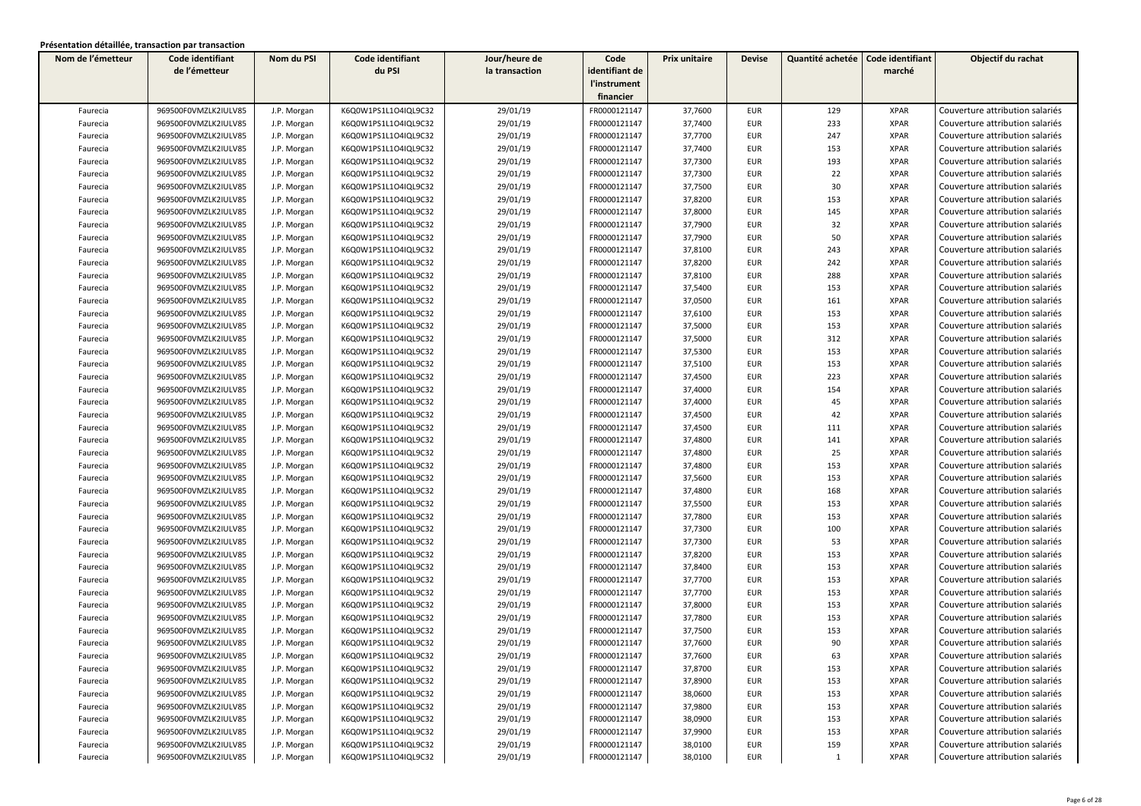| Nom de l'émetteur | Code identifiant     | Nom du PSI  | Code identifiant     | Jour/heure de  | Code           | Prix unitaire | <b>Devise</b> | Quantité achetée | Code identifiant | Objectif du rachat              |
|-------------------|----------------------|-------------|----------------------|----------------|----------------|---------------|---------------|------------------|------------------|---------------------------------|
|                   | de l'émetteur        |             | du PSI               | la transaction | identifiant de |               |               |                  | marché           |                                 |
|                   |                      |             |                      |                | l'instrument   |               |               |                  |                  |                                 |
|                   |                      |             |                      |                | financier      |               |               |                  |                  |                                 |
| Faurecia          | 969500F0VMZLK2IULV85 | J.P. Morgan | K6Q0W1PS1L1O4IQL9C32 | 29/01/19       | FR0000121147   | 37,7600       | <b>EUR</b>    | 129              | <b>XPAR</b>      | Couverture attribution salariés |
| Faurecia          | 969500F0VMZLK2IULV85 | J.P. Morgan | K6Q0W1PS1L1O4IQL9C32 | 29/01/19       | FR0000121147   | 37,7400       | EUR           | 233              | <b>XPAR</b>      | Couverture attribution salariés |
| Faurecia          | 969500F0VMZLK2IULV85 | J.P. Morgan | K6Q0W1PS1L1O4IQL9C32 | 29/01/19       | FR0000121147   | 37,7700       | <b>EUR</b>    | 247              | <b>XPAR</b>      | Couverture attribution salariés |
| Faurecia          | 969500F0VMZLK2IULV85 | J.P. Morgan | K6Q0W1PS1L1O4IQL9C32 | 29/01/19       | FR0000121147   | 37,7400       | EUR           | 153              | <b>XPAR</b>      | Couverture attribution salariés |
| Faurecia          | 969500F0VMZLK2IULV85 | J.P. Morgan | K6Q0W1PS1L1O4IQL9C32 | 29/01/19       | FR0000121147   | 37,7300       | EUR           | 193              | <b>XPAR</b>      | Couverture attribution salariés |
| Faurecia          | 969500F0VMZLK2IULV85 | J.P. Morgan | K6Q0W1PS1L1O4IQL9C32 | 29/01/19       | FR0000121147   | 37,7300       | <b>EUR</b>    | 22               | <b>XPAR</b>      | Couverture attribution salariés |
| Faurecia          | 969500F0VMZLK2IULV85 | J.P. Morgan | K6Q0W1PS1L1O4IQL9C32 | 29/01/19       | FR0000121147   | 37,7500       | <b>EUR</b>    | 30               | <b>XPAR</b>      | Couverture attribution salariés |
| Faurecia          | 969500F0VMZLK2IULV85 | J.P. Morgan | K6Q0W1PS1L1O4IQL9C32 | 29/01/19       | FR0000121147   | 37,8200       | EUR           | 153              | <b>XPAR</b>      | Couverture attribution salariés |
| Faurecia          | 969500F0VMZLK2IULV85 | J.P. Morgan | K6Q0W1PS1L1O4IQL9C32 | 29/01/19       | FR0000121147   | 37,8000       | <b>EUR</b>    | 145              | <b>XPAR</b>      | Couverture attribution salariés |
| Faurecia          | 969500F0VMZLK2IULV85 | J.P. Morgan | K6Q0W1PS1L1O4IQL9C32 | 29/01/19       | FR0000121147   | 37,7900       | <b>EUR</b>    | 32               | <b>XPAR</b>      | Couverture attribution salariés |
| Faurecia          | 969500F0VMZLK2IULV85 | J.P. Morgan | K6Q0W1PS1L1O4IQL9C32 | 29/01/19       | FR0000121147   | 37,7900       | <b>EUR</b>    | 50               | <b>XPAR</b>      | Couverture attribution salariés |
| Faurecia          | 969500F0VMZLK2IULV85 | J.P. Morgan | K6Q0W1PS1L1O4IQL9C32 | 29/01/19       | FR0000121147   | 37,8100       | <b>EUR</b>    | 243              | <b>XPAR</b>      | Couverture attribution salariés |
| Faurecia          | 969500F0VMZLK2IULV85 | J.P. Morgan | K6Q0W1PS1L1O4IQL9C32 | 29/01/19       | FR0000121147   | 37,8200       | EUR           | 242              | <b>XPAR</b>      | Couverture attribution salariés |
| Faurecia          | 969500F0VMZLK2IULV85 | J.P. Morgan | K6Q0W1PS1L1O4IQL9C32 | 29/01/19       | FR0000121147   | 37,8100       | EUR           | 288              | <b>XPAR</b>      | Couverture attribution salariés |
| Faurecia          | 969500F0VMZLK2IULV85 | J.P. Morgan | K6Q0W1PS1L1O4IQL9C32 | 29/01/19       | FR0000121147   | 37,5400       | <b>EUR</b>    | 153              | <b>XPAR</b>      | Couverture attribution salariés |
| Faurecia          | 969500F0VMZLK2IULV85 | J.P. Morgan | K6Q0W1PS1L1O4IQL9C32 | 29/01/19       | FR0000121147   | 37,0500       | <b>EUR</b>    | 161              | <b>XPAR</b>      | Couverture attribution salariés |
| Faurecia          | 969500F0VMZLK2IULV85 | J.P. Morgan | K6Q0W1PS1L1O4IQL9C32 | 29/01/19       | FR0000121147   | 37,6100       | <b>EUR</b>    | 153              | <b>XPAR</b>      | Couverture attribution salariés |
| Faurecia          | 969500F0VMZLK2IULV85 | J.P. Morgan | K6Q0W1PS1L1O4IQL9C32 | 29/01/19       | FR0000121147   | 37,5000       | <b>EUR</b>    | 153              | <b>XPAR</b>      | Couverture attribution salariés |
| Faurecia          | 969500F0VMZLK2IULV85 | J.P. Morgan | K6Q0W1PS1L1O4IQL9C32 | 29/01/19       | FR0000121147   | 37,5000       | <b>EUR</b>    | 312              | <b>XPAR</b>      | Couverture attribution salariés |
| Faurecia          | 969500F0VMZLK2IULV85 | J.P. Morgan | K6Q0W1PS1L1O4IQL9C32 | 29/01/19       | FR0000121147   | 37,5300       | <b>EUR</b>    | 153              | <b>XPAR</b>      | Couverture attribution salariés |
| Faurecia          | 969500F0VMZLK2IULV85 | J.P. Morgan | K6Q0W1PS1L1O4IQL9C32 | 29/01/19       | FR0000121147   | 37,5100       | EUR           | 153              | <b>XPAR</b>      | Couverture attribution salariés |
| Faurecia          | 969500F0VMZLK2IULV85 | J.P. Morgan | K6Q0W1PS1L1O4IQL9C32 | 29/01/19       | FR0000121147   | 37,4500       | EUR           | 223              | <b>XPAR</b>      | Couverture attribution salariés |
| Faurecia          | 969500F0VMZLK2IULV85 | J.P. Morgan | K6Q0W1PS1L1O4IQL9C32 | 29/01/19       | FR0000121147   | 37,4000       | <b>EUR</b>    | 154              | <b>XPAR</b>      | Couverture attribution salariés |
| Faurecia          | 969500F0VMZLK2IULV85 | J.P. Morgan | K6Q0W1PS1L1O4IQL9C32 | 29/01/19       | FR0000121147   | 37,4000       | <b>EUR</b>    | 45               | <b>XPAR</b>      | Couverture attribution salariés |
| Faurecia          | 969500F0VMZLK2IULV85 | J.P. Morgan | K6Q0W1PS1L1O4IQL9C32 | 29/01/19       | FR0000121147   | 37,4500       | <b>EUR</b>    | 42               | <b>XPAR</b>      | Couverture attribution salariés |
| Faurecia          | 969500F0VMZLK2IULV85 | J.P. Morgan | K6Q0W1PS1L1O4IQL9C32 | 29/01/19       | FR0000121147   | 37,4500       | <b>EUR</b>    | 111              | <b>XPAR</b>      | Couverture attribution salariés |
| Faurecia          | 969500F0VMZLK2IULV85 | J.P. Morgan | K6Q0W1PS1L1O4IQL9C32 | 29/01/19       | FR0000121147   | 37,4800       | EUR           | 141              | <b>XPAR</b>      | Couverture attribution salariés |
| Faurecia          | 969500F0VMZLK2IULV85 | J.P. Morgan | K6Q0W1PS1L1O4IQL9C32 | 29/01/19       | FR0000121147   | 37,4800       | <b>EUR</b>    | 25               | <b>XPAR</b>      | Couverture attribution salariés |
| Faurecia          | 969500F0VMZLK2IULV85 | J.P. Morgan | K6Q0W1PS1L1O4IQL9C32 | 29/01/19       | FR0000121147   | 37,4800       | EUR           | 153              | <b>XPAR</b>      | Couverture attribution salariés |
| Faurecia          | 969500F0VMZLK2IULV85 | J.P. Morgan | K6Q0W1PS1L1O4IQL9C32 | 29/01/19       | FR0000121147   | 37,5600       | EUR           | 153              | <b>XPAR</b>      | Couverture attribution salariés |
| Faurecia          | 969500F0VMZLK2IULV85 | J.P. Morgan | K6Q0W1PS1L1O4IQL9C32 | 29/01/19       | FR0000121147   | 37,4800       | <b>EUR</b>    | 168              | <b>XPAR</b>      | Couverture attribution salariés |
| Faurecia          | 969500F0VMZLK2IULV85 | J.P. Morgan | K6Q0W1PS1L1O4IQL9C32 | 29/01/19       | FR0000121147   | 37,5500       | <b>EUR</b>    | 153              | <b>XPAR</b>      | Couverture attribution salariés |
| Faurecia          | 969500F0VMZLK2IULV85 | J.P. Morgan | K6Q0W1PS1L1O4IQL9C32 | 29/01/19       | FR0000121147   | 37,7800       | <b>EUR</b>    | 153              | <b>XPAR</b>      | Couverture attribution salariés |
| Faurecia          | 969500F0VMZLK2IULV85 | J.P. Morgan | K6Q0W1PS1L1O4IQL9C32 | 29/01/19       | FR0000121147   | 37,7300       | <b>EUR</b>    | 100              | <b>XPAR</b>      | Couverture attribution salariés |
| Faurecia          | 969500F0VMZLK2IULV85 | J.P. Morgan | K6Q0W1PS1L1O4IQL9C32 | 29/01/19       | FR0000121147   | 37,7300       | <b>EUR</b>    | 53               | <b>XPAR</b>      | Couverture attribution salariés |
| Faurecia          | 969500F0VMZLK2IULV85 | J.P. Morgan | K6Q0W1PS1L1O4IQL9C32 | 29/01/19       | FR0000121147   | 37,8200       | <b>EUR</b>    | 153              | <b>XPAR</b>      | Couverture attribution salariés |
| Faurecia          | 969500F0VMZLK2IULV85 | J.P. Morgan | K6Q0W1PS1L1O4IQL9C32 | 29/01/19       | FR0000121147   | 37,8400       | <b>EUR</b>    | 153              | <b>XPAR</b>      | Couverture attribution salariés |
| Faurecia          | 969500F0VMZLK2IULV85 | J.P. Morgan | K6Q0W1PS1L1O4IQL9C32 | 29/01/19       | FR0000121147   | 37,7700       | <b>EUR</b>    | 153              | <b>XPAR</b>      | Couverture attribution salariés |
| Faurecia          | 969500F0VMZLK2IULV85 | J.P. Morgan | K6Q0W1PS1L1O4IQL9C32 | 29/01/19       | FR0000121147   | 37,7700       | <b>EUR</b>    | 153              | <b>XPAR</b>      | Couverture attribution salariés |
| Faurecia          | 969500F0VMZLK2IULV85 | J.P. Morgan | K6Q0W1PS1L1O4IQL9C32 | 29/01/19       | FR0000121147   | 37,8000       | <b>EUR</b>    | 153              | <b>XPAR</b>      | Couverture attribution salariés |
| Faurecia          | 969500F0VMZLK2IULV85 | J.P. Morgan | K6Q0W1PS1L1O4IQL9C32 | 29/01/19       | FR0000121147   | 37,7800       | <b>EUR</b>    | 153              | <b>XPAR</b>      | Couverture attribution salariés |
| Faurecia          | 969500F0VMZLK2IULV85 | J.P. Morgan | K6Q0W1PS1L1O4IQL9C32 | 29/01/19       | FR0000121147   | 37,7500       | <b>EUR</b>    | 153              | <b>XPAR</b>      | Couverture attribution salariés |
| Faurecia          | 969500F0VMZLK2IULV85 | J.P. Morgan | K6Q0W1PS1L1O4IQL9C32 | 29/01/19       | FR0000121147   | 37,7600       | <b>EUR</b>    | 90               | <b>XPAR</b>      | Couverture attribution salariés |
| Faurecia          | 969500F0VMZLK2IULV85 | J.P. Morgan | K6Q0W1PS1L1O4IQL9C32 | 29/01/19       | FR0000121147   | 37,7600       | EUR           | 63               | XPAR             | Couverture attribution salariés |
| Faurecia          | 969500F0VMZLK2IULV85 | J.P. Morgan | K6Q0W1PS1L1O4IQL9C32 | 29/01/19       | FR0000121147   | 37,8700       | <b>EUR</b>    | 153              | <b>XPAR</b>      | Couverture attribution salariés |
| Faurecia          | 969500F0VMZLK2IULV85 | J.P. Morgan | K6Q0W1PS1L1O4IQL9C32 | 29/01/19       | FR0000121147   | 37,8900       | EUR           | 153              | <b>XPAR</b>      | Couverture attribution salariés |
| Faurecia          | 969500F0VMZLK2IULV85 | J.P. Morgan | K6Q0W1PS1L1O4IQL9C32 | 29/01/19       | FR0000121147   | 38,0600       | EUR           | 153              | XPAR             | Couverture attribution salariés |
| Faurecia          | 969500F0VMZLK2IULV85 | J.P. Morgan | K6Q0W1PS1L1O4IQL9C32 | 29/01/19       | FR0000121147   | 37,9800       | EUR           | 153              | <b>XPAR</b>      | Couverture attribution salariés |
| Faurecia          | 969500F0VMZLK2IULV85 | J.P. Morgan | K6Q0W1PS1L1O4IQL9C32 | 29/01/19       | FR0000121147   | 38,0900       | EUR           | 153              | <b>XPAR</b>      | Couverture attribution salariés |
| Faurecia          | 969500F0VMZLK2IULV85 | J.P. Morgan | K6Q0W1PS1L1O4IQL9C32 | 29/01/19       | FR0000121147   | 37,9900       | EUR           | 153              | <b>XPAR</b>      | Couverture attribution salariés |
| Faurecia          | 969500F0VMZLK2IULV85 | J.P. Morgan | K6Q0W1PS1L1O4IQL9C32 | 29/01/19       | FR0000121147   | 38,0100       | EUR           | 159              | <b>XPAR</b>      | Couverture attribution salariés |
| Faurecia          | 969500F0VMZLK2IULV85 | J.P. Morgan | K6Q0W1PS1L1O4IQL9C32 | 29/01/19       | FR0000121147   | 38,0100       | EUR           | 1                | <b>XPAR</b>      | Couverture attribution salariés |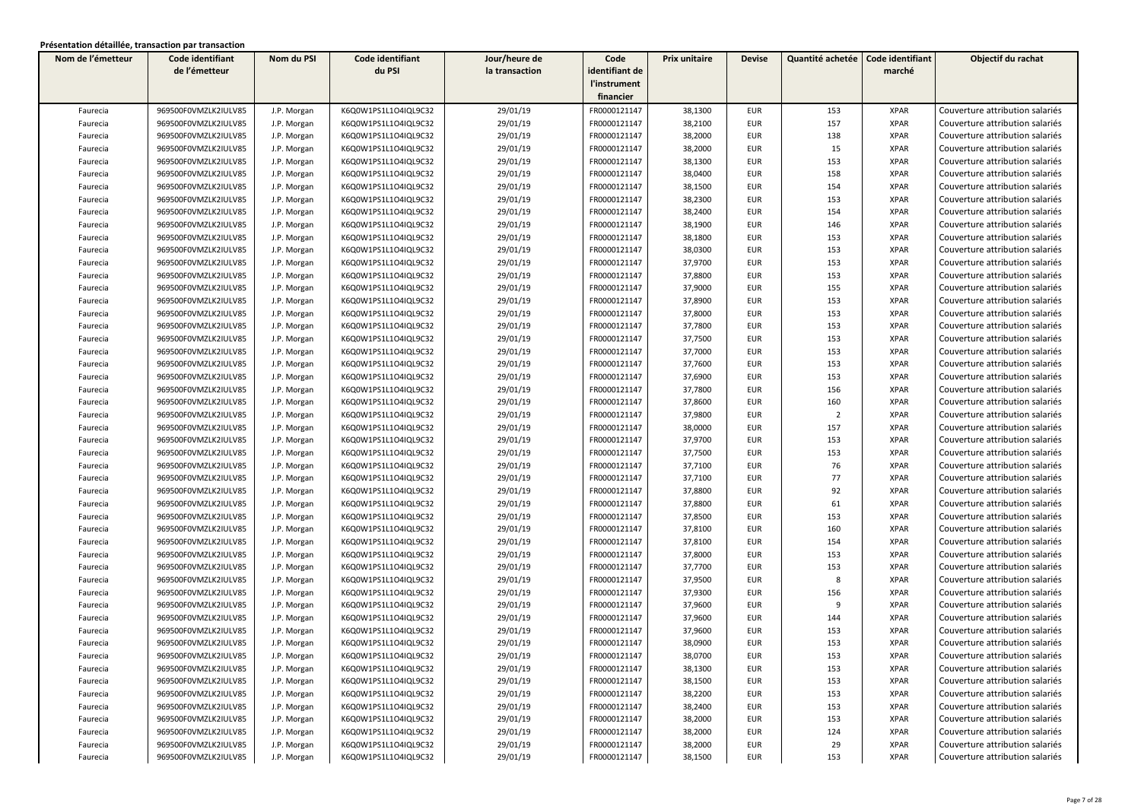| Nom de l'émetteur | Code identifiant     | Nom du PSI  | Code identifiant     | Jour/heure de  | Code           | Prix unitaire | <b>Devise</b> | Quantité achetée | Code identifiant | Objectif du rachat              |
|-------------------|----------------------|-------------|----------------------|----------------|----------------|---------------|---------------|------------------|------------------|---------------------------------|
|                   | de l'émetteur        |             | du PSI               | la transaction | identifiant de |               |               |                  | marché           |                                 |
|                   |                      |             |                      |                | l'instrument   |               |               |                  |                  |                                 |
|                   |                      |             |                      |                | financier      |               |               |                  |                  |                                 |
| Faurecia          | 969500F0VMZLK2IULV85 | J.P. Morgan | K6Q0W1PS1L1O4IQL9C32 | 29/01/19       | FR0000121147   | 38,1300       | <b>EUR</b>    | 153              | <b>XPAR</b>      | Couverture attribution salariés |
| Faurecia          | 969500F0VMZLK2IULV85 | J.P. Morgan | K6Q0W1PS1L1O4IQL9C32 | 29/01/19       | FR0000121147   | 38,2100       | <b>EUR</b>    | 157              | <b>XPAR</b>      | Couverture attribution salariés |
| Faurecia          | 969500F0VMZLK2IULV85 | J.P. Morgan | K6Q0W1PS1L1O4IQL9C32 | 29/01/19       | FR0000121147   | 38,2000       | <b>EUR</b>    | 138              | <b>XPAR</b>      | Couverture attribution salariés |
| Faurecia          | 969500F0VMZLK2IULV85 | J.P. Morgan | K6Q0W1PS1L1O4IQL9C32 | 29/01/19       | FR0000121147   | 38,2000       | <b>EUR</b>    | 15               | <b>XPAR</b>      | Couverture attribution salariés |
| Faurecia          | 969500F0VMZLK2IULV85 | J.P. Morgan | K6Q0W1PS1L1O4IQL9C32 | 29/01/19       | FR0000121147   | 38,1300       | <b>EUR</b>    | 153              | <b>XPAR</b>      | Couverture attribution salariés |
| Faurecia          | 969500F0VMZLK2IULV85 | J.P. Morgan | K6Q0W1PS1L1O4IQL9C32 | 29/01/19       | FR0000121147   | 38,0400       | <b>EUR</b>    | 158              | <b>XPAR</b>      | Couverture attribution salariés |
| Faurecia          | 969500F0VMZLK2IULV85 | J.P. Morgan | K6Q0W1PS1L1O4IQL9C32 | 29/01/19       | FR0000121147   | 38,1500       | <b>EUR</b>    | 154              | <b>XPAR</b>      | Couverture attribution salariés |
| Faurecia          | 969500F0VMZLK2IULV85 | J.P. Morgan | K6Q0W1PS1L1O4IQL9C32 | 29/01/19       | FR0000121147   | 38,2300       | <b>EUR</b>    | 153              | <b>XPAR</b>      | Couverture attribution salariés |
| Faurecia          | 969500F0VMZLK2IULV85 | J.P. Morgan | K6Q0W1PS1L1O4IQL9C32 | 29/01/19       | FR0000121147   | 38,2400       | <b>EUR</b>    | 154              | <b>XPAR</b>      | Couverture attribution salariés |
| Faurecia          | 969500F0VMZLK2IULV85 | J.P. Morgan | K6Q0W1PS1L1O4IQL9C32 | 29/01/19       | FR0000121147   | 38,1900       | <b>EUR</b>    | 146              | <b>XPAR</b>      | Couverture attribution salariés |
| Faurecia          | 969500F0VMZLK2IULV85 | J.P. Morgan | K6Q0W1PS1L1O4IQL9C32 | 29/01/19       | FR0000121147   | 38,1800       | <b>EUR</b>    | 153              | <b>XPAR</b>      | Couverture attribution salariés |
| Faurecia          | 969500F0VMZLK2IULV85 | J.P. Morgan | K6Q0W1PS1L1O4IQL9C32 | 29/01/19       | FR0000121147   | 38,0300       | <b>EUR</b>    | 153              | <b>XPAR</b>      | Couverture attribution salariés |
| Faurecia          | 969500F0VMZLK2IULV85 | J.P. Morgan | K6Q0W1PS1L1O4IQL9C32 | 29/01/19       | FR0000121147   | 37,9700       | <b>EUR</b>    | 153              | <b>XPAR</b>      | Couverture attribution salariés |
| Faurecia          | 969500F0VMZLK2IULV85 | J.P. Morgan | K6Q0W1PS1L1O4IQL9C32 | 29/01/19       | FR0000121147   | 37,8800       | <b>EUR</b>    | 153              | <b>XPAR</b>      | Couverture attribution salariés |
| Faurecia          | 969500F0VMZLK2IULV85 | J.P. Morgan | K6Q0W1PS1L1O4IQL9C32 | 29/01/19       | FR0000121147   | 37,9000       | <b>EUR</b>    | 155              | <b>XPAR</b>      | Couverture attribution salariés |
| Faurecia          | 969500F0VMZLK2IULV85 | J.P. Morgan | K6Q0W1PS1L1O4IQL9C32 | 29/01/19       | FR0000121147   | 37,8900       | <b>EUR</b>    | 153              | <b>XPAR</b>      | Couverture attribution salariés |
| Faurecia          | 969500F0VMZLK2IULV85 | J.P. Morgan | K6Q0W1PS1L1O4IQL9C32 | 29/01/19       | FR0000121147   | 37,8000       | <b>EUR</b>    | 153              | <b>XPAR</b>      | Couverture attribution salariés |
| Faurecia          | 969500F0VMZLK2IULV85 | J.P. Morgan | K6Q0W1PS1L1O4IQL9C32 | 29/01/19       | FR0000121147   | 37,7800       | <b>EUR</b>    | 153              | <b>XPAR</b>      | Couverture attribution salariés |
| Faurecia          | 969500F0VMZLK2IULV85 | J.P. Morgan | K6Q0W1PS1L1O4IQL9C32 | 29/01/19       | FR0000121147   | 37,7500       | <b>EUR</b>    | 153              | <b>XPAR</b>      | Couverture attribution salariés |
| Faurecia          | 969500F0VMZLK2IULV85 | J.P. Morgan | K6Q0W1PS1L1O4IQL9C32 | 29/01/19       | FR0000121147   | 37,7000       | <b>EUR</b>    | 153              | <b>XPAR</b>      | Couverture attribution salariés |
| Faurecia          | 969500F0VMZLK2IULV85 | J.P. Morgan | K6Q0W1PS1L1O4IQL9C32 | 29/01/19       | FR0000121147   | 37,7600       | <b>EUR</b>    | 153              | <b>XPAR</b>      | Couverture attribution salariés |
| Faurecia          | 969500F0VMZLK2IULV85 | J.P. Morgan | K6Q0W1PS1L1O4IQL9C32 | 29/01/19       | FR0000121147   | 37,6900       | <b>EUR</b>    | 153              | <b>XPAR</b>      | Couverture attribution salariés |
| Faurecia          | 969500F0VMZLK2IULV85 | J.P. Morgan | K6Q0W1PS1L1O4IQL9C32 | 29/01/19       | FR0000121147   | 37,7800       | <b>EUR</b>    | 156              | <b>XPAR</b>      | Couverture attribution salariés |
| Faurecia          | 969500F0VMZLK2IULV85 | J.P. Morgan | K6Q0W1PS1L1O4IQL9C32 | 29/01/19       | FR0000121147   | 37,8600       | <b>EUR</b>    | 160              | <b>XPAR</b>      | Couverture attribution salariés |
| Faurecia          | 969500F0VMZLK2IULV85 | J.P. Morgan | K6Q0W1PS1L1O4IQL9C32 | 29/01/19       | FR0000121147   | 37,9800       | <b>EUR</b>    | $\overline{2}$   | <b>XPAR</b>      | Couverture attribution salariés |
| Faurecia          | 969500F0VMZLK2IULV85 | J.P. Morgan | K6Q0W1PS1L1O4IQL9C32 | 29/01/19       | FR0000121147   | 38,0000       | <b>EUR</b>    | 157              | <b>XPAR</b>      | Couverture attribution salariés |
| Faurecia          | 969500F0VMZLK2IULV85 | J.P. Morgan | K6Q0W1PS1L1O4IQL9C32 | 29/01/19       | FR0000121147   | 37,9700       | <b>EUR</b>    | 153              | <b>XPAR</b>      | Couverture attribution salariés |
| Faurecia          | 969500F0VMZLK2IULV85 | J.P. Morgan | K6Q0W1PS1L1O4IQL9C32 | 29/01/19       | FR0000121147   | 37,7500       | <b>EUR</b>    | 153              | <b>XPAR</b>      | Couverture attribution salariés |
| Faurecia          | 969500F0VMZLK2IULV85 | J.P. Morgan | K6Q0W1PS1L1O4IQL9C32 | 29/01/19       | FR0000121147   | 37,7100       | <b>EUR</b>    | 76               | <b>XPAR</b>      | Couverture attribution salariés |
| Faurecia          | 969500F0VMZLK2IULV85 | J.P. Morgan | K6Q0W1PS1L1O4IQL9C32 | 29/01/19       | FR0000121147   | 37,7100       | <b>EUR</b>    | 77               | <b>XPAR</b>      | Couverture attribution salariés |
| Faurecia          | 969500F0VMZLK2IULV85 | J.P. Morgan | K6Q0W1PS1L1O4IQL9C32 | 29/01/19       | FR0000121147   | 37,8800       | <b>EUR</b>    | 92               | <b>XPAR</b>      | Couverture attribution salariés |
| Faurecia          | 969500F0VMZLK2IULV85 | J.P. Morgan | K6Q0W1PS1L1O4IQL9C32 | 29/01/19       | FR0000121147   | 37,8800       | <b>EUR</b>    | 61               | <b>XPAR</b>      | Couverture attribution salariés |
| Faurecia          | 969500F0VMZLK2IULV85 | J.P. Morgan | K6Q0W1PS1L1O4IQL9C32 | 29/01/19       | FR0000121147   | 37,8500       | <b>EUR</b>    | 153              | <b>XPAR</b>      | Couverture attribution salariés |
| Faurecia          | 969500F0VMZLK2IULV85 | J.P. Morgan | K6Q0W1PS1L1O4IQL9C32 | 29/01/19       | FR0000121147   | 37,8100       | <b>EUR</b>    | 160              | <b>XPAR</b>      | Couverture attribution salariés |
| Faurecia          | 969500F0VMZLK2IULV85 | J.P. Morgan | K6Q0W1PS1L1O4IQL9C32 | 29/01/19       | FR0000121147   | 37,8100       | <b>EUR</b>    | 154              | <b>XPAR</b>      | Couverture attribution salariés |
| Faurecia          | 969500F0VMZLK2IULV85 | J.P. Morgan | K6Q0W1PS1L1O4IQL9C32 | 29/01/19       | FR0000121147   | 37,8000       | <b>EUR</b>    | 153              | <b>XPAR</b>      | Couverture attribution salariés |
| Faurecia          | 969500F0VMZLK2IULV85 | J.P. Morgan | K6Q0W1PS1L1O4IQL9C32 | 29/01/19       | FR0000121147   | 37,7700       | <b>EUR</b>    | 153              | <b>XPAR</b>      | Couverture attribution salariés |
| Faurecia          | 969500F0VMZLK2IULV85 | J.P. Morgan | K6Q0W1PS1L1O4IQL9C32 | 29/01/19       | FR0000121147   | 37,9500       | <b>EUR</b>    | 8                | <b>XPAR</b>      | Couverture attribution salariés |
| Faurecia          | 969500F0VMZLK2IULV85 | J.P. Morgan | K6Q0W1PS1L1O4IQL9C32 | 29/01/19       | FR0000121147   | 37,9300       | <b>EUR</b>    | 156              | <b>XPAR</b>      | Couverture attribution salariés |
| Faurecia          | 969500F0VMZLK2IULV85 | J.P. Morgan | K6Q0W1PS1L1O4IQL9C32 | 29/01/19       | FR0000121147   | 37,9600       | <b>EUR</b>    | 9                | <b>XPAR</b>      | Couverture attribution salariés |
| Faurecia          | 969500F0VMZLK2IULV85 | J.P. Morgan | K6Q0W1PS1L1O4IQL9C32 | 29/01/19       | FR0000121147   | 37,9600       | <b>EUR</b>    | 144              | <b>XPAR</b>      | Couverture attribution salariés |
| Faurecia          | 969500F0VMZLK2IULV85 | J.P. Morgan | K6Q0W1PS1L1O4IQL9C32 | 29/01/19       | FR0000121147   | 37,9600       | <b>EUR</b>    | 153              | <b>XPAR</b>      | Couverture attribution salariés |
| Faurecia          | 969500F0VMZLK2IULV85 | J.P. Morgan | K6Q0W1PS1L1O4IQL9C32 | 29/01/19       | FR0000121147   | 38,0900       | <b>EUR</b>    | 153              | <b>XPAR</b>      | Couverture attribution salariés |
| Faurecia          | 969500F0VMZLK2IULV85 | J.P. Morgan | K6Q0W1PS1L1O4IQL9C32 | 29/01/19       | FR0000121147   | 38,0700       | EUR           | 153              | XPAR             | Couverture attribution salariés |
| Faurecia          | 969500F0VMZLK2IULV85 | J.P. Morgan | K6Q0W1PS1L1O4IQL9C32 | 29/01/19       | FR0000121147   | 38,1300       | <b>EUR</b>    | 153              | <b>XPAR</b>      | Couverture attribution salariés |
| Faurecia          | 969500F0VMZLK2IULV85 | J.P. Morgan | K6Q0W1PS1L1O4IQL9C32 | 29/01/19       | FR0000121147   | 38,1500       | EUR           | 153              | <b>XPAR</b>      | Couverture attribution salariés |
| Faurecia          | 969500F0VMZLK2IULV85 | J.P. Morgan | K6Q0W1PS1L1O4IQL9C32 | 29/01/19       | FR0000121147   | 38,2200       | EUR           | 153              | XPAR             | Couverture attribution salariés |
| Faurecia          | 969500F0VMZLK2IULV85 | J.P. Morgan | K6Q0W1PS1L1O4IQL9C32 | 29/01/19       | FR0000121147   | 38,2400       | EUR           | 153              | <b>XPAR</b>      | Couverture attribution salariés |
| Faurecia          | 969500F0VMZLK2IULV85 | J.P. Morgan | K6Q0W1PS1L1O4IQL9C32 | 29/01/19       | FR0000121147   | 38,2000       | EUR           | 153              | <b>XPAR</b>      | Couverture attribution salariés |
| Faurecia          | 969500F0VMZLK2IULV85 | J.P. Morgan | K6Q0W1PS1L1O4IQL9C32 | 29/01/19       | FR0000121147   | 38,2000       | <b>EUR</b>    | 124              | <b>XPAR</b>      | Couverture attribution salariés |
| Faurecia          | 969500F0VMZLK2IULV85 | J.P. Morgan | K6Q0W1PS1L1O4IQL9C32 | 29/01/19       | FR0000121147   | 38,2000       | <b>EUR</b>    | 29               | <b>XPAR</b>      | Couverture attribution salariés |
| Faurecia          | 969500F0VMZLK2IULV85 | J.P. Morgan | K6Q0W1PS1L1O4IQL9C32 | 29/01/19       | FR0000121147   | 38,1500       | EUR           | 153              | <b>XPAR</b>      | Couverture attribution salariés |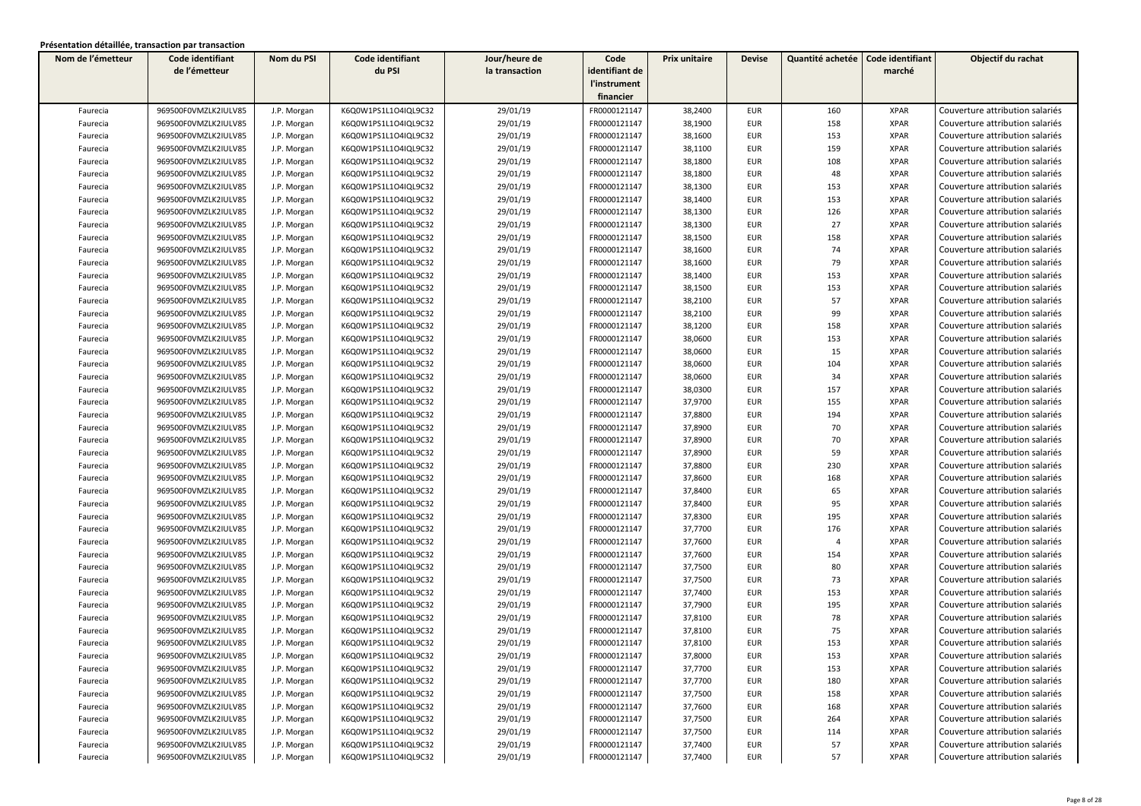| Nom de l'émetteur | Code identifiant     | Nom du PSI  | Code identifiant     | Jour/heure de  | Code           | Prix unitaire | <b>Devise</b> | Quantité achetée | Code identifiant | Objectif du rachat              |
|-------------------|----------------------|-------------|----------------------|----------------|----------------|---------------|---------------|------------------|------------------|---------------------------------|
|                   | de l'émetteur        |             | du PSI               | la transaction | identifiant de |               |               |                  | marché           |                                 |
|                   |                      |             |                      |                | l'instrument   |               |               |                  |                  |                                 |
|                   |                      |             |                      |                | financier      |               |               |                  |                  |                                 |
| Faurecia          | 969500F0VMZLK2IULV85 | J.P. Morgan | K6Q0W1PS1L1O4IQL9C32 | 29/01/19       | FR0000121147   | 38,2400       | <b>EUR</b>    | 160              | <b>XPAR</b>      | Couverture attribution salariés |
| Faurecia          | 969500F0VMZLK2IULV85 | J.P. Morgan | K6Q0W1PS1L1O4IQL9C32 | 29/01/19       | FR0000121147   | 38,1900       | <b>EUR</b>    | 158              | <b>XPAR</b>      | Couverture attribution salariés |
| Faurecia          | 969500F0VMZLK2IULV85 | J.P. Morgan | K6Q0W1PS1L1O4IQL9C32 | 29/01/19       | FR0000121147   | 38,1600       | <b>EUR</b>    | 153              | <b>XPAR</b>      | Couverture attribution salariés |
| Faurecia          | 969500F0VMZLK2IULV85 | J.P. Morgan | K6Q0W1PS1L1O4IQL9C32 | 29/01/19       | FR0000121147   | 38,1100       | EUR           | 159              | <b>XPAR</b>      | Couverture attribution salariés |
| Faurecia          | 969500F0VMZLK2IULV85 | J.P. Morgan | K6Q0W1PS1L1O4IQL9C32 | 29/01/19       | FR0000121147   | 38,1800       | <b>EUR</b>    | 108              | <b>XPAR</b>      | Couverture attribution salariés |
| Faurecia          | 969500F0VMZLK2IULV85 | J.P. Morgan | K6Q0W1PS1L1O4IQL9C32 | 29/01/19       | FR0000121147   | 38,1800       | <b>EUR</b>    | 48               | <b>XPAR</b>      | Couverture attribution salariés |
| Faurecia          | 969500F0VMZLK2IULV85 | J.P. Morgan | K6Q0W1PS1L1O4IQL9C32 | 29/01/19       | FR0000121147   | 38,1300       | <b>EUR</b>    | 153              | <b>XPAR</b>      | Couverture attribution salariés |
| Faurecia          | 969500F0VMZLK2IULV85 | J.P. Morgan | K6Q0W1PS1L1O4IQL9C32 | 29/01/19       | FR0000121147   | 38,1400       | EUR           | 153              | <b>XPAR</b>      | Couverture attribution salariés |
| Faurecia          | 969500F0VMZLK2IULV85 | J.P. Morgan | K6Q0W1PS1L1O4IQL9C32 | 29/01/19       | FR0000121147   | 38,1300       | <b>EUR</b>    | 126              | <b>XPAR</b>      | Couverture attribution salariés |
| Faurecia          | 969500F0VMZLK2IULV85 | J.P. Morgan | K6Q0W1PS1L1O4IQL9C32 | 29/01/19       | FR0000121147   | 38,1300       | <b>EUR</b>    | 27               | <b>XPAR</b>      | Couverture attribution salariés |
| Faurecia          | 969500F0VMZLK2IULV85 | J.P. Morgan | K6Q0W1PS1L1O4IQL9C32 | 29/01/19       | FR0000121147   | 38,1500       | <b>EUR</b>    | 158              | <b>XPAR</b>      | Couverture attribution salariés |
| Faurecia          | 969500F0VMZLK2IULV85 | J.P. Morgan | K6Q0W1PS1L1O4IQL9C32 | 29/01/19       | FR0000121147   | 38,1600       | <b>EUR</b>    | 74               | <b>XPAR</b>      | Couverture attribution salariés |
| Faurecia          | 969500F0VMZLK2IULV85 | J.P. Morgan | K6Q0W1PS1L1O4IQL9C32 | 29/01/19       | FR0000121147   | 38,1600       | EUR           | 79               | <b>XPAR</b>      | Couverture attribution salariés |
| Faurecia          | 969500F0VMZLK2IULV85 | J.P. Morgan | K6Q0W1PS1L1O4IQL9C32 | 29/01/19       | FR0000121147   | 38,1400       | EUR           | 153              | <b>XPAR</b>      | Couverture attribution salariés |
| Faurecia          | 969500F0VMZLK2IULV85 | J.P. Morgan | K6Q0W1PS1L1O4IQL9C32 | 29/01/19       | FR0000121147   | 38,1500       | <b>EUR</b>    | 153              | <b>XPAR</b>      | Couverture attribution salariés |
| Faurecia          | 969500F0VMZLK2IULV85 | J.P. Morgan | K6Q0W1PS1L1O4IQL9C32 | 29/01/19       | FR0000121147   | 38,2100       | <b>EUR</b>    | 57               | <b>XPAR</b>      | Couverture attribution salariés |
| Faurecia          | 969500F0VMZLK2IULV85 | J.P. Morgan | K6Q0W1PS1L1O4IQL9C32 | 29/01/19       | FR0000121147   | 38,2100       | <b>EUR</b>    | 99               | <b>XPAR</b>      | Couverture attribution salariés |
| Faurecia          | 969500F0VMZLK2IULV85 | J.P. Morgan | K6Q0W1PS1L1O4IQL9C32 | 29/01/19       | FR0000121147   | 38,1200       | <b>EUR</b>    | 158              | <b>XPAR</b>      | Couverture attribution salariés |
| Faurecia          | 969500F0VMZLK2IULV85 | J.P. Morgan | K6Q0W1PS1L1O4IQL9C32 | 29/01/19       | FR0000121147   | 38,0600       | <b>EUR</b>    | 153              | <b>XPAR</b>      | Couverture attribution salariés |
| Faurecia          | 969500F0VMZLK2IULV85 | J.P. Morgan | K6Q0W1PS1L1O4IQL9C32 | 29/01/19       | FR0000121147   | 38,0600       | <b>EUR</b>    | 15               | <b>XPAR</b>      | Couverture attribution salariés |
| Faurecia          | 969500F0VMZLK2IULV85 | J.P. Morgan | K6Q0W1PS1L1O4IQL9C32 | 29/01/19       | FR0000121147   | 38,0600       | <b>EUR</b>    | 104              | <b>XPAR</b>      | Couverture attribution salariés |
| Faurecia          | 969500F0VMZLK2IULV85 | J.P. Morgan | K6Q0W1PS1L1O4IQL9C32 | 29/01/19       | FR0000121147   | 38,0600       | <b>EUR</b>    | 34               | <b>XPAR</b>      | Couverture attribution salariés |
| Faurecia          | 969500F0VMZLK2IULV85 | J.P. Morgan | K6Q0W1PS1L1O4IQL9C32 | 29/01/19       | FR0000121147   | 38,0300       | <b>EUR</b>    | 157              | <b>XPAR</b>      | Couverture attribution salariés |
| Faurecia          | 969500F0VMZLK2IULV85 | J.P. Morgan | K6Q0W1PS1L1O4IQL9C32 | 29/01/19       | FR0000121147   | 37,9700       | <b>EUR</b>    | 155              | <b>XPAR</b>      | Couverture attribution salariés |
| Faurecia          | 969500F0VMZLK2IULV85 | J.P. Morgan | K6Q0W1PS1L1O4IQL9C32 | 29/01/19       | FR0000121147   | 37,8800       | <b>EUR</b>    | 194              | <b>XPAR</b>      | Couverture attribution salariés |
| Faurecia          | 969500F0VMZLK2IULV85 | J.P. Morgan | K6Q0W1PS1L1O4IQL9C32 | 29/01/19       | FR0000121147   | 37,8900       | <b>EUR</b>    | 70               | <b>XPAR</b>      | Couverture attribution salariés |
| Faurecia          | 969500F0VMZLK2IULV85 | J.P. Morgan | K6Q0W1PS1L1O4IQL9C32 | 29/01/19       | FR0000121147   | 37,8900       | <b>EUR</b>    | 70               | <b>XPAR</b>      | Couverture attribution salariés |
| Faurecia          | 969500F0VMZLK2IULV85 | J.P. Morgan | K6Q0W1PS1L1O4IQL9C32 | 29/01/19       | FR0000121147   | 37,8900       | <b>EUR</b>    | 59               | <b>XPAR</b>      | Couverture attribution salariés |
| Faurecia          | 969500F0VMZLK2IULV85 | J.P. Morgan | K6Q0W1PS1L1O4IQL9C32 | 29/01/19       | FR0000121147   | 37,8800       | <b>EUR</b>    | 230              | <b>XPAR</b>      | Couverture attribution salariés |
| Faurecia          | 969500F0VMZLK2IULV85 | J.P. Morgan | K6Q0W1PS1L1O4IQL9C32 | 29/01/19       | FR0000121147   | 37,8600       | <b>EUR</b>    | 168              | <b>XPAR</b>      | Couverture attribution salariés |
| Faurecia          | 969500F0VMZLK2IULV85 | J.P. Morgan | K6Q0W1PS1L1O4IQL9C32 | 29/01/19       | FR0000121147   | 37,8400       | <b>EUR</b>    | 65               | <b>XPAR</b>      | Couverture attribution salariés |
| Faurecia          | 969500F0VMZLK2IULV85 | J.P. Morgan | K6Q0W1PS1L1O4IQL9C32 | 29/01/19       | FR0000121147   | 37,8400       | <b>EUR</b>    | 95               | <b>XPAR</b>      | Couverture attribution salariés |
| Faurecia          | 969500F0VMZLK2IULV85 | J.P. Morgan | K6Q0W1PS1L1O4IQL9C32 | 29/01/19       | FR0000121147   | 37,8300       | <b>EUR</b>    | 195              | <b>XPAR</b>      | Couverture attribution salariés |
| Faurecia          | 969500F0VMZLK2IULV85 | J.P. Morgan | K6Q0W1PS1L1O4IQL9C32 | 29/01/19       | FR0000121147   | 37,7700       | <b>EUR</b>    | 176              | <b>XPAR</b>      | Couverture attribution salariés |
| Faurecia          | 969500F0VMZLK2IULV85 | J.P. Morgan | K6Q0W1PS1L1O4IQL9C32 | 29/01/19       | FR0000121147   | 37,7600       | <b>EUR</b>    | $\overline{4}$   | <b>XPAR</b>      | Couverture attribution salariés |
| Faurecia          | 969500F0VMZLK2IULV85 | J.P. Morgan | K6Q0W1PS1L1O4IQL9C32 | 29/01/19       | FR0000121147   | 37,7600       | <b>EUR</b>    | 154              | <b>XPAR</b>      | Couverture attribution salariés |
| Faurecia          | 969500F0VMZLK2IULV85 | J.P. Morgan | K6Q0W1PS1L1O4IQL9C32 | 29/01/19       | FR0000121147   | 37,7500       | <b>EUR</b>    | 80               | <b>XPAR</b>      | Couverture attribution salariés |
| Faurecia          | 969500F0VMZLK2IULV85 | J.P. Morgan | K6Q0W1PS1L1O4IQL9C32 | 29/01/19       | FR0000121147   | 37,7500       | <b>EUR</b>    | 73               | <b>XPAR</b>      | Couverture attribution salariés |
| Faurecia          | 969500F0VMZLK2IULV85 | J.P. Morgan | K6Q0W1PS1L1O4IQL9C32 | 29/01/19       | FR0000121147   | 37,7400       | <b>EUR</b>    | 153              | <b>XPAR</b>      | Couverture attribution salariés |
| Faurecia          | 969500F0VMZLK2IULV85 | J.P. Morgan | K6Q0W1PS1L1O4IQL9C32 | 29/01/19       | FR0000121147   | 37,7900       | <b>EUR</b>    | 195              | <b>XPAR</b>      | Couverture attribution salariés |
| Faurecia          | 969500F0VMZLK2IULV85 | J.P. Morgan | K6Q0W1PS1L1O4IQL9C32 | 29/01/19       | FR0000121147   | 37,8100       | <b>EUR</b>    | 78               | <b>XPAR</b>      | Couverture attribution salariés |
| Faurecia          | 969500F0VMZLK2IULV85 | J.P. Morgan | K6Q0W1PS1L1O4IQL9C32 | 29/01/19       | FR0000121147   | 37,8100       | <b>EUR</b>    | 75               | <b>XPAR</b>      | Couverture attribution salariés |
| Faurecia          | 969500F0VMZLK2IULV85 | J.P. Morgan | K6Q0W1PS1L1O4IQL9C32 | 29/01/19       | FR0000121147   | 37,8100       | <b>EUR</b>    | 153              | <b>XPAR</b>      | Couverture attribution salariés |
| Faurecia          | 969500F0VMZLK2IULV85 | J.P. Morgan | K6Q0W1PS1L1O4IQL9C32 | 29/01/19       | FR0000121147   | 37,8000       | EUR           | 153              | XPAR             | Couverture attribution salariés |
| Faurecia          | 969500F0VMZLK2IULV85 | J.P. Morgan | K6Q0W1PS1L1O4IQL9C32 | 29/01/19       | FR0000121147   | 37,7700       | <b>EUR</b>    | 153              | <b>XPAR</b>      | Couverture attribution salariés |
| Faurecia          | 969500F0VMZLK2IULV85 | J.P. Morgan | K6Q0W1PS1L1O4IQL9C32 | 29/01/19       | FR0000121147   | 37,7700       | EUR           | 180              | <b>XPAR</b>      | Couverture attribution salariés |
| Faurecia          | 969500F0VMZLK2IULV85 | J.P. Morgan | K6Q0W1PS1L1O4IQL9C32 | 29/01/19       | FR0000121147   | 37,7500       | EUR           | 158              | XPAR             | Couverture attribution salariés |
| Faurecia          | 969500F0VMZLK2IULV85 | J.P. Morgan | K6Q0W1PS1L1O4IQL9C32 | 29/01/19       | FR0000121147   | 37,7600       | EUR           | 168              | <b>XPAR</b>      | Couverture attribution salariés |
| Faurecia          | 969500F0VMZLK2IULV85 | J.P. Morgan | K6Q0W1PS1L1O4IQL9C32 | 29/01/19       | FR0000121147   | 37,7500       | EUR           | 264              | <b>XPAR</b>      | Couverture attribution salariés |
| Faurecia          | 969500F0VMZLK2IULV85 | J.P. Morgan | K6Q0W1PS1L1O4IQL9C32 | 29/01/19       | FR0000121147   | 37,7500       | <b>EUR</b>    | 114              | <b>XPAR</b>      | Couverture attribution salariés |
| Faurecia          | 969500F0VMZLK2IULV85 | J.P. Morgan | K6Q0W1PS1L1O4IQL9C32 | 29/01/19       | FR0000121147   | 37,7400       | <b>EUR</b>    | 57               | <b>XPAR</b>      | Couverture attribution salariés |
| Faurecia          | 969500F0VMZLK2IULV85 | J.P. Morgan | K6Q0W1PS1L1O4IQL9C32 | 29/01/19       | FR0000121147   | 37,7400       | <b>EUR</b>    | 57               | <b>XPAR</b>      | Couverture attribution salariés |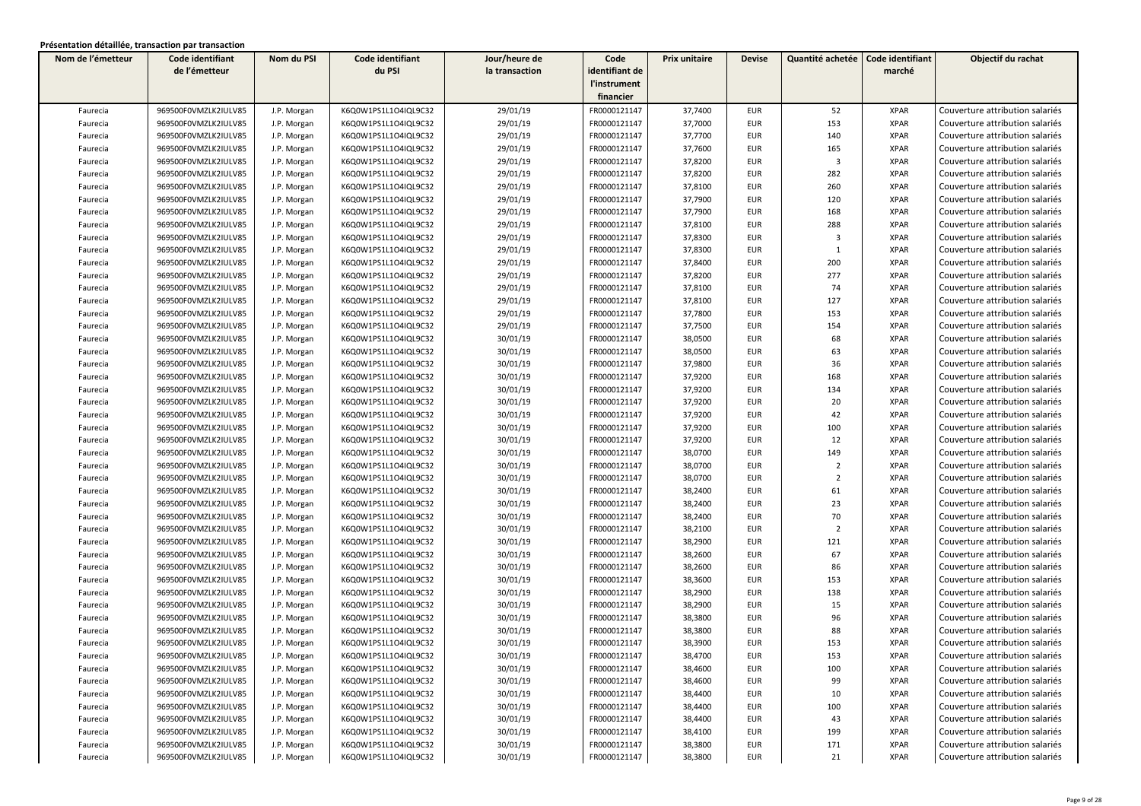| Nom de l'émetteur | Code identifiant     | Nom du PSI  | Code identifiant     | Jour/heure de  | Code           | Prix unitaire | <b>Devise</b> | Quantité achetée        | Code identifiant | Objectif du rachat              |
|-------------------|----------------------|-------------|----------------------|----------------|----------------|---------------|---------------|-------------------------|------------------|---------------------------------|
|                   | de l'émetteur        |             | du PSI               | la transaction | identifiant de |               |               |                         | marché           |                                 |
|                   |                      |             |                      |                | l'instrument   |               |               |                         |                  |                                 |
|                   |                      |             |                      |                | financier      |               |               |                         |                  |                                 |
| Faurecia          | 969500F0VMZLK2IULV85 | J.P. Morgan | K6Q0W1PS1L1O4IQL9C32 | 29/01/19       | FR0000121147   | 37,7400       | <b>EUR</b>    | 52                      | <b>XPAR</b>      | Couverture attribution salariés |
| Faurecia          | 969500F0VMZLK2IULV85 | J.P. Morgan | K6Q0W1PS1L1O4IQL9C32 | 29/01/19       | FR0000121147   | 37,7000       | <b>EUR</b>    | 153                     | <b>XPAR</b>      | Couverture attribution salariés |
| Faurecia          | 969500F0VMZLK2IULV85 | J.P. Morgan | K6Q0W1PS1L1O4IQL9C32 | 29/01/19       | FR0000121147   | 37,7700       | <b>EUR</b>    | 140                     | <b>XPAR</b>      | Couverture attribution salariés |
| Faurecia          | 969500F0VMZLK2IULV85 | J.P. Morgan | K6Q0W1PS1L1O4IQL9C32 | 29/01/19       | FR0000121147   | 37,7600       | <b>EUR</b>    | 165                     | <b>XPAR</b>      | Couverture attribution salariés |
| Faurecia          | 969500F0VMZLK2IULV85 | J.P. Morgan | K6Q0W1PS1L1O4IQL9C32 | 29/01/19       | FR0000121147   | 37,8200       | <b>EUR</b>    | $\overline{\mathbf{3}}$ | <b>XPAR</b>      | Couverture attribution salariés |
| Faurecia          | 969500F0VMZLK2IULV85 | J.P. Morgan | K6Q0W1PS1L1O4IQL9C32 | 29/01/19       | FR0000121147   | 37,8200       | <b>EUR</b>    | 282                     | <b>XPAR</b>      | Couverture attribution salariés |
| Faurecia          | 969500F0VMZLK2IULV85 | J.P. Morgan | K6Q0W1PS1L1O4IQL9C32 | 29/01/19       | FR0000121147   | 37,8100       | <b>EUR</b>    | 260                     | <b>XPAR</b>      | Couverture attribution salariés |
| Faurecia          | 969500F0VMZLK2IULV85 | J.P. Morgan | K6Q0W1PS1L1O4IQL9C32 | 29/01/19       | FR0000121147   | 37,7900       | <b>EUR</b>    | 120                     | <b>XPAR</b>      | Couverture attribution salariés |
| Faurecia          | 969500F0VMZLK2IULV85 | J.P. Morgan | K6Q0W1PS1L1O4IQL9C32 | 29/01/19       | FR0000121147   | 37,7900       | <b>EUR</b>    | 168                     | <b>XPAR</b>      | Couverture attribution salariés |
| Faurecia          | 969500F0VMZLK2IULV85 | J.P. Morgan | K6Q0W1PS1L1O4IQL9C32 | 29/01/19       | FR0000121147   | 37,8100       | <b>EUR</b>    | 288                     | <b>XPAR</b>      | Couverture attribution salariés |
| Faurecia          | 969500F0VMZLK2IULV85 | J.P. Morgan | K6Q0W1PS1L1O4IQL9C32 | 29/01/19       | FR0000121147   | 37,8300       | <b>EUR</b>    | $\overline{\mathbf{3}}$ | <b>XPAR</b>      | Couverture attribution salariés |
| Faurecia          | 969500F0VMZLK2IULV85 | J.P. Morgan | K6Q0W1PS1L1O4IQL9C32 | 29/01/19       | FR0000121147   | 37,8300       | <b>EUR</b>    | 1                       | <b>XPAR</b>      | Couverture attribution salariés |
| Faurecia          | 969500F0VMZLK2IULV85 | J.P. Morgan | K6Q0W1PS1L1O4IQL9C32 | 29/01/19       | FR0000121147   | 37,8400       | <b>EUR</b>    | 200                     | <b>XPAR</b>      | Couverture attribution salariés |
| Faurecia          | 969500F0VMZLK2IULV85 | J.P. Morgan | K6Q0W1PS1L1O4IQL9C32 | 29/01/19       | FR0000121147   | 37,8200       | <b>EUR</b>    | 277                     | <b>XPAR</b>      | Couverture attribution salariés |
| Faurecia          | 969500F0VMZLK2IULV85 | J.P. Morgan | K6Q0W1PS1L1O4IQL9C32 | 29/01/19       | FR0000121147   | 37,8100       | <b>EUR</b>    | 74                      | <b>XPAR</b>      | Couverture attribution salariés |
| Faurecia          | 969500F0VMZLK2IULV85 | J.P. Morgan | K6Q0W1PS1L1O4IQL9C32 | 29/01/19       | FR0000121147   | 37,8100       | <b>EUR</b>    | 127                     | <b>XPAR</b>      | Couverture attribution salariés |
| Faurecia          | 969500F0VMZLK2IULV85 | J.P. Morgan | K6Q0W1PS1L1O4IQL9C32 | 29/01/19       | FR0000121147   | 37,7800       | <b>EUR</b>    | 153                     | <b>XPAR</b>      | Couverture attribution salariés |
| Faurecia          | 969500F0VMZLK2IULV85 | J.P. Morgan | K6Q0W1PS1L1O4IQL9C32 | 29/01/19       | FR0000121147   | 37,7500       | <b>EUR</b>    | 154                     | <b>XPAR</b>      | Couverture attribution salariés |
| Faurecia          | 969500F0VMZLK2IULV85 | J.P. Morgan | K6Q0W1PS1L1O4IQL9C32 | 30/01/19       | FR0000121147   | 38,0500       | <b>EUR</b>    | 68                      | <b>XPAR</b>      | Couverture attribution salariés |
| Faurecia          | 969500F0VMZLK2IULV85 | J.P. Morgan | K6Q0W1PS1L1O4IQL9C32 | 30/01/19       | FR0000121147   | 38,0500       | <b>EUR</b>    | 63                      | <b>XPAR</b>      | Couverture attribution salariés |
| Faurecia          | 969500F0VMZLK2IULV85 | J.P. Morgan | K6Q0W1PS1L1O4IQL9C32 | 30/01/19       | FR0000121147   | 37,9800       | <b>EUR</b>    | 36                      | <b>XPAR</b>      | Couverture attribution salariés |
| Faurecia          | 969500F0VMZLK2IULV85 | J.P. Morgan | K6Q0W1PS1L1O4IQL9C32 | 30/01/19       | FR0000121147   | 37,9200       | <b>EUR</b>    | 168                     | <b>XPAR</b>      | Couverture attribution salariés |
| Faurecia          | 969500F0VMZLK2IULV85 | J.P. Morgan | K6Q0W1PS1L1O4IQL9C32 | 30/01/19       | FR0000121147   | 37,9200       | <b>EUR</b>    | 134                     | <b>XPAR</b>      | Couverture attribution salariés |
| Faurecia          | 969500F0VMZLK2IULV85 | J.P. Morgan | K6Q0W1PS1L1O4IQL9C32 | 30/01/19       | FR0000121147   | 37,9200       | <b>EUR</b>    | 20                      | <b>XPAR</b>      | Couverture attribution salariés |
| Faurecia          | 969500F0VMZLK2IULV85 | J.P. Morgan | K6Q0W1PS1L1O4IQL9C32 | 30/01/19       | FR0000121147   | 37,9200       | <b>EUR</b>    | 42                      | <b>XPAR</b>      | Couverture attribution salariés |
| Faurecia          | 969500F0VMZLK2IULV85 | J.P. Morgan | K6Q0W1PS1L1O4IQL9C32 | 30/01/19       | FR0000121147   | 37,9200       | <b>EUR</b>    | 100                     | <b>XPAR</b>      | Couverture attribution salariés |
| Faurecia          | 969500F0VMZLK2IULV85 | J.P. Morgan | K6Q0W1PS1L1O4IQL9C32 | 30/01/19       | FR0000121147   | 37,9200       | EUR           | 12                      | <b>XPAR</b>      | Couverture attribution salariés |
| Faurecia          | 969500F0VMZLK2IULV85 | J.P. Morgan | K6Q0W1PS1L1O4IQL9C32 | 30/01/19       | FR0000121147   | 38,0700       | <b>EUR</b>    | 149                     | <b>XPAR</b>      | Couverture attribution salariés |
| Faurecia          | 969500F0VMZLK2IULV85 | J.P. Morgan | K6Q0W1PS1L1O4IQL9C32 | 30/01/19       | FR0000121147   | 38,0700       | EUR           | $\overline{2}$          | <b>XPAR</b>      | Couverture attribution salariés |
| Faurecia          | 969500F0VMZLK2IULV85 | J.P. Morgan | K6Q0W1PS1L1O4IQL9C32 | 30/01/19       | FR0000121147   | 38,0700       | EUR           | $\overline{2}$          | <b>XPAR</b>      | Couverture attribution salariés |
| Faurecia          | 969500F0VMZLK2IULV85 | J.P. Morgan | K6Q0W1PS1L1O4IQL9C32 | 30/01/19       | FR0000121147   | 38,2400       | <b>EUR</b>    | 61                      | <b>XPAR</b>      | Couverture attribution salariés |
| Faurecia          | 969500F0VMZLK2IULV85 | J.P. Morgan | K6Q0W1PS1L1O4IQL9C32 | 30/01/19       | FR0000121147   | 38,2400       | <b>EUR</b>    | 23                      | <b>XPAR</b>      | Couverture attribution salariés |
| Faurecia          | 969500F0VMZLK2IULV85 | J.P. Morgan | K6Q0W1PS1L1O4IQL9C32 | 30/01/19       | FR0000121147   | 38,2400       | <b>EUR</b>    | 70                      | <b>XPAR</b>      | Couverture attribution salariés |
| Faurecia          | 969500F0VMZLK2IULV85 | J.P. Morgan | K6Q0W1PS1L1O4IQL9C32 | 30/01/19       | FR0000121147   | 38,2100       | <b>EUR</b>    | $\overline{2}$          | <b>XPAR</b>      | Couverture attribution salariés |
| Faurecia          | 969500F0VMZLK2IULV85 | J.P. Morgan | K6Q0W1PS1L1O4IQL9C32 | 30/01/19       | FR0000121147   | 38,2900       | <b>EUR</b>    | 121                     | <b>XPAR</b>      | Couverture attribution salariés |
| Faurecia          | 969500F0VMZLK2IULV85 | J.P. Morgan | K6Q0W1PS1L1O4IQL9C32 | 30/01/19       | FR0000121147   | 38,2600       | <b>EUR</b>    | 67                      | <b>XPAR</b>      | Couverture attribution salariés |
| Faurecia          | 969500F0VMZLK2IULV85 | J.P. Morgan | K6Q0W1PS1L1O4IQL9C32 | 30/01/19       | FR0000121147   | 38,2600       | <b>EUR</b>    | 86                      | <b>XPAR</b>      | Couverture attribution salariés |
| Faurecia          | 969500F0VMZLK2IULV85 | J.P. Morgan | K6Q0W1PS1L1O4IQL9C32 | 30/01/19       | FR0000121147   | 38,3600       | EUR           | 153                     | <b>XPAR</b>      | Couverture attribution salariés |
| Faurecia          | 969500F0VMZLK2IULV85 | J.P. Morgan | K6Q0W1PS1L1O4IQL9C32 | 30/01/19       | FR0000121147   | 38,2900       | EUR           | 138                     | <b>XPAR</b>      | Couverture attribution salariés |
| Faurecia          | 969500F0VMZLK2IULV85 | J.P. Morgan | K6Q0W1PS1L1O4IQL9C32 | 30/01/19       | FR0000121147   | 38,2900       | <b>EUR</b>    | 15                      | <b>XPAR</b>      | Couverture attribution salariés |
| Faurecia          | 969500F0VMZLK2IULV85 | J.P. Morgan | K6Q0W1PS1L1O4IQL9C32 | 30/01/19       | FR0000121147   | 38,3800       | EUR           | 96                      | <b>XPAR</b>      | Couverture attribution salariés |
| Faurecia          | 969500F0VMZLK2IULV85 | J.P. Morgan | K6Q0W1PS1L1O4IQL9C32 | 30/01/19       | FR0000121147   | 38,3800       | <b>EUR</b>    | 88                      | <b>XPAR</b>      | Couverture attribution salariés |
| Faurecia          | 969500F0VMZLK2IULV85 | J.P. Morgan | K6Q0W1PS1L1O4IQL9C32 | 30/01/19       | FR0000121147   | 38,3900       | <b>EUR</b>    | 153                     | <b>XPAR</b>      | Couverture attribution salariés |
| Faurecia          | 969500F0VMZLK2IULV85 | J.P. Morgan | K6Q0W1PS1L1O4IQL9C32 | 30/01/19       | FR0000121147   | 38,4700       | EUR           | 153                     | XPAR             | Couverture attribution salariés |
| Faurecia          | 969500F0VMZLK2IULV85 | J.P. Morgan | K6Q0W1PS1L1O4IQL9C32 | 30/01/19       | FR0000121147   | 38,4600       | <b>EUR</b>    | 100                     | <b>XPAR</b>      | Couverture attribution salariés |
| Faurecia          | 969500F0VMZLK2IULV85 | J.P. Morgan | K6Q0W1PS1L1O4IQL9C32 | 30/01/19       | FR0000121147   | 38,4600       | EUR           | 99                      | <b>XPAR</b>      | Couverture attribution salariés |
| Faurecia          | 969500F0VMZLK2IULV85 | J.P. Morgan | K6Q0W1PS1L1O4IQL9C32 | 30/01/19       | FR0000121147   | 38,4400       | EUR           | 10                      | XPAR             | Couverture attribution salariés |
| Faurecia          | 969500F0VMZLK2IULV85 | J.P. Morgan | K6Q0W1PS1L1O4IQL9C32 | 30/01/19       | FR0000121147   | 38,4400       | EUR           | 100                     | <b>XPAR</b>      | Couverture attribution salariés |
| Faurecia          | 969500F0VMZLK2IULV85 | J.P. Morgan | K6Q0W1PS1L1O4IQL9C32 | 30/01/19       | FR0000121147   | 38,4400       | EUR           | 43                      | <b>XPAR</b>      | Couverture attribution salariés |
| Faurecia          | 969500F0VMZLK2IULV85 | J.P. Morgan | K6Q0W1PS1L1O4IQL9C32 | 30/01/19       | FR0000121147   | 38,4100       | <b>EUR</b>    | 199                     | <b>XPAR</b>      | Couverture attribution salariés |
| Faurecia          | 969500F0VMZLK2IULV85 | J.P. Morgan | K6Q0W1PS1L1O4IQL9C32 | 30/01/19       | FR0000121147   | 38,3800       | <b>EUR</b>    | 171                     | <b>XPAR</b>      | Couverture attribution salariés |
| Faurecia          | 969500F0VMZLK2IULV85 | J.P. Morgan | K6Q0W1PS1L1O4IQL9C32 | 30/01/19       | FR0000121147   | 38,3800       | <b>EUR</b>    | 21                      | <b>XPAR</b>      | Couverture attribution salariés |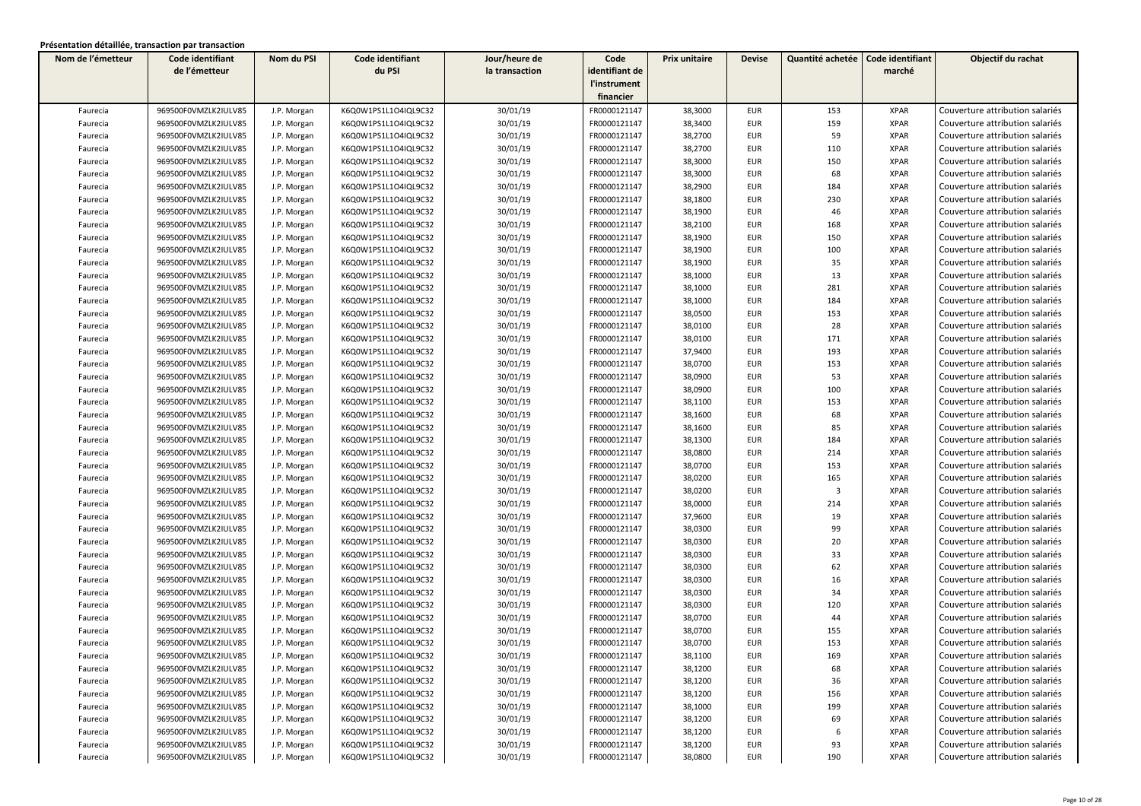| Nom de l'émetteur | Code identifiant     | Nom du PSI  | Code identifiant     | Jour/heure de  | Code           | Prix unitaire | <b>Devise</b> | Quantité achetée        | Code identifiant | Objectif du rachat              |
|-------------------|----------------------|-------------|----------------------|----------------|----------------|---------------|---------------|-------------------------|------------------|---------------------------------|
|                   | de l'émetteur        |             | du PSI               | la transaction | identifiant de |               |               |                         | marché           |                                 |
|                   |                      |             |                      |                | l'instrument   |               |               |                         |                  |                                 |
|                   |                      |             |                      |                | financier      |               |               |                         |                  |                                 |
| Faurecia          | 969500F0VMZLK2IULV85 | J.P. Morgan | K6Q0W1PS1L1O4IQL9C32 | 30/01/19       | FR0000121147   | 38,3000       | <b>EUR</b>    | 153                     | <b>XPAR</b>      | Couverture attribution salariés |
| Faurecia          | 969500F0VMZLK2IULV85 | J.P. Morgan | K6Q0W1PS1L1O4IQL9C32 | 30/01/19       | FR0000121147   | 38,3400       | <b>EUR</b>    | 159                     | <b>XPAR</b>      | Couverture attribution salariés |
| Faurecia          | 969500F0VMZLK2IULV85 | J.P. Morgan | K6Q0W1PS1L1O4IQL9C32 | 30/01/19       | FR0000121147   | 38,2700       | <b>EUR</b>    | 59                      | <b>XPAR</b>      | Couverture attribution salariés |
| Faurecia          | 969500F0VMZLK2IULV85 | J.P. Morgan | K6Q0W1PS1L1O4IQL9C32 | 30/01/19       | FR0000121147   | 38,2700       | EUR           | 110                     | <b>XPAR</b>      | Couverture attribution salariés |
| Faurecia          | 969500F0VMZLK2IULV85 | J.P. Morgan | K6Q0W1PS1L1O4IQL9C32 | 30/01/19       | FR0000121147   | 38,3000       | EUR           | 150                     | <b>XPAR</b>      | Couverture attribution salariés |
| Faurecia          | 969500F0VMZLK2IULV85 | J.P. Morgan | K6Q0W1PS1L1O4IQL9C32 | 30/01/19       | FR0000121147   | 38,3000       | <b>EUR</b>    | 68                      | <b>XPAR</b>      | Couverture attribution salariés |
| Faurecia          | 969500F0VMZLK2IULV85 | J.P. Morgan | K6Q0W1PS1L1O4IQL9C32 | 30/01/19       | FR0000121147   | 38,2900       | <b>EUR</b>    | 184                     | <b>XPAR</b>      | Couverture attribution salariés |
| Faurecia          | 969500F0VMZLK2IULV85 | J.P. Morgan | K6Q0W1PS1L1O4IQL9C32 | 30/01/19       | FR0000121147   | 38,1800       | EUR           | 230                     | <b>XPAR</b>      | Couverture attribution salariés |
| Faurecia          | 969500F0VMZLK2IULV85 | J.P. Morgan | K6Q0W1PS1L1O4IQL9C32 | 30/01/19       | FR0000121147   | 38,1900       | <b>EUR</b>    | 46                      | <b>XPAR</b>      | Couverture attribution salariés |
| Faurecia          | 969500F0VMZLK2IULV85 | J.P. Morgan | K6Q0W1PS1L1O4IQL9C32 | 30/01/19       | FR0000121147   | 38,2100       | <b>EUR</b>    | 168                     | <b>XPAR</b>      | Couverture attribution salariés |
| Faurecia          | 969500F0VMZLK2IULV85 | J.P. Morgan | K6Q0W1PS1L1O4IQL9C32 | 30/01/19       | FR0000121147   | 38,1900       | <b>EUR</b>    | 150                     | <b>XPAR</b>      | Couverture attribution salariés |
| Faurecia          | 969500F0VMZLK2IULV85 | J.P. Morgan | K6Q0W1PS1L1O4IQL9C32 | 30/01/19       | FR0000121147   | 38,1900       | <b>EUR</b>    | 100                     | <b>XPAR</b>      | Couverture attribution salariés |
| Faurecia          | 969500F0VMZLK2IULV85 | J.P. Morgan | K6Q0W1PS1L1O4IQL9C32 | 30/01/19       | FR0000121147   | 38,1900       | EUR           | 35                      | <b>XPAR</b>      | Couverture attribution salariés |
| Faurecia          | 969500F0VMZLK2IULV85 | J.P. Morgan | K6Q0W1PS1L1O4IQL9C32 | 30/01/19       | FR0000121147   | 38,1000       | EUR           | 13                      | <b>XPAR</b>      | Couverture attribution salariés |
| Faurecia          | 969500F0VMZLK2IULV85 | J.P. Morgan | K6Q0W1PS1L1O4IQL9C32 | 30/01/19       | FR0000121147   | 38,1000       | <b>EUR</b>    | 281                     | <b>XPAR</b>      | Couverture attribution salariés |
| Faurecia          | 969500F0VMZLK2IULV85 | J.P. Morgan | K6Q0W1PS1L1O4IQL9C32 | 30/01/19       | FR0000121147   | 38,1000       | <b>EUR</b>    | 184                     | <b>XPAR</b>      | Couverture attribution salariés |
| Faurecia          | 969500F0VMZLK2IULV85 | J.P. Morgan | K6Q0W1PS1L1O4IQL9C32 | 30/01/19       | FR0000121147   | 38,0500       | <b>EUR</b>    | 153                     | <b>XPAR</b>      | Couverture attribution salariés |
| Faurecia          | 969500F0VMZLK2IULV85 | J.P. Morgan | K6Q0W1PS1L1O4IQL9C32 | 30/01/19       | FR0000121147   | 38,0100       | <b>EUR</b>    | 28                      | <b>XPAR</b>      | Couverture attribution salariés |
| Faurecia          | 969500F0VMZLK2IULV85 | J.P. Morgan | K6Q0W1PS1L1O4IQL9C32 | 30/01/19       | FR0000121147   | 38,0100       | <b>EUR</b>    | 171                     | <b>XPAR</b>      | Couverture attribution salariés |
| Faurecia          | 969500F0VMZLK2IULV85 | J.P. Morgan | K6Q0W1PS1L1O4IQL9C32 | 30/01/19       | FR0000121147   | 37,9400       | <b>EUR</b>    | 193                     | <b>XPAR</b>      | Couverture attribution salariés |
| Faurecia          | 969500F0VMZLK2IULV85 | J.P. Morgan | K6Q0W1PS1L1O4IQL9C32 | 30/01/19       | FR0000121147   | 38,0700       | <b>EUR</b>    | 153                     | <b>XPAR</b>      | Couverture attribution salariés |
| Faurecia          | 969500F0VMZLK2IULV85 | J.P. Morgan | K6Q0W1PS1L1O4IQL9C32 | 30/01/19       | FR0000121147   | 38,0900       | <b>EUR</b>    | 53                      | <b>XPAR</b>      | Couverture attribution salariés |
| Faurecia          | 969500F0VMZLK2IULV85 | J.P. Morgan | K6Q0W1PS1L1O4IQL9C32 | 30/01/19       | FR0000121147   | 38,0900       | <b>EUR</b>    | 100                     | <b>XPAR</b>      | Couverture attribution salariés |
| Faurecia          | 969500F0VMZLK2IULV85 | J.P. Morgan | K6Q0W1PS1L1O4IQL9C32 | 30/01/19       | FR0000121147   | 38,1100       | <b>EUR</b>    | 153                     | <b>XPAR</b>      | Couverture attribution salariés |
| Faurecia          | 969500F0VMZLK2IULV85 | J.P. Morgan | K6Q0W1PS1L1O4IQL9C32 | 30/01/19       | FR0000121147   | 38,1600       | <b>EUR</b>    | 68                      | <b>XPAR</b>      | Couverture attribution salariés |
| Faurecia          | 969500F0VMZLK2IULV85 | J.P. Morgan | K6Q0W1PS1L1O4IQL9C32 | 30/01/19       | FR0000121147   | 38,1600       | <b>EUR</b>    | 85                      | <b>XPAR</b>      | Couverture attribution salariés |
| Faurecia          | 969500F0VMZLK2IULV85 | J.P. Morgan | K6Q0W1PS1L1O4IQL9C32 | 30/01/19       | FR0000121147   | 38,1300       | <b>EUR</b>    | 184                     | <b>XPAR</b>      | Couverture attribution salariés |
| Faurecia          | 969500F0VMZLK2IULV85 | J.P. Morgan | K6Q0W1PS1L1O4IQL9C32 | 30/01/19       | FR0000121147   | 38,0800       | <b>EUR</b>    | 214                     | <b>XPAR</b>      | Couverture attribution salariés |
| Faurecia          | 969500F0VMZLK2IULV85 | J.P. Morgan | K6Q0W1PS1L1O4IQL9C32 | 30/01/19       | FR0000121147   | 38,0700       | <b>EUR</b>    | 153                     | <b>XPAR</b>      | Couverture attribution salariés |
| Faurecia          | 969500F0VMZLK2IULV85 | J.P. Morgan | K6Q0W1PS1L1O4IQL9C32 | 30/01/19       | FR0000121147   | 38,0200       | <b>EUR</b>    | 165                     | <b>XPAR</b>      | Couverture attribution salariés |
| Faurecia          | 969500F0VMZLK2IULV85 | J.P. Morgan | K6Q0W1PS1L1O4IQL9C32 | 30/01/19       | FR0000121147   | 38,0200       | <b>EUR</b>    | $\overline{\mathbf{3}}$ | <b>XPAR</b>      | Couverture attribution salariés |
| Faurecia          | 969500F0VMZLK2IULV85 | J.P. Morgan | K6Q0W1PS1L1O4IQL9C32 | 30/01/19       | FR0000121147   | 38,0000       | <b>EUR</b>    | 214                     | <b>XPAR</b>      | Couverture attribution salariés |
| Faurecia          | 969500F0VMZLK2IULV85 | J.P. Morgan | K6Q0W1PS1L1O4IQL9C32 | 30/01/19       | FR0000121147   | 37,9600       | <b>EUR</b>    | 19                      | <b>XPAR</b>      | Couverture attribution salariés |
| Faurecia          | 969500F0VMZLK2IULV85 | J.P. Morgan | K6Q0W1PS1L1O4IQL9C32 | 30/01/19       | FR0000121147   | 38,0300       | <b>EUR</b>    | 99                      | <b>XPAR</b>      | Couverture attribution salariés |
| Faurecia          | 969500F0VMZLK2IULV85 | J.P. Morgan | K6Q0W1PS1L1O4IQL9C32 | 30/01/19       | FR0000121147   | 38,0300       | <b>EUR</b>    | 20                      | <b>XPAR</b>      | Couverture attribution salariés |
| Faurecia          | 969500F0VMZLK2IULV85 | J.P. Morgan | K6Q0W1PS1L1O4IQL9C32 | 30/01/19       | FR0000121147   | 38,0300       | <b>EUR</b>    | 33                      | <b>XPAR</b>      | Couverture attribution salariés |
| Faurecia          | 969500F0VMZLK2IULV85 | J.P. Morgan | K6Q0W1PS1L1O4IQL9C32 | 30/01/19       | FR0000121147   | 38,0300       | <b>EUR</b>    | 62                      | <b>XPAR</b>      | Couverture attribution salariés |
| Faurecia          | 969500F0VMZLK2IULV85 | J.P. Morgan | K6Q0W1PS1L1O4IQL9C32 | 30/01/19       | FR0000121147   | 38,0300       | <b>EUR</b>    | 16                      | <b>XPAR</b>      | Couverture attribution salariés |
| Faurecia          | 969500F0VMZLK2IULV85 | J.P. Morgan | K6Q0W1PS1L1O4IQL9C32 | 30/01/19       | FR0000121147   | 38,0300       | <b>EUR</b>    | 34                      | <b>XPAR</b>      | Couverture attribution salariés |
| Faurecia          | 969500F0VMZLK2IULV85 | J.P. Morgan | K6Q0W1PS1L1O4IQL9C32 | 30/01/19       | FR0000121147   | 38,0300       | <b>EUR</b>    | 120                     | <b>XPAR</b>      | Couverture attribution salariés |
| Faurecia          | 969500F0VMZLK2IULV85 | J.P. Morgan | K6Q0W1PS1L1O4IQL9C32 | 30/01/19       | FR0000121147   | 38,0700       | <b>EUR</b>    | 44                      | <b>XPAR</b>      | Couverture attribution salariés |
| Faurecia          | 969500F0VMZLK2IULV85 | J.P. Morgan | K6Q0W1PS1L1O4IQL9C32 | 30/01/19       | FR0000121147   | 38,0700       | <b>EUR</b>    | 155                     | <b>XPAR</b>      | Couverture attribution salariés |
| Faurecia          | 969500F0VMZLK2IULV85 | J.P. Morgan | K6Q0W1PS1L1O4IQL9C32 | 30/01/19       | FR0000121147   | 38,0700       | <b>EUR</b>    | 153                     | <b>XPAR</b>      | Couverture attribution salariés |
| Faurecia          | 969500F0VMZLK2IULV85 | J.P. Morgan | K6Q0W1PS1L1O4IQL9C32 | 30/01/19       | FR0000121147   | 38,1100       | EUR           | 169                     | XPAR             | Couverture attribution salariés |
| Faurecia          | 969500F0VMZLK2IULV85 | J.P. Morgan | K6Q0W1PS1L1O4IQL9C32 | 30/01/19       | FR0000121147   | 38,1200       | <b>EUR</b>    | 68                      | <b>XPAR</b>      | Couverture attribution salariés |
| Faurecia          | 969500F0VMZLK2IULV85 | J.P. Morgan | K6Q0W1PS1L1O4IQL9C32 | 30/01/19       | FR0000121147   | 38,1200       | EUR           | 36                      | <b>XPAR</b>      | Couverture attribution salariés |
| Faurecia          | 969500F0VMZLK2IULV85 | J.P. Morgan | K6Q0W1PS1L1O4IQL9C32 | 30/01/19       | FR0000121147   | 38,1200       | EUR           | 156                     | XPAR             | Couverture attribution salariés |
| Faurecia          | 969500F0VMZLK2IULV85 | J.P. Morgan | K6Q0W1PS1L1O4IQL9C32 | 30/01/19       | FR0000121147   | 38,1000       | EUR           | 199                     | <b>XPAR</b>      | Couverture attribution salariés |
| Faurecia          | 969500F0VMZLK2IULV85 | J.P. Morgan | K6Q0W1PS1L1O4IQL9C32 | 30/01/19       | FR0000121147   | 38,1200       | EUR           | 69                      | <b>XPAR</b>      | Couverture attribution salariés |
| Faurecia          | 969500F0VMZLK2IULV85 | J.P. Morgan | K6Q0W1PS1L1O4IQL9C32 | 30/01/19       | FR0000121147   | 38,1200       | EUR           | 6                       | <b>XPAR</b>      | Couverture attribution salariés |
| Faurecia          | 969500F0VMZLK2IULV85 | J.P. Morgan | K6Q0W1PS1L1O4IQL9C32 | 30/01/19       | FR0000121147   | 38,1200       | EUR           | 93                      | <b>XPAR</b>      | Couverture attribution salariés |
| Faurecia          | 969500F0VMZLK2IULV85 | J.P. Morgan | K6Q0W1PS1L1O4IQL9C32 | 30/01/19       | FR0000121147   | 38,0800       | EUR           | 190                     | <b>XPAR</b>      | Couverture attribution salariés |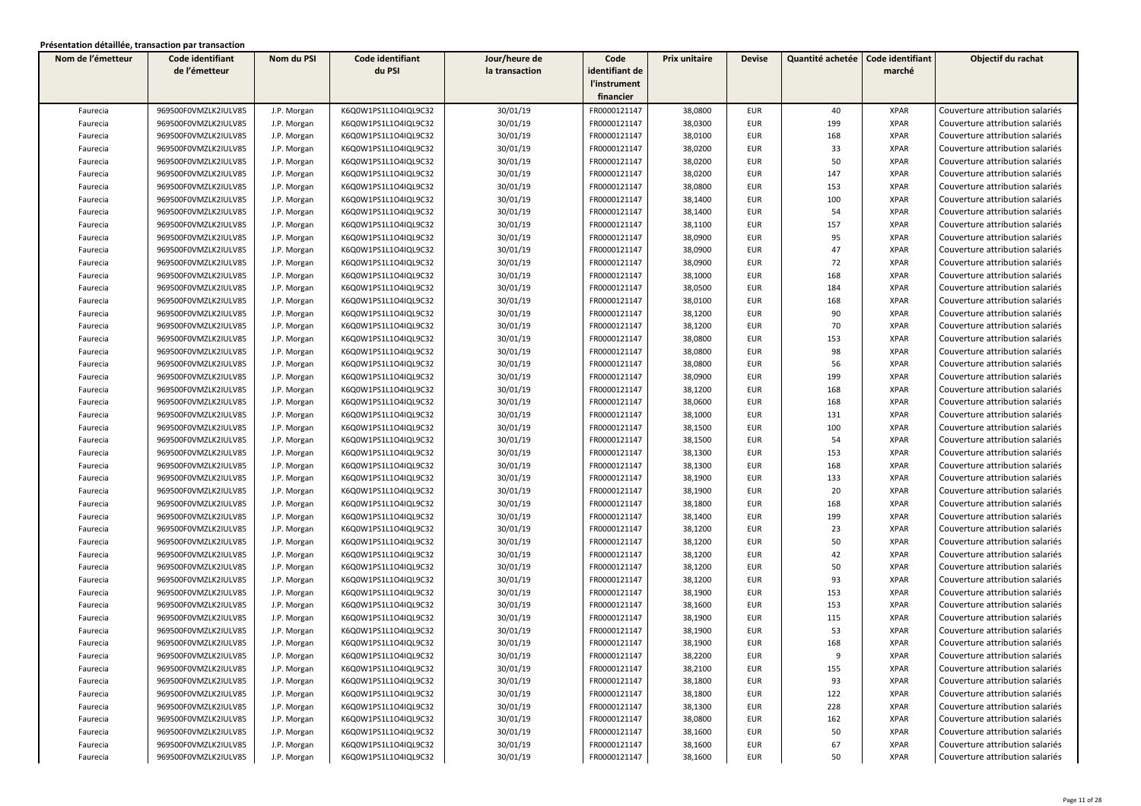| Nom de l'émetteur | Code identifiant     | Nom du PSI  | Code identifiant     | Jour/heure de  | Code           | Prix unitaire | <b>Devise</b> | Quantité achetée | Code identifiant | Objectif du rachat              |
|-------------------|----------------------|-------------|----------------------|----------------|----------------|---------------|---------------|------------------|------------------|---------------------------------|
|                   | de l'émetteur        |             | du PSI               | la transaction | identifiant de |               |               |                  | marché           |                                 |
|                   |                      |             |                      |                | l'instrument   |               |               |                  |                  |                                 |
|                   |                      |             |                      |                | financier      |               |               |                  |                  |                                 |
| Faurecia          | 969500F0VMZLK2IULV85 | J.P. Morgan | K6Q0W1PS1L1O4IQL9C32 | 30/01/19       | FR0000121147   | 38,0800       | <b>EUR</b>    | 40               | <b>XPAR</b>      | Couverture attribution salariés |
| Faurecia          | 969500F0VMZLK2IULV85 | J.P. Morgan | K6Q0W1PS1L1O4IQL9C32 | 30/01/19       | FR0000121147   | 38,0300       | <b>EUR</b>    | 199              | <b>XPAR</b>      | Couverture attribution salariés |
| Faurecia          | 969500F0VMZLK2IULV85 | J.P. Morgan | K6Q0W1PS1L1O4IQL9C32 | 30/01/19       | FR0000121147   | 38,0100       | <b>EUR</b>    | 168              | <b>XPAR</b>      | Couverture attribution salariés |
| Faurecia          | 969500F0VMZLK2IULV85 | J.P. Morgan | K6Q0W1PS1L1O4IQL9C32 | 30/01/19       | FR0000121147   | 38,0200       | <b>EUR</b>    | 33               | <b>XPAR</b>      | Couverture attribution salariés |
| Faurecia          | 969500F0VMZLK2IULV85 | J.P. Morgan | K6Q0W1PS1L1O4IQL9C32 | 30/01/19       | FR0000121147   | 38,0200       | EUR           | 50               | <b>XPAR</b>      | Couverture attribution salariés |
| Faurecia          | 969500F0VMZLK2IULV85 | J.P. Morgan | K6Q0W1PS1L1O4IQL9C32 | 30/01/19       | FR0000121147   | 38,0200       | <b>EUR</b>    | 147              | <b>XPAR</b>      | Couverture attribution salariés |
| Faurecia          | 969500F0VMZLK2IULV85 | J.P. Morgan | K6Q0W1PS1L1O4IQL9C32 | 30/01/19       | FR0000121147   | 38,0800       | <b>EUR</b>    | 153              | <b>XPAR</b>      | Couverture attribution salariés |
| Faurecia          | 969500F0VMZLK2IULV85 | J.P. Morgan | K6Q0W1PS1L1O4IQL9C32 | 30/01/19       | FR0000121147   | 38,1400       | EUR           | 100              | <b>XPAR</b>      | Couverture attribution salariés |
| Faurecia          | 969500F0VMZLK2IULV85 | J.P. Morgan | K6Q0W1PS1L1O4IQL9C32 | 30/01/19       | FR0000121147   | 38,1400       | <b>EUR</b>    | 54               | <b>XPAR</b>      | Couverture attribution salariés |
| Faurecia          | 969500F0VMZLK2IULV85 | J.P. Morgan | K6Q0W1PS1L1O4IQL9C32 | 30/01/19       | FR0000121147   | 38,1100       | <b>EUR</b>    | 157              | <b>XPAR</b>      | Couverture attribution salariés |
| Faurecia          | 969500F0VMZLK2IULV85 | J.P. Morgan | K6Q0W1PS1L1O4IQL9C32 | 30/01/19       | FR0000121147   | 38,0900       | <b>EUR</b>    | 95               | <b>XPAR</b>      | Couverture attribution salariés |
| Faurecia          | 969500F0VMZLK2IULV85 | J.P. Morgan | K6Q0W1PS1L1O4IQL9C32 | 30/01/19       | FR0000121147   | 38,0900       | <b>EUR</b>    | 47               | <b>XPAR</b>      | Couverture attribution salariés |
| Faurecia          | 969500F0VMZLK2IULV85 | J.P. Morgan | K6Q0W1PS1L1O4IQL9C32 | 30/01/19       | FR0000121147   | 38,0900       | EUR           | 72               | <b>XPAR</b>      | Couverture attribution salariés |
| Faurecia          | 969500F0VMZLK2IULV85 | J.P. Morgan | K6Q0W1PS1L1O4IQL9C32 | 30/01/19       | FR0000121147   | 38,1000       | EUR           | 168              | <b>XPAR</b>      | Couverture attribution salariés |
| Faurecia          | 969500F0VMZLK2IULV85 | J.P. Morgan | K6Q0W1PS1L1O4IQL9C32 | 30/01/19       | FR0000121147   | 38,0500       | <b>EUR</b>    | 184              | <b>XPAR</b>      | Couverture attribution salariés |
| Faurecia          | 969500F0VMZLK2IULV85 | J.P. Morgan | K6Q0W1PS1L1O4IQL9C32 | 30/01/19       | FR0000121147   | 38,0100       | <b>EUR</b>    | 168              | <b>XPAR</b>      | Couverture attribution salariés |
| Faurecia          | 969500F0VMZLK2IULV85 | J.P. Morgan | K6Q0W1PS1L1O4IQL9C32 | 30/01/19       | FR0000121147   | 38,1200       | <b>EUR</b>    | 90               | <b>XPAR</b>      | Couverture attribution salariés |
| Faurecia          | 969500F0VMZLK2IULV85 | J.P. Morgan | K6Q0W1PS1L1O4IQL9C32 | 30/01/19       | FR0000121147   | 38,1200       | <b>EUR</b>    | 70               | <b>XPAR</b>      | Couverture attribution salariés |
| Faurecia          | 969500F0VMZLK2IULV85 | J.P. Morgan | K6Q0W1PS1L1O4IQL9C32 | 30/01/19       | FR0000121147   | 38,0800       | <b>EUR</b>    | 153              | <b>XPAR</b>      | Couverture attribution salariés |
| Faurecia          | 969500F0VMZLK2IULV85 | J.P. Morgan | K6Q0W1PS1L1O4IQL9C32 | 30/01/19       | FR0000121147   | 38,0800       | <b>EUR</b>    | 98               | <b>XPAR</b>      | Couverture attribution salariés |
| Faurecia          | 969500F0VMZLK2IULV85 | J.P. Morgan | K6Q0W1PS1L1O4IQL9C32 | 30/01/19       | FR0000121147   | 38,0800       | EUR           | 56               | <b>XPAR</b>      | Couverture attribution salariés |
| Faurecia          | 969500F0VMZLK2IULV85 | J.P. Morgan | K6Q0W1PS1L1O4IQL9C32 | 30/01/19       | FR0000121147   | 38,0900       | EUR           | 199              | <b>XPAR</b>      | Couverture attribution salariés |
| Faurecia          | 969500F0VMZLK2IULV85 | J.P. Morgan | K6Q0W1PS1L1O4IQL9C32 | 30/01/19       | FR0000121147   | 38,1200       | <b>EUR</b>    | 168              | <b>XPAR</b>      | Couverture attribution salariés |
| Faurecia          | 969500F0VMZLK2IULV85 | J.P. Morgan | K6Q0W1PS1L1O4IQL9C32 | 30/01/19       | FR0000121147   | 38,0600       | <b>EUR</b>    | 168              | <b>XPAR</b>      | Couverture attribution salariés |
| Faurecia          | 969500F0VMZLK2IULV85 | J.P. Morgan | K6Q0W1PS1L1O4IQL9C32 | 30/01/19       | FR0000121147   | 38,1000       | <b>EUR</b>    | 131              | <b>XPAR</b>      | Couverture attribution salariés |
| Faurecia          | 969500F0VMZLK2IULV85 | J.P. Morgan | K6Q0W1PS1L1O4IQL9C32 | 30/01/19       | FR0000121147   | 38,1500       | <b>EUR</b>    | 100              | <b>XPAR</b>      | Couverture attribution salariés |
| Faurecia          | 969500F0VMZLK2IULV85 | J.P. Morgan | K6Q0W1PS1L1O4IQL9C32 | 30/01/19       | FR0000121147   | 38,1500       | <b>EUR</b>    | 54               | <b>XPAR</b>      | Couverture attribution salariés |
| Faurecia          | 969500F0VMZLK2IULV85 | J.P. Morgan | K6Q0W1PS1L1O4IQL9C32 | 30/01/19       | FR0000121147   | 38,1300       | <b>EUR</b>    | 153              | <b>XPAR</b>      | Couverture attribution salariés |
| Faurecia          | 969500F0VMZLK2IULV85 | J.P. Morgan | K6Q0W1PS1L1O4IQL9C32 | 30/01/19       | FR0000121147   | 38,1300       | <b>EUR</b>    | 168              | <b>XPAR</b>      | Couverture attribution salariés |
| Faurecia          | 969500F0VMZLK2IULV85 | J.P. Morgan | K6Q0W1PS1L1O4IQL9C32 | 30/01/19       | FR0000121147   | 38,1900       | <b>EUR</b>    | 133              | <b>XPAR</b>      | Couverture attribution salariés |
| Faurecia          | 969500F0VMZLK2IULV85 | J.P. Morgan | K6Q0W1PS1L1O4IQL9C32 | 30/01/19       | FR0000121147   | 38,1900       | <b>EUR</b>    | 20               | <b>XPAR</b>      | Couverture attribution salariés |
| Faurecia          | 969500F0VMZLK2IULV85 | J.P. Morgan | K6Q0W1PS1L1O4IQL9C32 | 30/01/19       | FR0000121147   | 38,1800       | <b>EUR</b>    | 168              | <b>XPAR</b>      | Couverture attribution salariés |
| Faurecia          | 969500F0VMZLK2IULV85 | J.P. Morgan | K6Q0W1PS1L1O4IQL9C32 | 30/01/19       | FR0000121147   | 38,1400       | <b>EUR</b>    | 199              | <b>XPAR</b>      | Couverture attribution salariés |
| Faurecia          | 969500F0VMZLK2IULV85 | J.P. Morgan | K6Q0W1PS1L1O4IQL9C32 | 30/01/19       | FR0000121147   | 38,1200       | <b>EUR</b>    | 23               | <b>XPAR</b>      | Couverture attribution salariés |
| Faurecia          | 969500F0VMZLK2IULV85 | J.P. Morgan | K6Q0W1PS1L1O4IQL9C32 | 30/01/19       | FR0000121147   | 38,1200       | <b>EUR</b>    | 50               | <b>XPAR</b>      | Couverture attribution salariés |
| Faurecia          | 969500F0VMZLK2IULV85 | J.P. Morgan | K6Q0W1PS1L1O4IQL9C32 | 30/01/19       | FR0000121147   | 38,1200       | <b>EUR</b>    | 42               | <b>XPAR</b>      | Couverture attribution salariés |
| Faurecia          | 969500F0VMZLK2IULV85 | J.P. Morgan | K6Q0W1PS1L1O4IQL9C32 | 30/01/19       | FR0000121147   | 38,1200       | <b>EUR</b>    | 50               | <b>XPAR</b>      | Couverture attribution salariés |
| Faurecia          | 969500F0VMZLK2IULV85 | J.P. Morgan | K6Q0W1PS1L1O4IQL9C32 | 30/01/19       | FR0000121147   | 38,1200       | <b>EUR</b>    | 93               | <b>XPAR</b>      | Couverture attribution salariés |
| Faurecia          | 969500F0VMZLK2IULV85 | J.P. Morgan | K6Q0W1PS1L1O4IQL9C32 | 30/01/19       | FR0000121147   | 38,1900       | <b>EUR</b>    | 153              | <b>XPAR</b>      | Couverture attribution salariés |
| Faurecia          | 969500F0VMZLK2IULV85 | J.P. Morgan | K6Q0W1PS1L1O4IQL9C32 | 30/01/19       | FR0000121147   | 38,1600       | <b>EUR</b>    | 153              | <b>XPAR</b>      | Couverture attribution salariés |
| Faurecia          | 969500F0VMZLK2IULV85 | J.P. Morgan | K6Q0W1PS1L1O4IQL9C32 | 30/01/19       | FR0000121147   | 38,1900       | <b>EUR</b>    | 115              | <b>XPAR</b>      | Couverture attribution salariés |
| Faurecia          | 969500F0VMZLK2IULV85 | J.P. Morgan | K6Q0W1PS1L1O4IQL9C32 | 30/01/19       | FR0000121147   | 38,1900       | <b>EUR</b>    | 53               | <b>XPAR</b>      | Couverture attribution salariés |
| Faurecia          | 969500F0VMZLK2IULV85 | J.P. Morgan | K6Q0W1PS1L1O4IQL9C32 | 30/01/19       | FR0000121147   | 38,1900       | <b>EUR</b>    | 168              | <b>XPAR</b>      | Couverture attribution salariés |
| Faurecia          | 969500F0VMZLK2IULV85 | J.P. Morgan | K6Q0W1PS1L1O4IQL9C32 | 30/01/19       | FR0000121147   | 38,2200       | EUR           | 9                | XPAR             | Couverture attribution salariés |
| Faurecia          | 969500F0VMZLK2IULV85 | J.P. Morgan | K6Q0W1PS1L1O4IQL9C32 | 30/01/19       | FR0000121147   | 38,2100       | <b>EUR</b>    | 155              | <b>XPAR</b>      | Couverture attribution salariés |
| Faurecia          | 969500F0VMZLK2IULV85 | J.P. Morgan | K6Q0W1PS1L1O4IQL9C32 | 30/01/19       | FR0000121147   | 38,1800       | EUR           | 93               | <b>XPAR</b>      | Couverture attribution salariés |
| Faurecia          | 969500F0VMZLK2IULV85 | J.P. Morgan | K6Q0W1PS1L1O4IQL9C32 | 30/01/19       | FR0000121147   | 38,1800       | EUR           | 122              | XPAR             | Couverture attribution salariés |
| Faurecia          | 969500F0VMZLK2IULV85 | J.P. Morgan | K6Q0W1PS1L1O4IQL9C32 | 30/01/19       | FR0000121147   | 38,1300       | EUR           | 228              | <b>XPAR</b>      | Couverture attribution salariés |
| Faurecia          | 969500F0VMZLK2IULV85 | J.P. Morgan | K6Q0W1PS1L1O4IQL9C32 | 30/01/19       | FR0000121147   | 38,0800       | EUR           | 162              | <b>XPAR</b>      | Couverture attribution salariés |
| Faurecia          | 969500F0VMZLK2IULV85 | J.P. Morgan | K6Q0W1PS1L1O4IQL9C32 | 30/01/19       | FR0000121147   | 38,1600       | EUR           | 50               | <b>XPAR</b>      | Couverture attribution salariés |
| Faurecia          | 969500F0VMZLK2IULV85 | J.P. Morgan | K6Q0W1PS1L1O4IQL9C32 | 30/01/19       | FR0000121147   | 38,1600       | EUR           | 67               | <b>XPAR</b>      | Couverture attribution salariés |
| Faurecia          | 969500F0VMZLK2IULV85 | J.P. Morgan | K6Q0W1PS1L1O4IQL9C32 | 30/01/19       | FR0000121147   | 38,1600       | EUR           | 50               | <b>XPAR</b>      | Couverture attribution salariés |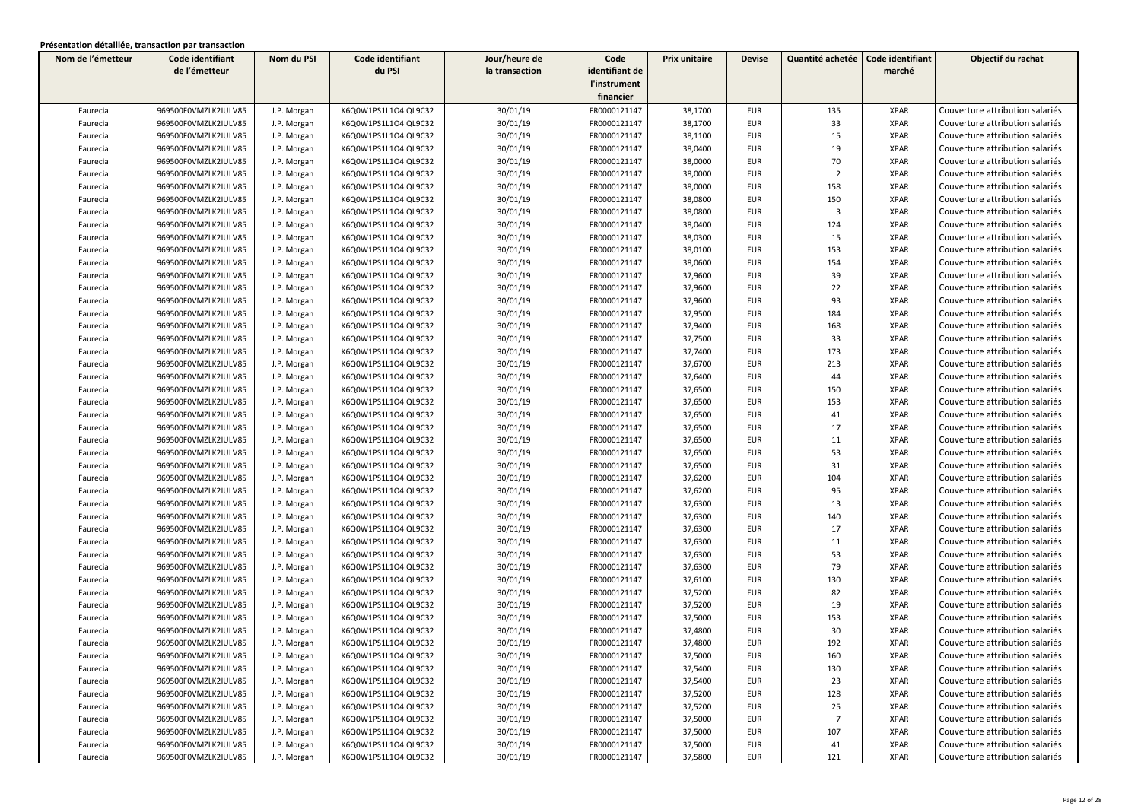| Nom de l'émetteur | Code identifiant     | Nom du PSI  | Code identifiant     | Jour/heure de  | Code           | Prix unitaire | <b>Devise</b> | Quantité achetée        | Code identifiant | Objectif du rachat              |
|-------------------|----------------------|-------------|----------------------|----------------|----------------|---------------|---------------|-------------------------|------------------|---------------------------------|
|                   | de l'émetteur        |             | du PSI               | la transaction | identifiant de |               |               |                         | marché           |                                 |
|                   |                      |             |                      |                | l'instrument   |               |               |                         |                  |                                 |
|                   |                      |             |                      |                | financier      |               |               |                         |                  |                                 |
| Faurecia          | 969500F0VMZLK2IULV85 | J.P. Morgan | K6Q0W1PS1L1O4IQL9C32 | 30/01/19       | FR0000121147   | 38,1700       | <b>EUR</b>    | 135                     | <b>XPAR</b>      | Couverture attribution salariés |
| Faurecia          | 969500F0VMZLK2IULV85 | J.P. Morgan | K6Q0W1PS1L1O4IQL9C32 | 30/01/19       | FR0000121147   | 38,1700       | <b>EUR</b>    | 33                      | <b>XPAR</b>      | Couverture attribution salariés |
| Faurecia          | 969500F0VMZLK2IULV85 | J.P. Morgan | K6Q0W1PS1L1O4IQL9C32 | 30/01/19       | FR0000121147   | 38,1100       | <b>EUR</b>    | 15                      | <b>XPAR</b>      | Couverture attribution salariés |
| Faurecia          | 969500F0VMZLK2IULV85 | J.P. Morgan | K6Q0W1PS1L1O4IQL9C32 | 30/01/19       | FR0000121147   | 38,0400       | <b>EUR</b>    | 19                      | <b>XPAR</b>      | Couverture attribution salariés |
| Faurecia          | 969500F0VMZLK2IULV85 | J.P. Morgan | K6Q0W1PS1L1O4IQL9C32 | 30/01/19       | FR0000121147   | 38,0000       | <b>EUR</b>    | 70                      | <b>XPAR</b>      | Couverture attribution salariés |
| Faurecia          | 969500F0VMZLK2IULV85 | J.P. Morgan | K6Q0W1PS1L1O4IQL9C32 | 30/01/19       | FR0000121147   | 38,0000       | <b>EUR</b>    | $\overline{2}$          | <b>XPAR</b>      | Couverture attribution salariés |
| Faurecia          | 969500F0VMZLK2IULV85 | J.P. Morgan | K6Q0W1PS1L1O4IQL9C32 | 30/01/19       | FR0000121147   | 38,0000       | <b>EUR</b>    | 158                     | <b>XPAR</b>      | Couverture attribution salariés |
| Faurecia          | 969500F0VMZLK2IULV85 | J.P. Morgan | K6Q0W1PS1L1O4IQL9C32 | 30/01/19       | FR0000121147   | 38,0800       | <b>EUR</b>    | 150                     | <b>XPAR</b>      | Couverture attribution salariés |
| Faurecia          | 969500F0VMZLK2IULV85 | J.P. Morgan | K6Q0W1PS1L1O4IQL9C32 | 30/01/19       | FR0000121147   | 38,0800       | <b>EUR</b>    | $\overline{\mathbf{3}}$ | <b>XPAR</b>      | Couverture attribution salariés |
| Faurecia          | 969500F0VMZLK2IULV85 | J.P. Morgan | K6Q0W1PS1L1O4IQL9C32 | 30/01/19       | FR0000121147   | 38,0400       | <b>EUR</b>    | 124                     | <b>XPAR</b>      | Couverture attribution salariés |
| Faurecia          | 969500F0VMZLK2IULV85 | J.P. Morgan | K6Q0W1PS1L1O4IQL9C32 | 30/01/19       | FR0000121147   | 38,0300       | <b>EUR</b>    | 15                      | <b>XPAR</b>      | Couverture attribution salariés |
| Faurecia          | 969500F0VMZLK2IULV85 | J.P. Morgan | K6Q0W1PS1L1O4IQL9C32 | 30/01/19       | FR0000121147   | 38,0100       | <b>EUR</b>    | 153                     | <b>XPAR</b>      | Couverture attribution salariés |
| Faurecia          | 969500F0VMZLK2IULV85 | J.P. Morgan | K6Q0W1PS1L1O4IQL9C32 | 30/01/19       | FR0000121147   | 38,0600       | <b>EUR</b>    | 154                     | <b>XPAR</b>      | Couverture attribution salariés |
| Faurecia          | 969500F0VMZLK2IULV85 | J.P. Morgan | K6Q0W1PS1L1O4IQL9C32 | 30/01/19       | FR0000121147   | 37,9600       | <b>EUR</b>    | 39                      | <b>XPAR</b>      | Couverture attribution salariés |
| Faurecia          | 969500F0VMZLK2IULV85 | J.P. Morgan | K6Q0W1PS1L1O4IQL9C32 | 30/01/19       | FR0000121147   | 37,9600       | <b>EUR</b>    | 22                      | <b>XPAR</b>      | Couverture attribution salariés |
| Faurecia          | 969500F0VMZLK2IULV85 | J.P. Morgan | K6Q0W1PS1L1O4IQL9C32 | 30/01/19       | FR0000121147   | 37,9600       | <b>EUR</b>    | 93                      | <b>XPAR</b>      | Couverture attribution salariés |
| Faurecia          | 969500F0VMZLK2IULV85 | J.P. Morgan | K6Q0W1PS1L1O4IQL9C32 | 30/01/19       | FR0000121147   | 37,9500       | <b>EUR</b>    | 184                     | <b>XPAR</b>      | Couverture attribution salariés |
| Faurecia          | 969500F0VMZLK2IULV85 | J.P. Morgan | K6Q0W1PS1L1O4IQL9C32 | 30/01/19       | FR0000121147   | 37,9400       | <b>EUR</b>    | 168                     | <b>XPAR</b>      | Couverture attribution salariés |
| Faurecia          | 969500F0VMZLK2IULV85 | J.P. Morgan | K6Q0W1PS1L1O4IQL9C32 | 30/01/19       | FR0000121147   | 37,7500       | <b>EUR</b>    | 33                      | <b>XPAR</b>      | Couverture attribution salariés |
| Faurecia          | 969500F0VMZLK2IULV85 | J.P. Morgan | K6Q0W1PS1L1O4IQL9C32 | 30/01/19       | FR0000121147   | 37,7400       | <b>EUR</b>    | 173                     | <b>XPAR</b>      | Couverture attribution salariés |
| Faurecia          | 969500F0VMZLK2IULV85 | J.P. Morgan | K6Q0W1PS1L1O4IQL9C32 | 30/01/19       | FR0000121147   | 37,6700       | <b>EUR</b>    | 213                     | <b>XPAR</b>      | Couverture attribution salariés |
| Faurecia          | 969500F0VMZLK2IULV85 | J.P. Morgan | K6Q0W1PS1L1O4IQL9C32 | 30/01/19       | FR0000121147   | 37,6400       | <b>EUR</b>    | 44                      | <b>XPAR</b>      | Couverture attribution salariés |
| Faurecia          | 969500F0VMZLK2IULV85 | J.P. Morgan | K6Q0W1PS1L1O4IQL9C32 | 30/01/19       | FR0000121147   | 37,6500       | <b>EUR</b>    | 150                     | <b>XPAR</b>      | Couverture attribution salariés |
| Faurecia          | 969500F0VMZLK2IULV85 | J.P. Morgan | K6Q0W1PS1L1O4IQL9C32 | 30/01/19       | FR0000121147   | 37,6500       | <b>EUR</b>    | 153                     | <b>XPAR</b>      | Couverture attribution salariés |
| Faurecia          | 969500F0VMZLK2IULV85 | J.P. Morgan | K6Q0W1PS1L1O4IQL9C32 | 30/01/19       | FR0000121147   | 37,6500       | <b>EUR</b>    | 41                      | <b>XPAR</b>      | Couverture attribution salariés |
| Faurecia          | 969500F0VMZLK2IULV85 | J.P. Morgan | K6Q0W1PS1L1O4IQL9C32 | 30/01/19       | FR0000121147   | 37,6500       | <b>EUR</b>    | 17                      | <b>XPAR</b>      | Couverture attribution salariés |
| Faurecia          | 969500F0VMZLK2IULV85 | J.P. Morgan | K6Q0W1PS1L1O4IQL9C32 | 30/01/19       | FR0000121147   | 37,6500       | <b>EUR</b>    | 11                      | <b>XPAR</b>      | Couverture attribution salariés |
| Faurecia          | 969500F0VMZLK2IULV85 | J.P. Morgan | K6Q0W1PS1L1O4IQL9C32 | 30/01/19       | FR0000121147   | 37,6500       | <b>EUR</b>    | 53                      | <b>XPAR</b>      | Couverture attribution salariés |
| Faurecia          | 969500F0VMZLK2IULV85 | J.P. Morgan | K6Q0W1PS1L1O4IQL9C32 | 30/01/19       | FR0000121147   | 37,6500       | <b>EUR</b>    | 31                      | <b>XPAR</b>      | Couverture attribution salariés |
| Faurecia          | 969500F0VMZLK2IULV85 | J.P. Morgan | K6Q0W1PS1L1O4IQL9C32 | 30/01/19       | FR0000121147   | 37,6200       | <b>EUR</b>    | 104                     | <b>XPAR</b>      | Couverture attribution salariés |
| Faurecia          | 969500F0VMZLK2IULV85 | J.P. Morgan | K6Q0W1PS1L1O4IQL9C32 | 30/01/19       | FR0000121147   | 37,6200       | <b>EUR</b>    | 95                      | <b>XPAR</b>      | Couverture attribution salariés |
| Faurecia          | 969500F0VMZLK2IULV85 | J.P. Morgan | K6Q0W1PS1L1O4IQL9C32 | 30/01/19       | FR0000121147   | 37,6300       | <b>EUR</b>    | 13                      | <b>XPAR</b>      | Couverture attribution salariés |
| Faurecia          | 969500F0VMZLK2IULV85 | J.P. Morgan | K6Q0W1PS1L1O4IQL9C32 | 30/01/19       | FR0000121147   | 37,6300       | <b>EUR</b>    | 140                     | <b>XPAR</b>      | Couverture attribution salariés |
| Faurecia          | 969500F0VMZLK2IULV85 | J.P. Morgan | K6Q0W1PS1L1O4IQL9C32 | 30/01/19       | FR0000121147   | 37,6300       | <b>EUR</b>    | 17                      | <b>XPAR</b>      | Couverture attribution salariés |
| Faurecia          | 969500F0VMZLK2IULV85 | J.P. Morgan | K6Q0W1PS1L1O4IQL9C32 | 30/01/19       | FR0000121147   | 37,6300       | <b>EUR</b>    | 11                      | <b>XPAR</b>      | Couverture attribution salariés |
| Faurecia          | 969500F0VMZLK2IULV85 | J.P. Morgan | K6Q0W1PS1L1O4IQL9C32 | 30/01/19       | FR0000121147   | 37,6300       | <b>EUR</b>    | 53                      | <b>XPAR</b>      | Couverture attribution salariés |
| Faurecia          | 969500F0VMZLK2IULV85 | J.P. Morgan | K6Q0W1PS1L1O4IQL9C32 | 30/01/19       | FR0000121147   | 37,6300       | <b>EUR</b>    | 79                      | <b>XPAR</b>      | Couverture attribution salariés |
| Faurecia          | 969500F0VMZLK2IULV85 | J.P. Morgan | K6Q0W1PS1L1O4IQL9C32 | 30/01/19       | FR0000121147   | 37,6100       | <b>EUR</b>    | 130                     | <b>XPAR</b>      | Couverture attribution salariés |
| Faurecia          | 969500F0VMZLK2IULV85 | J.P. Morgan | K6Q0W1PS1L1O4IQL9C32 | 30/01/19       | FR0000121147   | 37,5200       | <b>EUR</b>    | 82                      | <b>XPAR</b>      | Couverture attribution salariés |
| Faurecia          | 969500F0VMZLK2IULV85 | J.P. Morgan | K6Q0W1PS1L1O4IQL9C32 | 30/01/19       | FR0000121147   | 37,5200       | <b>EUR</b>    | 19                      | <b>XPAR</b>      | Couverture attribution salariés |
| Faurecia          | 969500F0VMZLK2IULV85 | J.P. Morgan | K6Q0W1PS1L1O4IQL9C32 | 30/01/19       | FR0000121147   | 37,5000       | EUR           | 153                     | <b>XPAR</b>      | Couverture attribution salariés |
| Faurecia          | 969500F0VMZLK2IULV85 | J.P. Morgan | K6Q0W1PS1L1O4IQL9C32 | 30/01/19       | FR0000121147   | 37,4800       | <b>EUR</b>    | 30                      | <b>XPAR</b>      | Couverture attribution salariés |
| Faurecia          | 969500F0VMZLK2IULV85 | J.P. Morgan | K6Q0W1PS1L1O4IQL9C32 | 30/01/19       | FR0000121147   | 37,4800       | <b>EUR</b>    | 192                     | <b>XPAR</b>      | Couverture attribution salariés |
| Faurecia          | 969500F0VMZLK2IULV85 | J.P. Morgan | K6Q0W1PS1L1O4IQL9C32 | 30/01/19       | FR0000121147   | 37,5000       | EUR           | 160                     | XPAR             | Couverture attribution salariés |
| Faurecia          | 969500F0VMZLK2IULV85 | J.P. Morgan | K6Q0W1PS1L1O4IQL9C32 | 30/01/19       | FR0000121147   | 37,5400       | <b>EUR</b>    | 130                     | <b>XPAR</b>      | Couverture attribution salariés |
| Faurecia          | 969500F0VMZLK2IULV85 | J.P. Morgan | K6Q0W1PS1L1O4IQL9C32 | 30/01/19       | FR0000121147   | 37,5400       | EUR           | 23                      | <b>XPAR</b>      | Couverture attribution salariés |
| Faurecia          | 969500F0VMZLK2IULV85 | J.P. Morgan | K6Q0W1PS1L1O4IQL9C32 | 30/01/19       | FR0000121147   | 37,5200       | EUR           | 128                     | XPAR             | Couverture attribution salariés |
| Faurecia          | 969500F0VMZLK2IULV85 | J.P. Morgan | K6Q0W1PS1L1O4IQL9C32 | 30/01/19       | FR0000121147   | 37,5200       | EUR           | 25                      | <b>XPAR</b>      | Couverture attribution salariés |
| Faurecia          | 969500F0VMZLK2IULV85 | J.P. Morgan | K6Q0W1PS1L1O4IQL9C32 | 30/01/19       | FR0000121147   | 37,5000       | EUR           | $\overline{7}$          | <b>XPAR</b>      | Couverture attribution salariés |
| Faurecia          | 969500F0VMZLK2IULV85 | J.P. Morgan | K6Q0W1PS1L1O4IQL9C32 | 30/01/19       | FR0000121147   | 37,5000       | <b>EUR</b>    | 107                     | <b>XPAR</b>      | Couverture attribution salariés |
| Faurecia          | 969500F0VMZLK2IULV85 | J.P. Morgan | K6Q0W1PS1L1O4IQL9C32 | 30/01/19       | FR0000121147   | 37,5000       | <b>EUR</b>    | 41                      | <b>XPAR</b>      | Couverture attribution salariés |
| Faurecia          | 969500F0VMZLK2IULV85 | J.P. Morgan | K6Q0W1PS1L1O4IQL9C32 | 30/01/19       | FR0000121147   | 37,5800       | EUR           | 121                     | <b>XPAR</b>      | Couverture attribution salariés |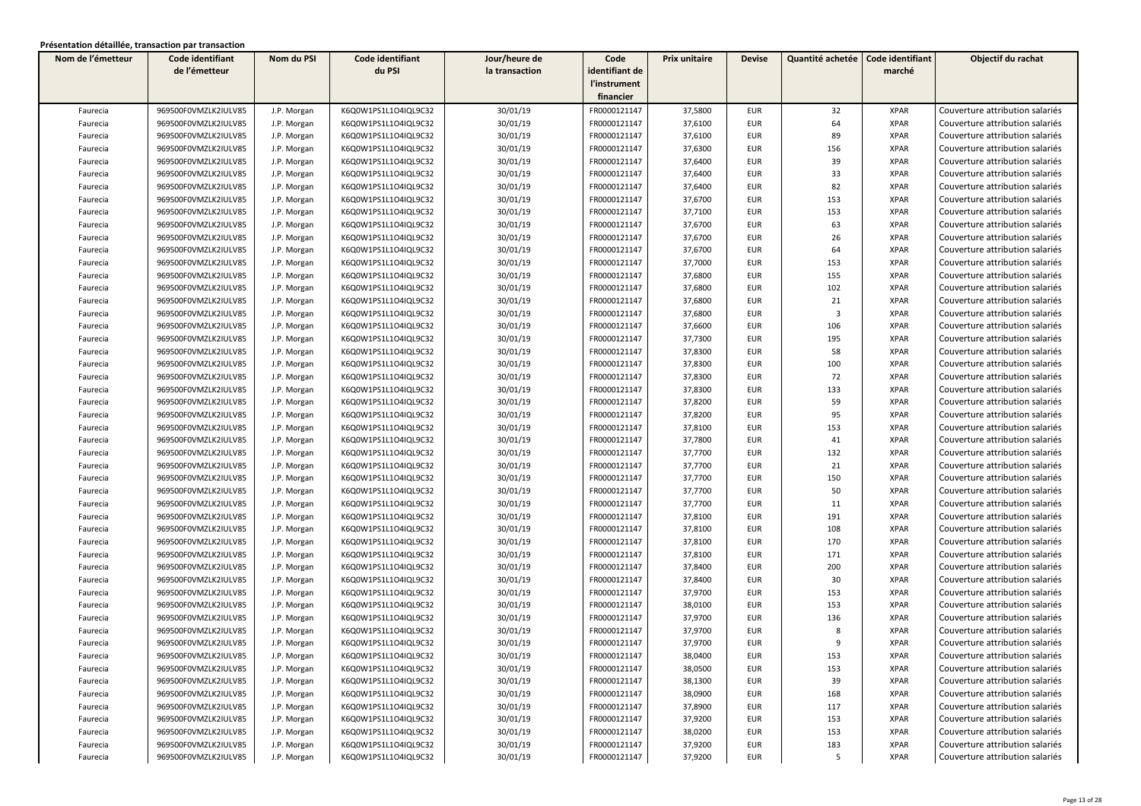| Nom de l'émetteur | Code identifiant     | Nom du PSI  | Code identifiant     | Jour/heure de  | Code           | Prix unitaire | <b>Devise</b> | Quantité achetée        | Code identifiant | Objectif du rachat              |
|-------------------|----------------------|-------------|----------------------|----------------|----------------|---------------|---------------|-------------------------|------------------|---------------------------------|
|                   | de l'émetteur        |             | du PSI               | la transaction | identifiant de |               |               |                         | marché           |                                 |
|                   |                      |             |                      |                | l'instrument   |               |               |                         |                  |                                 |
|                   |                      |             |                      |                | financier      |               |               |                         |                  |                                 |
| Faurecia          | 969500F0VMZLK2IULV85 | J.P. Morgan | K6Q0W1PS1L1O4IQL9C32 | 30/01/19       | FR0000121147   | 37,5800       | <b>EUR</b>    | 32                      | <b>XPAR</b>      | Couverture attribution salariés |
| Faurecia          | 969500F0VMZLK2IULV85 | J.P. Morgan | K6Q0W1PS1L1O4IQL9C32 | 30/01/19       | FR0000121147   | 37,6100       | <b>EUR</b>    | 64                      | <b>XPAR</b>      | Couverture attribution salariés |
| Faurecia          | 969500F0VMZLK2IULV85 | J.P. Morgan | K6Q0W1PS1L1O4IQL9C32 | 30/01/19       | FR0000121147   | 37,6100       | <b>EUR</b>    | 89                      | <b>XPAR</b>      | Couverture attribution salariés |
| Faurecia          | 969500F0VMZLK2IULV85 | J.P. Morgan | K6Q0W1PS1L1O4IQL9C32 | 30/01/19       | FR0000121147   | 37,6300       | <b>EUR</b>    | 156                     | <b>XPAR</b>      | Couverture attribution salariés |
| Faurecia          | 969500F0VMZLK2IULV85 | J.P. Morgan | K6Q0W1PS1L1O4IQL9C32 | 30/01/19       | FR0000121147   | 37,6400       | <b>EUR</b>    | 39                      | <b>XPAR</b>      | Couverture attribution salariés |
| Faurecia          | 969500F0VMZLK2IULV85 | J.P. Morgan | K6Q0W1PS1L1O4IQL9C32 | 30/01/19       | FR0000121147   | 37,6400       | <b>EUR</b>    | 33                      | <b>XPAR</b>      | Couverture attribution salariés |
| Faurecia          | 969500F0VMZLK2IULV85 | J.P. Morgan | K6Q0W1PS1L1O4IQL9C32 | 30/01/19       | FR0000121147   | 37,6400       | <b>EUR</b>    | 82                      | <b>XPAR</b>      | Couverture attribution salariés |
| Faurecia          | 969500F0VMZLK2IULV85 | J.P. Morgan | K6Q0W1PS1L1O4IQL9C32 | 30/01/19       | FR0000121147   | 37,6700       | <b>EUR</b>    | 153                     | <b>XPAR</b>      | Couverture attribution salariés |
| Faurecia          | 969500F0VMZLK2IULV85 | J.P. Morgan | K6Q0W1PS1L1O4IQL9C32 | 30/01/19       | FR0000121147   | 37,7100       | <b>EUR</b>    | 153                     | <b>XPAR</b>      | Couverture attribution salariés |
| Faurecia          | 969500F0VMZLK2IULV85 | J.P. Morgan | K6Q0W1PS1L1O4IQL9C32 | 30/01/19       | FR0000121147   | 37,6700       | <b>EUR</b>    | 63                      | <b>XPAR</b>      | Couverture attribution salariés |
| Faurecia          | 969500F0VMZLK2IULV85 | J.P. Morgan | K6Q0W1PS1L1O4IQL9C32 | 30/01/19       | FR0000121147   | 37,6700       | <b>EUR</b>    | 26                      | <b>XPAR</b>      | Couverture attribution salariés |
| Faurecia          | 969500F0VMZLK2IULV85 | J.P. Morgan | K6Q0W1PS1L1O4IQL9C32 | 30/01/19       | FR0000121147   | 37,6700       | <b>EUR</b>    | 64                      | <b>XPAR</b>      | Couverture attribution salariés |
| Faurecia          | 969500F0VMZLK2IULV85 | J.P. Morgan | K6Q0W1PS1L1O4IQL9C32 | 30/01/19       | FR0000121147   | 37,7000       | <b>EUR</b>    | 153                     | <b>XPAR</b>      | Couverture attribution salariés |
| Faurecia          | 969500F0VMZLK2IULV85 | J.P. Morgan | K6Q0W1PS1L1O4IQL9C32 | 30/01/19       | FR0000121147   | 37,6800       | <b>EUR</b>    | 155                     | <b>XPAR</b>      | Couverture attribution salariés |
| Faurecia          | 969500F0VMZLK2IULV85 | J.P. Morgan | K6Q0W1PS1L1O4IQL9C32 | 30/01/19       | FR0000121147   | 37,6800       | <b>EUR</b>    | 102                     | <b>XPAR</b>      | Couverture attribution salariés |
| Faurecia          | 969500F0VMZLK2IULV85 | J.P. Morgan | K6Q0W1PS1L1O4IQL9C32 | 30/01/19       | FR0000121147   | 37,6800       | <b>EUR</b>    | 21                      | <b>XPAR</b>      | Couverture attribution salariés |
| Faurecia          | 969500F0VMZLK2IULV85 | J.P. Morgan | K6Q0W1PS1L1O4IQL9C32 | 30/01/19       | FR0000121147   | 37,6800       | <b>EUR</b>    | $\overline{\mathbf{3}}$ | <b>XPAR</b>      | Couverture attribution salariés |
| Faurecia          | 969500F0VMZLK2IULV85 | J.P. Morgan | K6Q0W1PS1L1O4IQL9C32 | 30/01/19       | FR0000121147   | 37,6600       | <b>EUR</b>    | 106                     | <b>XPAR</b>      | Couverture attribution salariés |
| Faurecia          | 969500F0VMZLK2IULV85 | J.P. Morgan | K6Q0W1PS1L1O4IQL9C32 | 30/01/19       | FR0000121147   | 37,7300       | <b>EUR</b>    | 195                     | <b>XPAR</b>      | Couverture attribution salariés |
| Faurecia          | 969500F0VMZLK2IULV85 | J.P. Morgan | K6Q0W1PS1L1O4IQL9C32 | 30/01/19       | FR0000121147   | 37,8300       | <b>EUR</b>    | 58                      | <b>XPAR</b>      | Couverture attribution salariés |
| Faurecia          | 969500F0VMZLK2IULV85 | J.P. Morgan | K6Q0W1PS1L1O4IQL9C32 | 30/01/19       | FR0000121147   | 37,8300       | <b>EUR</b>    | 100                     | <b>XPAR</b>      | Couverture attribution salariés |
| Faurecia          | 969500F0VMZLK2IULV85 | J.P. Morgan | K6Q0W1PS1L1O4IQL9C32 | 30/01/19       | FR0000121147   | 37,8300       | <b>EUR</b>    | 72                      | <b>XPAR</b>      | Couverture attribution salariés |
| Faurecia          | 969500F0VMZLK2IULV85 | J.P. Morgan | K6Q0W1PS1L1O4IQL9C32 | 30/01/19       | FR0000121147   | 37,8300       | <b>EUR</b>    | 133                     | <b>XPAR</b>      | Couverture attribution salariés |
| Faurecia          | 969500F0VMZLK2IULV85 | J.P. Morgan | K6Q0W1PS1L1O4IQL9C32 | 30/01/19       | FR0000121147   | 37,8200       | <b>EUR</b>    | 59                      | <b>XPAR</b>      | Couverture attribution salariés |
| Faurecia          | 969500F0VMZLK2IULV85 | J.P. Morgan | K6Q0W1PS1L1O4IQL9C32 | 30/01/19       | FR0000121147   | 37,8200       | <b>EUR</b>    | 95                      | <b>XPAR</b>      | Couverture attribution salariés |
| Faurecia          | 969500F0VMZLK2IULV85 | J.P. Morgan | K6Q0W1PS1L1O4IQL9C32 | 30/01/19       | FR0000121147   | 37,8100       | <b>EUR</b>    | 153                     | <b>XPAR</b>      | Couverture attribution salariés |
| Faurecia          | 969500F0VMZLK2IULV85 | J.P. Morgan | K6Q0W1PS1L1O4IQL9C32 | 30/01/19       | FR0000121147   | 37,7800       | <b>EUR</b>    | 41                      | <b>XPAR</b>      | Couverture attribution salariés |
| Faurecia          | 969500F0VMZLK2IULV85 | J.P. Morgan | K6Q0W1PS1L1O4IQL9C32 | 30/01/19       | FR0000121147   | 37,7700       | <b>EUR</b>    | 132                     | <b>XPAR</b>      | Couverture attribution salariés |
| Faurecia          | 969500F0VMZLK2IULV85 | J.P. Morgan | K6Q0W1PS1L1O4IQL9C32 | 30/01/19       | FR0000121147   | 37,7700       | EUR           | 21                      | <b>XPAR</b>      | Couverture attribution salariés |
| Faurecia          | 969500F0VMZLK2IULV85 | J.P. Morgan | K6Q0W1PS1L1O4IQL9C32 | 30/01/19       | FR0000121147   | 37,7700       | EUR           | 150                     | <b>XPAR</b>      | Couverture attribution salariés |
| Faurecia          | 969500F0VMZLK2IULV85 | J.P. Morgan | K6Q0W1PS1L1O4IQL9C32 | 30/01/19       | FR0000121147   | 37,7700       | <b>EUR</b>    | 50                      | <b>XPAR</b>      | Couverture attribution salariés |
| Faurecia          | 969500F0VMZLK2IULV85 | J.P. Morgan | K6Q0W1PS1L1O4IQL9C32 | 30/01/19       | FR0000121147   | 37,7700       | <b>EUR</b>    | 11                      | <b>XPAR</b>      | Couverture attribution salariés |
| Faurecia          | 969500F0VMZLK2IULV85 | J.P. Morgan | K6Q0W1PS1L1O4IQL9C32 | 30/01/19       | FR0000121147   | 37,8100       | <b>EUR</b>    | 191                     | <b>XPAR</b>      | Couverture attribution salariés |
| Faurecia          | 969500F0VMZLK2IULV85 | J.P. Morgan | K6Q0W1PS1L1O4IQL9C32 | 30/01/19       | FR0000121147   | 37,8100       | <b>EUR</b>    | 108                     | <b>XPAR</b>      | Couverture attribution salariés |
| Faurecia          | 969500F0VMZLK2IULV85 | J.P. Morgan | K6Q0W1PS1L1O4IQL9C32 | 30/01/19       | FR0000121147   | 37,8100       | <b>EUR</b>    | 170                     | <b>XPAR</b>      | Couverture attribution salariés |
| Faurecia          | 969500F0VMZLK2IULV85 | J.P. Morgan | K6Q0W1PS1L1O4IQL9C32 | 30/01/19       | FR0000121147   | 37,8100       | <b>EUR</b>    | 171                     | <b>XPAR</b>      | Couverture attribution salariés |
| Faurecia          | 969500F0VMZLK2IULV85 | J.P. Morgan | K6Q0W1PS1L1O4IQL9C32 | 30/01/19       | FR0000121147   | 37,8400       | <b>EUR</b>    | 200                     | <b>XPAR</b>      | Couverture attribution salariés |
| Faurecia          | 969500F0VMZLK2IULV85 | J.P. Morgan | K6Q0W1PS1L1O4IQL9C32 | 30/01/19       | FR0000121147   | 37,8400       | EUR           | 30                      | <b>XPAR</b>      | Couverture attribution salariés |
| Faurecia          | 969500F0VMZLK2IULV85 | J.P. Morgan | K6Q0W1PS1L1O4IQL9C32 | 30/01/19       | FR0000121147   | 37,9700       | EUR           | 153                     | <b>XPAR</b>      | Couverture attribution salariés |
| Faurecia          | 969500F0VMZLK2IULV85 | J.P. Morgan | K6Q0W1PS1L1O4IQL9C32 | 30/01/19       | FR0000121147   | 38,0100       | <b>EUR</b>    | 153                     | <b>XPAR</b>      | Couverture attribution salariés |
| Faurecia          | 969500F0VMZLK2IULV85 | J.P. Morgan | K6Q0W1PS1L1O4IQL9C32 | 30/01/19       | FR0000121147   | 37,9700       | EUR           | 136                     | <b>XPAR</b>      | Couverture attribution salariés |
| Faurecia          | 969500F0VMZLK2IULV85 | J.P. Morgan | K6Q0W1PS1L1O4IQL9C32 | 30/01/19       | FR0000121147   | 37,9700       | <b>EUR</b>    | 8                       | <b>XPAR</b>      | Couverture attribution salariés |
| Faurecia          | 969500F0VMZLK2IULV85 | J.P. Morgan | K6Q0W1PS1L1O4IQL9C32 | 30/01/19       | FR0000121147   | 37,9700       | <b>EUR</b>    | 9                       | <b>XPAR</b>      | Couverture attribution salariés |
| Faurecia          | 969500F0VMZLK2IULV85 | J.P. Morgan | K6Q0W1PS1L1O4IQL9C32 | 30/01/19       | FR0000121147   | 38,0400       | EUR           | 153                     | XPAR             | Couverture attribution salariés |
| Faurecia          | 969500F0VMZLK2IULV85 | J.P. Morgan | K6Q0W1PS1L1O4IQL9C32 | 30/01/19       | FR0000121147   | 38,0500       | <b>EUR</b>    | 153                     | <b>XPAR</b>      | Couverture attribution salariés |
| Faurecia          | 969500F0VMZLK2IULV85 | J.P. Morgan | K6Q0W1PS1L1O4IQL9C32 | 30/01/19       | FR0000121147   | 38,1300       | EUR           | 39                      | <b>XPAR</b>      | Couverture attribution salariés |
| Faurecia          | 969500F0VMZLK2IULV85 | J.P. Morgan | K6Q0W1PS1L1O4IQL9C32 | 30/01/19       | FR0000121147   | 38,0900       | EUR           | 168                     | XPAR             | Couverture attribution salariés |
| Faurecia          | 969500F0VMZLK2IULV85 | J.P. Morgan | K6Q0W1PS1L1O4IQL9C32 | 30/01/19       | FR0000121147   | 37,8900       | EUR           | 117                     | <b>XPAR</b>      | Couverture attribution salariés |
| Faurecia          | 969500F0VMZLK2IULV85 | J.P. Morgan | K6Q0W1PS1L1O4IQL9C32 | 30/01/19       | FR0000121147   | 37,9200       | EUR           | 153                     | <b>XPAR</b>      | Couverture attribution salariés |
| Faurecia          | 969500F0VMZLK2IULV85 | J.P. Morgan | K6Q0W1PS1L1O4IQL9C32 | 30/01/19       | FR0000121147   | 38,0200       | <b>EUR</b>    | 153                     | <b>XPAR</b>      | Couverture attribution salariés |
| Faurecia          | 969500F0VMZLK2IULV85 | J.P. Morgan | K6Q0W1PS1L1O4IQL9C32 | 30/01/19       | FR0000121147   | 37,9200       | <b>EUR</b>    | 183                     | <b>XPAR</b>      | Couverture attribution salariés |
| Faurecia          | 969500F0VMZLK2IULV85 | J.P. Morgan | K6Q0W1PS1L1O4IQL9C32 | 30/01/19       | FR0000121147   | 37,9200       | <b>EUR</b>    | 5                       | <b>XPAR</b>      | Couverture attribution salariés |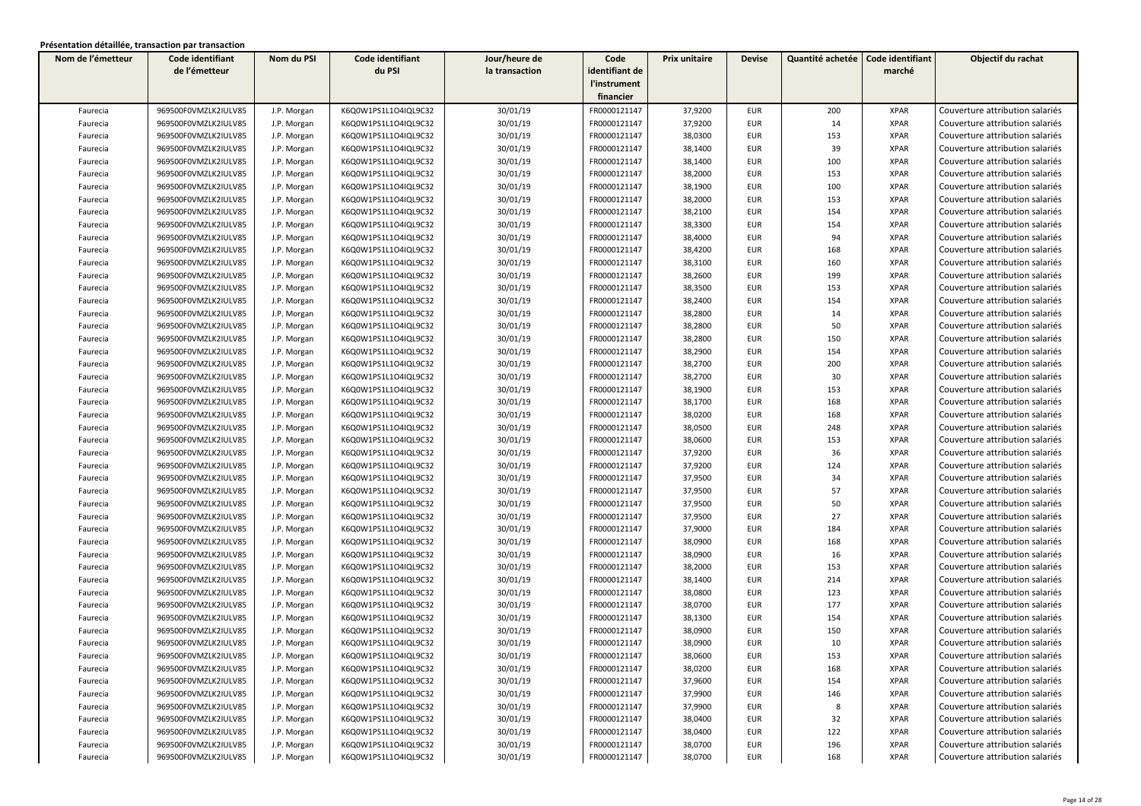| Nom de l'émetteur | Code identifiant     | Nom du PSI  | Code identifiant     | Jour/heure de  | Code           | Prix unitaire | <b>Devise</b> | Quantité achetée | Code identifiant | Objectif du rachat              |
|-------------------|----------------------|-------------|----------------------|----------------|----------------|---------------|---------------|------------------|------------------|---------------------------------|
|                   | de l'émetteur        |             | du PSI               | la transaction | identifiant de |               |               |                  | marché           |                                 |
|                   |                      |             |                      |                | l'instrument   |               |               |                  |                  |                                 |
|                   |                      |             |                      |                | financier      |               |               |                  |                  |                                 |
| Faurecia          | 969500F0VMZLK2IULV85 | J.P. Morgan | K6Q0W1PS1L1O4IQL9C32 | 30/01/19       | FR0000121147   | 37,9200       | <b>EUR</b>    | 200              | <b>XPAR</b>      | Couverture attribution salariés |
| Faurecia          | 969500F0VMZLK2IULV85 | J.P. Morgan | K6Q0W1PS1L1O4IQL9C32 | 30/01/19       | FR0000121147   | 37,9200       | <b>EUR</b>    | 14               | <b>XPAR</b>      | Couverture attribution salariés |
| Faurecia          | 969500F0VMZLK2IULV85 | J.P. Morgan | K6Q0W1PS1L1O4IQL9C32 | 30/01/19       | FR0000121147   | 38,0300       | <b>EUR</b>    | 153              | <b>XPAR</b>      | Couverture attribution salariés |
| Faurecia          | 969500F0VMZLK2IULV85 | J.P. Morgan | K6Q0W1PS1L1O4IQL9C32 | 30/01/19       | FR0000121147   | 38,1400       | EUR           | 39               | <b>XPAR</b>      | Couverture attribution salariés |
| Faurecia          | 969500F0VMZLK2IULV85 | J.P. Morgan | K6Q0W1PS1L1O4IQL9C32 | 30/01/19       | FR0000121147   | 38,1400       | EUR           | 100              | <b>XPAR</b>      | Couverture attribution salariés |
| Faurecia          | 969500F0VMZLK2IULV85 | J.P. Morgan | K6Q0W1PS1L1O4IQL9C32 | 30/01/19       | FR0000121147   | 38,2000       | <b>EUR</b>    | 153              | <b>XPAR</b>      | Couverture attribution salariés |
| Faurecia          | 969500F0VMZLK2IULV85 | J.P. Morgan | K6Q0W1PS1L1O4IQL9C32 | 30/01/19       | FR0000121147   | 38,1900       | <b>EUR</b>    | 100              | <b>XPAR</b>      | Couverture attribution salariés |
| Faurecia          | 969500F0VMZLK2IULV85 | J.P. Morgan | K6Q0W1PS1L1O4IQL9C32 | 30/01/19       | FR0000121147   | 38,2000       | EUR           | 153              | <b>XPAR</b>      | Couverture attribution salariés |
| Faurecia          | 969500F0VMZLK2IULV85 | J.P. Morgan | K6Q0W1PS1L1O4IQL9C32 | 30/01/19       | FR0000121147   | 38,2100       | <b>EUR</b>    | 154              | <b>XPAR</b>      | Couverture attribution salariés |
| Faurecia          | 969500F0VMZLK2IULV85 | J.P. Morgan | K6Q0W1PS1L1O4IQL9C32 | 30/01/19       | FR0000121147   | 38,3300       | <b>EUR</b>    | 154              | <b>XPAR</b>      | Couverture attribution salariés |
| Faurecia          | 969500F0VMZLK2IULV85 | J.P. Morgan | K6Q0W1PS1L1O4IQL9C32 | 30/01/19       | FR0000121147   | 38,4000       | <b>EUR</b>    | 94               | <b>XPAR</b>      | Couverture attribution salariés |
| Faurecia          | 969500F0VMZLK2IULV85 | J.P. Morgan | K6Q0W1PS1L1O4IQL9C32 | 30/01/19       | FR0000121147   | 38,4200       | <b>EUR</b>    | 168              | <b>XPAR</b>      | Couverture attribution salariés |
| Faurecia          | 969500F0VMZLK2IULV85 | J.P. Morgan | K6Q0W1PS1L1O4IQL9C32 | 30/01/19       | FR0000121147   | 38,3100       | EUR           | 160              | <b>XPAR</b>      | Couverture attribution salariés |
| Faurecia          | 969500F0VMZLK2IULV85 | J.P. Morgan | K6Q0W1PS1L1O4IQL9C32 | 30/01/19       | FR0000121147   | 38,2600       | EUR           | 199              | <b>XPAR</b>      | Couverture attribution salariés |
| Faurecia          | 969500F0VMZLK2IULV85 | J.P. Morgan | K6Q0W1PS1L1O4IQL9C32 | 30/01/19       | FR0000121147   | 38,3500       | <b>EUR</b>    | 153              | <b>XPAR</b>      | Couverture attribution salariés |
| Faurecia          | 969500F0VMZLK2IULV85 | J.P. Morgan | K6Q0W1PS1L1O4IQL9C32 | 30/01/19       | FR0000121147   | 38,2400       | <b>EUR</b>    | 154              | <b>XPAR</b>      | Couverture attribution salariés |
| Faurecia          | 969500F0VMZLK2IULV85 | J.P. Morgan | K6Q0W1PS1L1O4IQL9C32 | 30/01/19       | FR0000121147   | 38,2800       | <b>EUR</b>    | 14               | <b>XPAR</b>      | Couverture attribution salariés |
| Faurecia          | 969500F0VMZLK2IULV85 | J.P. Morgan | K6Q0W1PS1L1O4IQL9C32 | 30/01/19       | FR0000121147   | 38,2800       | <b>EUR</b>    | 50               | <b>XPAR</b>      | Couverture attribution salariés |
| Faurecia          | 969500F0VMZLK2IULV85 | J.P. Morgan | K6Q0W1PS1L1O4IQL9C32 | 30/01/19       | FR0000121147   | 38,2800       | <b>EUR</b>    | 150              | <b>XPAR</b>      | Couverture attribution salariés |
| Faurecia          | 969500F0VMZLK2IULV85 | J.P. Morgan | K6Q0W1PS1L1O4IQL9C32 | 30/01/19       | FR0000121147   | 38,2900       | <b>EUR</b>    | 154              | <b>XPAR</b>      | Couverture attribution salariés |
| Faurecia          | 969500F0VMZLK2IULV85 | J.P. Morgan | K6Q0W1PS1L1O4IQL9C32 | 30/01/19       | FR0000121147   | 38,2700       | <b>EUR</b>    | 200              | <b>XPAR</b>      | Couverture attribution salariés |
| Faurecia          | 969500F0VMZLK2IULV85 | J.P. Morgan | K6Q0W1PS1L1O4IQL9C32 | 30/01/19       | FR0000121147   | 38,2700       | <b>EUR</b>    | 30               | <b>XPAR</b>      | Couverture attribution salariés |
| Faurecia          | 969500F0VMZLK2IULV85 | J.P. Morgan | K6Q0W1PS1L1O4IQL9C32 | 30/01/19       | FR0000121147   | 38,1900       | <b>EUR</b>    | 153              | <b>XPAR</b>      | Couverture attribution salariés |
| Faurecia          | 969500F0VMZLK2IULV85 | J.P. Morgan | K6Q0W1PS1L1O4IQL9C32 | 30/01/19       | FR0000121147   | 38,1700       | <b>EUR</b>    | 168              | <b>XPAR</b>      | Couverture attribution salariés |
| Faurecia          | 969500F0VMZLK2IULV85 | J.P. Morgan | K6Q0W1PS1L1O4IQL9C32 | 30/01/19       | FR0000121147   | 38,0200       | <b>EUR</b>    | 168              | <b>XPAR</b>      | Couverture attribution salariés |
| Faurecia          | 969500F0VMZLK2IULV85 | J.P. Morgan | K6Q0W1PS1L1O4IQL9C32 | 30/01/19       | FR0000121147   | 38,0500       | <b>EUR</b>    | 248              | <b>XPAR</b>      | Couverture attribution salariés |
| Faurecia          | 969500F0VMZLK2IULV85 | J.P. Morgan | K6Q0W1PS1L1O4IQL9C32 | 30/01/19       | FR0000121147   | 38,0600       | <b>EUR</b>    | 153              | <b>XPAR</b>      | Couverture attribution salariés |
| Faurecia          | 969500F0VMZLK2IULV85 | J.P. Morgan | K6Q0W1PS1L1O4IQL9C32 | 30/01/19       | FR0000121147   | 37,9200       | <b>EUR</b>    | 36               | <b>XPAR</b>      | Couverture attribution salariés |
| Faurecia          | 969500F0VMZLK2IULV85 | J.P. Morgan | K6Q0W1PS1L1O4IQL9C32 | 30/01/19       | FR0000121147   | 37,9200       | <b>EUR</b>    | 124              | <b>XPAR</b>      | Couverture attribution salariés |
| Faurecia          | 969500F0VMZLK2IULV85 | J.P. Morgan | K6Q0W1PS1L1O4IQL9C32 | 30/01/19       | FR0000121147   | 37,9500       | <b>EUR</b>    | 34               | <b>XPAR</b>      | Couverture attribution salariés |
| Faurecia          | 969500F0VMZLK2IULV85 | J.P. Morgan | K6Q0W1PS1L1O4IQL9C32 | 30/01/19       | FR0000121147   | 37,9500       | <b>EUR</b>    | 57               | <b>XPAR</b>      | Couverture attribution salariés |
| Faurecia          | 969500F0VMZLK2IULV85 | J.P. Morgan | K6Q0W1PS1L1O4IQL9C32 | 30/01/19       | FR0000121147   | 37,9500       | <b>EUR</b>    | 50               | <b>XPAR</b>      | Couverture attribution salariés |
| Faurecia          | 969500F0VMZLK2IULV85 | J.P. Morgan | K6Q0W1PS1L1O4IQL9C32 | 30/01/19       | FR0000121147   | 37,9500       | <b>EUR</b>    | 27               | <b>XPAR</b>      | Couverture attribution salariés |
| Faurecia          | 969500F0VMZLK2IULV85 | J.P. Morgan | K6Q0W1PS1L1O4IQL9C32 | 30/01/19       | FR0000121147   | 37,9000       | <b>EUR</b>    | 184              | <b>XPAR</b>      | Couverture attribution salariés |
| Faurecia          | 969500F0VMZLK2IULV85 | J.P. Morgan | K6Q0W1PS1L1O4IQL9C32 | 30/01/19       | FR0000121147   | 38,0900       | <b>EUR</b>    | 168              | <b>XPAR</b>      | Couverture attribution salariés |
| Faurecia          | 969500F0VMZLK2IULV85 | J.P. Morgan | K6Q0W1PS1L1O4IQL9C32 | 30/01/19       | FR0000121147   | 38,0900       | <b>EUR</b>    | 16               | <b>XPAR</b>      | Couverture attribution salariés |
| Faurecia          | 969500F0VMZLK2IULV85 | J.P. Morgan | K6Q0W1PS1L1O4IQL9C32 | 30/01/19       | FR0000121147   | 38,2000       | <b>EUR</b>    | 153              | <b>XPAR</b>      | Couverture attribution salariés |
| Faurecia          | 969500F0VMZLK2IULV85 | J.P. Morgan | K6Q0W1PS1L1O4IQL9C32 | 30/01/19       | FR0000121147   | 38,1400       | <b>EUR</b>    | 214              | <b>XPAR</b>      | Couverture attribution salariés |
| Faurecia          | 969500F0VMZLK2IULV85 | J.P. Morgan | K6Q0W1PS1L1O4IQL9C32 | 30/01/19       | FR0000121147   | 38,0800       | <b>EUR</b>    | 123              | <b>XPAR</b>      | Couverture attribution salariés |
| Faurecia          | 969500F0VMZLK2IULV85 | J.P. Morgan | K6Q0W1PS1L1O4IQL9C32 | 30/01/19       | FR0000121147   | 38,0700       | <b>EUR</b>    | 177              | <b>XPAR</b>      | Couverture attribution salariés |
| Faurecia          | 969500F0VMZLK2IULV85 | J.P. Morgan | K6Q0W1PS1L1O4IQL9C32 | 30/01/19       | FR0000121147   | 38,1300       | <b>EUR</b>    | 154              | <b>XPAR</b>      | Couverture attribution salariés |
| Faurecia          | 969500F0VMZLK2IULV85 | J.P. Morgan | K6Q0W1PS1L1O4IQL9C32 | 30/01/19       | FR0000121147   | 38,0900       | <b>EUR</b>    | 150              | <b>XPAR</b>      | Couverture attribution salariés |
| Faurecia          | 969500F0VMZLK2IULV85 | J.P. Morgan | K6Q0W1PS1L1O4IQL9C32 | 30/01/19       | FR0000121147   | 38,0900       | <b>EUR</b>    | 10               | <b>XPAR</b>      | Couverture attribution salariés |
| Faurecia          | 969500F0VMZLK2IULV85 | J.P. Morgan | K6Q0W1PS1L1O4IQL9C32 | 30/01/19       | FR0000121147   | 38,0600       | EUR           | 153              | XPAR             | Couverture attribution salariés |
| Faurecia          | 969500F0VMZLK2IULV85 | J.P. Morgan | K6Q0W1PS1L1O4IQL9C32 | 30/01/19       | FR0000121147   | 38,0200       | <b>EUR</b>    | 168              | <b>XPAR</b>      | Couverture attribution salariés |
| Faurecia          | 969500F0VMZLK2IULV85 | J.P. Morgan | K6Q0W1PS1L1O4IQL9C32 | 30/01/19       | FR0000121147   | 37,9600       | EUR           | 154              | <b>XPAR</b>      | Couverture attribution salariés |
| Faurecia          | 969500F0VMZLK2IULV85 | J.P. Morgan | K6Q0W1PS1L1O4IQL9C32 | 30/01/19       | FR0000121147   | 37,9900       | EUR           | 146              | XPAR             | Couverture attribution salariés |
| Faurecia          | 969500F0VMZLK2IULV85 | J.P. Morgan | K6Q0W1PS1L1O4IQL9C32 | 30/01/19       | FR0000121147   | 37,9900       | EUR           | 8                | <b>XPAR</b>      | Couverture attribution salariés |
| Faurecia          | 969500F0VMZLK2IULV85 | J.P. Morgan | K6Q0W1PS1L1O4IQL9C32 | 30/01/19       | FR0000121147   | 38,0400       | EUR           | 32               | <b>XPAR</b>      | Couverture attribution salariés |
| Faurecia          | 969500F0VMZLK2IULV85 | J.P. Morgan | K6Q0W1PS1L1O4IQL9C32 | 30/01/19       | FR0000121147   | 38,0400       | <b>EUR</b>    | 122              | <b>XPAR</b>      | Couverture attribution salariés |
| Faurecia          | 969500F0VMZLK2IULV85 | J.P. Morgan | K6Q0W1PS1L1O4IQL9C32 | 30/01/19       | FR0000121147   | 38,0700       | <b>EUR</b>    | 196              | <b>XPAR</b>      | Couverture attribution salariés |
| Faurecia          | 969500F0VMZLK2IULV85 | J.P. Morgan | K6Q0W1PS1L1O4IQL9C32 | 30/01/19       | FR0000121147   | 38,0700       | <b>EUR</b>    | 168              | <b>XPAR</b>      | Couverture attribution salariés |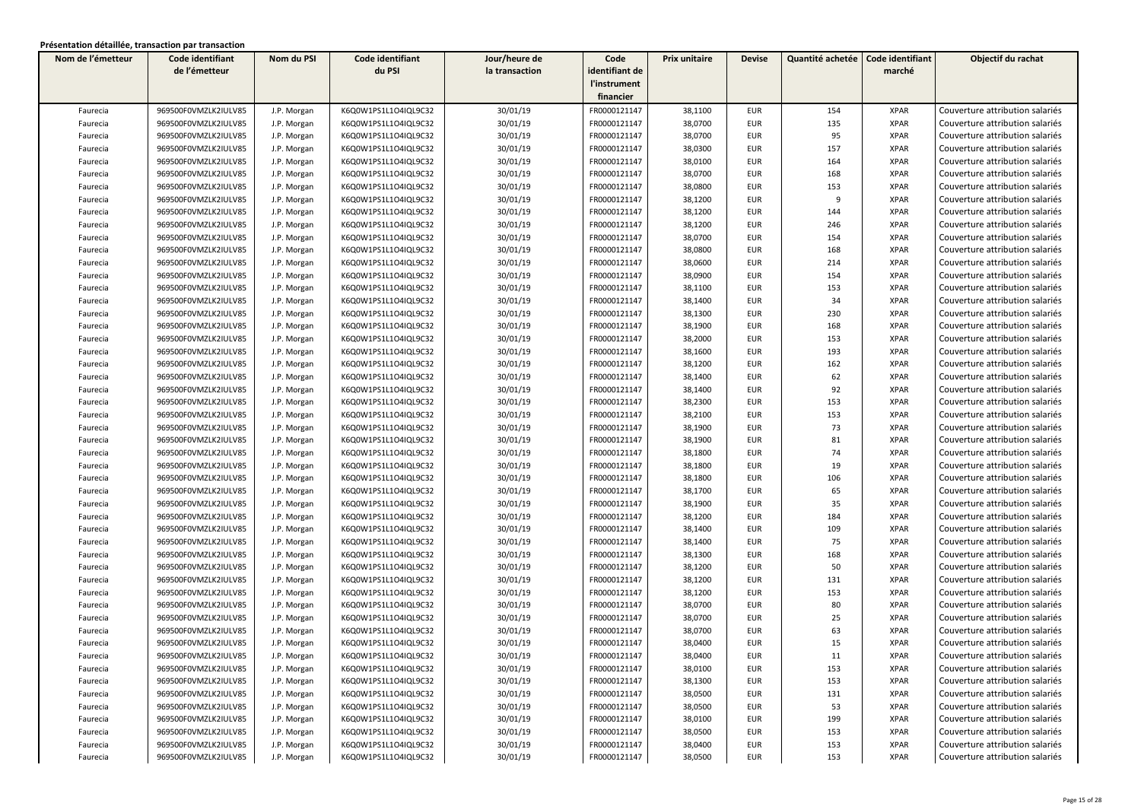| Nom de l'émetteur | Code identifiant     | Nom du PSI  | Code identifiant     | Jour/heure de  | Code           | Prix unitaire | <b>Devise</b> | Quantité achetée | Code identifiant | Objectif du rachat              |
|-------------------|----------------------|-------------|----------------------|----------------|----------------|---------------|---------------|------------------|------------------|---------------------------------|
|                   | de l'émetteur        |             | du PSI               | la transaction | identifiant de |               |               |                  | marché           |                                 |
|                   |                      |             |                      |                | l'instrument   |               |               |                  |                  |                                 |
|                   |                      |             |                      |                | financier      |               |               |                  |                  |                                 |
| Faurecia          | 969500F0VMZLK2IULV85 | J.P. Morgan | K6Q0W1PS1L1O4IQL9C32 | 30/01/19       | FR0000121147   | 38,1100       | <b>EUR</b>    | 154              | <b>XPAR</b>      | Couverture attribution salariés |
| Faurecia          | 969500F0VMZLK2IULV85 | J.P. Morgan | K6Q0W1PS1L1O4IQL9C32 | 30/01/19       | FR0000121147   | 38,0700       | <b>EUR</b>    | 135              | <b>XPAR</b>      | Couverture attribution salariés |
| Faurecia          | 969500F0VMZLK2IULV85 | J.P. Morgan | K6Q0W1PS1L1O4IQL9C32 | 30/01/19       | FR0000121147   | 38,0700       | <b>EUR</b>    | 95               | <b>XPAR</b>      | Couverture attribution salariés |
| Faurecia          | 969500F0VMZLK2IULV85 | J.P. Morgan | K6Q0W1PS1L1O4IQL9C32 | 30/01/19       | FR0000121147   | 38,0300       | <b>EUR</b>    | 157              | <b>XPAR</b>      | Couverture attribution salariés |
| Faurecia          | 969500F0VMZLK2IULV85 | J.P. Morgan | K6Q0W1PS1L1O4IQL9C32 | 30/01/19       | FR0000121147   | 38,0100       | <b>EUR</b>    | 164              | <b>XPAR</b>      | Couverture attribution salariés |
| Faurecia          | 969500F0VMZLK2IULV85 | J.P. Morgan | K6Q0W1PS1L1O4IQL9C32 | 30/01/19       | FR0000121147   | 38,0700       | <b>EUR</b>    | 168              | <b>XPAR</b>      | Couverture attribution salariés |
| Faurecia          | 969500F0VMZLK2IULV85 | J.P. Morgan | K6Q0W1PS1L1O4IQL9C32 | 30/01/19       | FR0000121147   | 38,0800       | <b>EUR</b>    | 153              | <b>XPAR</b>      | Couverture attribution salariés |
| Faurecia          | 969500F0VMZLK2IULV85 | J.P. Morgan | K6Q0W1PS1L1O4IQL9C32 | 30/01/19       | FR0000121147   | 38,1200       | <b>EUR</b>    | 9                | <b>XPAR</b>      | Couverture attribution salariés |
| Faurecia          | 969500F0VMZLK2IULV85 | J.P. Morgan | K6Q0W1PS1L1O4IQL9C32 | 30/01/19       | FR0000121147   | 38,1200       | <b>EUR</b>    | 144              | <b>XPAR</b>      | Couverture attribution salariés |
| Faurecia          | 969500F0VMZLK2IULV85 | J.P. Morgan | K6Q0W1PS1L1O4IQL9C32 | 30/01/19       | FR0000121147   | 38,1200       | <b>EUR</b>    | 246              | <b>XPAR</b>      | Couverture attribution salariés |
| Faurecia          | 969500F0VMZLK2IULV85 | J.P. Morgan | K6Q0W1PS1L1O4IQL9C32 | 30/01/19       | FR0000121147   | 38,0700       | <b>EUR</b>    | 154              | <b>XPAR</b>      | Couverture attribution salariés |
| Faurecia          | 969500F0VMZLK2IULV85 | J.P. Morgan | K6Q0W1PS1L1O4IQL9C32 | 30/01/19       | FR0000121147   | 38,0800       | <b>EUR</b>    | 168              | <b>XPAR</b>      | Couverture attribution salariés |
| Faurecia          | 969500F0VMZLK2IULV85 | J.P. Morgan | K6Q0W1PS1L1O4IQL9C32 | 30/01/19       | FR0000121147   | 38,0600       | <b>EUR</b>    | 214              | <b>XPAR</b>      | Couverture attribution salariés |
| Faurecia          | 969500F0VMZLK2IULV85 | J.P. Morgan | K6Q0W1PS1L1O4IQL9C32 | 30/01/19       | FR0000121147   | 38,0900       | <b>EUR</b>    | 154              | <b>XPAR</b>      | Couverture attribution salariés |
| Faurecia          | 969500F0VMZLK2IULV85 | J.P. Morgan | K6Q0W1PS1L1O4IQL9C32 | 30/01/19       | FR0000121147   | 38,1100       | <b>EUR</b>    | 153              | <b>XPAR</b>      | Couverture attribution salariés |
| Faurecia          | 969500F0VMZLK2IULV85 | J.P. Morgan | K6Q0W1PS1L1O4IQL9C32 | 30/01/19       | FR0000121147   | 38,1400       | <b>EUR</b>    | 34               | <b>XPAR</b>      | Couverture attribution salariés |
| Faurecia          | 969500F0VMZLK2IULV85 | J.P. Morgan | K6Q0W1PS1L1O4IQL9C32 | 30/01/19       | FR0000121147   | 38,1300       | <b>EUR</b>    | 230              | <b>XPAR</b>      | Couverture attribution salariés |
| Faurecia          | 969500F0VMZLK2IULV85 | J.P. Morgan | K6Q0W1PS1L1O4IQL9C32 | 30/01/19       | FR0000121147   | 38,1900       | <b>EUR</b>    | 168              | <b>XPAR</b>      | Couverture attribution salariés |
| Faurecia          | 969500F0VMZLK2IULV85 | J.P. Morgan | K6Q0W1PS1L1O4IQL9C32 | 30/01/19       | FR0000121147   | 38,2000       | <b>EUR</b>    | 153              | <b>XPAR</b>      | Couverture attribution salariés |
| Faurecia          | 969500F0VMZLK2IULV85 | J.P. Morgan | K6Q0W1PS1L1O4IQL9C32 | 30/01/19       | FR0000121147   | 38,1600       | <b>EUR</b>    | 193              | <b>XPAR</b>      | Couverture attribution salariés |
| Faurecia          | 969500F0VMZLK2IULV85 | J.P. Morgan | K6Q0W1PS1L1O4IQL9C32 | 30/01/19       | FR0000121147   | 38,1200       | <b>EUR</b>    | 162              | <b>XPAR</b>      | Couverture attribution salariés |
| Faurecia          | 969500F0VMZLK2IULV85 | J.P. Morgan | K6Q0W1PS1L1O4IQL9C32 | 30/01/19       | FR0000121147   | 38,1400       | <b>EUR</b>    | 62               | <b>XPAR</b>      | Couverture attribution salariés |
| Faurecia          | 969500F0VMZLK2IULV85 | J.P. Morgan | K6Q0W1PS1L1O4IQL9C32 | 30/01/19       | FR0000121147   | 38,1400       | <b>EUR</b>    | 92               | <b>XPAR</b>      | Couverture attribution salariés |
| Faurecia          | 969500F0VMZLK2IULV85 | J.P. Morgan | K6Q0W1PS1L1O4IQL9C32 | 30/01/19       | FR0000121147   | 38,2300       | <b>EUR</b>    | 153              | <b>XPAR</b>      | Couverture attribution salariés |
| Faurecia          | 969500F0VMZLK2IULV85 | J.P. Morgan | K6Q0W1PS1L1O4IQL9C32 | 30/01/19       | FR0000121147   | 38,2100       | <b>EUR</b>    | 153              | <b>XPAR</b>      | Couverture attribution salariés |
| Faurecia          | 969500F0VMZLK2IULV85 | J.P. Morgan | K6Q0W1PS1L1O4IQL9C32 | 30/01/19       | FR0000121147   | 38,1900       | <b>EUR</b>    | 73               | <b>XPAR</b>      | Couverture attribution salariés |
| Faurecia          | 969500F0VMZLK2IULV85 | J.P. Morgan | K6Q0W1PS1L1O4IQL9C32 | 30/01/19       | FR0000121147   | 38,1900       | <b>EUR</b>    | 81               | <b>XPAR</b>      | Couverture attribution salariés |
| Faurecia          | 969500F0VMZLK2IULV85 | J.P. Morgan | K6Q0W1PS1L1O4IQL9C32 | 30/01/19       | FR0000121147   | 38,1800       | <b>EUR</b>    | 74               | <b>XPAR</b>      | Couverture attribution salariés |
| Faurecia          | 969500F0VMZLK2IULV85 | J.P. Morgan | K6Q0W1PS1L1O4IQL9C32 | 30/01/19       | FR0000121147   | 38,1800       | <b>EUR</b>    | 19               | <b>XPAR</b>      | Couverture attribution salariés |
| Faurecia          | 969500F0VMZLK2IULV85 | J.P. Morgan | K6Q0W1PS1L1O4IQL9C32 | 30/01/19       | FR0000121147   | 38,1800       | <b>EUR</b>    | 106              | <b>XPAR</b>      | Couverture attribution salariés |
| Faurecia          | 969500F0VMZLK2IULV85 | J.P. Morgan | K6Q0W1PS1L1O4IQL9C32 | 30/01/19       | FR0000121147   | 38,1700       | <b>EUR</b>    | 65               | <b>XPAR</b>      | Couverture attribution salariés |
| Faurecia          | 969500F0VMZLK2IULV85 | J.P. Morgan | K6Q0W1PS1L1O4IQL9C32 | 30/01/19       | FR0000121147   | 38,1900       | <b>EUR</b>    | 35               | <b>XPAR</b>      | Couverture attribution salariés |
| Faurecia          | 969500F0VMZLK2IULV85 | J.P. Morgan | K6Q0W1PS1L1O4IQL9C32 | 30/01/19       | FR0000121147   | 38,1200       | <b>EUR</b>    | 184              | <b>XPAR</b>      | Couverture attribution salariés |
| Faurecia          | 969500F0VMZLK2IULV85 | J.P. Morgan | K6Q0W1PS1L1O4IQL9C32 | 30/01/19       | FR0000121147   | 38,1400       | <b>EUR</b>    | 109              | <b>XPAR</b>      | Couverture attribution salariés |
| Faurecia          | 969500F0VMZLK2IULV85 | J.P. Morgan | K6Q0W1PS1L1O4IQL9C32 | 30/01/19       | FR0000121147   | 38,1400       | <b>EUR</b>    | 75               | <b>XPAR</b>      | Couverture attribution salariés |
| Faurecia          | 969500F0VMZLK2IULV85 | J.P. Morgan | K6Q0W1PS1L1O4IQL9C32 | 30/01/19       | FR0000121147   | 38,1300       | <b>EUR</b>    | 168              | <b>XPAR</b>      | Couverture attribution salariés |
| Faurecia          | 969500F0VMZLK2IULV85 | J.P. Morgan | K6Q0W1PS1L1O4IQL9C32 | 30/01/19       | FR0000121147   | 38,1200       | <b>EUR</b>    | 50               | <b>XPAR</b>      | Couverture attribution salariés |
| Faurecia          | 969500F0VMZLK2IULV85 | J.P. Morgan | K6Q0W1PS1L1O4IQL9C32 | 30/01/19       | FR0000121147   | 38,1200       | <b>EUR</b>    | 131              | <b>XPAR</b>      | Couverture attribution salariés |
| Faurecia          | 969500F0VMZLK2IULV85 | J.P. Morgan | K6Q0W1PS1L1O4IQL9C32 | 30/01/19       | FR0000121147   | 38,1200       | <b>EUR</b>    | 153              | <b>XPAR</b>      | Couverture attribution salariés |
| Faurecia          | 969500F0VMZLK2IULV85 | J.P. Morgan | K6Q0W1PS1L1O4IQL9C32 | 30/01/19       | FR0000121147   | 38,0700       | <b>EUR</b>    | 80               | <b>XPAR</b>      | Couverture attribution salariés |
| Faurecia          | 969500F0VMZLK2IULV85 | J.P. Morgan | K6Q0W1PS1L1O4IQL9C32 | 30/01/19       | FR0000121147   | 38,0700       | <b>EUR</b>    | 25               | <b>XPAR</b>      | Couverture attribution salariés |
| Faurecia          | 969500F0VMZLK2IULV85 | J.P. Morgan | K6Q0W1PS1L1O4IQL9C32 | 30/01/19       | FR0000121147   | 38,0700       | <b>EUR</b>    | 63               | <b>XPAR</b>      | Couverture attribution salariés |
| Faurecia          | 969500F0VMZLK2IULV85 | J.P. Morgan | K6Q0W1PS1L1O4IQL9C32 | 30/01/19       | FR0000121147   | 38,0400       | <b>EUR</b>    | 15               | <b>XPAR</b>      | Couverture attribution salariés |
| Faurecia          | 969500F0VMZLK2IULV85 | J.P. Morgan | K6Q0W1PS1L1O4IQL9C32 | 30/01/19       | FR0000121147   | 38,0400       | EUR           | 11               | XPAR             | Couverture attribution salariés |
| Faurecia          | 969500F0VMZLK2IULV85 | J.P. Morgan | K6Q0W1PS1L1O4IQL9C32 | 30/01/19       | FR0000121147   | 38,0100       | <b>EUR</b>    | 153              | <b>XPAR</b>      | Couverture attribution salariés |
| Faurecia          | 969500F0VMZLK2IULV85 | J.P. Morgan | K6Q0W1PS1L1O4IQL9C32 | 30/01/19       | FR0000121147   | 38,1300       | EUR           | 153              | <b>XPAR</b>      | Couverture attribution salariés |
| Faurecia          | 969500F0VMZLK2IULV85 | J.P. Morgan | K6Q0W1PS1L1O4IQL9C32 | 30/01/19       | FR0000121147   | 38,0500       | EUR           | 131              | XPAR             | Couverture attribution salariés |
| Faurecia          | 969500F0VMZLK2IULV85 | J.P. Morgan | K6Q0W1PS1L1O4IQL9C32 | 30/01/19       | FR0000121147   | 38,0500       | EUR           | 53               | <b>XPAR</b>      | Couverture attribution salariés |
| Faurecia          | 969500F0VMZLK2IULV85 | J.P. Morgan | K6Q0W1PS1L1O4IQL9C32 | 30/01/19       | FR0000121147   | 38,0100       | EUR           | 199              | <b>XPAR</b>      | Couverture attribution salariés |
| Faurecia          | 969500F0VMZLK2IULV85 | J.P. Morgan | K6Q0W1PS1L1O4IQL9C32 | 30/01/19       | FR0000121147   | 38,0500       | <b>EUR</b>    | 153              | <b>XPAR</b>      | Couverture attribution salariés |
| Faurecia          | 969500F0VMZLK2IULV85 | J.P. Morgan | K6Q0W1PS1L1O4IQL9C32 | 30/01/19       | FR0000121147   | 38,0400       | <b>EUR</b>    | 153              | <b>XPAR</b>      | Couverture attribution salariés |
| Faurecia          | 969500F0VMZLK2IULV85 | J.P. Morgan | K6Q0W1PS1L1O4IQL9C32 | 30/01/19       | FR0000121147   | 38,0500       | EUR           | 153              | <b>XPAR</b>      | Couverture attribution salariés |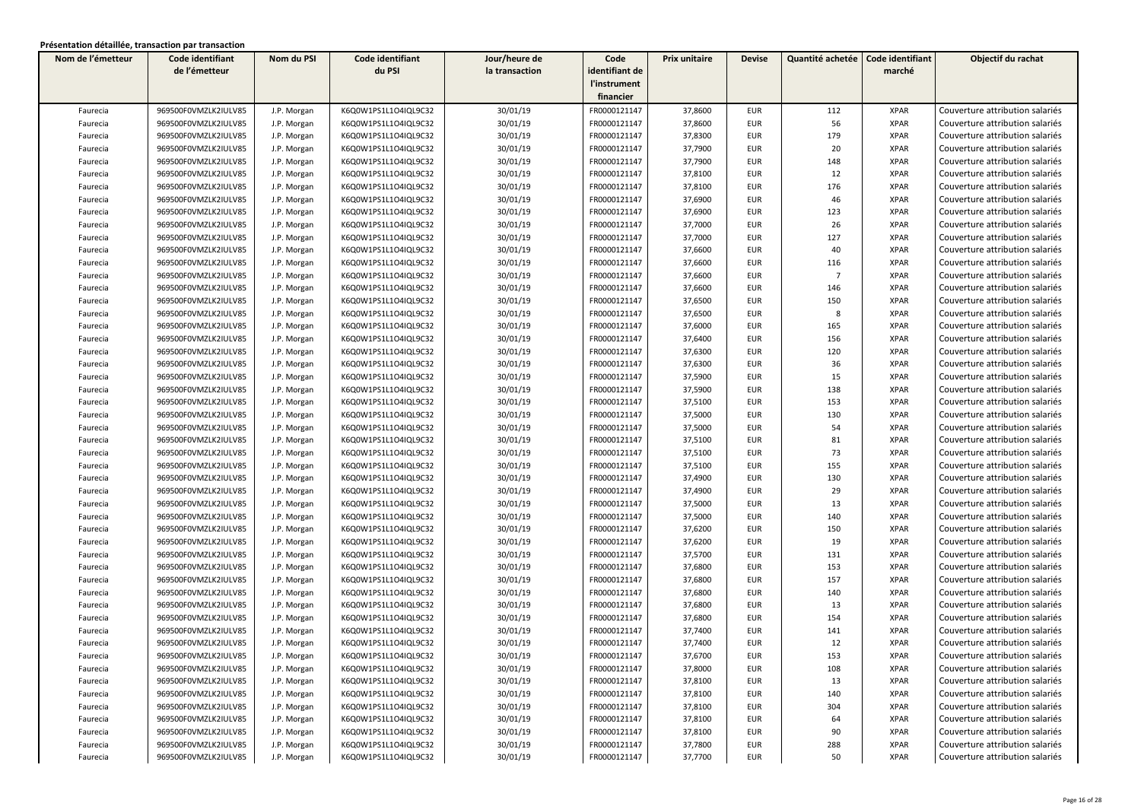| Nom de l'émetteur | Code identifiant     | Nom du PSI  | Code identifiant     | Jour/heure de  | Code           | Prix unitaire | <b>Devise</b> | Quantité achetée | Code identifiant | Objectif du rachat              |
|-------------------|----------------------|-------------|----------------------|----------------|----------------|---------------|---------------|------------------|------------------|---------------------------------|
|                   | de l'émetteur        |             | du PSI               | la transaction | identifiant de |               |               |                  | marché           |                                 |
|                   |                      |             |                      |                | l'instrument   |               |               |                  |                  |                                 |
|                   |                      |             |                      |                | financier      |               |               |                  |                  |                                 |
| Faurecia          | 969500F0VMZLK2IULV85 | J.P. Morgan | K6Q0W1PS1L1O4IQL9C32 | 30/01/19       | FR0000121147   | 37,8600       | <b>EUR</b>    | 112              | <b>XPAR</b>      | Couverture attribution salariés |
| Faurecia          | 969500F0VMZLK2IULV85 | J.P. Morgan | K6Q0W1PS1L1O4IQL9C32 | 30/01/19       | FR0000121147   | 37,8600       | <b>EUR</b>    | 56               | <b>XPAR</b>      | Couverture attribution salariés |
| Faurecia          | 969500F0VMZLK2IULV85 | J.P. Morgan | K6Q0W1PS1L1O4IQL9C32 | 30/01/19       | FR0000121147   | 37,8300       | <b>EUR</b>    | 179              | <b>XPAR</b>      | Couverture attribution salariés |
| Faurecia          | 969500F0VMZLK2IULV85 | J.P. Morgan | K6Q0W1PS1L1O4IQL9C32 | 30/01/19       | FR0000121147   | 37,7900       | <b>EUR</b>    | 20               | <b>XPAR</b>      | Couverture attribution salariés |
| Faurecia          | 969500F0VMZLK2IULV85 | J.P. Morgan | K6Q0W1PS1L1O4IQL9C32 | 30/01/19       | FR0000121147   | 37,7900       | <b>EUR</b>    | 148              | <b>XPAR</b>      | Couverture attribution salariés |
| Faurecia          | 969500F0VMZLK2IULV85 | J.P. Morgan | K6Q0W1PS1L1O4IQL9C32 | 30/01/19       | FR0000121147   | 37,8100       | <b>EUR</b>    | 12               | <b>XPAR</b>      | Couverture attribution salariés |
| Faurecia          | 969500F0VMZLK2IULV85 | J.P. Morgan | K6Q0W1PS1L1O4IQL9C32 | 30/01/19       | FR0000121147   | 37,8100       | <b>EUR</b>    | 176              | <b>XPAR</b>      | Couverture attribution salariés |
| Faurecia          | 969500F0VMZLK2IULV85 | J.P. Morgan | K6Q0W1PS1L1O4IQL9C32 | 30/01/19       | FR0000121147   | 37,6900       | <b>EUR</b>    | 46               | <b>XPAR</b>      | Couverture attribution salariés |
| Faurecia          | 969500F0VMZLK2IULV85 | J.P. Morgan | K6Q0W1PS1L1O4IQL9C32 | 30/01/19       | FR0000121147   | 37,6900       | <b>EUR</b>    | 123              | <b>XPAR</b>      | Couverture attribution salariés |
| Faurecia          | 969500F0VMZLK2IULV85 | J.P. Morgan | K6Q0W1PS1L1O4IQL9C32 | 30/01/19       | FR0000121147   | 37,7000       | <b>EUR</b>    | 26               | <b>XPAR</b>      | Couverture attribution salariés |
| Faurecia          | 969500F0VMZLK2IULV85 | J.P. Morgan | K6Q0W1PS1L1O4IQL9C32 | 30/01/19       | FR0000121147   | 37,7000       | <b>EUR</b>    | 127              | <b>XPAR</b>      | Couverture attribution salariés |
| Faurecia          | 969500F0VMZLK2IULV85 | J.P. Morgan | K6Q0W1PS1L1O4IQL9C32 | 30/01/19       | FR0000121147   | 37,6600       | <b>EUR</b>    | 40               | <b>XPAR</b>      | Couverture attribution salariés |
| Faurecia          | 969500F0VMZLK2IULV85 | J.P. Morgan | K6Q0W1PS1L1O4IQL9C32 | 30/01/19       | FR0000121147   | 37,6600       | <b>EUR</b>    | 116              | <b>XPAR</b>      | Couverture attribution salariés |
| Faurecia          | 969500F0VMZLK2IULV85 | J.P. Morgan | K6Q0W1PS1L1O4IQL9C32 | 30/01/19       | FR0000121147   | 37,6600       | <b>EUR</b>    | $\overline{7}$   | <b>XPAR</b>      | Couverture attribution salariés |
| Faurecia          | 969500F0VMZLK2IULV85 | J.P. Morgan | K6Q0W1PS1L1O4IQL9C32 | 30/01/19       | FR0000121147   | 37,6600       | <b>EUR</b>    | 146              | <b>XPAR</b>      | Couverture attribution salariés |
| Faurecia          | 969500F0VMZLK2IULV85 | J.P. Morgan | K6Q0W1PS1L1O4IQL9C32 | 30/01/19       | FR0000121147   | 37,6500       | <b>EUR</b>    | 150              | <b>XPAR</b>      | Couverture attribution salariés |
| Faurecia          | 969500F0VMZLK2IULV85 | J.P. Morgan | K6Q0W1PS1L1O4IQL9C32 | 30/01/19       | FR0000121147   | 37,6500       | <b>EUR</b>    | 8                | <b>XPAR</b>      | Couverture attribution salariés |
| Faurecia          | 969500F0VMZLK2IULV85 | J.P. Morgan | K6Q0W1PS1L1O4IQL9C32 | 30/01/19       | FR0000121147   | 37,6000       | <b>EUR</b>    | 165              | <b>XPAR</b>      | Couverture attribution salariés |
| Faurecia          | 969500F0VMZLK2IULV85 | J.P. Morgan | K6Q0W1PS1L1O4IQL9C32 | 30/01/19       | FR0000121147   | 37,6400       | <b>EUR</b>    | 156              | <b>XPAR</b>      | Couverture attribution salariés |
| Faurecia          | 969500F0VMZLK2IULV85 | J.P. Morgan | K6Q0W1PS1L1O4IQL9C32 | 30/01/19       | FR0000121147   | 37,6300       | <b>EUR</b>    | 120              | <b>XPAR</b>      | Couverture attribution salariés |
| Faurecia          | 969500F0VMZLK2IULV85 | J.P. Morgan | K6Q0W1PS1L1O4IQL9C32 | 30/01/19       | FR0000121147   | 37,6300       | <b>EUR</b>    | 36               | <b>XPAR</b>      | Couverture attribution salariés |
| Faurecia          | 969500F0VMZLK2IULV85 | J.P. Morgan | K6Q0W1PS1L1O4IQL9C32 | 30/01/19       | FR0000121147   | 37,5900       | <b>EUR</b>    | 15               | <b>XPAR</b>      | Couverture attribution salariés |
| Faurecia          | 969500F0VMZLK2IULV85 | J.P. Morgan | K6Q0W1PS1L1O4IQL9C32 | 30/01/19       | FR0000121147   | 37,5900       | <b>EUR</b>    | 138              | <b>XPAR</b>      | Couverture attribution salariés |
| Faurecia          | 969500F0VMZLK2IULV85 | J.P. Morgan | K6Q0W1PS1L1O4IQL9C32 | 30/01/19       | FR0000121147   | 37,5100       | <b>EUR</b>    | 153              | <b>XPAR</b>      | Couverture attribution salariés |
| Faurecia          | 969500F0VMZLK2IULV85 | J.P. Morgan | K6Q0W1PS1L1O4IQL9C32 | 30/01/19       | FR0000121147   | 37,5000       | <b>EUR</b>    | 130              | <b>XPAR</b>      | Couverture attribution salariés |
| Faurecia          | 969500F0VMZLK2IULV85 | J.P. Morgan | K6Q0W1PS1L1O4IQL9C32 | 30/01/19       | FR0000121147   | 37,5000       | <b>EUR</b>    | 54               | <b>XPAR</b>      | Couverture attribution salariés |
| Faurecia          | 969500F0VMZLK2IULV85 | J.P. Morgan | K6Q0W1PS1L1O4IQL9C32 | 30/01/19       | FR0000121147   | 37,5100       | <b>EUR</b>    | 81               | <b>XPAR</b>      | Couverture attribution salariés |
| Faurecia          | 969500F0VMZLK2IULV85 | J.P. Morgan | K6Q0W1PS1L1O4IQL9C32 | 30/01/19       | FR0000121147   | 37,5100       | <b>EUR</b>    | 73               | <b>XPAR</b>      | Couverture attribution salariés |
| Faurecia          | 969500F0VMZLK2IULV85 | J.P. Morgan | K6Q0W1PS1L1O4IQL9C32 | 30/01/19       | FR0000121147   | 37,5100       | <b>EUR</b>    | 155              | <b>XPAR</b>      | Couverture attribution salariés |
| Faurecia          | 969500F0VMZLK2IULV85 | J.P. Morgan | K6Q0W1PS1L1O4IQL9C32 | 30/01/19       | FR0000121147   | 37,4900       | <b>EUR</b>    | 130              | <b>XPAR</b>      | Couverture attribution salariés |
| Faurecia          | 969500F0VMZLK2IULV85 | J.P. Morgan | K6Q0W1PS1L1O4IQL9C32 | 30/01/19       | FR0000121147   | 37,4900       | <b>EUR</b>    | 29               | <b>XPAR</b>      | Couverture attribution salariés |
| Faurecia          | 969500F0VMZLK2IULV85 | J.P. Morgan | K6Q0W1PS1L1O4IQL9C32 | 30/01/19       | FR0000121147   | 37,5000       | <b>EUR</b>    | 13               | <b>XPAR</b>      | Couverture attribution salariés |
| Faurecia          | 969500F0VMZLK2IULV85 | J.P. Morgan | K6Q0W1PS1L1O4IQL9C32 | 30/01/19       | FR0000121147   | 37,5000       | <b>EUR</b>    | 140              | <b>XPAR</b>      | Couverture attribution salariés |
| Faurecia          | 969500F0VMZLK2IULV85 | J.P. Morgan | K6Q0W1PS1L1O4IQL9C32 | 30/01/19       | FR0000121147   | 37,6200       | <b>EUR</b>    | 150              | <b>XPAR</b>      | Couverture attribution salariés |
| Faurecia          | 969500F0VMZLK2IULV85 | J.P. Morgan | K6Q0W1PS1L1O4IQL9C32 | 30/01/19       | FR0000121147   | 37,6200       | <b>EUR</b>    | 19               | <b>XPAR</b>      | Couverture attribution salariés |
| Faurecia          | 969500F0VMZLK2IULV85 | J.P. Morgan | K6Q0W1PS1L1O4IQL9C32 | 30/01/19       | FR0000121147   | 37,5700       | <b>EUR</b>    | 131              | <b>XPAR</b>      | Couverture attribution salariés |
| Faurecia          | 969500F0VMZLK2IULV85 | J.P. Morgan | K6Q0W1PS1L1O4IQL9C32 | 30/01/19       | FR0000121147   | 37,6800       | <b>EUR</b>    | 153              | <b>XPAR</b>      | Couverture attribution salariés |
| Faurecia          | 969500F0VMZLK2IULV85 | J.P. Morgan | K6Q0W1PS1L1O4IQL9C32 | 30/01/19       | FR0000121147   | 37,6800       | <b>EUR</b>    | 157              | <b>XPAR</b>      | Couverture attribution salariés |
| Faurecia          | 969500F0VMZLK2IULV85 | J.P. Morgan | K6Q0W1PS1L1O4IQL9C32 | 30/01/19       | FR0000121147   | 37,6800       | <b>EUR</b>    | 140              | <b>XPAR</b>      | Couverture attribution salariés |
| Faurecia          | 969500F0VMZLK2IULV85 | J.P. Morgan | K6Q0W1PS1L1O4IQL9C32 | 30/01/19       | FR0000121147   | 37,6800       | <b>EUR</b>    | 13               | <b>XPAR</b>      | Couverture attribution salariés |
| Faurecia          | 969500F0VMZLK2IULV85 | J.P. Morgan | K6Q0W1PS1L1O4IQL9C32 | 30/01/19       | FR0000121147   | 37,6800       | EUR           | 154              | <b>XPAR</b>      | Couverture attribution salariés |
| Faurecia          | 969500F0VMZLK2IULV85 | J.P. Morgan | K6Q0W1PS1L1O4IQL9C32 | 30/01/19       | FR0000121147   | 37,7400       | <b>EUR</b>    | 141              | <b>XPAR</b>      | Couverture attribution salariés |
| Faurecia          | 969500F0VMZLK2IULV85 | J.P. Morgan | K6Q0W1PS1L1O4IQL9C32 | 30/01/19       | FR0000121147   | 37,7400       | <b>EUR</b>    | 12               | <b>XPAR</b>      | Couverture attribution salariés |
| Faurecia          | 969500F0VMZLK2IULV85 | J.P. Morgan | K6Q0W1PS1L1O4IQL9C32 | 30/01/19       | FR0000121147   | 37,6700       | <b>EUR</b>    | 153              | <b>XPAR</b>      | Couverture attribution salariés |
| Faurecia          | 969500F0VMZLK2IULV85 | J.P. Morgan | K6Q0W1PS1L1O4IQL9C32 | 30/01/19       | FR0000121147   | 37,8000       | <b>EUR</b>    | 108              | <b>XPAR</b>      | Couverture attribution salariés |
| Faurecia          | 969500F0VMZLK2IULV85 | J.P. Morgan | K6Q0W1PS1L1O4IQL9C32 | 30/01/19       | FR0000121147   | 37,8100       | EUR           | 13               | <b>XPAR</b>      | Couverture attribution salariés |
| Faurecia          | 969500F0VMZLK2IULV85 | J.P. Morgan | K6Q0W1PS1L1O4IQL9C32 | 30/01/19       | FR0000121147   | 37,8100       | <b>EUR</b>    | 140              | <b>XPAR</b>      | Couverture attribution salariés |
| Faurecia          | 969500F0VMZLK2IULV85 | J.P. Morgan | K6Q0W1PS1L1O4IQL9C32 | 30/01/19       | FR0000121147   | 37,8100       | EUR           | 304              | <b>XPAR</b>      | Couverture attribution salariés |
| Faurecia          | 969500F0VMZLK2IULV85 | J.P. Morgan | K6Q0W1PS1L1O4IQL9C32 | 30/01/19       | FR0000121147   | 37,8100       | <b>EUR</b>    | 64               | <b>XPAR</b>      | Couverture attribution salariés |
| Faurecia          | 969500F0VMZLK2IULV85 | J.P. Morgan | K6Q0W1PS1L1O4IQL9C32 | 30/01/19       | FR0000121147   | 37,8100       | EUR           | 90               | <b>XPAR</b>      | Couverture attribution salariés |
| Faurecia          | 969500F0VMZLK2IULV85 | J.P. Morgan | K6Q0W1PS1L1O4IQL9C32 | 30/01/19       | FR0000121147   | 37,7800       | EUR           | 288              | <b>XPAR</b>      | Couverture attribution salariés |
| Faurecia          | 969500F0VMZLK2IULV85 | J.P. Morgan | K6Q0W1PS1L1O4IQL9C32 | 30/01/19       | FR0000121147   | 37,7700       | <b>EUR</b>    | 50               | <b>XPAR</b>      | Couverture attribution salariés |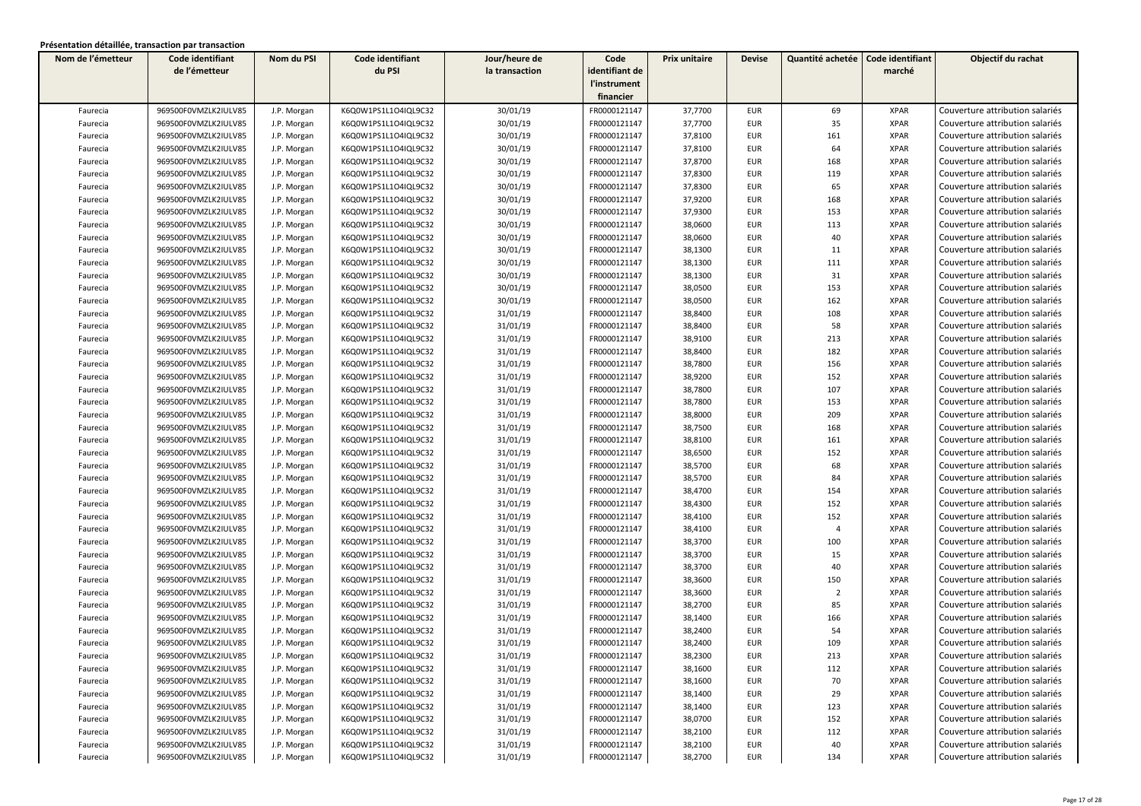| Nom de l'émetteur | Code identifiant     | Nom du PSI  | Code identifiant     | Jour/heure de  | Code           | Prix unitaire | <b>Devise</b> | Quantité achetée | Code identifiant | Objectif du rachat              |
|-------------------|----------------------|-------------|----------------------|----------------|----------------|---------------|---------------|------------------|------------------|---------------------------------|
|                   | de l'émetteur        |             | du PSI               | la transaction | identifiant de |               |               |                  | marché           |                                 |
|                   |                      |             |                      |                | l'instrument   |               |               |                  |                  |                                 |
|                   |                      |             |                      |                | financier      |               |               |                  |                  |                                 |
| Faurecia          | 969500F0VMZLK2IULV85 | J.P. Morgan | K6Q0W1PS1L1O4IQL9C32 | 30/01/19       | FR0000121147   | 37,7700       | <b>EUR</b>    | 69               | <b>XPAR</b>      | Couverture attribution salariés |
| Faurecia          | 969500F0VMZLK2IULV85 | J.P. Morgan | K6Q0W1PS1L1O4IQL9C32 | 30/01/19       | FR0000121147   | 37,7700       | <b>EUR</b>    | 35               | <b>XPAR</b>      | Couverture attribution salariés |
| Faurecia          | 969500F0VMZLK2IULV85 | J.P. Morgan | K6Q0W1PS1L1O4IQL9C32 | 30/01/19       | FR0000121147   | 37,8100       | <b>EUR</b>    | 161              | <b>XPAR</b>      | Couverture attribution salariés |
| Faurecia          | 969500F0VMZLK2IULV85 | J.P. Morgan | K6Q0W1PS1L1O4IQL9C32 | 30/01/19       | FR0000121147   | 37,8100       | <b>EUR</b>    | 64               | <b>XPAR</b>      | Couverture attribution salariés |
| Faurecia          | 969500F0VMZLK2IULV85 | J.P. Morgan | K6Q0W1PS1L1O4IQL9C32 | 30/01/19       | FR0000121147   | 37,8700       | <b>EUR</b>    | 168              | <b>XPAR</b>      | Couverture attribution salariés |
| Faurecia          | 969500F0VMZLK2IULV85 | J.P. Morgan | K6Q0W1PS1L1O4IQL9C32 | 30/01/19       | FR0000121147   | 37,8300       | <b>EUR</b>    | 119              | <b>XPAR</b>      | Couverture attribution salariés |
| Faurecia          | 969500F0VMZLK2IULV85 | J.P. Morgan | K6Q0W1PS1L1O4IQL9C32 | 30/01/19       | FR0000121147   | 37,8300       | <b>EUR</b>    | 65               | <b>XPAR</b>      | Couverture attribution salariés |
| Faurecia          | 969500F0VMZLK2IULV85 | J.P. Morgan | K6Q0W1PS1L1O4IQL9C32 | 30/01/19       | FR0000121147   | 37,9200       | <b>EUR</b>    | 168              | <b>XPAR</b>      | Couverture attribution salariés |
| Faurecia          | 969500F0VMZLK2IULV85 | J.P. Morgan | K6Q0W1PS1L1O4IQL9C32 | 30/01/19       | FR0000121147   | 37,9300       | <b>EUR</b>    | 153              | <b>XPAR</b>      | Couverture attribution salariés |
| Faurecia          | 969500F0VMZLK2IULV85 | J.P. Morgan | K6Q0W1PS1L1O4IQL9C32 | 30/01/19       | FR0000121147   | 38,0600       | <b>EUR</b>    | 113              | <b>XPAR</b>      | Couverture attribution salariés |
| Faurecia          | 969500F0VMZLK2IULV85 | J.P. Morgan | K6Q0W1PS1L1O4IQL9C32 | 30/01/19       | FR0000121147   | 38,0600       | <b>EUR</b>    | 40               | <b>XPAR</b>      | Couverture attribution salariés |
| Faurecia          | 969500F0VMZLK2IULV85 | J.P. Morgan | K6Q0W1PS1L1O4IQL9C32 | 30/01/19       | FR0000121147   | 38,1300       | <b>EUR</b>    | 11               | <b>XPAR</b>      | Couverture attribution salariés |
| Faurecia          | 969500F0VMZLK2IULV85 | J.P. Morgan | K6Q0W1PS1L1O4IQL9C32 | 30/01/19       | FR0000121147   | 38,1300       | <b>EUR</b>    | 111              | <b>XPAR</b>      | Couverture attribution salariés |
| Faurecia          | 969500F0VMZLK2IULV85 | J.P. Morgan | K6Q0W1PS1L1O4IQL9C32 | 30/01/19       | FR0000121147   | 38,1300       | <b>EUR</b>    | 31               | <b>XPAR</b>      | Couverture attribution salariés |
| Faurecia          | 969500F0VMZLK2IULV85 | J.P. Morgan | K6Q0W1PS1L1O4IQL9C32 | 30/01/19       | FR0000121147   | 38,0500       | <b>EUR</b>    | 153              | <b>XPAR</b>      | Couverture attribution salariés |
| Faurecia          | 969500F0VMZLK2IULV85 | J.P. Morgan | K6Q0W1PS1L1O4IQL9C32 | 30/01/19       | FR0000121147   | 38,0500       | <b>EUR</b>    | 162              | <b>XPAR</b>      | Couverture attribution salariés |
| Faurecia          | 969500F0VMZLK2IULV85 | J.P. Morgan | K6Q0W1PS1L1O4IQL9C32 | 31/01/19       | FR0000121147   | 38,8400       | <b>EUR</b>    | 108              | <b>XPAR</b>      | Couverture attribution salariés |
| Faurecia          | 969500F0VMZLK2IULV85 | J.P. Morgan | K6Q0W1PS1L1O4IQL9C32 | 31/01/19       | FR0000121147   | 38,8400       | <b>EUR</b>    | 58               | <b>XPAR</b>      | Couverture attribution salariés |
| Faurecia          | 969500F0VMZLK2IULV85 | J.P. Morgan | K6Q0W1PS1L1O4IQL9C32 | 31/01/19       | FR0000121147   | 38,9100       | <b>EUR</b>    | 213              | <b>XPAR</b>      | Couverture attribution salariés |
| Faurecia          | 969500F0VMZLK2IULV85 | J.P. Morgan | K6Q0W1PS1L1O4IQL9C32 | 31/01/19       | FR0000121147   | 38,8400       | <b>EUR</b>    | 182              | <b>XPAR</b>      | Couverture attribution salariés |
| Faurecia          | 969500F0VMZLK2IULV85 | J.P. Morgan | K6Q0W1PS1L1O4IQL9C32 | 31/01/19       | FR0000121147   | 38,7800       | <b>EUR</b>    | 156              | <b>XPAR</b>      | Couverture attribution salariés |
| Faurecia          | 969500F0VMZLK2IULV85 | J.P. Morgan | K6Q0W1PS1L1O4IQL9C32 | 31/01/19       | FR0000121147   | 38,9200       | <b>EUR</b>    | 152              | <b>XPAR</b>      | Couverture attribution salariés |
| Faurecia          | 969500F0VMZLK2IULV85 | J.P. Morgan | K6Q0W1PS1L1O4IQL9C32 | 31/01/19       | FR0000121147   | 38,7800       | <b>EUR</b>    | 107              | <b>XPAR</b>      | Couverture attribution salariés |
| Faurecia          | 969500F0VMZLK2IULV85 | J.P. Morgan | K6Q0W1PS1L1O4IQL9C32 | 31/01/19       | FR0000121147   | 38,7800       | <b>EUR</b>    | 153              | <b>XPAR</b>      | Couverture attribution salariés |
| Faurecia          | 969500F0VMZLK2IULV85 | J.P. Morgan | K6Q0W1PS1L1O4IQL9C32 | 31/01/19       | FR0000121147   | 38,8000       | <b>EUR</b>    | 209              | <b>XPAR</b>      | Couverture attribution salariés |
| Faurecia          | 969500F0VMZLK2IULV85 | J.P. Morgan | K6Q0W1PS1L1O4IQL9C32 | 31/01/19       | FR0000121147   | 38,7500       | <b>EUR</b>    | 168              | <b>XPAR</b>      | Couverture attribution salariés |
| Faurecia          | 969500F0VMZLK2IULV85 | J.P. Morgan | K6Q0W1PS1L1O4IQL9C32 | 31/01/19       | FR0000121147   | 38,8100       | <b>EUR</b>    | 161              | <b>XPAR</b>      | Couverture attribution salariés |
| Faurecia          | 969500F0VMZLK2IULV85 | J.P. Morgan | K6Q0W1PS1L1O4IQL9C32 | 31/01/19       | FR0000121147   | 38,6500       | <b>EUR</b>    | 152              | <b>XPAR</b>      | Couverture attribution salariés |
| Faurecia          | 969500F0VMZLK2IULV85 | J.P. Morgan | K6Q0W1PS1L1O4IQL9C32 | 31/01/19       | FR0000121147   | 38,5700       | <b>EUR</b>    | 68               | <b>XPAR</b>      | Couverture attribution salariés |
| Faurecia          | 969500F0VMZLK2IULV85 | J.P. Morgan | K6Q0W1PS1L1O4IQL9C32 | 31/01/19       | FR0000121147   | 38,5700       | <b>EUR</b>    | 84               | <b>XPAR</b>      | Couverture attribution salariés |
| Faurecia          | 969500F0VMZLK2IULV85 | J.P. Morgan | K6Q0W1PS1L1O4IQL9C32 | 31/01/19       | FR0000121147   | 38,4700       | <b>EUR</b>    | 154              | <b>XPAR</b>      | Couverture attribution salariés |
| Faurecia          | 969500F0VMZLK2IULV85 | J.P. Morgan | K6Q0W1PS1L1O4IQL9C32 | 31/01/19       | FR0000121147   | 38,4300       | <b>EUR</b>    | 152              | <b>XPAR</b>      | Couverture attribution salariés |
| Faurecia          | 969500F0VMZLK2IULV85 | J.P. Morgan | K6Q0W1PS1L1O4IQL9C32 | 31/01/19       | FR0000121147   | 38,4100       | <b>EUR</b>    | 152              | <b>XPAR</b>      | Couverture attribution salariés |
| Faurecia          | 969500F0VMZLK2IULV85 | J.P. Morgan | K6Q0W1PS1L1O4IQL9C32 | 31/01/19       | FR0000121147   | 38,4100       | <b>EUR</b>    | $\overline{4}$   | <b>XPAR</b>      | Couverture attribution salariés |
| Faurecia          | 969500F0VMZLK2IULV85 | J.P. Morgan | K6Q0W1PS1L1O4IQL9C32 | 31/01/19       | FR0000121147   | 38,3700       | <b>EUR</b>    | 100              | <b>XPAR</b>      | Couverture attribution salariés |
| Faurecia          | 969500F0VMZLK2IULV85 | J.P. Morgan | K6Q0W1PS1L1O4IQL9C32 | 31/01/19       | FR0000121147   | 38,3700       | <b>EUR</b>    | 15               | <b>XPAR</b>      | Couverture attribution salariés |
| Faurecia          | 969500F0VMZLK2IULV85 | J.P. Morgan | K6Q0W1PS1L1O4IQL9C32 | 31/01/19       | FR0000121147   | 38,3700       | <b>EUR</b>    | 40               | <b>XPAR</b>      | Couverture attribution salariés |
| Faurecia          | 969500F0VMZLK2IULV85 | J.P. Morgan | K6Q0W1PS1L1O4IQL9C32 | 31/01/19       | FR0000121147   | 38,3600       | <b>EUR</b>    | 150              | <b>XPAR</b>      | Couverture attribution salariés |
| Faurecia          | 969500F0VMZLK2IULV85 | J.P. Morgan | K6Q0W1PS1L1O4IQL9C32 | 31/01/19       | FR0000121147   | 38,3600       | <b>EUR</b>    | $\overline{2}$   | <b>XPAR</b>      | Couverture attribution salariés |
| Faurecia          | 969500F0VMZLK2IULV85 | J.P. Morgan | K6Q0W1PS1L1O4IQL9C32 | 31/01/19       | FR0000121147   | 38,2700       | <b>EUR</b>    | 85               | <b>XPAR</b>      | Couverture attribution salariés |
| Faurecia          | 969500F0VMZLK2IULV85 | J.P. Morgan | K6Q0W1PS1L1O4IQL9C32 | 31/01/19       | FR0000121147   | 38,1400       | <b>EUR</b>    | 166              | <b>XPAR</b>      | Couverture attribution salariés |
| Faurecia          | 969500F0VMZLK2IULV85 | J.P. Morgan | K6Q0W1PS1L1O4IQL9C32 | 31/01/19       | FR0000121147   | 38,2400       | <b>EUR</b>    | 54               | <b>XPAR</b>      | Couverture attribution salariés |
| Faurecia          | 969500F0VMZLK2IULV85 | J.P. Morgan | K6Q0W1PS1L1O4IQL9C32 | 31/01/19       | FR0000121147   | 38,2400       | <b>EUR</b>    | 109              | <b>XPAR</b>      | Couverture attribution salariés |
| Faurecia          | 969500F0VMZLK2IULV85 | J.P. Morgan | K6Q0W1PS1L1O4IQL9C32 | 31/01/19       | FR0000121147   | 38,2300       | EUR           | 213              | XPAR             | Couverture attribution salariés |
| Faurecia          | 969500F0VMZLK2IULV85 | J.P. Morgan | K6Q0W1PS1L1O4IQL9C32 | 31/01/19       | FR0000121147   | 38,1600       | <b>EUR</b>    | 112              | <b>XPAR</b>      | Couverture attribution salariés |
| Faurecia          | 969500F0VMZLK2IULV85 | J.P. Morgan | K6Q0W1PS1L1O4IQL9C32 | 31/01/19       | FR0000121147   | 38,1600       | EUR           | 70               | <b>XPAR</b>      | Couverture attribution salariés |
| Faurecia          | 969500F0VMZLK2IULV85 | J.P. Morgan | K6Q0W1PS1L1O4IQL9C32 | 31/01/19       | FR0000121147   | 38,1400       | EUR           | 29               | XPAR             | Couverture attribution salariés |
| Faurecia          | 969500F0VMZLK2IULV85 | J.P. Morgan | K6Q0W1PS1L1O4IQL9C32 | 31/01/19       | FR0000121147   | 38,1400       | EUR           | 123              | <b>XPAR</b>      | Couverture attribution salariés |
| Faurecia          | 969500F0VMZLK2IULV85 | J.P. Morgan | K6Q0W1PS1L1O4IQL9C32 | 31/01/19       | FR0000121147   | 38,0700       | EUR           | 152              | <b>XPAR</b>      | Couverture attribution salariés |
| Faurecia          | 969500F0VMZLK2IULV85 | J.P. Morgan | K6Q0W1PS1L1O4IQL9C32 | 31/01/19       | FR0000121147   | 38,2100       | EUR           | 112              | <b>XPAR</b>      | Couverture attribution salariés |
| Faurecia          | 969500F0VMZLK2IULV85 | J.P. Morgan | K6Q0W1PS1L1O4IQL9C32 | 31/01/19       | FR0000121147   | 38,2100       | EUR           | 40               | XPAR             | Couverture attribution salariés |
| Faurecia          | 969500F0VMZLK2IULV85 | J.P. Morgan | K6Q0W1PS1L1O4IQL9C32 | 31/01/19       | FR0000121147   | 38,2700       | EUR           | 134              | <b>XPAR</b>      | Couverture attribution salariés |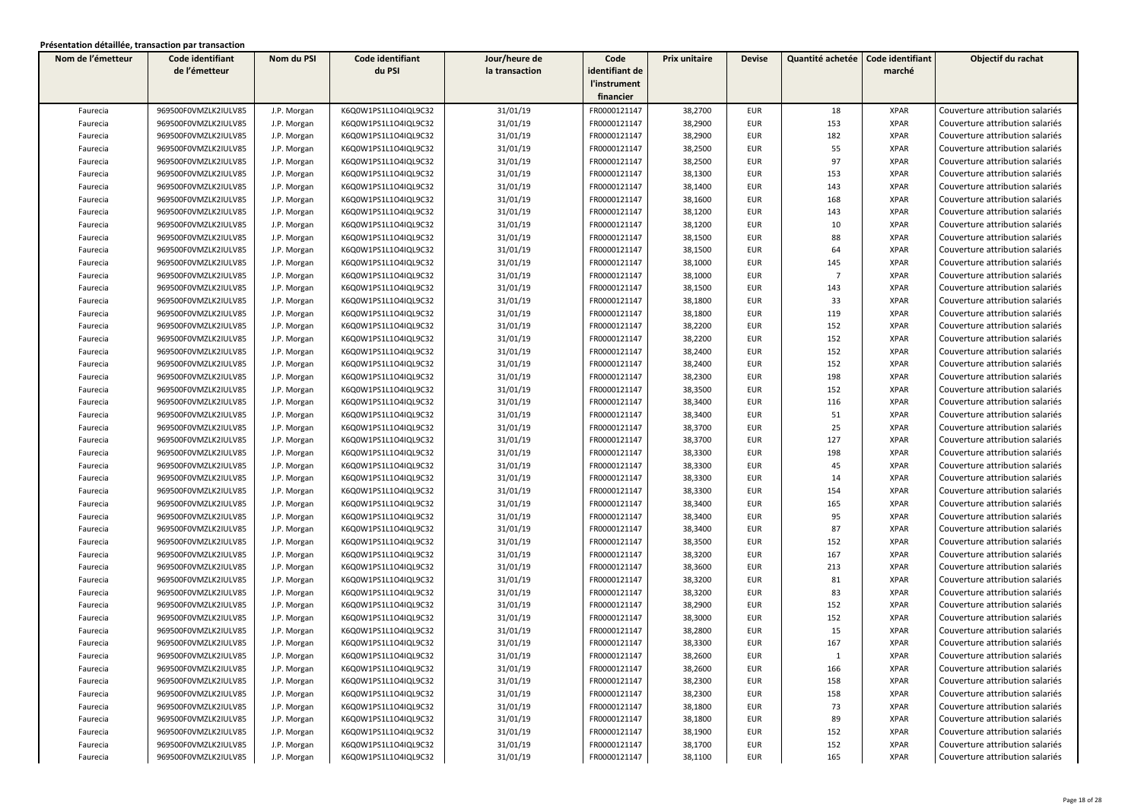| Nom de l'émetteur | Code identifiant     | Nom du PSI  | Code identifiant     | Jour/heure de  | Code           | Prix unitaire | <b>Devise</b> | Quantité achetée | Code identifiant | Objectif du rachat              |
|-------------------|----------------------|-------------|----------------------|----------------|----------------|---------------|---------------|------------------|------------------|---------------------------------|
|                   | de l'émetteur        |             | du PSI               | la transaction | identifiant de |               |               |                  | marché           |                                 |
|                   |                      |             |                      |                | l'instrument   |               |               |                  |                  |                                 |
|                   |                      |             |                      |                | financier      |               |               |                  |                  |                                 |
| Faurecia          | 969500F0VMZLK2IULV85 | J.P. Morgan | K6Q0W1PS1L1O4IQL9C32 | 31/01/19       | FR0000121147   | 38,2700       | <b>EUR</b>    | 18               | <b>XPAR</b>      | Couverture attribution salariés |
| Faurecia          | 969500F0VMZLK2IULV85 | J.P. Morgan | K6Q0W1PS1L1O4IQL9C32 | 31/01/19       | FR0000121147   | 38,2900       | <b>EUR</b>    | 153              | <b>XPAR</b>      | Couverture attribution salariés |
| Faurecia          | 969500F0VMZLK2IULV85 | J.P. Morgan | K6Q0W1PS1L1O4IQL9C32 | 31/01/19       | FR0000121147   | 38,2900       | <b>EUR</b>    | 182              | <b>XPAR</b>      | Couverture attribution salariés |
| Faurecia          | 969500F0VMZLK2IULV85 | J.P. Morgan | K6Q0W1PS1L1O4IQL9C32 | 31/01/19       | FR0000121147   | 38,2500       | <b>EUR</b>    | 55               | <b>XPAR</b>      | Couverture attribution salariés |
| Faurecia          | 969500F0VMZLK2IULV85 | J.P. Morgan | K6Q0W1PS1L1O4IQL9C32 | 31/01/19       | FR0000121147   | 38,2500       | <b>EUR</b>    | 97               | <b>XPAR</b>      | Couverture attribution salariés |
| Faurecia          | 969500F0VMZLK2IULV85 | J.P. Morgan | K6Q0W1PS1L1O4IQL9C32 | 31/01/19       | FR0000121147   | 38,1300       | <b>EUR</b>    | 153              | <b>XPAR</b>      | Couverture attribution salariés |
| Faurecia          | 969500F0VMZLK2IULV85 | J.P. Morgan | K6Q0W1PS1L1O4IQL9C32 | 31/01/19       | FR0000121147   | 38,1400       | <b>EUR</b>    | 143              | <b>XPAR</b>      | Couverture attribution salariés |
| Faurecia          | 969500F0VMZLK2IULV85 | J.P. Morgan | K6Q0W1PS1L1O4IQL9C32 | 31/01/19       | FR0000121147   | 38,1600       | <b>EUR</b>    | 168              | <b>XPAR</b>      | Couverture attribution salariés |
| Faurecia          | 969500F0VMZLK2IULV85 | J.P. Morgan | K6Q0W1PS1L1O4IQL9C32 | 31/01/19       | FR0000121147   | 38,1200       | <b>EUR</b>    | 143              | <b>XPAR</b>      | Couverture attribution salariés |
| Faurecia          | 969500F0VMZLK2IULV85 | J.P. Morgan | K6Q0W1PS1L1O4IQL9C32 | 31/01/19       | FR0000121147   | 38,1200       | <b>EUR</b>    | 10               | <b>XPAR</b>      | Couverture attribution salariés |
| Faurecia          | 969500F0VMZLK2IULV85 | J.P. Morgan | K6Q0W1PS1L1O4IQL9C32 | 31/01/19       | FR0000121147   | 38,1500       | <b>EUR</b>    | 88               | <b>XPAR</b>      | Couverture attribution salariés |
| Faurecia          | 969500F0VMZLK2IULV85 | J.P. Morgan | K6Q0W1PS1L1O4IQL9C32 | 31/01/19       | FR0000121147   | 38,1500       | <b>EUR</b>    | 64               | <b>XPAR</b>      | Couverture attribution salariés |
| Faurecia          | 969500F0VMZLK2IULV85 | J.P. Morgan | K6Q0W1PS1L1O4IQL9C32 | 31/01/19       | FR0000121147   | 38,1000       | <b>EUR</b>    | 145              | <b>XPAR</b>      | Couverture attribution salariés |
| Faurecia          | 969500F0VMZLK2IULV85 | J.P. Morgan | K6Q0W1PS1L1O4IQL9C32 | 31/01/19       | FR0000121147   | 38,1000       | <b>EUR</b>    | $\overline{7}$   | <b>XPAR</b>      | Couverture attribution salariés |
| Faurecia          | 969500F0VMZLK2IULV85 | J.P. Morgan | K6Q0W1PS1L1O4IQL9C32 | 31/01/19       | FR0000121147   | 38,1500       | <b>EUR</b>    | 143              | <b>XPAR</b>      | Couverture attribution salariés |
| Faurecia          | 969500F0VMZLK2IULV85 | J.P. Morgan | K6Q0W1PS1L1O4IQL9C32 | 31/01/19       | FR0000121147   | 38,1800       | <b>EUR</b>    | 33               | <b>XPAR</b>      | Couverture attribution salariés |
| Faurecia          | 969500F0VMZLK2IULV85 | J.P. Morgan | K6Q0W1PS1L1O4IQL9C32 | 31/01/19       | FR0000121147   | 38,1800       | <b>EUR</b>    | 119              | <b>XPAR</b>      | Couverture attribution salariés |
| Faurecia          | 969500F0VMZLK2IULV85 | J.P. Morgan | K6Q0W1PS1L1O4IQL9C32 | 31/01/19       | FR0000121147   | 38,2200       | <b>EUR</b>    | 152              | <b>XPAR</b>      | Couverture attribution salariés |
| Faurecia          | 969500F0VMZLK2IULV85 | J.P. Morgan | K6Q0W1PS1L1O4IQL9C32 | 31/01/19       | FR0000121147   | 38,2200       | <b>EUR</b>    | 152              | <b>XPAR</b>      | Couverture attribution salariés |
| Faurecia          | 969500F0VMZLK2IULV85 | J.P. Morgan | K6Q0W1PS1L1O4IQL9C32 | 31/01/19       | FR0000121147   | 38,2400       | <b>EUR</b>    | 152              | <b>XPAR</b>      | Couverture attribution salariés |
| Faurecia          | 969500F0VMZLK2IULV85 | J.P. Morgan | K6Q0W1PS1L1O4IQL9C32 | 31/01/19       | FR0000121147   | 38,2400       | <b>EUR</b>    | 152              | <b>XPAR</b>      | Couverture attribution salariés |
| Faurecia          | 969500F0VMZLK2IULV85 | J.P. Morgan | K6Q0W1PS1L1O4IQL9C32 | 31/01/19       | FR0000121147   | 38,2300       | <b>EUR</b>    | 198              | <b>XPAR</b>      | Couverture attribution salariés |
| Faurecia          | 969500F0VMZLK2IULV85 | J.P. Morgan | K6Q0W1PS1L1O4IQL9C32 | 31/01/19       | FR0000121147   | 38,3500       | <b>EUR</b>    | 152              | <b>XPAR</b>      | Couverture attribution salariés |
| Faurecia          | 969500F0VMZLK2IULV85 | J.P. Morgan | K6Q0W1PS1L1O4IQL9C32 | 31/01/19       | FR0000121147   | 38,3400       | <b>EUR</b>    | 116              | <b>XPAR</b>      | Couverture attribution salariés |
| Faurecia          | 969500F0VMZLK2IULV85 | J.P. Morgan | K6Q0W1PS1L1O4IQL9C32 | 31/01/19       | FR0000121147   | 38,3400       | <b>EUR</b>    | 51               | <b>XPAR</b>      | Couverture attribution salariés |
| Faurecia          | 969500F0VMZLK2IULV85 | J.P. Morgan | K6Q0W1PS1L1O4IQL9C32 | 31/01/19       | FR0000121147   | 38,3700       | <b>EUR</b>    | 25               | <b>XPAR</b>      | Couverture attribution salariés |
| Faurecia          | 969500F0VMZLK2IULV85 | J.P. Morgan | K6Q0W1PS1L1O4IQL9C32 | 31/01/19       | FR0000121147   | 38,3700       | EUR           | 127              | <b>XPAR</b>      | Couverture attribution salariés |
| Faurecia          | 969500F0VMZLK2IULV85 | J.P. Morgan | K6Q0W1PS1L1O4IQL9C32 | 31/01/19       | FR0000121147   | 38,3300       | <b>EUR</b>    | 198              | <b>XPAR</b>      | Couverture attribution salariés |
| Faurecia          | 969500F0VMZLK2IULV85 | J.P. Morgan | K6Q0W1PS1L1O4IQL9C32 | 31/01/19       | FR0000121147   | 38,3300       | EUR           | 45               | <b>XPAR</b>      | Couverture attribution salariés |
| Faurecia          | 969500F0VMZLK2IULV85 | J.P. Morgan | K6Q0W1PS1L1O4IQL9C32 | 31/01/19       | FR0000121147   | 38,3300       | EUR           | 14               | <b>XPAR</b>      | Couverture attribution salariés |
| Faurecia          | 969500F0VMZLK2IULV85 | J.P. Morgan | K6Q0W1PS1L1O4IQL9C32 | 31/01/19       | FR0000121147   | 38,3300       | <b>EUR</b>    | 154              | <b>XPAR</b>      | Couverture attribution salariés |
| Faurecia          | 969500F0VMZLK2IULV85 | J.P. Morgan | K6Q0W1PS1L1O4IQL9C32 | 31/01/19       | FR0000121147   | 38,3400       | <b>EUR</b>    | 165              | <b>XPAR</b>      | Couverture attribution salariés |
| Faurecia          | 969500F0VMZLK2IULV85 | J.P. Morgan | K6Q0W1PS1L1O4IQL9C32 | 31/01/19       | FR0000121147   | 38,3400       | <b>EUR</b>    | 95               | <b>XPAR</b>      | Couverture attribution salariés |
| Faurecia          | 969500F0VMZLK2IULV85 | J.P. Morgan | K6Q0W1PS1L1O4IQL9C32 | 31/01/19       | FR0000121147   | 38,3400       | <b>EUR</b>    | 87               | <b>XPAR</b>      | Couverture attribution salariés |
| Faurecia          | 969500F0VMZLK2IULV85 | J.P. Morgan | K6Q0W1PS1L1O4IQL9C32 | 31/01/19       | FR0000121147   | 38,3500       | <b>EUR</b>    | 152              | <b>XPAR</b>      | Couverture attribution salariés |
| Faurecia          | 969500F0VMZLK2IULV85 | J.P. Morgan | K6Q0W1PS1L1O4IQL9C32 | 31/01/19       | FR0000121147   | 38,3200       | <b>EUR</b>    | 167              | <b>XPAR</b>      | Couverture attribution salariés |
| Faurecia          | 969500F0VMZLK2IULV85 | J.P. Morgan | K6Q0W1PS1L1O4IQL9C32 | 31/01/19       | FR0000121147   | 38,3600       | <b>EUR</b>    | 213              | <b>XPAR</b>      | Couverture attribution salariés |
| Faurecia          | 969500F0VMZLK2IULV85 | J.P. Morgan | K6Q0W1PS1L1O4IQL9C32 | 31/01/19       | FR0000121147   | 38,3200       | EUR           | 81               | <b>XPAR</b>      | Couverture attribution salariés |
| Faurecia          | 969500F0VMZLK2IULV85 | J.P. Morgan | K6Q0W1PS1L1O4IQL9C32 | 31/01/19       | FR0000121147   | 38,3200       | EUR           | 83               | <b>XPAR</b>      | Couverture attribution salariés |
| Faurecia          | 969500F0VMZLK2IULV85 | J.P. Morgan | K6Q0W1PS1L1O4IQL9C32 | 31/01/19       | FR0000121147   | 38,2900       | <b>EUR</b>    | 152              | <b>XPAR</b>      | Couverture attribution salariés |
| Faurecia          | 969500F0VMZLK2IULV85 | J.P. Morgan | K6Q0W1PS1L1O4IQL9C32 | 31/01/19       | FR0000121147   | 38,3000       | <b>EUR</b>    | 152              | <b>XPAR</b>      | Couverture attribution salariés |
| Faurecia          | 969500F0VMZLK2IULV85 | J.P. Morgan | K6Q0W1PS1L1O4IQL9C32 | 31/01/19       | FR0000121147   | 38,2800       | <b>EUR</b>    | 15               | <b>XPAR</b>      | Couverture attribution salariés |
| Faurecia          | 969500F0VMZLK2IULV85 | J.P. Morgan | K6Q0W1PS1L1O4IQL9C32 | 31/01/19       | FR0000121147   | 38,3300       | <b>EUR</b>    | 167              | <b>XPAR</b>      | Couverture attribution salariés |
| Faurecia          | 969500F0VMZLK2IULV85 | J.P. Morgan | K6Q0W1PS1L1O4IQL9C32 | 31/01/19       | FR0000121147   | 38,2600       | EUR           | -1               | XPAR             | Couverture attribution salariés |
| Faurecia          | 969500F0VMZLK2IULV85 | J.P. Morgan | K6Q0W1PS1L1O4IQL9C32 | 31/01/19       | FR0000121147   | 38,2600       | <b>EUR</b>    | 166              | <b>XPAR</b>      | Couverture attribution salariés |
| Faurecia          | 969500F0VMZLK2IULV85 | J.P. Morgan | K6Q0W1PS1L1O4IQL9C32 | 31/01/19       | FR0000121147   | 38,2300       | EUR           | 158              | <b>XPAR</b>      | Couverture attribution salariés |
| Faurecia          | 969500F0VMZLK2IULV85 | J.P. Morgan | K6Q0W1PS1L1O4IQL9C32 | 31/01/19       | FR0000121147   | 38,2300       | EUR           | 158              | XPAR             | Couverture attribution salariés |
| Faurecia          | 969500F0VMZLK2IULV85 | J.P. Morgan | K6Q0W1PS1L1O4IQL9C32 | 31/01/19       | FR0000121147   | 38,1800       | EUR           | 73               | <b>XPAR</b>      | Couverture attribution salariés |
| Faurecia          | 969500F0VMZLK2IULV85 | J.P. Morgan | K6Q0W1PS1L1O4IQL9C32 | 31/01/19       | FR0000121147   | 38,1800       | EUR           | 89               | <b>XPAR</b>      | Couverture attribution salariés |
| Faurecia          | 969500F0VMZLK2IULV85 | J.P. Morgan | K6Q0W1PS1L1O4IQL9C32 | 31/01/19       | FR0000121147   | 38,1900       | <b>EUR</b>    | 152              | <b>XPAR</b>      | Couverture attribution salariés |
| Faurecia          | 969500F0VMZLK2IULV85 | J.P. Morgan | K6Q0W1PS1L1O4IQL9C32 | 31/01/19       | FR0000121147   | 38,1700       | <b>EUR</b>    | 152              | <b>XPAR</b>      | Couverture attribution salariés |
| Faurecia          | 969500F0VMZLK2IULV85 | J.P. Morgan | K6Q0W1PS1L1O4IQL9C32 | 31/01/19       | FR0000121147   | 38,1100       | <b>EUR</b>    | 165              | <b>XPAR</b>      | Couverture attribution salariés |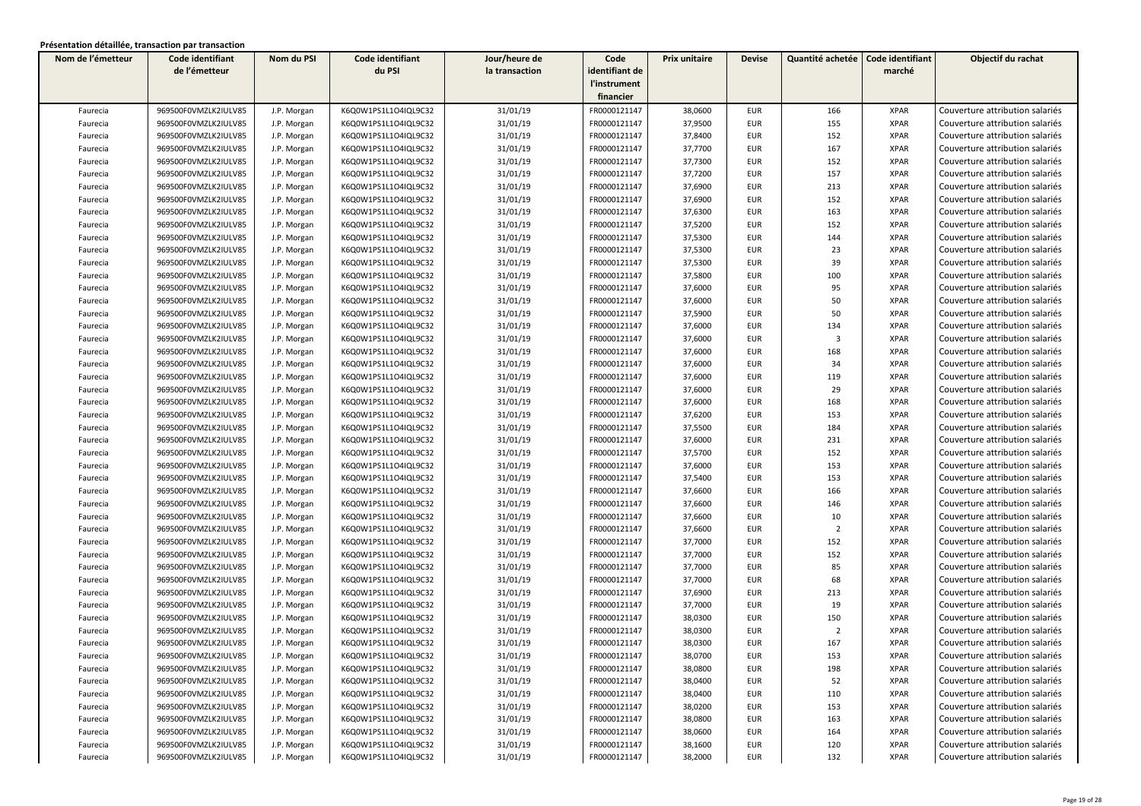| Nom de l'émetteur | Code identifiant     | Nom du PSI  | Code identifiant     | Jour/heure de  | Code           | Prix unitaire | <b>Devise</b> | Quantité achetée        | Code identifiant | Objectif du rachat              |
|-------------------|----------------------|-------------|----------------------|----------------|----------------|---------------|---------------|-------------------------|------------------|---------------------------------|
|                   | de l'émetteur        |             | du PSI               | la transaction | identifiant de |               |               |                         | marché           |                                 |
|                   |                      |             |                      |                | l'instrument   |               |               |                         |                  |                                 |
|                   |                      |             |                      |                | financier      |               |               |                         |                  |                                 |
| Faurecia          | 969500F0VMZLK2IULV85 | J.P. Morgan | K6Q0W1PS1L1O4IQL9C32 | 31/01/19       | FR0000121147   | 38,0600       | <b>EUR</b>    | 166                     | <b>XPAR</b>      | Couverture attribution salariés |
| Faurecia          | 969500F0VMZLK2IULV85 | J.P. Morgan | K6Q0W1PS1L1O4IQL9C32 | 31/01/19       | FR0000121147   | 37,9500       | <b>EUR</b>    | 155                     | <b>XPAR</b>      | Couverture attribution salariés |
| Faurecia          | 969500F0VMZLK2IULV85 | J.P. Morgan | K6Q0W1PS1L1O4IQL9C32 | 31/01/19       | FR0000121147   | 37,8400       | <b>EUR</b>    | 152                     | <b>XPAR</b>      | Couverture attribution salariés |
| Faurecia          | 969500F0VMZLK2IULV85 | J.P. Morgan | K6Q0W1PS1L1O4IQL9C32 | 31/01/19       | FR0000121147   | 37,7700       | EUR           | 167                     | <b>XPAR</b>      | Couverture attribution salariés |
| Faurecia          | 969500F0VMZLK2IULV85 | J.P. Morgan | K6Q0W1PS1L1O4IQL9C32 | 31/01/19       | FR0000121147   | 37,7300       | EUR           | 152                     | <b>XPAR</b>      | Couverture attribution salariés |
| Faurecia          | 969500F0VMZLK2IULV85 | J.P. Morgan | K6Q0W1PS1L1O4IQL9C32 | 31/01/19       | FR0000121147   | 37,7200       | <b>EUR</b>    | 157                     | <b>XPAR</b>      | Couverture attribution salariés |
| Faurecia          | 969500F0VMZLK2IULV85 | J.P. Morgan | K6Q0W1PS1L1O4IQL9C32 | 31/01/19       | FR0000121147   | 37,6900       | <b>EUR</b>    | 213                     | <b>XPAR</b>      | Couverture attribution salariés |
| Faurecia          | 969500F0VMZLK2IULV85 | J.P. Morgan | K6Q0W1PS1L1O4IQL9C32 | 31/01/19       | FR0000121147   | 37,6900       | EUR           | 152                     | <b>XPAR</b>      | Couverture attribution salariés |
| Faurecia          | 969500F0VMZLK2IULV85 | J.P. Morgan | K6Q0W1PS1L1O4IQL9C32 | 31/01/19       | FR0000121147   | 37,6300       | <b>EUR</b>    | 163                     | <b>XPAR</b>      | Couverture attribution salariés |
| Faurecia          | 969500F0VMZLK2IULV85 | J.P. Morgan | K6Q0W1PS1L1O4IQL9C32 | 31/01/19       | FR0000121147   | 37,5200       | <b>EUR</b>    | 152                     | <b>XPAR</b>      | Couverture attribution salariés |
| Faurecia          | 969500F0VMZLK2IULV85 | J.P. Morgan | K6Q0W1PS1L1O4IQL9C32 | 31/01/19       | FR0000121147   | 37,5300       | <b>EUR</b>    | 144                     | <b>XPAR</b>      | Couverture attribution salariés |
| Faurecia          | 969500F0VMZLK2IULV85 | J.P. Morgan | K6Q0W1PS1L1O4IQL9C32 | 31/01/19       | FR0000121147   | 37,5300       | <b>EUR</b>    | 23                      | <b>XPAR</b>      | Couverture attribution salariés |
| Faurecia          | 969500F0VMZLK2IULV85 | J.P. Morgan | K6Q0W1PS1L1O4IQL9C32 | 31/01/19       | FR0000121147   | 37,5300       | EUR           | 39                      | <b>XPAR</b>      | Couverture attribution salariés |
| Faurecia          | 969500F0VMZLK2IULV85 | J.P. Morgan | K6Q0W1PS1L1O4IQL9C32 | 31/01/19       | FR0000121147   | 37,5800       | EUR           | 100                     | <b>XPAR</b>      | Couverture attribution salariés |
| Faurecia          | 969500F0VMZLK2IULV85 | J.P. Morgan | K6Q0W1PS1L1O4IQL9C32 | 31/01/19       | FR0000121147   | 37,6000       | <b>EUR</b>    | 95                      | <b>XPAR</b>      | Couverture attribution salariés |
| Faurecia          | 969500F0VMZLK2IULV85 | J.P. Morgan | K6Q0W1PS1L1O4IQL9C32 | 31/01/19       | FR0000121147   | 37,6000       | <b>EUR</b>    | 50                      | <b>XPAR</b>      | Couverture attribution salariés |
| Faurecia          | 969500F0VMZLK2IULV85 | J.P. Morgan | K6Q0W1PS1L1O4IQL9C32 | 31/01/19       | FR0000121147   | 37,5900       | <b>EUR</b>    | 50                      | <b>XPAR</b>      | Couverture attribution salariés |
| Faurecia          | 969500F0VMZLK2IULV85 | J.P. Morgan | K6Q0W1PS1L1O4IQL9C32 | 31/01/19       | FR0000121147   | 37,6000       | <b>EUR</b>    | 134                     | <b>XPAR</b>      | Couverture attribution salariés |
| Faurecia          | 969500F0VMZLK2IULV85 | J.P. Morgan | K6Q0W1PS1L1O4IQL9C32 | 31/01/19       | FR0000121147   | 37,6000       | <b>EUR</b>    | $\overline{\mathbf{3}}$ | <b>XPAR</b>      | Couverture attribution salariés |
| Faurecia          | 969500F0VMZLK2IULV85 | J.P. Morgan | K6Q0W1PS1L1O4IQL9C32 | 31/01/19       | FR0000121147   | 37,6000       | <b>EUR</b>    | 168                     | <b>XPAR</b>      | Couverture attribution salariés |
| Faurecia          | 969500F0VMZLK2IULV85 | J.P. Morgan | K6Q0W1PS1L1O4IQL9C32 | 31/01/19       | FR0000121147   | 37,6000       | EUR           | 34                      | <b>XPAR</b>      | Couverture attribution salariés |
| Faurecia          | 969500F0VMZLK2IULV85 | J.P. Morgan | K6Q0W1PS1L1O4IQL9C32 | 31/01/19       | FR0000121147   | 37,6000       | EUR           | 119                     | <b>XPAR</b>      | Couverture attribution salariés |
| Faurecia          | 969500F0VMZLK2IULV85 | J.P. Morgan | K6Q0W1PS1L1O4IQL9C32 | 31/01/19       | FR0000121147   | 37,6000       | <b>EUR</b>    | 29                      | <b>XPAR</b>      | Couverture attribution salariés |
| Faurecia          | 969500F0VMZLK2IULV85 | J.P. Morgan | K6Q0W1PS1L1O4IQL9C32 | 31/01/19       | FR0000121147   | 37,6000       | EUR           | 168                     | <b>XPAR</b>      | Couverture attribution salariés |
| Faurecia          | 969500F0VMZLK2IULV85 | J.P. Morgan | K6Q0W1PS1L1O4IQL9C32 | 31/01/19       | FR0000121147   | 37,6200       | <b>EUR</b>    | 153                     | <b>XPAR</b>      | Couverture attribution salariés |
| Faurecia          | 969500F0VMZLK2IULV85 | J.P. Morgan | K6Q0W1PS1L1O4IQL9C32 | 31/01/19       | FR0000121147   | 37,5500       | <b>EUR</b>    | 184                     | <b>XPAR</b>      | Couverture attribution salariés |
| Faurecia          | 969500F0VMZLK2IULV85 | J.P. Morgan | K6Q0W1PS1L1O4IQL9C32 | 31/01/19       | FR0000121147   | 37,6000       | EUR           | 231                     | <b>XPAR</b>      | Couverture attribution salariés |
| Faurecia          | 969500F0VMZLK2IULV85 | J.P. Morgan | K6Q0W1PS1L1O4IQL9C32 | 31/01/19       | FR0000121147   | 37,5700       | <b>EUR</b>    | 152                     | <b>XPAR</b>      | Couverture attribution salariés |
| Faurecia          | 969500F0VMZLK2IULV85 | J.P. Morgan | K6Q0W1PS1L1O4IQL9C32 | 31/01/19       | FR0000121147   | 37,6000       | EUR           | 153                     | <b>XPAR</b>      | Couverture attribution salariés |
| Faurecia          | 969500F0VMZLK2IULV85 | J.P. Morgan | K6Q0W1PS1L1O4IQL9C32 | 31/01/19       | FR0000121147   | 37,5400       | EUR           | 153                     | <b>XPAR</b>      | Couverture attribution salariés |
| Faurecia          | 969500F0VMZLK2IULV85 | J.P. Morgan | K6Q0W1PS1L1O4IQL9C32 | 31/01/19       | FR0000121147   | 37,6600       | <b>EUR</b>    | 166                     | <b>XPAR</b>      | Couverture attribution salariés |
| Faurecia          | 969500F0VMZLK2IULV85 | J.P. Morgan | K6Q0W1PS1L1O4IQL9C32 | 31/01/19       | FR0000121147   | 37,6600       | <b>EUR</b>    | 146                     | <b>XPAR</b>      | Couverture attribution salariés |
| Faurecia          | 969500F0VMZLK2IULV85 | J.P. Morgan | K6Q0W1PS1L1O4IQL9C32 | 31/01/19       | FR0000121147   | 37,6600       | <b>EUR</b>    | 10                      | <b>XPAR</b>      | Couverture attribution salariés |
| Faurecia          | 969500F0VMZLK2IULV85 | J.P. Morgan | K6Q0W1PS1L1O4IQL9C32 | 31/01/19       | FR0000121147   | 37,6600       | <b>EUR</b>    | $\overline{2}$          | <b>XPAR</b>      | Couverture attribution salariés |
| Faurecia          | 969500F0VMZLK2IULV85 | J.P. Morgan | K6Q0W1PS1L1O4IQL9C32 | 31/01/19       | FR0000121147   | 37,7000       | <b>EUR</b>    | 152                     | <b>XPAR</b>      | Couverture attribution salariés |
| Faurecia          | 969500F0VMZLK2IULV85 | J.P. Morgan | K6Q0W1PS1L1O4IQL9C32 | 31/01/19       | FR0000121147   | 37,7000       | <b>EUR</b>    | 152                     | <b>XPAR</b>      | Couverture attribution salariés |
| Faurecia          | 969500F0VMZLK2IULV85 | J.P. Morgan | K6Q0W1PS1L1O4IQL9C32 | 31/01/19       | FR0000121147   | 37,7000       | <b>EUR</b>    | 85                      | <b>XPAR</b>      | Couverture attribution salariés |
| Faurecia          | 969500F0VMZLK2IULV85 | J.P. Morgan | K6Q0W1PS1L1O4IQL9C32 | 31/01/19       | FR0000121147   | 37,7000       | EUR           | 68                      | <b>XPAR</b>      | Couverture attribution salariés |
| Faurecia          | 969500F0VMZLK2IULV85 | J.P. Morgan | K6Q0W1PS1L1O4IQL9C32 | 31/01/19       | FR0000121147   | 37,6900       | EUR           | 213                     | <b>XPAR</b>      | Couverture attribution salariés |
| Faurecia          | 969500F0VMZLK2IULV85 | J.P. Morgan | K6Q0W1PS1L1O4IQL9C32 | 31/01/19       | FR0000121147   | 37,7000       | <b>EUR</b>    | 19                      | <b>XPAR</b>      | Couverture attribution salariés |
| Faurecia          | 969500F0VMZLK2IULV85 | J.P. Morgan | K6Q0W1PS1L1O4IQL9C32 | 31/01/19       | FR0000121147   | 38,0300       | EUR           | 150                     | <b>XPAR</b>      | Couverture attribution salariés |
| Faurecia          | 969500F0VMZLK2IULV85 | J.P. Morgan | K6Q0W1PS1L1O4IQL9C32 | 31/01/19       | FR0000121147   | 38,0300       | <b>EUR</b>    | $\overline{2}$          | <b>XPAR</b>      | Couverture attribution salariés |
| Faurecia          | 969500F0VMZLK2IULV85 | J.P. Morgan | K6Q0W1PS1L1O4IQL9C32 | 31/01/19       | FR0000121147   | 38,0300       | <b>EUR</b>    | 167                     | <b>XPAR</b>      | Couverture attribution salariés |
| Faurecia          | 969500F0VMZLK2IULV85 | J.P. Morgan | K6Q0W1PS1L1O4IQL9C32 | 31/01/19       | FR0000121147   | 38,0700       | EUR           | 153                     | XPAR             | Couverture attribution salariés |
| Faurecia          | 969500F0VMZLK2IULV85 | J.P. Morgan | K6Q0W1PS1L1O4IQL9C32 | 31/01/19       | FR0000121147   | 38,0800       | <b>EUR</b>    | 198                     | <b>XPAR</b>      | Couverture attribution salariés |
| Faurecia          | 969500F0VMZLK2IULV85 | J.P. Morgan | K6Q0W1PS1L1O4IQL9C32 | 31/01/19       | FR0000121147   | 38,0400       | EUR           | 52                      | <b>XPAR</b>      | Couverture attribution salariés |
| Faurecia          | 969500F0VMZLK2IULV85 | J.P. Morgan | K6Q0W1PS1L1O4IQL9C32 | 31/01/19       | FR0000121147   | 38,0400       | EUR           | 110                     | XPAR             | Couverture attribution salariés |
| Faurecia          | 969500F0VMZLK2IULV85 | J.P. Morgan | K6Q0W1PS1L1O4IQL9C32 | 31/01/19       | FR0000121147   | 38,0200       | EUR           | 153                     | <b>XPAR</b>      | Couverture attribution salariés |
| Faurecia          | 969500F0VMZLK2IULV85 | J.P. Morgan | K6Q0W1PS1L1O4IQL9C32 | 31/01/19       | FR0000121147   | 38,0800       | EUR           | 163                     | <b>XPAR</b>      | Couverture attribution salariés |
| Faurecia          | 969500F0VMZLK2IULV85 | J.P. Morgan | K6Q0W1PS1L1O4IQL9C32 | 31/01/19       | FR0000121147   | 38,0600       | <b>EUR</b>    | 164                     | <b>XPAR</b>      | Couverture attribution salariés |
| Faurecia          | 969500F0VMZLK2IULV85 | J.P. Morgan | K6Q0W1PS1L1O4IQL9C32 | 31/01/19       | FR0000121147   | 38,1600       | <b>EUR</b>    | 120                     | <b>XPAR</b>      | Couverture attribution salariés |
| Faurecia          | 969500F0VMZLK2IULV85 | J.P. Morgan | K6Q0W1PS1L1O4IQL9C32 | 31/01/19       | FR0000121147   | 38,2000       | <b>EUR</b>    | 132                     | <b>XPAR</b>      | Couverture attribution salariés |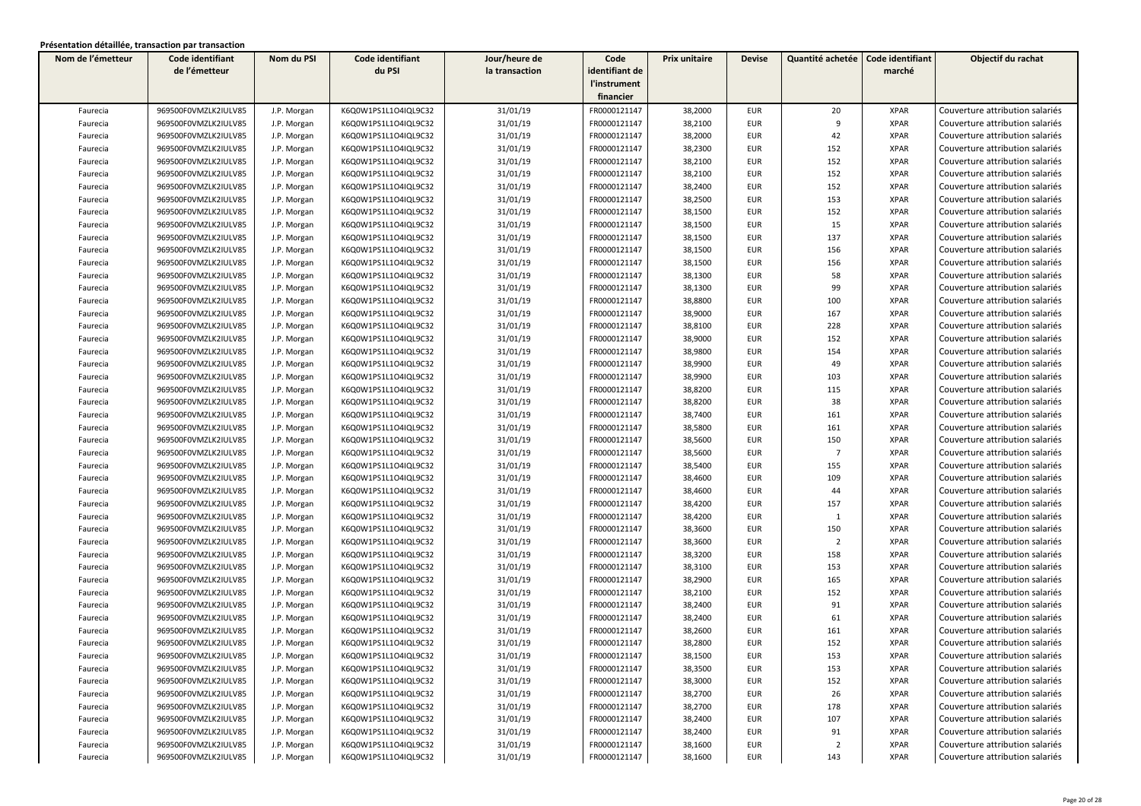| Nom de l'émetteur | Code identifiant     | Nom du PSI  | Code identifiant     | Jour/heure de  | Code           | Prix unitaire | <b>Devise</b> | Quantité achetée | Code identifiant | Objectif du rachat              |
|-------------------|----------------------|-------------|----------------------|----------------|----------------|---------------|---------------|------------------|------------------|---------------------------------|
|                   | de l'émetteur        |             | du PSI               | la transaction | identifiant de |               |               |                  | marché           |                                 |
|                   |                      |             |                      |                | l'instrument   |               |               |                  |                  |                                 |
|                   |                      |             |                      |                | financier      |               |               |                  |                  |                                 |
| Faurecia          | 969500F0VMZLK2IULV85 | J.P. Morgan | K6Q0W1PS1L1O4IQL9C32 | 31/01/19       | FR0000121147   | 38,2000       | <b>EUR</b>    | 20               | <b>XPAR</b>      | Couverture attribution salariés |
| Faurecia          | 969500F0VMZLK2IULV85 | J.P. Morgan | K6Q0W1PS1L1O4IQL9C32 | 31/01/19       | FR0000121147   | 38,2100       | <b>EUR</b>    | 9                | <b>XPAR</b>      | Couverture attribution salariés |
| Faurecia          | 969500F0VMZLK2IULV85 | J.P. Morgan | K6Q0W1PS1L1O4IQL9C32 | 31/01/19       | FR0000121147   | 38,2000       | EUR           | 42               | <b>XPAR</b>      | Couverture attribution salariés |
| Faurecia          | 969500F0VMZLK2IULV85 | J.P. Morgan | K6Q0W1PS1L1O4IQL9C32 | 31/01/19       | FR0000121147   | 38,2300       | <b>EUR</b>    | 152              | <b>XPAR</b>      | Couverture attribution salariés |
| Faurecia          | 969500F0VMZLK2IULV85 | J.P. Morgan | K6Q0W1PS1L1O4IQL9C32 | 31/01/19       | FR0000121147   | 38,2100       | <b>EUR</b>    | 152              | <b>XPAR</b>      | Couverture attribution salariés |
| Faurecia          | 969500F0VMZLK2IULV85 | J.P. Morgan | K6Q0W1PS1L1O4IQL9C32 | 31/01/19       | FR0000121147   | 38,2100       | <b>EUR</b>    | 152              | <b>XPAR</b>      | Couverture attribution salariés |
| Faurecia          | 969500F0VMZLK2IULV85 | J.P. Morgan | K6Q0W1PS1L1O4IQL9C32 | 31/01/19       | FR0000121147   | 38,2400       | <b>EUR</b>    | 152              | <b>XPAR</b>      | Couverture attribution salariés |
| Faurecia          | 969500F0VMZLK2IULV85 | J.P. Morgan | K6Q0W1PS1L1O4IQL9C32 | 31/01/19       | FR0000121147   | 38,2500       | <b>EUR</b>    | 153              | <b>XPAR</b>      | Couverture attribution salariés |
| Faurecia          | 969500F0VMZLK2IULV85 | J.P. Morgan | K6Q0W1PS1L1O4IQL9C32 | 31/01/19       | FR0000121147   | 38,1500       | <b>EUR</b>    | 152              | <b>XPAR</b>      | Couverture attribution salariés |
| Faurecia          | 969500F0VMZLK2IULV85 | J.P. Morgan | K6Q0W1PS1L1O4IQL9C32 | 31/01/19       | FR0000121147   | 38,1500       | <b>EUR</b>    | 15               | <b>XPAR</b>      | Couverture attribution salariés |
| Faurecia          | 969500F0VMZLK2IULV85 | J.P. Morgan | K6Q0W1PS1L1O4IQL9C32 | 31/01/19       | FR0000121147   | 38,1500       | <b>EUR</b>    | 137              | <b>XPAR</b>      | Couverture attribution salariés |
| Faurecia          | 969500F0VMZLK2IULV85 | J.P. Morgan | K6Q0W1PS1L1O4IQL9C32 | 31/01/19       | FR0000121147   | 38,1500       | <b>EUR</b>    | 156              | <b>XPAR</b>      | Couverture attribution salariés |
| Faurecia          | 969500F0VMZLK2IULV85 | J.P. Morgan | K6Q0W1PS1L1O4IQL9C32 | 31/01/19       | FR0000121147   | 38,1500       | <b>EUR</b>    | 156              | <b>XPAR</b>      | Couverture attribution salariés |
| Faurecia          | 969500F0VMZLK2IULV85 | J.P. Morgan | K6Q0W1PS1L1O4IQL9C32 | 31/01/19       | FR0000121147   | 38,1300       | <b>EUR</b>    | 58               | <b>XPAR</b>      | Couverture attribution salariés |
| Faurecia          | 969500F0VMZLK2IULV85 | J.P. Morgan | K6Q0W1PS1L1O4IQL9C32 | 31/01/19       | FR0000121147   | 38,1300       | <b>EUR</b>    | 99               | <b>XPAR</b>      | Couverture attribution salariés |
| Faurecia          | 969500F0VMZLK2IULV85 | J.P. Morgan | K6Q0W1PS1L1O4IQL9C32 | 31/01/19       | FR0000121147   | 38,8800       | <b>EUR</b>    | 100              | <b>XPAR</b>      | Couverture attribution salariés |
| Faurecia          | 969500F0VMZLK2IULV85 | J.P. Morgan | K6Q0W1PS1L1O4IQL9C32 | 31/01/19       | FR0000121147   | 38,9000       | <b>EUR</b>    | 167              | <b>XPAR</b>      | Couverture attribution salariés |
| Faurecia          | 969500F0VMZLK2IULV85 | J.P. Morgan | K6Q0W1PS1L1O4IQL9C32 | 31/01/19       | FR0000121147   | 38,8100       | <b>EUR</b>    | 228              | <b>XPAR</b>      | Couverture attribution salariés |
| Faurecia          | 969500F0VMZLK2IULV85 | J.P. Morgan | K6Q0W1PS1L1O4IQL9C32 | 31/01/19       | FR0000121147   | 38,9000       | <b>EUR</b>    | 152              | <b>XPAR</b>      | Couverture attribution salariés |
| Faurecia          | 969500F0VMZLK2IULV85 | J.P. Morgan | K6Q0W1PS1L1O4IQL9C32 | 31/01/19       | FR0000121147   | 38,9800       | <b>EUR</b>    | 154              | <b>XPAR</b>      | Couverture attribution salariés |
| Faurecia          | 969500F0VMZLK2IULV85 | J.P. Morgan | K6Q0W1PS1L1O4IQL9C32 | 31/01/19       | FR0000121147   | 38,9900       | <b>EUR</b>    | 49               | <b>XPAR</b>      | Couverture attribution salariés |
| Faurecia          | 969500F0VMZLK2IULV85 | J.P. Morgan | K6Q0W1PS1L1O4IQL9C32 | 31/01/19       | FR0000121147   | 38,9900       | <b>EUR</b>    | 103              | <b>XPAR</b>      | Couverture attribution salariés |
| Faurecia          | 969500F0VMZLK2IULV85 | J.P. Morgan | K6Q0W1PS1L1O4IQL9C32 | 31/01/19       | FR0000121147   | 38,8200       | <b>EUR</b>    | 115              | <b>XPAR</b>      | Couverture attribution salariés |
| Faurecia          | 969500F0VMZLK2IULV85 | J.P. Morgan | K6Q0W1PS1L1O4IQL9C32 | 31/01/19       | FR0000121147   | 38,8200       | <b>EUR</b>    | 38               | <b>XPAR</b>      | Couverture attribution salariés |
| Faurecia          | 969500F0VMZLK2IULV85 | J.P. Morgan | K6Q0W1PS1L1O4IQL9C32 | 31/01/19       | FR0000121147   | 38,7400       | <b>EUR</b>    | 161              | <b>XPAR</b>      | Couverture attribution salariés |
| Faurecia          | 969500F0VMZLK2IULV85 | J.P. Morgan | K6Q0W1PS1L1O4IQL9C32 | 31/01/19       | FR0000121147   | 38,5800       | <b>EUR</b>    | 161              | <b>XPAR</b>      | Couverture attribution salariés |
| Faurecia          | 969500F0VMZLK2IULV85 | J.P. Morgan | K6Q0W1PS1L1O4IQL9C32 | 31/01/19       | FR0000121147   | 38,5600       | <b>EUR</b>    | 150              | <b>XPAR</b>      | Couverture attribution salariés |
| Faurecia          | 969500F0VMZLK2IULV85 | J.P. Morgan | K6Q0W1PS1L1O4IQL9C32 | 31/01/19       | FR0000121147   | 38,5600       | <b>EUR</b>    | $\overline{7}$   | <b>XPAR</b>      | Couverture attribution salariés |
| Faurecia          | 969500F0VMZLK2IULV85 | J.P. Morgan | K6Q0W1PS1L1O4IQL9C32 | 31/01/19       | FR0000121147   | 38,5400       | <b>EUR</b>    | 155              | <b>XPAR</b>      | Couverture attribution salariés |
| Faurecia          | 969500F0VMZLK2IULV85 | J.P. Morgan | K6Q0W1PS1L1O4IQL9C32 | 31/01/19       | FR0000121147   | 38,4600       | <b>EUR</b>    | 109              | <b>XPAR</b>      | Couverture attribution salariés |
| Faurecia          | 969500F0VMZLK2IULV85 | J.P. Morgan | K6Q0W1PS1L1O4IQL9C32 | 31/01/19       | FR0000121147   | 38,4600       | <b>EUR</b>    | 44               | <b>XPAR</b>      | Couverture attribution salariés |
| Faurecia          | 969500F0VMZLK2IULV85 | J.P. Morgan | K6Q0W1PS1L1O4IQL9C32 | 31/01/19       | FR0000121147   | 38,4200       | <b>EUR</b>    | 157              | <b>XPAR</b>      | Couverture attribution salariés |
| Faurecia          | 969500F0VMZLK2IULV85 | J.P. Morgan | K6Q0W1PS1L1O4IQL9C32 | 31/01/19       | FR0000121147   | 38,4200       | <b>EUR</b>    | $\mathbf{1}$     | <b>XPAR</b>      | Couverture attribution salariés |
| Faurecia          | 969500F0VMZLK2IULV85 | J.P. Morgan | K6Q0W1PS1L1O4IQL9C32 | 31/01/19       | FR0000121147   | 38,3600       | <b>EUR</b>    | 150              | <b>XPAR</b>      | Couverture attribution salariés |
| Faurecia          | 969500F0VMZLK2IULV85 | J.P. Morgan | K6Q0W1PS1L1O4IQL9C32 | 31/01/19       | FR0000121147   | 38,3600       | <b>EUR</b>    | $\overline{2}$   | <b>XPAR</b>      | Couverture attribution salariés |
| Faurecia          | 969500F0VMZLK2IULV85 | J.P. Morgan | K6Q0W1PS1L1O4IQL9C32 | 31/01/19       | FR0000121147   | 38,3200       | <b>EUR</b>    | 158              | <b>XPAR</b>      | Couverture attribution salariés |
| Faurecia          | 969500F0VMZLK2IULV85 | J.P. Morgan | K6Q0W1PS1L1O4IQL9C32 | 31/01/19       | FR0000121147   | 38,3100       | <b>EUR</b>    | 153              | <b>XPAR</b>      | Couverture attribution salariés |
| Faurecia          | 969500F0VMZLK2IULV85 | J.P. Morgan | K6Q0W1PS1L1O4IQL9C32 | 31/01/19       | FR0000121147   | 38,2900       | <b>EUR</b>    | 165              | <b>XPAR</b>      | Couverture attribution salariés |
| Faurecia          | 969500F0VMZLK2IULV85 | J.P. Morgan | K6Q0W1PS1L1O4IQL9C32 | 31/01/19       | FR0000121147   | 38,2100       | <b>EUR</b>    | 152              | <b>XPAR</b>      | Couverture attribution salariés |
| Faurecia          | 969500F0VMZLK2IULV85 | J.P. Morgan | K6Q0W1PS1L1O4IQL9C32 | 31/01/19       | FR0000121147   | 38,2400       | <b>EUR</b>    | 91               | <b>XPAR</b>      | Couverture attribution salariés |
| Faurecia          | 969500F0VMZLK2IULV85 | J.P. Morgan | K6Q0W1PS1L1O4IQL9C32 | 31/01/19       | FR0000121147   | 38,2400       | EUR           | 61               | <b>XPAR</b>      | Couverture attribution salariés |
| Faurecia          | 969500F0VMZLK2IULV85 | J.P. Morgan | K6Q0W1PS1L1O4IQL9C32 | 31/01/19       | FR0000121147   | 38,2600       | <b>EUR</b>    | 161              | <b>XPAR</b>      | Couverture attribution salariés |
| Faurecia          | 969500F0VMZLK2IULV85 | J.P. Morgan | K6Q0W1PS1L1O4IQL9C32 | 31/01/19       | FR0000121147   | 38,2800       | <b>EUR</b>    | 152              | <b>XPAR</b>      | Couverture attribution salariés |
| Faurecia          | 969500F0VMZLK2IULV85 | J.P. Morgan | K6Q0W1PS1L1O4IQL9C32 | 31/01/19       | FR0000121147   | 38,1500       | <b>EUR</b>    | 153              | <b>XPAR</b>      | Couverture attribution salariés |
| Faurecia          | 969500F0VMZLK2IULV85 | J.P. Morgan | K6Q0W1PS1L1O4IQL9C32 | 31/01/19       | FR0000121147   | 38,3500       | <b>EUR</b>    | 153              | <b>XPAR</b>      | Couverture attribution salariés |
| Faurecia          | 969500F0VMZLK2IULV85 | J.P. Morgan | K6Q0W1PS1L1O4IQL9C32 | 31/01/19       | FR0000121147   | 38,3000       | EUR           | 152              | <b>XPAR</b>      | Couverture attribution salariés |
| Faurecia          | 969500F0VMZLK2IULV85 | J.P. Morgan | K6Q0W1PS1L1O4IQL9C32 | 31/01/19       | FR0000121147   | 38,2700       | <b>EUR</b>    | 26               | <b>XPAR</b>      | Couverture attribution salariés |
| Faurecia          | 969500F0VMZLK2IULV85 | J.P. Morgan | K6Q0W1PS1L1O4IQL9C32 | 31/01/19       | FR0000121147   | 38,2700       | EUR           | 178              | <b>XPAR</b>      | Couverture attribution salariés |
| Faurecia          | 969500F0VMZLK2IULV85 | J.P. Morgan | K6Q0W1PS1L1O4IQL9C32 | 31/01/19       | FR0000121147   | 38,2400       | EUR           | 107              | <b>XPAR</b>      | Couverture attribution salariés |
| Faurecia          | 969500F0VMZLK2IULV85 | J.P. Morgan | K6Q0W1PS1L1O4IQL9C32 | 31/01/19       | FR0000121147   | 38,2400       | EUR           | 91               | <b>XPAR</b>      | Couverture attribution salariés |
| Faurecia          | 969500F0VMZLK2IULV85 | J.P. Morgan | K6Q0W1PS1L1O4IQL9C32 | 31/01/19       | FR0000121147   | 38,1600       | EUR           | $\overline{2}$   | <b>XPAR</b>      | Couverture attribution salariés |
| Faurecia          | 969500F0VMZLK2IULV85 | J.P. Morgan | K6Q0W1PS1L1O4IQL9C32 | 31/01/19       | FR0000121147   | 38,1600       | <b>EUR</b>    | 143              | <b>XPAR</b>      | Couverture attribution salariés |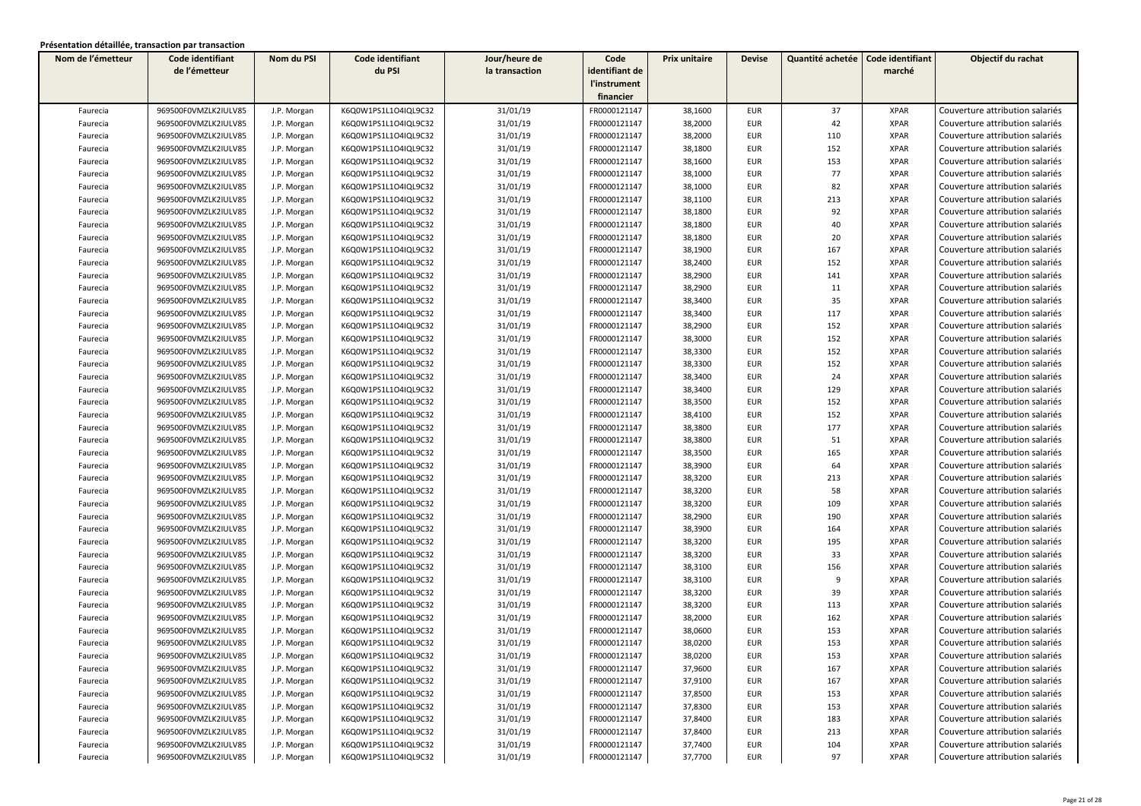| Nom de l'émetteur | Code identifiant     | Nom du PSI  | Code identifiant     | Jour/heure de  | Code           | Prix unitaire | <b>Devise</b> | Quantité achetée | Code identifiant | Objectif du rachat              |
|-------------------|----------------------|-------------|----------------------|----------------|----------------|---------------|---------------|------------------|------------------|---------------------------------|
|                   | de l'émetteur        |             | du PSI               | la transaction | identifiant de |               |               |                  | marché           |                                 |
|                   |                      |             |                      |                | l'instrument   |               |               |                  |                  |                                 |
|                   |                      |             |                      |                | financier      |               |               |                  |                  |                                 |
| Faurecia          | 969500F0VMZLK2IULV85 | J.P. Morgan | K6Q0W1PS1L1O4IQL9C32 | 31/01/19       | FR0000121147   | 38,1600       | <b>EUR</b>    | 37               | <b>XPAR</b>      | Couverture attribution salariés |
| Faurecia          | 969500F0VMZLK2IULV85 | J.P. Morgan | K6Q0W1PS1L1O4IQL9C32 | 31/01/19       | FR0000121147   | 38,2000       | <b>EUR</b>    | 42               | <b>XPAR</b>      | Couverture attribution salariés |
| Faurecia          | 969500F0VMZLK2IULV85 | J.P. Morgan | K6Q0W1PS1L1O4IQL9C32 | 31/01/19       | FR0000121147   | 38,2000       | <b>EUR</b>    | 110              | <b>XPAR</b>      | Couverture attribution salariés |
| Faurecia          | 969500F0VMZLK2IULV85 | J.P. Morgan | K6Q0W1PS1L1O4IQL9C32 | 31/01/19       | FR0000121147   | 38,1800       | <b>EUR</b>    | 152              | <b>XPAR</b>      | Couverture attribution salariés |
| Faurecia          | 969500F0VMZLK2IULV85 | J.P. Morgan | K6Q0W1PS1L1O4IQL9C32 | 31/01/19       | FR0000121147   | 38,1600       | <b>EUR</b>    | 153              | <b>XPAR</b>      | Couverture attribution salariés |
| Faurecia          | 969500F0VMZLK2IULV85 | J.P. Morgan | K6Q0W1PS1L1O4IQL9C32 | 31/01/19       | FR0000121147   | 38,1000       | <b>EUR</b>    | 77               | <b>XPAR</b>      | Couverture attribution salariés |
| Faurecia          | 969500F0VMZLK2IULV85 | J.P. Morgan | K6Q0W1PS1L1O4IQL9C32 | 31/01/19       | FR0000121147   | 38,1000       | <b>EUR</b>    | 82               | <b>XPAR</b>      | Couverture attribution salariés |
| Faurecia          | 969500F0VMZLK2IULV85 | J.P. Morgan | K6Q0W1PS1L1O4IQL9C32 | 31/01/19       | FR0000121147   | 38,1100       | <b>EUR</b>    | 213              | <b>XPAR</b>      | Couverture attribution salariés |
| Faurecia          | 969500F0VMZLK2IULV85 | J.P. Morgan | K6Q0W1PS1L1O4IQL9C32 | 31/01/19       | FR0000121147   | 38,1800       | <b>EUR</b>    | 92               | <b>XPAR</b>      | Couverture attribution salariés |
| Faurecia          | 969500F0VMZLK2IULV85 | J.P. Morgan | K6Q0W1PS1L1O4IQL9C32 | 31/01/19       | FR0000121147   | 38,1800       | <b>EUR</b>    | 40               | <b>XPAR</b>      | Couverture attribution salariés |
| Faurecia          | 969500F0VMZLK2IULV85 | J.P. Morgan | K6Q0W1PS1L1O4IQL9C32 | 31/01/19       | FR0000121147   | 38,1800       | <b>EUR</b>    | 20               | <b>XPAR</b>      | Couverture attribution salariés |
| Faurecia          | 969500F0VMZLK2IULV85 | J.P. Morgan | K6Q0W1PS1L1O4IQL9C32 | 31/01/19       | FR0000121147   | 38,1900       | <b>EUR</b>    | 167              | <b>XPAR</b>      | Couverture attribution salariés |
| Faurecia          | 969500F0VMZLK2IULV85 | J.P. Morgan | K6Q0W1PS1L1O4IQL9C32 | 31/01/19       | FR0000121147   | 38,2400       | <b>EUR</b>    | 152              | <b>XPAR</b>      | Couverture attribution salariés |
| Faurecia          | 969500F0VMZLK2IULV85 | J.P. Morgan | K6Q0W1PS1L1O4IQL9C32 | 31/01/19       | FR0000121147   | 38,2900       | <b>EUR</b>    | 141              | <b>XPAR</b>      | Couverture attribution salariés |
| Faurecia          | 969500F0VMZLK2IULV85 | J.P. Morgan | K6Q0W1PS1L1O4IQL9C32 | 31/01/19       | FR0000121147   | 38,2900       | <b>EUR</b>    | 11               | <b>XPAR</b>      | Couverture attribution salariés |
| Faurecia          | 969500F0VMZLK2IULV85 | J.P. Morgan | K6Q0W1PS1L1O4IQL9C32 | 31/01/19       | FR0000121147   | 38,3400       | <b>EUR</b>    | 35               | <b>XPAR</b>      | Couverture attribution salariés |
| Faurecia          | 969500F0VMZLK2IULV85 | J.P. Morgan | K6Q0W1PS1L1O4IQL9C32 | 31/01/19       | FR0000121147   | 38,3400       | <b>EUR</b>    | 117              | <b>XPAR</b>      | Couverture attribution salariés |
| Faurecia          | 969500F0VMZLK2IULV85 | J.P. Morgan | K6Q0W1PS1L1O4IQL9C32 | 31/01/19       | FR0000121147   | 38,2900       | <b>EUR</b>    | 152              | <b>XPAR</b>      | Couverture attribution salariés |
| Faurecia          | 969500F0VMZLK2IULV85 | J.P. Morgan | K6Q0W1PS1L1O4IQL9C32 | 31/01/19       | FR0000121147   | 38,3000       | <b>EUR</b>    | 152              | <b>XPAR</b>      | Couverture attribution salariés |
| Faurecia          | 969500F0VMZLK2IULV85 | J.P. Morgan | K6Q0W1PS1L1O4IQL9C32 | 31/01/19       | FR0000121147   | 38,3300       | <b>EUR</b>    | 152              | <b>XPAR</b>      | Couverture attribution salariés |
| Faurecia          | 969500F0VMZLK2IULV85 | J.P. Morgan | K6Q0W1PS1L1O4IQL9C32 | 31/01/19       | FR0000121147   | 38,3300       | <b>EUR</b>    | 152              | <b>XPAR</b>      | Couverture attribution salariés |
| Faurecia          | 969500F0VMZLK2IULV85 | J.P. Morgan | K6Q0W1PS1L1O4IQL9C32 | 31/01/19       | FR0000121147   | 38,3400       | <b>EUR</b>    | 24               | <b>XPAR</b>      | Couverture attribution salariés |
| Faurecia          | 969500F0VMZLK2IULV85 | J.P. Morgan | K6Q0W1PS1L1O4IQL9C32 | 31/01/19       | FR0000121147   | 38,3400       | <b>EUR</b>    | 129              | <b>XPAR</b>      | Couverture attribution salariés |
| Faurecia          | 969500F0VMZLK2IULV85 | J.P. Morgan | K6Q0W1PS1L1O4IQL9C32 | 31/01/19       | FR0000121147   | 38,3500       | <b>EUR</b>    | 152              | <b>XPAR</b>      | Couverture attribution salariés |
| Faurecia          | 969500F0VMZLK2IULV85 | J.P. Morgan | K6Q0W1PS1L1O4IQL9C32 | 31/01/19       | FR0000121147   | 38,4100       | <b>EUR</b>    | 152              | <b>XPAR</b>      | Couverture attribution salariés |
| Faurecia          | 969500F0VMZLK2IULV85 | J.P. Morgan | K6Q0W1PS1L1O4IQL9C32 | 31/01/19       | FR0000121147   | 38,3800       | <b>EUR</b>    | 177              | <b>XPAR</b>      | Couverture attribution salariés |
| Faurecia          | 969500F0VMZLK2IULV85 | J.P. Morgan | K6Q0W1PS1L1O4IQL9C32 | 31/01/19       | FR0000121147   | 38,3800       | <b>EUR</b>    | 51               | <b>XPAR</b>      | Couverture attribution salariés |
| Faurecia          | 969500F0VMZLK2IULV85 | J.P. Morgan | K6Q0W1PS1L1O4IQL9C32 | 31/01/19       | FR0000121147   | 38,3500       | <b>EUR</b>    | 165              | <b>XPAR</b>      | Couverture attribution salariés |
| Faurecia          | 969500F0VMZLK2IULV85 | J.P. Morgan | K6Q0W1PS1L1O4IQL9C32 | 31/01/19       | FR0000121147   | 38,3900       | <b>EUR</b>    | 64               | <b>XPAR</b>      | Couverture attribution salariés |
| Faurecia          | 969500F0VMZLK2IULV85 | J.P. Morgan | K6Q0W1PS1L1O4IQL9C32 | 31/01/19       | FR0000121147   | 38,3200       | <b>EUR</b>    | 213              | <b>XPAR</b>      | Couverture attribution salariés |
| Faurecia          | 969500F0VMZLK2IULV85 | J.P. Morgan | K6Q0W1PS1L1O4IQL9C32 | 31/01/19       | FR0000121147   | 38,3200       | <b>EUR</b>    | 58               | <b>XPAR</b>      | Couverture attribution salariés |
| Faurecia          | 969500F0VMZLK2IULV85 | J.P. Morgan | K6Q0W1PS1L1O4IQL9C32 | 31/01/19       | FR0000121147   | 38,3200       | <b>EUR</b>    | 109              | <b>XPAR</b>      | Couverture attribution salariés |
| Faurecia          | 969500F0VMZLK2IULV85 | J.P. Morgan | K6Q0W1PS1L1O4IQL9C32 | 31/01/19       | FR0000121147   | 38,2900       | <b>EUR</b>    | 190              | <b>XPAR</b>      | Couverture attribution salariés |
| Faurecia          | 969500F0VMZLK2IULV85 | J.P. Morgan | K6Q0W1PS1L1O4IQL9C32 | 31/01/19       | FR0000121147   | 38,3900       | <b>EUR</b>    | 164              | <b>XPAR</b>      | Couverture attribution salariés |
| Faurecia          | 969500F0VMZLK2IULV85 | J.P. Morgan | K6Q0W1PS1L1O4IQL9C32 | 31/01/19       | FR0000121147   | 38,3200       | <b>EUR</b>    | 195              | <b>XPAR</b>      | Couverture attribution salariés |
| Faurecia          | 969500F0VMZLK2IULV85 | J.P. Morgan | K6Q0W1PS1L1O4IQL9C32 | 31/01/19       | FR0000121147   | 38,3200       | <b>EUR</b>    | 33               | <b>XPAR</b>      | Couverture attribution salariés |
| Faurecia          | 969500F0VMZLK2IULV85 | J.P. Morgan | K6Q0W1PS1L1O4IQL9C32 | 31/01/19       | FR0000121147   | 38,3100       | <b>EUR</b>    | 156              | <b>XPAR</b>      | Couverture attribution salariés |
| Faurecia          | 969500F0VMZLK2IULV85 | J.P. Morgan | K6Q0W1PS1L1O4IQL9C32 | 31/01/19       | FR0000121147   | 38,3100       | EUR           | 9                | <b>XPAR</b>      | Couverture attribution salariés |
| Faurecia          | 969500F0VMZLK2IULV85 | J.P. Morgan | K6Q0W1PS1L1O4IQL9C32 | 31/01/19       | FR0000121147   | 38,3200       | EUR           | 39               | <b>XPAR</b>      | Couverture attribution salariés |
| Faurecia          | 969500F0VMZLK2IULV85 | J.P. Morgan | K6Q0W1PS1L1O4IQL9C32 | 31/01/19       | FR0000121147   | 38,3200       | <b>EUR</b>    | 113              | <b>XPAR</b>      | Couverture attribution salariés |
| Faurecia          | 969500F0VMZLK2IULV85 | J.P. Morgan | K6Q0W1PS1L1O4IQL9C32 | 31/01/19       | FR0000121147   | 38,2000       | EUR           | 162              | <b>XPAR</b>      | Couverture attribution salariés |
| Faurecia          | 969500F0VMZLK2IULV85 | J.P. Morgan | K6Q0W1PS1L1O4IQL9C32 | 31/01/19       | FR0000121147   | 38,0600       | <b>EUR</b>    | 153              | <b>XPAR</b>      | Couverture attribution salariés |
| Faurecia          | 969500F0VMZLK2IULV85 | J.P. Morgan | K6Q0W1PS1L1O4IQL9C32 | 31/01/19       | FR0000121147   | 38,0200       | <b>EUR</b>    | 153              | <b>XPAR</b>      | Couverture attribution salariés |
| Faurecia          | 969500F0VMZLK2IULV85 | J.P. Morgan | K6Q0W1PS1L1O4IQL9C32 | 31/01/19       | FR0000121147   | 38,0200       | EUR           | 153              | XPAR             | Couverture attribution salariés |
| Faurecia          | 969500F0VMZLK2IULV85 | J.P. Morgan | K6Q0W1PS1L1O4IQL9C32 | 31/01/19       | FR0000121147   | 37,9600       | <b>EUR</b>    | 167              | <b>XPAR</b>      | Couverture attribution salariés |
| Faurecia          | 969500F0VMZLK2IULV85 | J.P. Morgan | K6Q0W1PS1L1O4IQL9C32 | 31/01/19       | FR0000121147   | 37,9100       | EUR           | 167              | <b>XPAR</b>      | Couverture attribution salariés |
| Faurecia          | 969500F0VMZLK2IULV85 | J.P. Morgan | K6Q0W1PS1L1O4IQL9C32 | 31/01/19       | FR0000121147   | 37,8500       | EUR           | 153              | XPAR             | Couverture attribution salariés |
| Faurecia          | 969500F0VMZLK2IULV85 | J.P. Morgan | K6Q0W1PS1L1O4IQL9C32 | 31/01/19       | FR0000121147   | 37,8300       | EUR           | 153              | <b>XPAR</b>      | Couverture attribution salariés |
| Faurecia          | 969500F0VMZLK2IULV85 | J.P. Morgan | K6Q0W1PS1L1O4IQL9C32 | 31/01/19       | FR0000121147   | 37,8400       | EUR           | 183              | <b>XPAR</b>      | Couverture attribution salariés |
| Faurecia          | 969500F0VMZLK2IULV85 | J.P. Morgan | K6Q0W1PS1L1O4IQL9C32 | 31/01/19       | FR0000121147   | 37,8400       | <b>EUR</b>    | 213              | <b>XPAR</b>      | Couverture attribution salariés |
| Faurecia          | 969500F0VMZLK2IULV85 | J.P. Morgan | K6Q0W1PS1L1O4IQL9C32 | 31/01/19       | FR0000121147   | 37,7400       | <b>EUR</b>    | 104              | <b>XPAR</b>      | Couverture attribution salariés |
| Faurecia          | 969500F0VMZLK2IULV85 | J.P. Morgan | K6Q0W1PS1L1O4IQL9C32 | 31/01/19       | FR0000121147   | 37,7700       | <b>EUR</b>    | 97               | <b>XPAR</b>      | Couverture attribution salariés |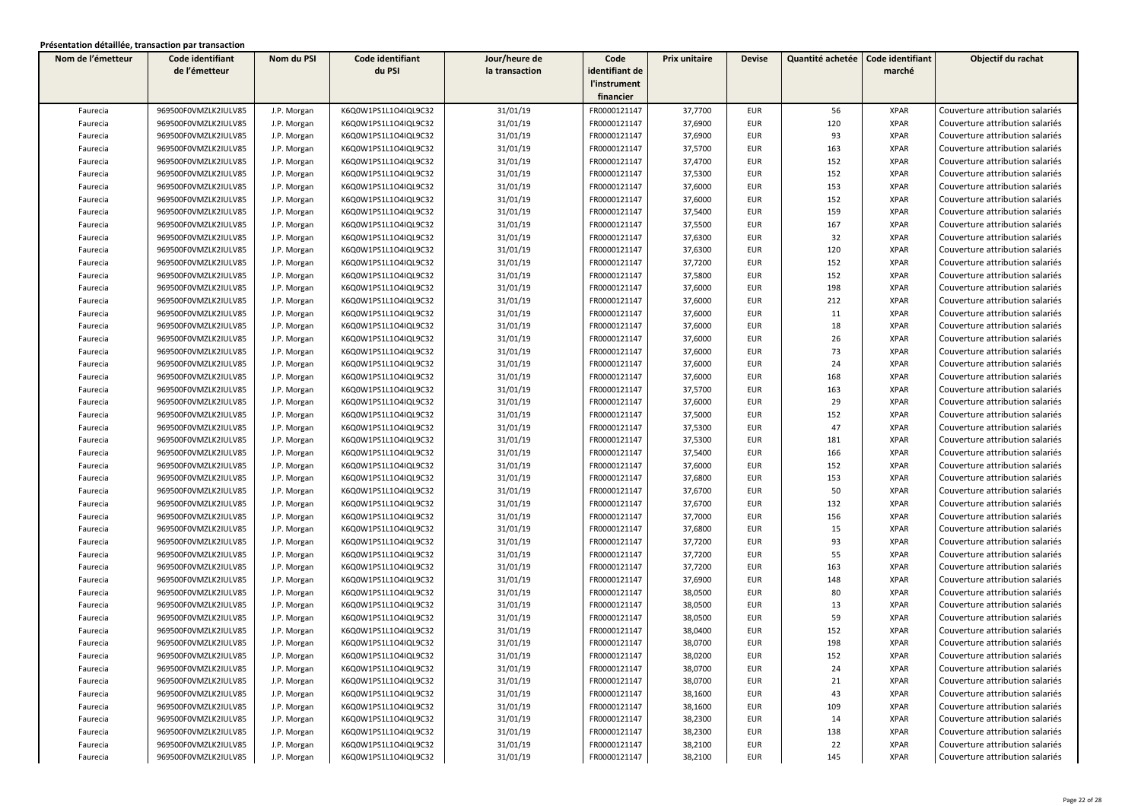| Nom de l'émetteur | Code identifiant     | Nom du PSI  | Code identifiant     | Jour/heure de  | Code           | Prix unitaire | <b>Devise</b> | Quantité achetée | Code identifiant | Objectif du rachat              |
|-------------------|----------------------|-------------|----------------------|----------------|----------------|---------------|---------------|------------------|------------------|---------------------------------|
|                   | de l'émetteur        |             | du PSI               | la transaction | identifiant de |               |               |                  | marché           |                                 |
|                   |                      |             |                      |                | l'instrument   |               |               |                  |                  |                                 |
|                   |                      |             |                      |                | financier      |               |               |                  |                  |                                 |
| Faurecia          | 969500F0VMZLK2IULV85 | J.P. Morgan | K6Q0W1PS1L1O4IQL9C32 | 31/01/19       | FR0000121147   | 37,7700       | <b>EUR</b>    | 56               | <b>XPAR</b>      | Couverture attribution salariés |
| Faurecia          | 969500F0VMZLK2IULV85 | J.P. Morgan | K6Q0W1PS1L1O4IQL9C32 | 31/01/19       | FR0000121147   | 37,6900       | <b>EUR</b>    | 120              | <b>XPAR</b>      | Couverture attribution salariés |
| Faurecia          | 969500F0VMZLK2IULV85 | J.P. Morgan | K6Q0W1PS1L1O4IQL9C32 | 31/01/19       | FR0000121147   | 37,6900       | <b>EUR</b>    | 93               | <b>XPAR</b>      | Couverture attribution salariés |
| Faurecia          | 969500F0VMZLK2IULV85 | J.P. Morgan | K6Q0W1PS1L1O4IQL9C32 | 31/01/19       | FR0000121147   | 37,5700       | EUR           | 163              | <b>XPAR</b>      | Couverture attribution salariés |
| Faurecia          | 969500F0VMZLK2IULV85 | J.P. Morgan | K6Q0W1PS1L1O4IQL9C32 | 31/01/19       | FR0000121147   | 37,4700       | <b>EUR</b>    | 152              | <b>XPAR</b>      | Couverture attribution salariés |
| Faurecia          | 969500F0VMZLK2IULV85 | J.P. Morgan | K6Q0W1PS1L1O4IQL9C32 | 31/01/19       | FR0000121147   | 37,5300       | <b>EUR</b>    | 152              | <b>XPAR</b>      | Couverture attribution salariés |
| Faurecia          | 969500F0VMZLK2IULV85 | J.P. Morgan | K6Q0W1PS1L1O4IQL9C32 | 31/01/19       | FR0000121147   | 37,6000       | <b>EUR</b>    | 153              | <b>XPAR</b>      | Couverture attribution salariés |
| Faurecia          | 969500F0VMZLK2IULV85 | J.P. Morgan | K6Q0W1PS1L1O4IQL9C32 | 31/01/19       | FR0000121147   | 37,6000       | EUR           | 152              | <b>XPAR</b>      | Couverture attribution salariés |
| Faurecia          | 969500F0VMZLK2IULV85 | J.P. Morgan | K6Q0W1PS1L1O4IQL9C32 | 31/01/19       | FR0000121147   | 37,5400       | <b>EUR</b>    | 159              | <b>XPAR</b>      | Couverture attribution salariés |
| Faurecia          | 969500F0VMZLK2IULV85 | J.P. Morgan | K6Q0W1PS1L1O4IQL9C32 | 31/01/19       | FR0000121147   | 37,5500       | <b>EUR</b>    | 167              | <b>XPAR</b>      | Couverture attribution salariés |
| Faurecia          | 969500F0VMZLK2IULV85 | J.P. Morgan | K6Q0W1PS1L1O4IQL9C32 | 31/01/19       | FR0000121147   | 37,6300       | <b>EUR</b>    | 32               | <b>XPAR</b>      | Couverture attribution salariés |
| Faurecia          | 969500F0VMZLK2IULV85 | J.P. Morgan | K6Q0W1PS1L1O4IQL9C32 | 31/01/19       | FR0000121147   | 37,6300       | <b>EUR</b>    | 120              | <b>XPAR</b>      | Couverture attribution salariés |
| Faurecia          | 969500F0VMZLK2IULV85 | J.P. Morgan | K6Q0W1PS1L1O4IQL9C32 | 31/01/19       | FR0000121147   | 37,7200       | EUR           | 152              | <b>XPAR</b>      | Couverture attribution salariés |
| Faurecia          | 969500F0VMZLK2IULV85 | J.P. Morgan | K6Q0W1PS1L1O4IQL9C32 | 31/01/19       | FR0000121147   | 37,5800       | EUR           | 152              | <b>XPAR</b>      | Couverture attribution salariés |
| Faurecia          | 969500F0VMZLK2IULV85 | J.P. Morgan | K6Q0W1PS1L1O4IQL9C32 | 31/01/19       | FR0000121147   | 37,6000       | <b>EUR</b>    | 198              | <b>XPAR</b>      | Couverture attribution salariés |
| Faurecia          | 969500F0VMZLK2IULV85 | J.P. Morgan | K6Q0W1PS1L1O4IQL9C32 | 31/01/19       | FR0000121147   | 37,6000       | <b>EUR</b>    | 212              | <b>XPAR</b>      | Couverture attribution salariés |
| Faurecia          | 969500F0VMZLK2IULV85 | J.P. Morgan | K6Q0W1PS1L1O4IQL9C32 | 31/01/19       | FR0000121147   | 37,6000       | <b>EUR</b>    | 11               | <b>XPAR</b>      | Couverture attribution salariés |
| Faurecia          | 969500F0VMZLK2IULV85 | J.P. Morgan | K6Q0W1PS1L1O4IQL9C32 | 31/01/19       | FR0000121147   | 37,6000       | <b>EUR</b>    | 18               | <b>XPAR</b>      | Couverture attribution salariés |
| Faurecia          | 969500F0VMZLK2IULV85 | J.P. Morgan | K6Q0W1PS1L1O4IQL9C32 | 31/01/19       | FR0000121147   | 37,6000       | <b>EUR</b>    | 26               | <b>XPAR</b>      | Couverture attribution salariés |
| Faurecia          | 969500F0VMZLK2IULV85 | J.P. Morgan | K6Q0W1PS1L1O4IQL9C32 | 31/01/19       | FR0000121147   | 37,6000       | <b>EUR</b>    | 73               | <b>XPAR</b>      | Couverture attribution salariés |
| Faurecia          | 969500F0VMZLK2IULV85 | J.P. Morgan | K6Q0W1PS1L1O4IQL9C32 | 31/01/19       | FR0000121147   | 37,6000       | EUR           | 24               | <b>XPAR</b>      | Couverture attribution salariés |
| Faurecia          | 969500F0VMZLK2IULV85 | J.P. Morgan | K6Q0W1PS1L1O4IQL9C32 | 31/01/19       | FR0000121147   | 37,6000       | EUR           | 168              | <b>XPAR</b>      | Couverture attribution salariés |
| Faurecia          | 969500F0VMZLK2IULV85 | J.P. Morgan | K6Q0W1PS1L1O4IQL9C32 | 31/01/19       | FR0000121147   | 37,5700       | <b>EUR</b>    | 163              | <b>XPAR</b>      | Couverture attribution salariés |
| Faurecia          | 969500F0VMZLK2IULV85 | J.P. Morgan | K6Q0W1PS1L1O4IQL9C32 | 31/01/19       | FR0000121147   | 37,6000       | <b>EUR</b>    | 29               | <b>XPAR</b>      | Couverture attribution salariés |
| Faurecia          | 969500F0VMZLK2IULV85 | J.P. Morgan | K6Q0W1PS1L1O4IQL9C32 | 31/01/19       | FR0000121147   | 37,5000       | <b>EUR</b>    | 152              | <b>XPAR</b>      | Couverture attribution salariés |
| Faurecia          | 969500F0VMZLK2IULV85 | J.P. Morgan | K6Q0W1PS1L1O4IQL9C32 | 31/01/19       | FR0000121147   | 37,5300       | <b>EUR</b>    | 47               | <b>XPAR</b>      | Couverture attribution salariés |
| Faurecia          | 969500F0VMZLK2IULV85 | J.P. Morgan | K6Q0W1PS1L1O4IQL9C32 | 31/01/19       | FR0000121147   | 37,5300       | <b>EUR</b>    | 181              | <b>XPAR</b>      | Couverture attribution salariés |
| Faurecia          | 969500F0VMZLK2IULV85 | J.P. Morgan | K6Q0W1PS1L1O4IQL9C32 | 31/01/19       | FR0000121147   | 37,5400       | <b>EUR</b>    | 166              | <b>XPAR</b>      | Couverture attribution salariés |
| Faurecia          | 969500F0VMZLK2IULV85 | J.P. Morgan | K6Q0W1PS1L1O4IQL9C32 | 31/01/19       | FR0000121147   | 37,6000       | <b>EUR</b>    | 152              | <b>XPAR</b>      | Couverture attribution salariés |
| Faurecia          | 969500F0VMZLK2IULV85 | J.P. Morgan | K6Q0W1PS1L1O4IQL9C32 | 31/01/19       | FR0000121147   | 37,6800       | <b>EUR</b>    | 153              | <b>XPAR</b>      | Couverture attribution salariés |
| Faurecia          | 969500F0VMZLK2IULV85 | J.P. Morgan | K6Q0W1PS1L1O4IQL9C32 | 31/01/19       | FR0000121147   | 37,6700       | <b>EUR</b>    | 50               | <b>XPAR</b>      | Couverture attribution salariés |
| Faurecia          | 969500F0VMZLK2IULV85 | J.P. Morgan | K6Q0W1PS1L1O4IQL9C32 | 31/01/19       | FR0000121147   | 37,6700       | <b>EUR</b>    | 132              | <b>XPAR</b>      | Couverture attribution salariés |
| Faurecia          | 969500F0VMZLK2IULV85 | J.P. Morgan | K6Q0W1PS1L1O4IQL9C32 | 31/01/19       | FR0000121147   | 37,7000       | <b>EUR</b>    | 156              | <b>XPAR</b>      | Couverture attribution salariés |
| Faurecia          | 969500F0VMZLK2IULV85 | J.P. Morgan | K6Q0W1PS1L1O4IQL9C32 | 31/01/19       | FR0000121147   | 37,6800       | <b>EUR</b>    | 15               | <b>XPAR</b>      | Couverture attribution salariés |
| Faurecia          | 969500F0VMZLK2IULV85 | J.P. Morgan | K6Q0W1PS1L1O4IQL9C32 | 31/01/19       | FR0000121147   | 37,7200       | <b>EUR</b>    | 93               | <b>XPAR</b>      | Couverture attribution salariés |
| Faurecia          | 969500F0VMZLK2IULV85 | J.P. Morgan | K6Q0W1PS1L1O4IQL9C32 | 31/01/19       | FR0000121147   | 37,7200       | <b>EUR</b>    | 55               | <b>XPAR</b>      | Couverture attribution salariés |
| Faurecia          | 969500F0VMZLK2IULV85 | J.P. Morgan | K6Q0W1PS1L1O4IQL9C32 | 31/01/19       | FR0000121147   | 37,7200       | <b>EUR</b>    | 163              | <b>XPAR</b>      | Couverture attribution salariés |
| Faurecia          | 969500F0VMZLK2IULV85 | J.P. Morgan | K6Q0W1PS1L1O4IQL9C32 | 31/01/19       | FR0000121147   | 37,6900       | <b>EUR</b>    | 148              | <b>XPAR</b>      | Couverture attribution salariés |
| Faurecia          | 969500F0VMZLK2IULV85 | J.P. Morgan | K6Q0W1PS1L1O4IQL9C32 | 31/01/19       | FR0000121147   | 38,0500       | <b>EUR</b>    | 80               | <b>XPAR</b>      | Couverture attribution salariés |
| Faurecia          | 969500F0VMZLK2IULV85 | J.P. Morgan | K6Q0W1PS1L1O4IQL9C32 | 31/01/19       | FR0000121147   | 38,0500       | <b>EUR</b>    | 13               | <b>XPAR</b>      | Couverture attribution salariés |
| Faurecia          | 969500F0VMZLK2IULV85 | J.P. Morgan | K6Q0W1PS1L1O4IQL9C32 | 31/01/19       | FR0000121147   | 38,0500       | <b>EUR</b>    | 59               | <b>XPAR</b>      | Couverture attribution salariés |
| Faurecia          | 969500F0VMZLK2IULV85 | J.P. Morgan | K6Q0W1PS1L1O4IQL9C32 | 31/01/19       | FR0000121147   | 38,0400       | <b>EUR</b>    | 152              | <b>XPAR</b>      | Couverture attribution salariés |
| Faurecia          | 969500F0VMZLK2IULV85 | J.P. Morgan | K6Q0W1PS1L1O4IQL9C32 | 31/01/19       | FR0000121147   | 38,0700       | <b>EUR</b>    | 198              | <b>XPAR</b>      | Couverture attribution salariés |
| Faurecia          | 969500F0VMZLK2IULV85 | J.P. Morgan | K6Q0W1PS1L1O4IQL9C32 | 31/01/19       | FR0000121147   | 38,0200       | EUR           | 152              | XPAR             | Couverture attribution salariés |
| Faurecia          | 969500F0VMZLK2IULV85 | J.P. Morgan | K6Q0W1PS1L1O4IQL9C32 | 31/01/19       | FR0000121147   | 38,0700       | <b>EUR</b>    | 24               | <b>XPAR</b>      | Couverture attribution salariés |
| Faurecia          | 969500F0VMZLK2IULV85 | J.P. Morgan | K6Q0W1PS1L1O4IQL9C32 | 31/01/19       | FR0000121147   | 38,0700       | EUR           | 21               | <b>XPAR</b>      | Couverture attribution salariés |
| Faurecia          | 969500F0VMZLK2IULV85 | J.P. Morgan | K6Q0W1PS1L1O4IQL9C32 | 31/01/19       | FR0000121147   | 38,1600       | EUR           | 43               | XPAR             | Couverture attribution salariés |
| Faurecia          | 969500F0VMZLK2IULV85 | J.P. Morgan | K6Q0W1PS1L1O4IQL9C32 | 31/01/19       | FR0000121147   | 38,1600       | EUR           | 109              | <b>XPAR</b>      | Couverture attribution salariés |
| Faurecia          | 969500F0VMZLK2IULV85 | J.P. Morgan | K6Q0W1PS1L1O4IQL9C32 | 31/01/19       | FR0000121147   | 38,2300       | EUR           | 14               | <b>XPAR</b>      | Couverture attribution salariés |
| Faurecia          | 969500F0VMZLK2IULV85 | J.P. Morgan | K6Q0W1PS1L1O4IQL9C32 | 31/01/19       | FR0000121147   | 38,2300       | <b>EUR</b>    | 138              | <b>XPAR</b>      | Couverture attribution salariés |
| Faurecia          | 969500F0VMZLK2IULV85 | J.P. Morgan | K6Q0W1PS1L1O4IQL9C32 | 31/01/19       | FR0000121147   | 38,2100       | <b>EUR</b>    | 22               | <b>XPAR</b>      | Couverture attribution salariés |
| Faurecia          | 969500F0VMZLK2IULV85 | J.P. Morgan | K6Q0W1PS1L1O4IQL9C32 | 31/01/19       | FR0000121147   | 38,2100       | EUR           | 145              | <b>XPAR</b>      | Couverture attribution salariés |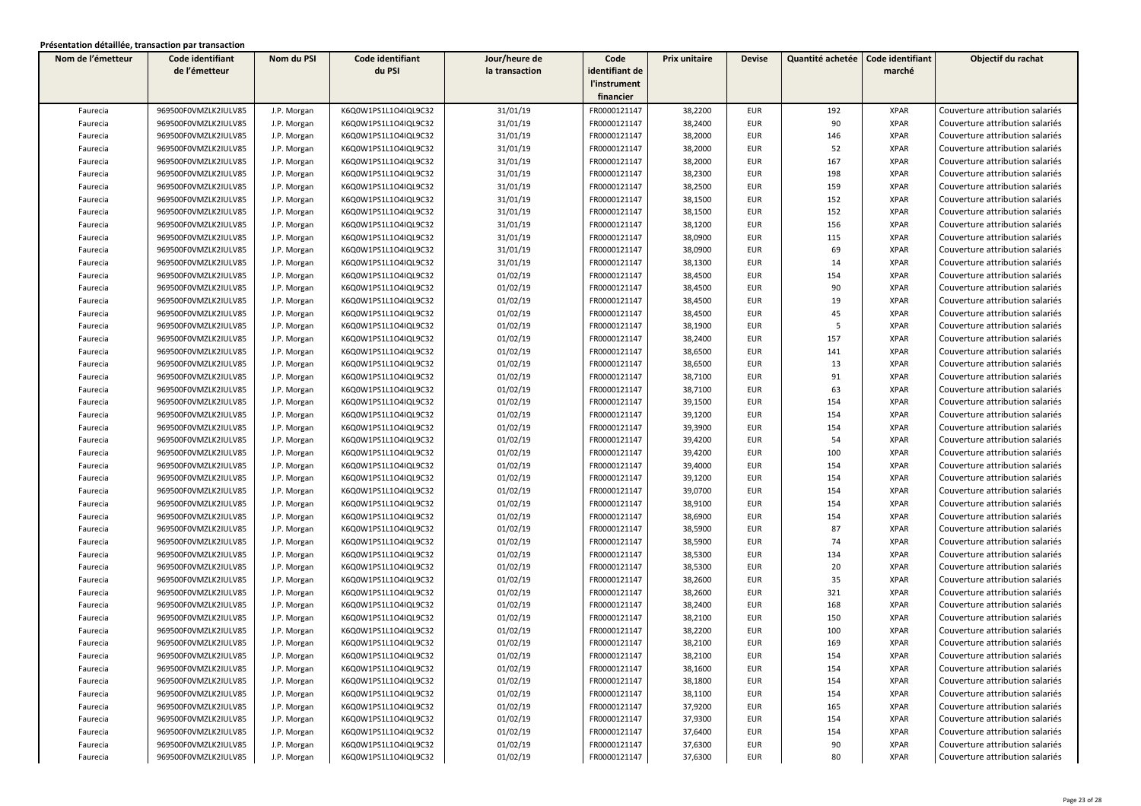| Nom de l'émetteur | Code identifiant     | Nom du PSI  | Code identifiant     | Jour/heure de  | Code           | Prix unitaire | <b>Devise</b> | Quantité achetée | Code identifiant | Objectif du rachat              |
|-------------------|----------------------|-------------|----------------------|----------------|----------------|---------------|---------------|------------------|------------------|---------------------------------|
|                   | de l'émetteur        |             | du PSI               | la transaction | identifiant de |               |               |                  | marché           |                                 |
|                   |                      |             |                      |                | l'instrument   |               |               |                  |                  |                                 |
|                   |                      |             |                      |                | financier      |               |               |                  |                  |                                 |
| Faurecia          | 969500F0VMZLK2IULV85 | J.P. Morgan | K6Q0W1PS1L1O4IQL9C32 | 31/01/19       | FR0000121147   | 38,2200       | <b>EUR</b>    | 192              | <b>XPAR</b>      | Couverture attribution salariés |
| Faurecia          | 969500F0VMZLK2IULV85 | J.P. Morgan | K6Q0W1PS1L1O4IQL9C32 | 31/01/19       | FR0000121147   | 38,2400       | <b>EUR</b>    | 90               | <b>XPAR</b>      | Couverture attribution salariés |
| Faurecia          | 969500F0VMZLK2IULV85 | J.P. Morgan | K6Q0W1PS1L1O4IQL9C32 | 31/01/19       | FR0000121147   | 38,2000       | <b>EUR</b>    | 146              | <b>XPAR</b>      | Couverture attribution salariés |
| Faurecia          | 969500F0VMZLK2IULV85 | J.P. Morgan | K6Q0W1PS1L1O4IQL9C32 | 31/01/19       | FR0000121147   | 38,2000       | <b>EUR</b>    | 52               | <b>XPAR</b>      | Couverture attribution salariés |
| Faurecia          | 969500F0VMZLK2IULV85 | J.P. Morgan | K6Q0W1PS1L1O4IQL9C32 | 31/01/19       | FR0000121147   | 38,2000       | <b>EUR</b>    | 167              | <b>XPAR</b>      | Couverture attribution salariés |
| Faurecia          | 969500F0VMZLK2IULV85 | J.P. Morgan | K6Q0W1PS1L1O4IQL9C32 | 31/01/19       | FR0000121147   | 38,2300       | <b>EUR</b>    | 198              | <b>XPAR</b>      | Couverture attribution salariés |
| Faurecia          | 969500F0VMZLK2IULV85 | J.P. Morgan | K6Q0W1PS1L1O4IQL9C32 | 31/01/19       | FR0000121147   | 38,2500       | <b>EUR</b>    | 159              | <b>XPAR</b>      | Couverture attribution salariés |
| Faurecia          | 969500F0VMZLK2IULV85 | J.P. Morgan | K6Q0W1PS1L1O4IQL9C32 | 31/01/19       | FR0000121147   | 38,1500       | <b>EUR</b>    | 152              | <b>XPAR</b>      | Couverture attribution salariés |
| Faurecia          | 969500F0VMZLK2IULV85 | J.P. Morgan | K6Q0W1PS1L1O4IQL9C32 | 31/01/19       | FR0000121147   | 38,1500       | <b>EUR</b>    | 152              | <b>XPAR</b>      | Couverture attribution salariés |
| Faurecia          | 969500F0VMZLK2IULV85 | J.P. Morgan | K6Q0W1PS1L1O4IQL9C32 | 31/01/19       | FR0000121147   | 38,1200       | <b>EUR</b>    | 156              | <b>XPAR</b>      | Couverture attribution salariés |
| Faurecia          | 969500F0VMZLK2IULV85 | J.P. Morgan | K6Q0W1PS1L1O4IQL9C32 | 31/01/19       | FR0000121147   | 38,0900       | <b>EUR</b>    | 115              | <b>XPAR</b>      | Couverture attribution salariés |
| Faurecia          | 969500F0VMZLK2IULV85 | J.P. Morgan | K6Q0W1PS1L1O4IQL9C32 | 31/01/19       | FR0000121147   | 38,0900       | <b>EUR</b>    | 69               | <b>XPAR</b>      | Couverture attribution salariés |
| Faurecia          | 969500F0VMZLK2IULV85 | J.P. Morgan | K6Q0W1PS1L1O4IQL9C32 | 31/01/19       | FR0000121147   | 38,1300       | <b>EUR</b>    | 14               | <b>XPAR</b>      | Couverture attribution salariés |
| Faurecia          | 969500F0VMZLK2IULV85 | J.P. Morgan | K6Q0W1PS1L1O4IQL9C32 | 01/02/19       | FR0000121147   | 38,4500       | <b>EUR</b>    | 154              | <b>XPAR</b>      | Couverture attribution salariés |
| Faurecia          | 969500F0VMZLK2IULV85 | J.P. Morgan | K6Q0W1PS1L1O4IQL9C32 | 01/02/19       | FR0000121147   | 38,4500       | <b>EUR</b>    | 90               | <b>XPAR</b>      | Couverture attribution salariés |
| Faurecia          | 969500F0VMZLK2IULV85 | J.P. Morgan | K6Q0W1PS1L1O4IQL9C32 | 01/02/19       | FR0000121147   | 38,4500       | <b>EUR</b>    | 19               | <b>XPAR</b>      | Couverture attribution salariés |
| Faurecia          | 969500F0VMZLK2IULV85 | J.P. Morgan | K6Q0W1PS1L1O4IQL9C32 | 01/02/19       | FR0000121147   | 38,4500       | <b>EUR</b>    | 45               | <b>XPAR</b>      | Couverture attribution salariés |
| Faurecia          | 969500F0VMZLK2IULV85 | J.P. Morgan | K6Q0W1PS1L1O4IQL9C32 | 01/02/19       | FR0000121147   | 38,1900       | <b>EUR</b>    | 5                | <b>XPAR</b>      | Couverture attribution salariés |
| Faurecia          | 969500F0VMZLK2IULV85 | J.P. Morgan | K6Q0W1PS1L1O4IQL9C32 | 01/02/19       | FR0000121147   | 38,2400       | <b>EUR</b>    | 157              | <b>XPAR</b>      | Couverture attribution salariés |
| Faurecia          | 969500F0VMZLK2IULV85 | J.P. Morgan | K6Q0W1PS1L1O4IQL9C32 | 01/02/19       | FR0000121147   | 38,6500       | <b>EUR</b>    | 141              | <b>XPAR</b>      | Couverture attribution salariés |
| Faurecia          | 969500F0VMZLK2IULV85 | J.P. Morgan | K6Q0W1PS1L1O4IQL9C32 | 01/02/19       | FR0000121147   | 38,6500       | <b>EUR</b>    | 13               | <b>XPAR</b>      | Couverture attribution salariés |
| Faurecia          | 969500F0VMZLK2IULV85 | J.P. Morgan | K6Q0W1PS1L1O4IQL9C32 | 01/02/19       | FR0000121147   | 38,7100       | <b>EUR</b>    | 91               | <b>XPAR</b>      | Couverture attribution salariés |
| Faurecia          | 969500F0VMZLK2IULV85 | J.P. Morgan | K6Q0W1PS1L1O4IQL9C32 | 01/02/19       | FR0000121147   | 38,7100       | <b>EUR</b>    | 63               | <b>XPAR</b>      | Couverture attribution salariés |
| Faurecia          | 969500F0VMZLK2IULV85 | J.P. Morgan | K6Q0W1PS1L1O4IQL9C32 | 01/02/19       | FR0000121147   | 39,1500       | <b>EUR</b>    | 154              | <b>XPAR</b>      | Couverture attribution salariés |
| Faurecia          | 969500F0VMZLK2IULV85 | J.P. Morgan | K6Q0W1PS1L1O4IQL9C32 | 01/02/19       | FR0000121147   | 39,1200       | <b>EUR</b>    | 154              | <b>XPAR</b>      | Couverture attribution salariés |
| Faurecia          | 969500F0VMZLK2IULV85 | J.P. Morgan | K6Q0W1PS1L1O4IQL9C32 | 01/02/19       | FR0000121147   | 39,3900       | <b>EUR</b>    | 154              | <b>XPAR</b>      | Couverture attribution salariés |
| Faurecia          | 969500F0VMZLK2IULV85 | J.P. Morgan | K6Q0W1PS1L1O4IQL9C32 | 01/02/19       | FR0000121147   | 39,4200       | <b>EUR</b>    | 54               | <b>XPAR</b>      | Couverture attribution salariés |
| Faurecia          | 969500F0VMZLK2IULV85 | J.P. Morgan | K6Q0W1PS1L1O4IQL9C32 | 01/02/19       | FR0000121147   | 39,4200       | <b>EUR</b>    | 100              | <b>XPAR</b>      | Couverture attribution salariés |
| Faurecia          | 969500F0VMZLK2IULV85 | J.P. Morgan | K6Q0W1PS1L1O4IQL9C32 | 01/02/19       | FR0000121147   | 39,4000       | <b>EUR</b>    | 154              | <b>XPAR</b>      | Couverture attribution salariés |
| Faurecia          | 969500F0VMZLK2IULV85 | J.P. Morgan | K6Q0W1PS1L1O4IQL9C32 | 01/02/19       | FR0000121147   | 39,1200       | <b>EUR</b>    | 154              | <b>XPAR</b>      | Couverture attribution salariés |
| Faurecia          | 969500F0VMZLK2IULV85 | J.P. Morgan | K6Q0W1PS1L1O4IQL9C32 | 01/02/19       | FR0000121147   | 39,0700       | <b>EUR</b>    | 154              | <b>XPAR</b>      | Couverture attribution salariés |
| Faurecia          | 969500F0VMZLK2IULV85 | J.P. Morgan | K6Q0W1PS1L1O4IQL9C32 | 01/02/19       | FR0000121147   | 38,9100       | <b>EUR</b>    | 154              | <b>XPAR</b>      | Couverture attribution salariés |
| Faurecia          | 969500F0VMZLK2IULV85 | J.P. Morgan | K6Q0W1PS1L1O4IQL9C32 | 01/02/19       | FR0000121147   | 38,6900       | <b>EUR</b>    | 154              | <b>XPAR</b>      | Couverture attribution salariés |
| Faurecia          | 969500F0VMZLK2IULV85 | J.P. Morgan | K6Q0W1PS1L1O4IQL9C32 | 01/02/19       | FR0000121147   | 38,5900       | <b>EUR</b>    | 87               | <b>XPAR</b>      | Couverture attribution salariés |
| Faurecia          | 969500F0VMZLK2IULV85 | J.P. Morgan | K6Q0W1PS1L1O4IQL9C32 | 01/02/19       | FR0000121147   | 38,5900       | <b>EUR</b>    | 74               | <b>XPAR</b>      | Couverture attribution salariés |
| Faurecia          | 969500F0VMZLK2IULV85 | J.P. Morgan | K6Q0W1PS1L1O4IQL9C32 | 01/02/19       | FR0000121147   | 38,5300       | <b>EUR</b>    | 134              | <b>XPAR</b>      | Couverture attribution salariés |
| Faurecia          | 969500F0VMZLK2IULV85 | J.P. Morgan | K6Q0W1PS1L1O4IQL9C32 | 01/02/19       | FR0000121147   | 38,5300       | <b>EUR</b>    | 20               | <b>XPAR</b>      | Couverture attribution salariés |
| Faurecia          | 969500F0VMZLK2IULV85 | J.P. Morgan | K6Q0W1PS1L1O4IQL9C32 | 01/02/19       | FR0000121147   | 38,2600       | <b>EUR</b>    | 35               | <b>XPAR</b>      | Couverture attribution salariés |
| Faurecia          | 969500F0VMZLK2IULV85 | J.P. Morgan | K6Q0W1PS1L1O4IQL9C32 | 01/02/19       | FR0000121147   | 38,2600       | <b>EUR</b>    | 321              | <b>XPAR</b>      | Couverture attribution salariés |
| Faurecia          | 969500F0VMZLK2IULV85 | J.P. Morgan | K6Q0W1PS1L1O4IQL9C32 | 01/02/19       | FR0000121147   | 38,2400       | <b>EUR</b>    | 168              | <b>XPAR</b>      | Couverture attribution salariés |
| Faurecia          | 969500F0VMZLK2IULV85 | J.P. Morgan | K6Q0W1PS1L1O4IQL9C32 | 01/02/19       | FR0000121147   | 38,2100       | <b>EUR</b>    | 150              | <b>XPAR</b>      | Couverture attribution salariés |
| Faurecia          | 969500F0VMZLK2IULV85 | J.P. Morgan | K6Q0W1PS1L1O4IQL9C32 | 01/02/19       | FR0000121147   | 38,2200       | <b>EUR</b>    | 100              | <b>XPAR</b>      | Couverture attribution salariés |
| Faurecia          | 969500F0VMZLK2IULV85 | J.P. Morgan | K6Q0W1PS1L1O4IQL9C32 | 01/02/19       | FR0000121147   | 38,2100       | <b>EUR</b>    | 169              | <b>XPAR</b>      | Couverture attribution salariés |
| Faurecia          | 969500F0VMZLK2IULV85 | J.P. Morgan | K6Q0W1PS1L1O4IQL9C32 | 01/02/19       | FR0000121147   | 38,2100       | EUR           | 154              | XPAR             | Couverture attribution salariés |
| Faurecia          | 969500F0VMZLK2IULV85 | J.P. Morgan | K6Q0W1PS1L1O4IQL9C32 | 01/02/19       | FR0000121147   | 38,1600       | <b>EUR</b>    | 154              | <b>XPAR</b>      | Couverture attribution salariés |
| Faurecia          | 969500F0VMZLK2IULV85 | J.P. Morgan | K6Q0W1PS1L1O4IQL9C32 | 01/02/19       | FR0000121147   | 38,1800       | EUR           | 154              | <b>XPAR</b>      | Couverture attribution salariés |
| Faurecia          | 969500F0VMZLK2IULV85 | J.P. Morgan | K6Q0W1PS1L1O4IQL9C32 | 01/02/19       | FR0000121147   | 38,1100       | EUR           | 154              | XPAR             | Couverture attribution salariés |
| Faurecia          | 969500F0VMZLK2IULV85 | J.P. Morgan | K6Q0W1PS1L1O4IQL9C32 | 01/02/19       | FR0000121147   | 37,9200       | EUR           | 165              | <b>XPAR</b>      | Couverture attribution salariés |
| Faurecia          | 969500F0VMZLK2IULV85 | J.P. Morgan | K6Q0W1PS1L1O4IQL9C32 | 01/02/19       | FR0000121147   | 37,9300       | EUR           | 154              | <b>XPAR</b>      | Couverture attribution salariés |
| Faurecia          | 969500F0VMZLK2IULV85 | J.P. Morgan | K6Q0W1PS1L1O4IQL9C32 | 01/02/19       | FR0000121147   | 37,6400       | EUR           | 154              | <b>XPAR</b>      | Couverture attribution salariés |
| Faurecia          | 969500F0VMZLK2IULV85 | J.P. Morgan | K6Q0W1PS1L1O4IQL9C32 | 01/02/19       | FR0000121147   | 37,6300       | EUR           | 90               | <b>XPAR</b>      | Couverture attribution salariés |
| Faurecia          | 969500F0VMZLK2IULV85 | J.P. Morgan | K6Q0W1PS1L1O4IQL9C32 | 01/02/19       | FR0000121147   | 37,6300       | EUR           | 80               | <b>XPAR</b>      | Couverture attribution salariés |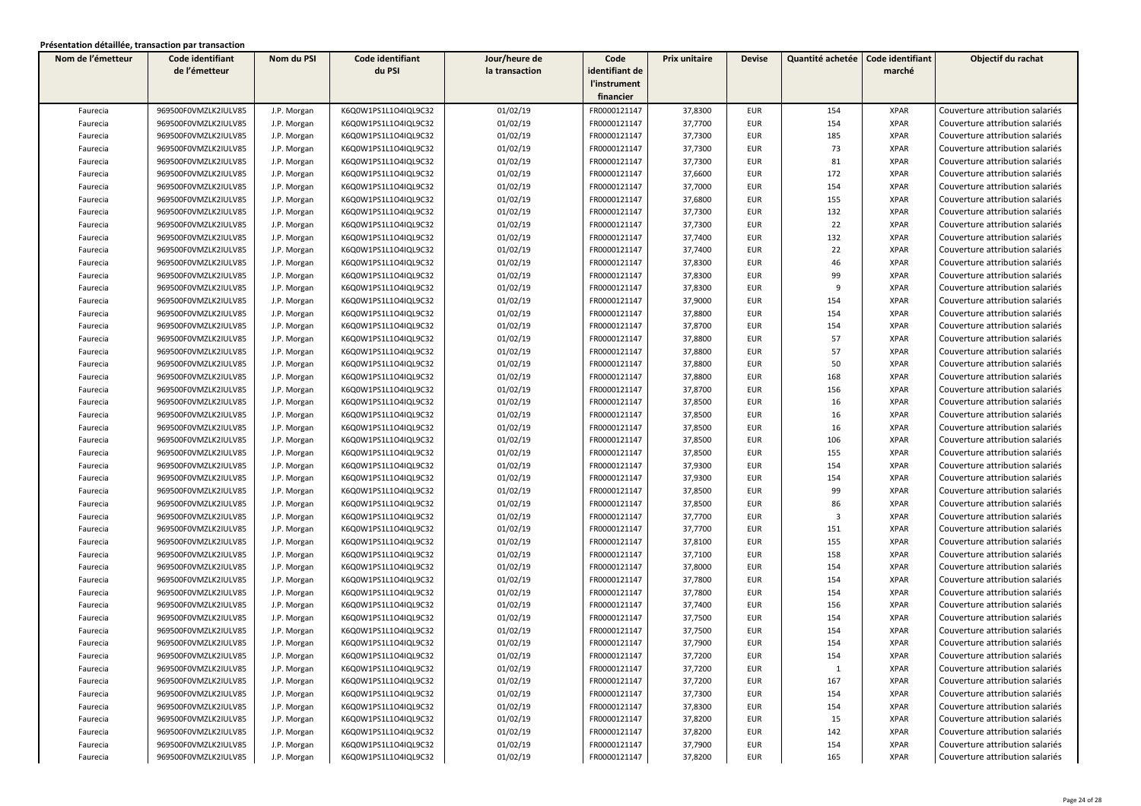| Nom de l'émetteur    | Code identifiant                             | Nom du PSI                 | Code identifiant                             | Jour/heure de        | Code           | Prix unitaire | <b>Devise</b> | Quantité achetée | Code identifiant | Objectif du rachat                                                 |
|----------------------|----------------------------------------------|----------------------------|----------------------------------------------|----------------------|----------------|---------------|---------------|------------------|------------------|--------------------------------------------------------------------|
|                      | de l'émetteur                                |                            | du PSI                                       | la transaction       | identifiant de |               |               |                  | marché           |                                                                    |
|                      |                                              |                            |                                              |                      | l'instrument   |               |               |                  |                  |                                                                    |
|                      |                                              |                            |                                              |                      | financier      |               |               |                  |                  |                                                                    |
| Faurecia             | 969500F0VMZLK2IULV85                         | J.P. Morgan                | K6Q0W1PS1L1O4IQL9C32                         | 01/02/19             | FR0000121147   | 37,8300       | <b>EUR</b>    | 154              | <b>XPAR</b>      | Couverture attribution salariés                                    |
| Faurecia             | 969500F0VMZLK2IULV85                         | J.P. Morgan                | K6Q0W1PS1L1O4IQL9C32                         | 01/02/19             | FR0000121147   | 37,7700       | <b>EUR</b>    | 154              | <b>XPAR</b>      | Couverture attribution salariés                                    |
| Faurecia             | 969500F0VMZLK2IULV85                         | J.P. Morgan                | K6Q0W1PS1L1O4IQL9C32                         | 01/02/19             | FR0000121147   | 37,7300       | <b>EUR</b>    | 185              | <b>XPAR</b>      | Couverture attribution salariés                                    |
| Faurecia             | 969500F0VMZLK2IULV85                         | J.P. Morgan                | K6Q0W1PS1L1O4IQL9C32                         | 01/02/19             | FR0000121147   | 37,7300       | <b>EUR</b>    | 73               | <b>XPAR</b>      | Couverture attribution salariés                                    |
| Faurecia             | 969500F0VMZLK2IULV85                         | J.P. Morgan                | K6Q0W1PS1L1O4IQL9C32                         | 01/02/19             | FR0000121147   | 37,7300       | <b>EUR</b>    | 81               | <b>XPAR</b>      | Couverture attribution salariés                                    |
| Faurecia             | 969500F0VMZLK2IULV85                         | J.P. Morgan                | K6Q0W1PS1L1O4IQL9C32                         | 01/02/19             | FR0000121147   | 37,6600       | <b>EUR</b>    | 172              | <b>XPAR</b>      | Couverture attribution salariés                                    |
| Faurecia             | 969500F0VMZLK2IULV85                         | J.P. Morgan                | K6Q0W1PS1L1O4IQL9C32                         | 01/02/19             | FR0000121147   | 37,7000       | <b>EUR</b>    | 154              | <b>XPAR</b>      | Couverture attribution salariés                                    |
| Faurecia             | 969500F0VMZLK2IULV85                         | J.P. Morgan                | K6Q0W1PS1L1O4IQL9C32                         | 01/02/19             | FR0000121147   | 37,6800       | <b>EUR</b>    | 155              | <b>XPAR</b>      | Couverture attribution salariés                                    |
| Faurecia             | 969500F0VMZLK2IULV85                         | J.P. Morgan                | K6Q0W1PS1L1O4IQL9C32                         | 01/02/19             | FR0000121147   | 37,7300       | <b>EUR</b>    | 132              | <b>XPAR</b>      | Couverture attribution salariés                                    |
| Faurecia             | 969500F0VMZLK2IULV85                         | J.P. Morgan                | K6Q0W1PS1L1O4IQL9C32                         | 01/02/19             | FR0000121147   | 37,7300       | <b>EUR</b>    | 22               | <b>XPAR</b>      | Couverture attribution salariés                                    |
| Faurecia             | 969500F0VMZLK2IULV85                         | J.P. Morgan                | K6Q0W1PS1L1O4IQL9C32                         | 01/02/19             | FR0000121147   | 37,7400       | <b>EUR</b>    | 132              | <b>XPAR</b>      | Couverture attribution salariés                                    |
| Faurecia             | 969500F0VMZLK2IULV85                         | J.P. Morgan                | K6Q0W1PS1L1O4IQL9C32                         | 01/02/19             | FR0000121147   | 37,7400       | <b>EUR</b>    | 22               | <b>XPAR</b>      | Couverture attribution salariés                                    |
| Faurecia             | 969500F0VMZLK2IULV85                         | J.P. Morgan                | K6Q0W1PS1L1O4IQL9C32                         | 01/02/19             | FR0000121147   | 37,8300       | <b>EUR</b>    | 46               | <b>XPAR</b>      | Couverture attribution salariés                                    |
| Faurecia             | 969500F0VMZLK2IULV85                         | J.P. Morgan                | K6Q0W1PS1L1O4IQL9C32                         | 01/02/19             | FR0000121147   | 37,8300       | <b>EUR</b>    | 99               | <b>XPAR</b>      | Couverture attribution salariés                                    |
| Faurecia             | 969500F0VMZLK2IULV85                         | J.P. Morgan                | K6Q0W1PS1L1O4IQL9C32                         | 01/02/19             | FR0000121147   | 37,8300       | <b>EUR</b>    | 9                | <b>XPAR</b>      | Couverture attribution salariés                                    |
| Faurecia             | 969500F0VMZLK2IULV85                         | J.P. Morgan                | K6Q0W1PS1L1O4IQL9C32                         | 01/02/19             | FR0000121147   | 37,9000       | <b>EUR</b>    | 154              | <b>XPAR</b>      | Couverture attribution salariés                                    |
| Faurecia             | 969500F0VMZLK2IULV85                         | J.P. Morgan                | K6Q0W1PS1L1O4IQL9C32                         | 01/02/19             | FR0000121147   | 37,8800       | <b>EUR</b>    | 154              | <b>XPAR</b>      | Couverture attribution salariés                                    |
| Faurecia             | 969500F0VMZLK2IULV85                         | J.P. Morgan                | K6Q0W1PS1L1O4IQL9C32                         | 01/02/19             | FR0000121147   | 37,8700       | <b>EUR</b>    | 154              | <b>XPAR</b>      | Couverture attribution salariés                                    |
| Faurecia             | 969500F0VMZLK2IULV85                         | J.P. Morgan                | K6Q0W1PS1L1O4IQL9C32                         | 01/02/19             | FR0000121147   | 37,8800       | <b>EUR</b>    | 57               | <b>XPAR</b>      | Couverture attribution salariés                                    |
| Faurecia             | 969500F0VMZLK2IULV85                         | J.P. Morgan                | K6Q0W1PS1L1O4IQL9C32                         | 01/02/19             | FR0000121147   | 37,8800       | <b>EUR</b>    | 57               | <b>XPAR</b>      | Couverture attribution salariés                                    |
| Faurecia             | 969500F0VMZLK2IULV85                         | J.P. Morgan                | K6Q0W1PS1L1O4IQL9C32                         | 01/02/19             | FR0000121147   | 37,8800       | <b>EUR</b>    | 50               | <b>XPAR</b>      | Couverture attribution salariés                                    |
| Faurecia             | 969500F0VMZLK2IULV85                         | J.P. Morgan                | K6Q0W1PS1L1O4IQL9C32                         | 01/02/19             | FR0000121147   | 37,8800       | <b>EUR</b>    | 168              | <b>XPAR</b>      | Couverture attribution salariés                                    |
| Faurecia             | 969500F0VMZLK2IULV85                         | J.P. Morgan                | K6Q0W1PS1L1O4IQL9C32                         | 01/02/19             | FR0000121147   | 37,8700       | <b>EUR</b>    | 156              | <b>XPAR</b>      | Couverture attribution salariés                                    |
| Faurecia             | 969500F0VMZLK2IULV85                         | J.P. Morgan                | K6Q0W1PS1L1O4IQL9C32                         | 01/02/19             | FR0000121147   | 37,8500       | <b>EUR</b>    | 16               | <b>XPAR</b>      | Couverture attribution salariés                                    |
| Faurecia             | 969500F0VMZLK2IULV85                         | J.P. Morgan                | K6Q0W1PS1L1O4IQL9C32                         | 01/02/19             | FR0000121147   | 37,8500       | <b>EUR</b>    | 16               | <b>XPAR</b>      | Couverture attribution salariés                                    |
| Faurecia             | 969500F0VMZLK2IULV85                         | J.P. Morgan                | K6Q0W1PS1L1O4IQL9C32                         | 01/02/19             | FR0000121147   | 37,8500       | <b>EUR</b>    | 16               | <b>XPAR</b>      | Couverture attribution salariés                                    |
| Faurecia             | 969500F0VMZLK2IULV85                         | J.P. Morgan                | K6Q0W1PS1L1O4IQL9C32                         | 01/02/19             | FR0000121147   | 37,8500       | <b>EUR</b>    | 106              | <b>XPAR</b>      | Couverture attribution salariés                                    |
| Faurecia             | 969500F0VMZLK2IULV85                         | J.P. Morgan                | K6Q0W1PS1L1O4IQL9C32                         | 01/02/19             | FR0000121147   | 37,8500       | <b>EUR</b>    | 155              | <b>XPAR</b>      | Couverture attribution salariés                                    |
| Faurecia             | 969500F0VMZLK2IULV85                         | J.P. Morgan                | K6Q0W1PS1L1O4IQL9C32                         | 01/02/19             | FR0000121147   | 37,9300       | <b>EUR</b>    | 154              | <b>XPAR</b>      | Couverture attribution salariés                                    |
| Faurecia             | 969500F0VMZLK2IULV85                         | J.P. Morgan                | K6Q0W1PS1L1O4IQL9C32                         | 01/02/19             | FR0000121147   | 37,9300       | <b>EUR</b>    | 154              | <b>XPAR</b>      | Couverture attribution salariés                                    |
| Faurecia             | 969500F0VMZLK2IULV85                         | J.P. Morgan                | K6Q0W1PS1L1O4IQL9C32                         | 01/02/19             | FR0000121147   | 37,8500       | <b>EUR</b>    | 99               | <b>XPAR</b>      | Couverture attribution salariés                                    |
| Faurecia             | 969500F0VMZLK2IULV85                         | J.P. Morgan                | K6Q0W1PS1L1O4IQL9C32                         | 01/02/19             | FR0000121147   | 37,8500       | <b>EUR</b>    | 86               | <b>XPAR</b>      | Couverture attribution salariés                                    |
| Faurecia             | 969500F0VMZLK2IULV85                         |                            | K6Q0W1PS1L1O4IQL9C32                         | 01/02/19             | FR0000121147   | 37,7700       | <b>EUR</b>    | $\overline{3}$   | <b>XPAR</b>      | Couverture attribution salariés                                    |
| Faurecia             | 969500F0VMZLK2IULV85                         | J.P. Morgan                | K6Q0W1PS1L1O4IQL9C32                         | 01/02/19             | FR0000121147   | 37,7700       | <b>EUR</b>    | 151              | <b>XPAR</b>      | Couverture attribution salariés                                    |
|                      | 969500F0VMZLK2IULV85                         | J.P. Morgan<br>J.P. Morgan | K6Q0W1PS1L1O4IQL9C32                         | 01/02/19             | FR0000121147   | 37,8100       | <b>EUR</b>    | 155              | <b>XPAR</b>      | Couverture attribution salariés                                    |
| Faurecia             | 969500F0VMZLK2IULV85                         | J.P. Morgan                | K6Q0W1PS1L1O4IQL9C32                         | 01/02/19             | FR0000121147   | 37,7100       | <b>EUR</b>    | 158              | <b>XPAR</b>      | Couverture attribution salariés                                    |
| Faurecia<br>Faurecia | 969500F0VMZLK2IULV85                         | J.P. Morgan                | K6Q0W1PS1L1O4IQL9C32                         | 01/02/19             | FR0000121147   | 37,8000       | <b>EUR</b>    | 154              | <b>XPAR</b>      | Couverture attribution salariés                                    |
|                      | 969500F0VMZLK2IULV85                         |                            | K6Q0W1PS1L1O4IQL9C32                         | 01/02/19             | FR0000121147   | 37,7800       | <b>EUR</b>    | 154              | <b>XPAR</b>      | Couverture attribution salariés                                    |
| Faurecia             | 969500F0VMZLK2IULV85                         | J.P. Morgan                | K6Q0W1PS1L1O4IQL9C32                         | 01/02/19             | FR0000121147   | 37,7800       | <b>EUR</b>    | 154              | <b>XPAR</b>      | Couverture attribution salariés                                    |
| Faurecia             |                                              | J.P. Morgan                |                                              |                      | FR0000121147   | 37,7400       | <b>EUR</b>    | 156              | <b>XPAR</b>      |                                                                    |
| Faurecia             | 969500F0VMZLK2IULV85<br>969500F0VMZLK2IULV85 | J.P. Morgan                | K6Q0W1PS1L1O4IQL9C32<br>K6Q0W1PS1L1O4IQL9C32 | 01/02/19<br>01/02/19 | FR0000121147   | 37,7500       | <b>EUR</b>    | 154              | <b>XPAR</b>      | Couverture attribution salariés<br>Couverture attribution salariés |
| Faurecia             |                                              | J.P. Morgan                |                                              |                      | FR0000121147   |               |               | 154              | <b>XPAR</b>      | Couverture attribution salariés                                    |
| Faurecia             | 969500F0VMZLK2IULV85                         | J.P. Morgan                | K6Q0W1PS1L1O4IQL9C32                         | 01/02/19             |                | 37,7500       | EUR           |                  |                  |                                                                    |
| Faurecia             | 969500F0VMZLK2IULV85                         | J.P. Morgan                | K6Q0W1PS1L1O4IQL9C32                         | 01/02/19             | FR0000121147   | 37,7900       | <b>EUR</b>    | 154              | <b>XPAR</b>      | Couverture attribution salariés                                    |
| Faurecia             | 969500F0VMZLK2IULV85                         | J.P. Morgan                | K6Q0W1PS1L1O4IQL9C32                         | 01/02/19             | FR0000121147   | 37,7200       | EUR           | 154              | XPAR             | Couverture attribution salariés                                    |
| Faurecia             | 969500F0VMZLK2IULV85                         | J.P. Morgan                | K6Q0W1PS1L1O4IQL9C32                         | 01/02/19             | FR0000121147   | 37,7200       | <b>EUR</b>    | 1                | <b>XPAR</b>      | Couverture attribution salariés                                    |
| Faurecia             | 969500F0VMZLK2IULV85                         | J.P. Morgan                | K6Q0W1PS1L1O4IQL9C32                         | 01/02/19             | FR0000121147   | 37,7200       | EUR           | 167              | <b>XPAR</b>      | Couverture attribution salariés                                    |
| Faurecia             | 969500F0VMZLK2IULV85                         | J.P. Morgan                | K6Q0W1PS1L1O4IQL9C32                         | 01/02/19             | FR0000121147   | 37,7300       | EUR           | 154              | XPAR             | Couverture attribution salariés                                    |
| Faurecia             | 969500F0VMZLK2IULV85                         | J.P. Morgan                | K6Q0W1PS1L1O4IQL9C32                         | 01/02/19             | FR0000121147   | 37,8300       | EUR           | 154              | <b>XPAR</b>      | Couverture attribution salariés                                    |
| Faurecia             | 969500F0VMZLK2IULV85                         | J.P. Morgan                | K6Q0W1PS1L1O4IQL9C32                         | 01/02/19             | FR0000121147   | 37,8200       | EUR           | 15               | <b>XPAR</b>      | Couverture attribution salariés                                    |
| Faurecia             | 969500F0VMZLK2IULV85                         | J.P. Morgan                | K6Q0W1PS1L1O4IQL9C32                         | 01/02/19             | FR0000121147   | 37,8200       | EUR           | 142              | <b>XPAR</b>      | Couverture attribution salariés                                    |
| Faurecia             | 969500F0VMZLK2IULV85                         | J.P. Morgan                | K6Q0W1PS1L1O4IQL9C32                         | 01/02/19             | FR0000121147   | 37,7900       | EUR           | 154              | <b>XPAR</b>      | Couverture attribution salariés                                    |
| Faurecia             | 969500F0VMZLK2IULV85                         | J.P. Morgan                | K6Q0W1PS1L1O4IQL9C32                         | 01/02/19             | FR0000121147   | 37,8200       | EUR           | 165              | <b>XPAR</b>      | Couverture attribution salariés                                    |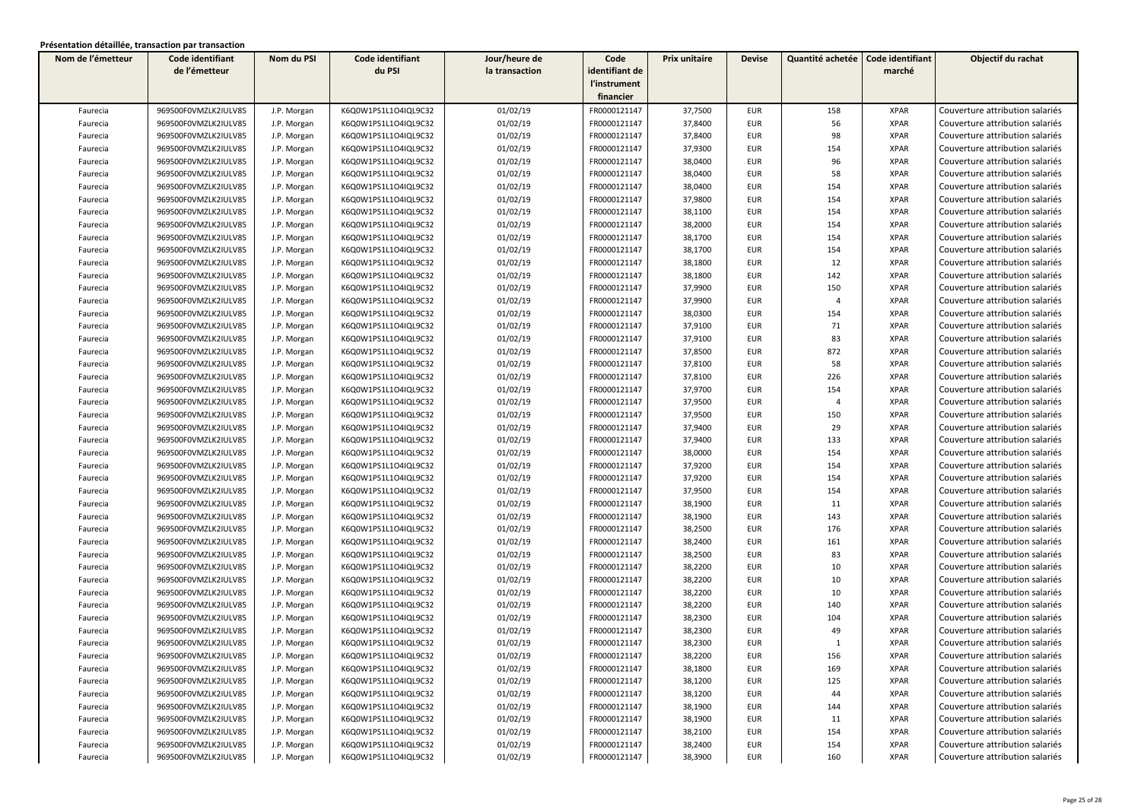| Nom de l'émetteur | Code identifiant     | Nom du PSI  | Code identifiant     | Jour/heure de  | Code           | Prix unitaire | <b>Devise</b> | Quantité achetée | Code identifiant | Objectif du rachat              |
|-------------------|----------------------|-------------|----------------------|----------------|----------------|---------------|---------------|------------------|------------------|---------------------------------|
|                   | de l'émetteur        |             | du PSI               | la transaction | identifiant de |               |               |                  | marché           |                                 |
|                   |                      |             |                      |                | l'instrument   |               |               |                  |                  |                                 |
|                   |                      |             |                      |                | financier      |               |               |                  |                  |                                 |
| Faurecia          | 969500F0VMZLK2IULV85 | J.P. Morgan | K6Q0W1PS1L1O4IQL9C32 | 01/02/19       | FR0000121147   | 37,7500       | <b>EUR</b>    | 158              | <b>XPAR</b>      | Couverture attribution salariés |
| Faurecia          | 969500F0VMZLK2IULV85 | J.P. Morgan | K6Q0W1PS1L1O4IQL9C32 | 01/02/19       | FR0000121147   | 37,8400       | <b>EUR</b>    | 56               | <b>XPAR</b>      | Couverture attribution salariés |
| Faurecia          | 969500F0VMZLK2IULV85 | J.P. Morgan | K6Q0W1PS1L1O4IQL9C32 | 01/02/19       | FR0000121147   | 37,8400       | <b>EUR</b>    | 98               | <b>XPAR</b>      | Couverture attribution salariés |
| Faurecia          | 969500F0VMZLK2IULV85 | J.P. Morgan | K6Q0W1PS1L1O4IQL9C32 | 01/02/19       | FR0000121147   | 37,9300       | <b>EUR</b>    | 154              | <b>XPAR</b>      | Couverture attribution salariés |
| Faurecia          | 969500F0VMZLK2IULV85 | J.P. Morgan | K6Q0W1PS1L1O4IQL9C32 | 01/02/19       | FR0000121147   | 38,0400       | <b>EUR</b>    | 96               | <b>XPAR</b>      | Couverture attribution salariés |
| Faurecia          | 969500F0VMZLK2IULV85 | J.P. Morgan | K6Q0W1PS1L1O4IQL9C32 | 01/02/19       | FR0000121147   | 38,0400       | EUR           | 58               | <b>XPAR</b>      | Couverture attribution salariés |
| Faurecia          | 969500F0VMZLK2IULV85 | J.P. Morgan | K6Q0W1PS1L1O4IQL9C32 | 01/02/19       | FR0000121147   | 38,0400       | <b>EUR</b>    | 154              | <b>XPAR</b>      | Couverture attribution salariés |
| Faurecia          | 969500F0VMZLK2IULV85 | J.P. Morgan | K6Q0W1PS1L1O4IQL9C32 | 01/02/19       | FR0000121147   | 37,9800       | <b>EUR</b>    | 154              | <b>XPAR</b>      | Couverture attribution salariés |
| Faurecia          | 969500F0VMZLK2IULV85 | J.P. Morgan | K6Q0W1PS1L1O4IQL9C32 | 01/02/19       | FR0000121147   | 38,1100       | <b>EUR</b>    | 154              | <b>XPAR</b>      | Couverture attribution salariés |
| Faurecia          | 969500F0VMZLK2IULV85 | J.P. Morgan | K6Q0W1PS1L1O4IQL9C32 | 01/02/19       | FR0000121147   | 38,2000       | <b>EUR</b>    | 154              | <b>XPAR</b>      | Couverture attribution salariés |
| Faurecia          | 969500F0VMZLK2IULV85 | J.P. Morgan | K6Q0W1PS1L1O4IQL9C32 | 01/02/19       | FR0000121147   | 38,1700       | <b>EUR</b>    | 154              | <b>XPAR</b>      | Couverture attribution salariés |
| Faurecia          | 969500F0VMZLK2IULV85 | J.P. Morgan | K6Q0W1PS1L1O4IQL9C32 | 01/02/19       | FR0000121147   | 38,1700       | EUR           | 154              | <b>XPAR</b>      | Couverture attribution salariés |
| Faurecia          | 969500F0VMZLK2IULV85 | J.P. Morgan | K6Q0W1PS1L1O4IQL9C32 | 01/02/19       | FR0000121147   | 38,1800       | EUR           | 12               | <b>XPAR</b>      | Couverture attribution salariés |
| Faurecia          | 969500F0VMZLK2IULV85 | J.P. Morgan | K6Q0W1PS1L1O4IQL9C32 | 01/02/19       | FR0000121147   | 38,1800       | <b>EUR</b>    | 142              | <b>XPAR</b>      | Couverture attribution salariés |
| Faurecia          | 969500F0VMZLK2IULV85 | J.P. Morgan | K6Q0W1PS1L1O4IQL9C32 | 01/02/19       | FR0000121147   | 37,9900       | EUR           | 150              | <b>XPAR</b>      | Couverture attribution salariés |
| Faurecia          | 969500F0VMZLK2IULV85 | J.P. Morgan | K6Q0W1PS1L1O4IQL9C32 | 01/02/19       | FR0000121147   | 37,9900       | <b>EUR</b>    | $\overline{4}$   | <b>XPAR</b>      | Couverture attribution salariés |
| Faurecia          | 969500F0VMZLK2IULV85 | J.P. Morgan | K6Q0W1PS1L1O4IQL9C32 | 01/02/19       | FR0000121147   | 38,0300       | <b>EUR</b>    | 154              | <b>XPAR</b>      | Couverture attribution salariés |
| Faurecia          | 969500F0VMZLK2IULV85 | J.P. Morgan | K6Q0W1PS1L1O4IQL9C32 | 01/02/19       | FR0000121147   | 37,9100       | EUR           | 71               | <b>XPAR</b>      | Couverture attribution salariés |
| Faurecia          | 969500F0VMZLK2IULV85 | J.P. Morgan | K6Q0W1PS1L1O4IQL9C32 | 01/02/19       | FR0000121147   | 37,9100       | <b>EUR</b>    | 83               | <b>XPAR</b>      | Couverture attribution salariés |
| Faurecia          | 969500F0VMZLK2IULV85 | J.P. Morgan | K6Q0W1PS1L1O4IQL9C32 | 01/02/19       | FR0000121147   | 37,8500       | EUR           | 872              | <b>XPAR</b>      | Couverture attribution salariés |
| Faurecia          | 969500F0VMZLK2IULV85 | J.P. Morgan | K6Q0W1PS1L1O4IQL9C32 | 01/02/19       | FR0000121147   | 37,8100       | EUR           | 58               | <b>XPAR</b>      | Couverture attribution salariés |
| Faurecia          | 969500F0VMZLK2IULV85 | J.P. Morgan | K6Q0W1PS1L1O4IQL9C32 | 01/02/19       | FR0000121147   | 37,8100       | EUR           | 226              | <b>XPAR</b>      | Couverture attribution salariés |
| Faurecia          | 969500F0VMZLK2IULV85 | J.P. Morgan | K6Q0W1PS1L1O4IQL9C32 | 01/02/19       | FR0000121147   | 37,9700       | <b>EUR</b>    | 154              | <b>XPAR</b>      | Couverture attribution salariés |
| Faurecia          | 969500F0VMZLK2IULV85 | J.P. Morgan | K6Q0W1PS1L1O4IQL9C32 | 01/02/19       | FR0000121147   | 37,9500       | <b>EUR</b>    | $\overline{4}$   | <b>XPAR</b>      | Couverture attribution salariés |
| Faurecia          | 969500F0VMZLK2IULV85 | J.P. Morgan | K6Q0W1PS1L1O4IQL9C32 | 01/02/19       | FR0000121147   | 37,9500       | <b>EUR</b>    | 150              | <b>XPAR</b>      | Couverture attribution salariés |
| Faurecia          | 969500F0VMZLK2IULV85 | J.P. Morgan | K6Q0W1PS1L1O4IQL9C32 | 01/02/19       | FR0000121147   | 37,9400       | EUR           | 29               | <b>XPAR</b>      | Couverture attribution salariés |
| Faurecia          | 969500F0VMZLK2IULV85 | J.P. Morgan | K6Q0W1PS1L1O4IQL9C32 | 01/02/19       | FR0000121147   | 37,9400       | <b>EUR</b>    | 133              | <b>XPAR</b>      | Couverture attribution salariés |
| Faurecia          | 969500F0VMZLK2IULV85 | J.P. Morgan | K6Q0W1PS1L1O4IQL9C32 | 01/02/19       | FR0000121147   | 38,0000       | EUR           | 154              | <b>XPAR</b>      | Couverture attribution salariés |
| Faurecia          | 969500F0VMZLK2IULV85 | J.P. Morgan | K6Q0W1PS1L1O4IQL9C32 | 01/02/19       | FR0000121147   | 37,9200       | <b>EUR</b>    | 154              | <b>XPAR</b>      | Couverture attribution salariés |
| Faurecia          | 969500F0VMZLK2IULV85 | J.P. Morgan | K6Q0W1PS1L1O4IQL9C32 | 01/02/19       | FR0000121147   | 37,9200       | <b>EUR</b>    | 154              | <b>XPAR</b>      | Couverture attribution salariés |
| Faurecia          | 969500F0VMZLK2IULV85 | J.P. Morgan | K6Q0W1PS1L1O4IQL9C32 | 01/02/19       | FR0000121147   | 37,9500       | <b>EUR</b>    | 154              | <b>XPAR</b>      | Couverture attribution salariés |
| Faurecia          | 969500F0VMZLK2IULV85 | J.P. Morgan | K6Q0W1PS1L1O4IQL9C32 | 01/02/19       | FR0000121147   | 38,1900       | <b>EUR</b>    | 11               | <b>XPAR</b>      | Couverture attribution salariés |
| Faurecia          | 969500F0VMZLK2IULV85 | J.P. Morgan | K6Q0W1PS1L1O4IQL9C32 | 01/02/19       | FR0000121147   | 38,1900       | <b>EUR</b>    | 143              | <b>XPAR</b>      | Couverture attribution salariés |
| Faurecia          | 969500F0VMZLK2IULV85 | J.P. Morgan | K6Q0W1PS1L1O4IQL9C32 | 01/02/19       | FR0000121147   | 38,2500       | <b>EUR</b>    | 176              | <b>XPAR</b>      | Couverture attribution salariés |
| Faurecia          | 969500F0VMZLK2IULV85 | J.P. Morgan | K6Q0W1PS1L1O4IQL9C32 | 01/02/19       | FR0000121147   | 38,2400       | <b>EUR</b>    | 161              | <b>XPAR</b>      | Couverture attribution salariés |
| Faurecia          | 969500F0VMZLK2IULV85 | J.P. Morgan | K6Q0W1PS1L1O4IQL9C32 | 01/02/19       | FR0000121147   | 38,2500       | <b>EUR</b>    | 83               | <b>XPAR</b>      | Couverture attribution salariés |
| Faurecia          | 969500F0VMZLK2IULV85 | J.P. Morgan | K6Q0W1PS1L1O4IQL9C32 | 01/02/19       | FR0000121147   | 38,2200       | <b>EUR</b>    | 10               | <b>XPAR</b>      | Couverture attribution salariés |
| Faurecia          | 969500F0VMZLK2IULV85 | J.P. Morgan | K6Q0W1PS1L1O4IQL9C32 | 01/02/19       | FR0000121147   | 38,2200       | <b>EUR</b>    | 10               | <b>XPAR</b>      | Couverture attribution salariés |
| Faurecia          | 969500F0VMZLK2IULV85 | J.P. Morgan | K6Q0W1PS1L1O4IQL9C32 | 01/02/19       | FR0000121147   | 38,2200       | <b>EUR</b>    | 10               | <b>XPAR</b>      | Couverture attribution salariés |
| Faurecia          | 969500F0VMZLK2IULV85 | J.P. Morgan | K6Q0W1PS1L1O4IQL9C32 | 01/02/19       | FR0000121147   | 38,2200       | <b>EUR</b>    | 140              | <b>XPAR</b>      | Couverture attribution salariés |
| Faurecia          | 969500F0VMZLK2IULV85 | J.P. Morgan | K6Q0W1PS1L1O4IQL9C32 | 01/02/19       | FR0000121147   | 38,2300       | <b>EUR</b>    | 104              | <b>XPAR</b>      | Couverture attribution salariés |
| Faurecia          | 969500F0VMZLK2IULV85 | J.P. Morgan | K6Q0W1PS1L1O4IQL9C32 | 01/02/19       | FR0000121147   | 38,2300       | <b>EUR</b>    | 49               | <b>XPAR</b>      | Couverture attribution salariés |
| Faurecia          | 969500F0VMZLK2IULV85 | J.P. Morgan | K6Q0W1PS1L1O4IQL9C32 | 01/02/19       | FR0000121147   | 38,2300       | <b>EUR</b>    | $\mathbf{1}$     | <b>XPAR</b>      | Couverture attribution salariés |
| Faurecia          | 969500F0VMZLK2IULV85 | J.P. Morgan | K6Q0W1PS1L1O4IQL9C32 | 01/02/19       | FR0000121147   | 38,2200       | <b>EUR</b>    | 156              | <b>XPAR</b>      | Couverture attribution salariés |
| Faurecia          | 969500F0VMZLK2IULV85 | J.P. Morgan | K6Q0W1PS1L1O4IQL9C32 | 01/02/19       | FR0000121147   | 38,1800       | <b>EUR</b>    | 169              | <b>XPAR</b>      | Couverture attribution salariés |
| Faurecia          | 969500F0VMZLK2IULV85 | J.P. Morgan | K6Q0W1PS1L1O4IQL9C32 | 01/02/19       | FR0000121147   | 38,1200       | EUR           | 125              | <b>XPAR</b>      | Couverture attribution salariés |
| Faurecia          | 969500F0VMZLK2IULV85 | J.P. Morgan | K6Q0W1PS1L1O4IQL9C32 | 01/02/19       | FR0000121147   | 38,1200       | <b>EUR</b>    | 44               | <b>XPAR</b>      | Couverture attribution salariés |
| Faurecia          | 969500F0VMZLK2IULV85 | J.P. Morgan | K6Q0W1PS1L1O4IQL9C32 | 01/02/19       | FR0000121147   | 38,1900       | EUR           | 144              | <b>XPAR</b>      | Couverture attribution salariés |
| Faurecia          | 969500F0VMZLK2IULV85 | J.P. Morgan | K6Q0W1PS1L1O4IQL9C32 | 01/02/19       | FR0000121147   | 38,1900       | EUR           | 11               | <b>XPAR</b>      | Couverture attribution salariés |
| Faurecia          | 969500F0VMZLK2IULV85 | J.P. Morgan | K6Q0W1PS1L1O4IQL9C32 | 01/02/19       | FR0000121147   | 38,2100       | EUR           | 154              | <b>XPAR</b>      | Couverture attribution salariés |
| Faurecia          | 969500F0VMZLK2IULV85 | J.P. Morgan | K6Q0W1PS1L1O4IQL9C32 | 01/02/19       | FR0000121147   | 38,2400       | EUR           | 154              | <b>XPAR</b>      | Couverture attribution salariés |
| Faurecia          | 969500F0VMZLK2IULV85 | J.P. Morgan | K6Q0W1PS1L1O4IQL9C32 | 01/02/19       | FR0000121147   | 38,3900       | <b>EUR</b>    | 160              | <b>XPAR</b>      | Couverture attribution salariés |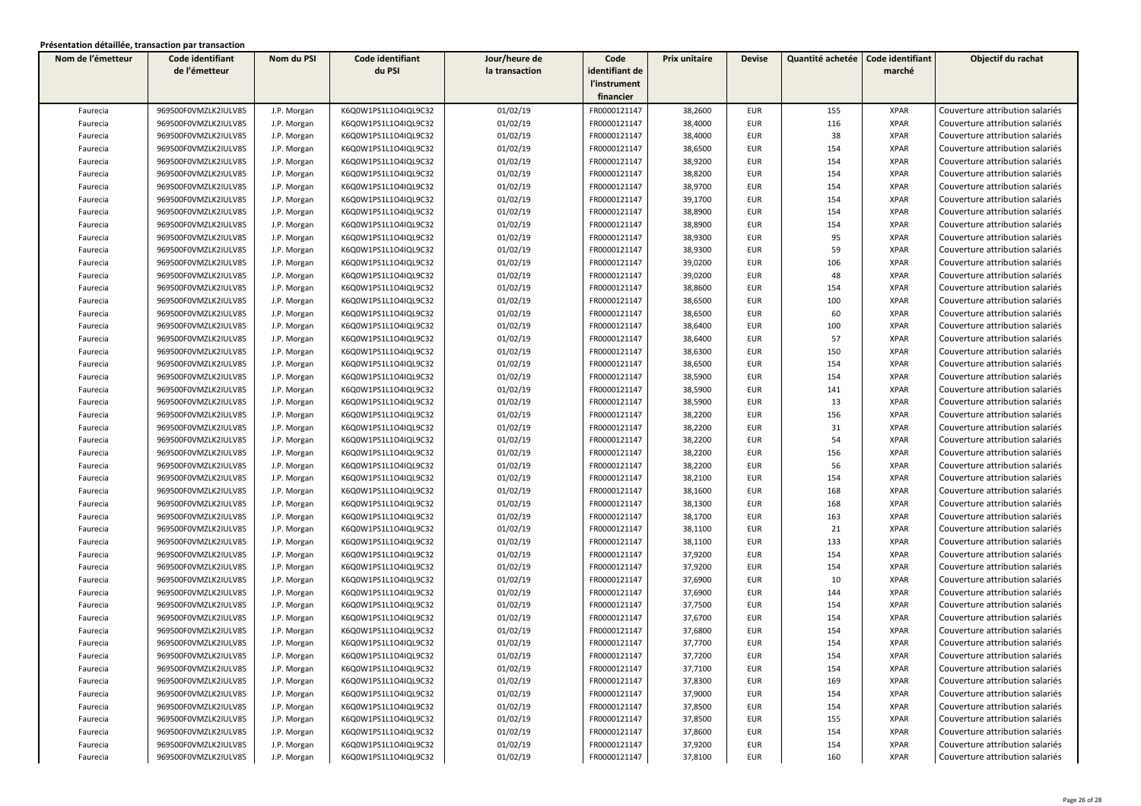| Nom de l'émetteur | Code identifiant     | Nom du PSI  | Code identifiant     | Jour/heure de  | Code           | Prix unitaire | <b>Devise</b> | Quantité achetée | Code identifiant | Objectif du rachat              |
|-------------------|----------------------|-------------|----------------------|----------------|----------------|---------------|---------------|------------------|------------------|---------------------------------|
|                   | de l'émetteur        |             | du PSI               | la transaction | identifiant de |               |               |                  | marché           |                                 |
|                   |                      |             |                      |                | l'instrument   |               |               |                  |                  |                                 |
|                   |                      |             |                      |                | financier      |               |               |                  |                  |                                 |
| Faurecia          | 969500F0VMZLK2IULV85 | J.P. Morgan | K6Q0W1PS1L1O4IQL9C32 | 01/02/19       | FR0000121147   | 38,2600       | <b>EUR</b>    | 155              | <b>XPAR</b>      | Couverture attribution salariés |
| Faurecia          | 969500F0VMZLK2IULV85 | J.P. Morgan | K6Q0W1PS1L1O4IQL9C32 | 01/02/19       | FR0000121147   | 38,4000       | <b>EUR</b>    | 116              | <b>XPAR</b>      | Couverture attribution salariés |
| Faurecia          | 969500F0VMZLK2IULV85 | J.P. Morgan | K6Q0W1PS1L1O4IQL9C32 | 01/02/19       | FR0000121147   | 38,4000       | <b>EUR</b>    | 38               | <b>XPAR</b>      | Couverture attribution salariés |
| Faurecia          | 969500F0VMZLK2IULV85 | J.P. Morgan | K6Q0W1PS1L1O4IQL9C32 | 01/02/19       | FR0000121147   | 38,6500       | <b>EUR</b>    | 154              | <b>XPAR</b>      | Couverture attribution salariés |
| Faurecia          | 969500F0VMZLK2IULV85 | J.P. Morgan | K6Q0W1PS1L1O4IQL9C32 | 01/02/19       | FR0000121147   | 38,9200       | <b>EUR</b>    | 154              | <b>XPAR</b>      | Couverture attribution salariés |
| Faurecia          | 969500F0VMZLK2IULV85 | J.P. Morgan | K6Q0W1PS1L1O4IQL9C32 | 01/02/19       | FR0000121147   | 38,8200       | <b>EUR</b>    | 154              | <b>XPAR</b>      | Couverture attribution salariés |
| Faurecia          | 969500F0VMZLK2IULV85 | J.P. Morgan | K6Q0W1PS1L1O4IQL9C32 | 01/02/19       | FR0000121147   | 38,9700       | <b>EUR</b>    | 154              | <b>XPAR</b>      | Couverture attribution salariés |
| Faurecia          | 969500F0VMZLK2IULV85 | J.P. Morgan | K6Q0W1PS1L1O4IQL9C32 | 01/02/19       | FR0000121147   | 39,1700       | <b>EUR</b>    | 154              | <b>XPAR</b>      | Couverture attribution salariés |
| Faurecia          | 969500F0VMZLK2IULV85 | J.P. Morgan | K6Q0W1PS1L1O4IQL9C32 | 01/02/19       | FR0000121147   | 38,8900       | <b>EUR</b>    | 154              | <b>XPAR</b>      | Couverture attribution salariés |
| Faurecia          | 969500F0VMZLK2IULV85 | J.P. Morgan | K6Q0W1PS1L1O4IQL9C32 | 01/02/19       | FR0000121147   | 38,8900       | <b>EUR</b>    | 154              | <b>XPAR</b>      | Couverture attribution salariés |
| Faurecia          | 969500F0VMZLK2IULV85 | J.P. Morgan | K6Q0W1PS1L1O4IQL9C32 | 01/02/19       | FR0000121147   | 38,9300       | <b>EUR</b>    | 95               | <b>XPAR</b>      | Couverture attribution salariés |
| Faurecia          | 969500F0VMZLK2IULV85 | J.P. Morgan | K6Q0W1PS1L1O4IQL9C32 | 01/02/19       | FR0000121147   | 38,9300       | <b>EUR</b>    | 59               | <b>XPAR</b>      | Couverture attribution salariés |
| Faurecia          | 969500F0VMZLK2IULV85 | J.P. Morgan | K6Q0W1PS1L1O4IQL9C32 | 01/02/19       | FR0000121147   | 39,0200       | <b>EUR</b>    | 106              | <b>XPAR</b>      | Couverture attribution salariés |
| Faurecia          | 969500F0VMZLK2IULV85 | J.P. Morgan | K6Q0W1PS1L1O4IQL9C32 | 01/02/19       | FR0000121147   | 39,0200       | <b>EUR</b>    | 48               | <b>XPAR</b>      | Couverture attribution salariés |
| Faurecia          | 969500F0VMZLK2IULV85 | J.P. Morgan | K6Q0W1PS1L1O4IQL9C32 | 01/02/19       | FR0000121147   | 38,8600       | <b>EUR</b>    | 154              | <b>XPAR</b>      | Couverture attribution salariés |
| Faurecia          | 969500F0VMZLK2IULV85 | J.P. Morgan | K6Q0W1PS1L1O4IQL9C32 | 01/02/19       | FR0000121147   | 38,6500       | <b>EUR</b>    | 100              | <b>XPAR</b>      | Couverture attribution salariés |
| Faurecia          | 969500F0VMZLK2IULV85 | J.P. Morgan | K6Q0W1PS1L1O4IQL9C32 | 01/02/19       | FR0000121147   | 38,6500       | <b>EUR</b>    | 60               | <b>XPAR</b>      | Couverture attribution salariés |
| Faurecia          | 969500F0VMZLK2IULV85 | J.P. Morgan | K6Q0W1PS1L1O4IQL9C32 | 01/02/19       | FR0000121147   | 38,6400       | <b>EUR</b>    | 100              | <b>XPAR</b>      | Couverture attribution salariés |
| Faurecia          | 969500F0VMZLK2IULV85 | J.P. Morgan | K6Q0W1PS1L1O4IQL9C32 | 01/02/19       | FR0000121147   | 38,6400       | <b>EUR</b>    | 57               | <b>XPAR</b>      | Couverture attribution salariés |
| Faurecia          | 969500F0VMZLK2IULV85 | J.P. Morgan | K6Q0W1PS1L1O4IQL9C32 | 01/02/19       | FR0000121147   | 38,6300       | <b>EUR</b>    | 150              | <b>XPAR</b>      | Couverture attribution salariés |
| Faurecia          | 969500F0VMZLK2IULV85 | J.P. Morgan | K6Q0W1PS1L1O4IQL9C32 | 01/02/19       | FR0000121147   | 38,6500       | <b>EUR</b>    | 154              | <b>XPAR</b>      | Couverture attribution salariés |
| Faurecia          | 969500F0VMZLK2IULV85 | J.P. Morgan | K6Q0W1PS1L1O4IQL9C32 | 01/02/19       | FR0000121147   | 38,5900       | <b>EUR</b>    | 154              | <b>XPAR</b>      | Couverture attribution salariés |
| Faurecia          | 969500F0VMZLK2IULV85 | J.P. Morgan | K6Q0W1PS1L1O4IQL9C32 | 01/02/19       | FR0000121147   | 38,5900       | <b>EUR</b>    | 141              | <b>XPAR</b>      | Couverture attribution salariés |
|                   | 969500F0VMZLK2IULV85 | J.P. Morgan | K6Q0W1PS1L1O4IQL9C32 | 01/02/19       | FR0000121147   | 38,5900       | <b>EUR</b>    | 13               | <b>XPAR</b>      | Couverture attribution salariés |
| Faurecia          |                      |             |                      |                |                |               |               | 156              | <b>XPAR</b>      | Couverture attribution salariés |
| Faurecia          | 969500F0VMZLK2IULV85 | J.P. Morgan | K6Q0W1PS1L1O4IQL9C32 | 01/02/19       | FR0000121147   | 38,2200       | <b>EUR</b>    |                  |                  | Couverture attribution salariés |
| Faurecia          | 969500F0VMZLK2IULV85 | J.P. Morgan | K6Q0W1PS1L1O4IQL9C32 | 01/02/19       | FR0000121147   | 38,2200       | <b>EUR</b>    | 31               | <b>XPAR</b>      |                                 |
| Faurecia          | 969500F0VMZLK2IULV85 | J.P. Morgan | K6Q0W1PS1L1O4IQL9C32 | 01/02/19       | FR0000121147   | 38,2200       | EUR           | 54               | <b>XPAR</b>      | Couverture attribution salariés |
| Faurecia          | 969500F0VMZLK2IULV85 | J.P. Morgan | K6Q0W1PS1L1O4IQL9C32 | 01/02/19       | FR0000121147   | 38,2200       | <b>EUR</b>    | 156              | <b>XPAR</b>      | Couverture attribution salariés |
| Faurecia          | 969500F0VMZLK2IULV85 | J.P. Morgan | K6Q0W1PS1L1O4IQL9C32 | 01/02/19       | FR0000121147   | 38,2200       | <b>EUR</b>    | 56               | <b>XPAR</b>      | Couverture attribution salariés |
| Faurecia          | 969500F0VMZLK2IULV85 | J.P. Morgan | K6Q0W1PS1L1O4IQL9C32 | 01/02/19       | FR0000121147   | 38,2100       | <b>EUR</b>    | 154              | <b>XPAR</b>      | Couverture attribution salariés |
| Faurecia          | 969500F0VMZLK2IULV85 | J.P. Morgan | K6Q0W1PS1L1O4IQL9C32 | 01/02/19       | FR0000121147   | 38,1600       | <b>EUR</b>    | 168              | <b>XPAR</b>      | Couverture attribution salariés |
| Faurecia          | 969500F0VMZLK2IULV85 | J.P. Morgan | K6Q0W1PS1L1O4IQL9C32 | 01/02/19       | FR0000121147   | 38,1300       | <b>EUR</b>    | 168              | <b>XPAR</b>      | Couverture attribution salariés |
| Faurecia          | 969500F0VMZLK2IULV85 | J.P. Morgan | K6Q0W1PS1L1O4IQL9C32 | 01/02/19       | FR0000121147   | 38,1700       | <b>EUR</b>    | 163              | <b>XPAR</b>      | Couverture attribution salariés |
| Faurecia          | 969500F0VMZLK2IULV85 | J.P. Morgan | K6Q0W1PS1L1O4IQL9C32 | 01/02/19       | FR0000121147   | 38,1100       | <b>EUR</b>    | 21               | <b>XPAR</b>      | Couverture attribution salariés |
| Faurecia          | 969500F0VMZLK2IULV85 | J.P. Morgan | K6Q0W1PS1L1O4IQL9C32 | 01/02/19       | FR0000121147   | 38,1100       | <b>EUR</b>    | 133              | <b>XPAR</b>      | Couverture attribution salariés |
| Faurecia          | 969500F0VMZLK2IULV85 | J.P. Morgan | K6Q0W1PS1L1O4IQL9C32 | 01/02/19       | FR0000121147   | 37,9200       | <b>EUR</b>    | 154              | <b>XPAR</b>      | Couverture attribution salariés |
| Faurecia          | 969500F0VMZLK2IULV85 | J.P. Morgan | K6Q0W1PS1L1O4IQL9C32 | 01/02/19       | FR0000121147   | 37,9200       | <b>EUR</b>    | 154              | <b>XPAR</b>      | Couverture attribution salariés |
| Faurecia          | 969500F0VMZLK2IULV85 | J.P. Morgan | K6Q0W1PS1L1O4IQL9C32 | 01/02/19       | FR0000121147   | 37,6900       | <b>EUR</b>    | 10               | <b>XPAR</b>      | Couverture attribution salariés |
| Faurecia          | 969500F0VMZLK2IULV85 | J.P. Morgan | K6Q0W1PS1L1O4IQL9C32 | 01/02/19       | FR0000121147   | 37,6900       | <b>EUR</b>    | 144              | <b>XPAR</b>      | Couverture attribution salariés |
| Faurecia          | 969500F0VMZLK2IULV85 | J.P. Morgan | K6Q0W1PS1L1O4IQL9C32 | 01/02/19       | FR0000121147   | 37,7500       | <b>EUR</b>    | 154              | <b>XPAR</b>      | Couverture attribution salariés |
| Faurecia          | 969500F0VMZLK2IULV85 | J.P. Morgan | K6Q0W1PS1L1O4IQL9C32 | 01/02/19       | FR0000121147   | 37,6700       | <b>EUR</b>    | 154              | <b>XPAR</b>      | Couverture attribution salariés |
| Faurecia          | 969500F0VMZLK2IULV85 | J.P. Morgan | K6Q0W1PS1L1O4IQL9C32 | 01/02/19       | FR0000121147   | 37,6800       | EUR           | 154              | <b>XPAR</b>      | Couverture attribution salariés |
| Faurecia          | 969500F0VMZLK2IULV85 | J.P. Morgan | K6Q0W1PS1L1O4IQL9C32 | 01/02/19       | FR0000121147   | 37,7700       | <b>EUR</b>    | 154              | <b>XPAR</b>      | Couverture attribution salariés |
| Faurecia          | 969500F0VMZLK2IULV85 | J.P. Morgan | K6Q0W1PS1L1O4IQL9C32 | 01/02/19       | FR0000121147   | 37,7200       | EUR           | 154              | XPAR             | Couverture attribution salariés |
| Faurecia          | 969500F0VMZLK2IULV85 | J.P. Morgan | K6Q0W1PS1L1O4IQL9C32 | 01/02/19       | FR0000121147   | 37,7100       | <b>EUR</b>    | 154              | <b>XPAR</b>      | Couverture attribution salariés |
| Faurecia          | 969500F0VMZLK2IULV85 | J.P. Morgan | K6Q0W1PS1L1O4IQL9C32 | 01/02/19       | FR0000121147   | 37,8300       | EUR           | 169              | <b>XPAR</b>      | Couverture attribution salariés |
| Faurecia          | 969500F0VMZLK2IULV85 | J.P. Morgan | K6Q0W1PS1L1O4IQL9C32 | 01/02/19       | FR0000121147   | 37,9000       | EUR           | 154              | XPAR             | Couverture attribution salariés |
| Faurecia          | 969500F0VMZLK2IULV85 | J.P. Morgan | K6Q0W1PS1L1O4IQL9C32 | 01/02/19       | FR0000121147   | 37,8500       | EUR           | 154              | <b>XPAR</b>      | Couverture attribution salariés |
| Faurecia          | 969500F0VMZLK2IULV85 | J.P. Morgan | K6Q0W1PS1L1O4IQL9C32 | 01/02/19       | FR0000121147   | 37,8500       | EUR           | 155              | <b>XPAR</b>      | Couverture attribution salariés |
| Faurecia          | 969500F0VMZLK2IULV85 | J.P. Morgan | K6Q0W1PS1L1O4IQL9C32 | 01/02/19       | FR0000121147   | 37,8600       | EUR           | 154              | <b>XPAR</b>      | Couverture attribution salariés |
| Faurecia          | 969500F0VMZLK2IULV85 | J.P. Morgan | K6Q0W1PS1L1O4IQL9C32 | 01/02/19       | FR0000121147   | 37,9200       | EUR           | 154              | <b>XPAR</b>      | Couverture attribution salariés |
| Faurecia          | 969500F0VMZLK2IULV85 | J.P. Morgan | K6Q0W1PS1L1O4IQL9C32 | 01/02/19       | FR0000121147   | 37,8100       | EUR           | 160              | <b>XPAR</b>      | Couverture attribution salariés |
|                   |                      |             |                      |                |                |               |               |                  |                  |                                 |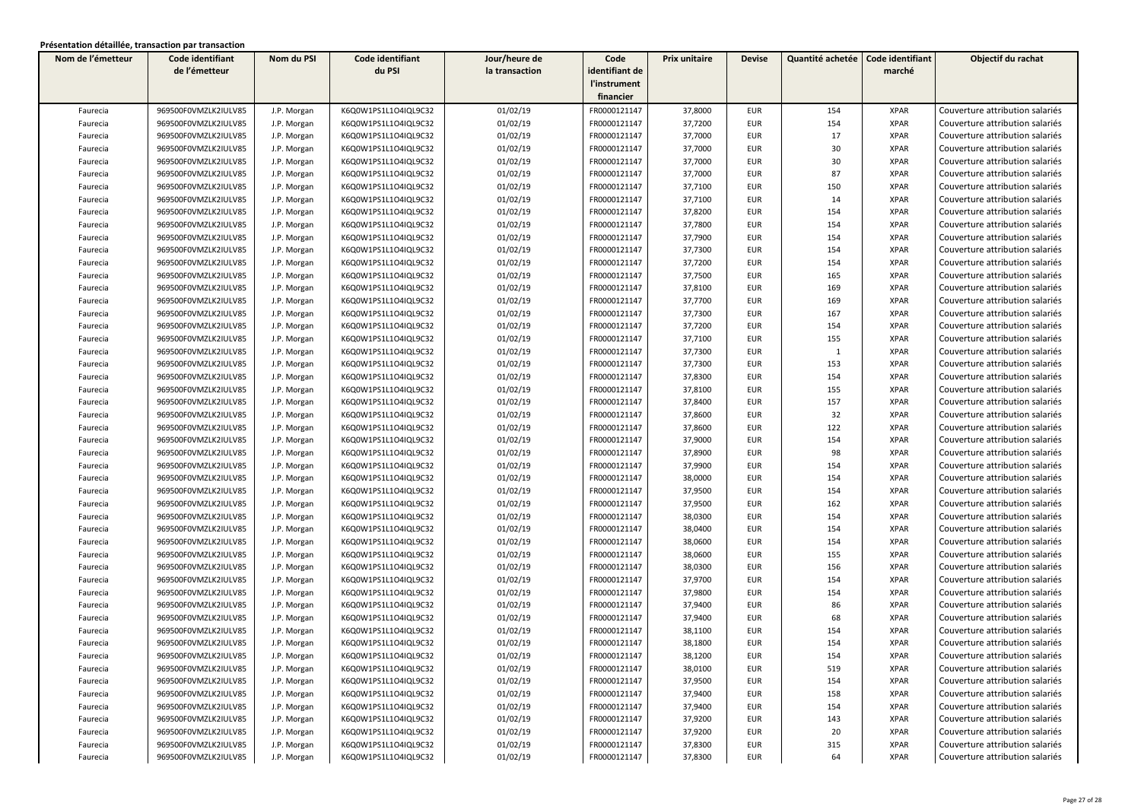| Nom de l'émetteur | Code identifiant     | Nom du PSI  | Code identifiant     | Jour/heure de  | Code           | <b>Prix unitaire</b> | <b>Devise</b> | Quantité achetée | Code identifiant | Objectif du rachat              |
|-------------------|----------------------|-------------|----------------------|----------------|----------------|----------------------|---------------|------------------|------------------|---------------------------------|
|                   | de l'émetteur        |             | du PSI               | la transaction | identifiant de |                      |               |                  | marché           |                                 |
|                   |                      |             |                      |                | l'instrument   |                      |               |                  |                  |                                 |
|                   |                      |             |                      |                | financier      |                      |               |                  |                  |                                 |
| Faurecia          | 969500F0VMZLK2IULV85 | J.P. Morgan | K6Q0W1PS1L1O4IQL9C32 | 01/02/19       | FR0000121147   | 37,8000              | <b>EUR</b>    | 154              | <b>XPAR</b>      | Couverture attribution salariés |
| Faurecia          | 969500F0VMZLK2IULV85 | J.P. Morgan | K6Q0W1PS1L1O4IQL9C32 | 01/02/19       | FR0000121147   | 37,7200              | EUR           | 154              | <b>XPAR</b>      | Couverture attribution salariés |
| Faurecia          | 969500F0VMZLK2IULV85 | J.P. Morgan | K6Q0W1PS1L1O4IQL9C32 | 01/02/19       | FR0000121147   | 37,7000              | <b>EUR</b>    | 17               | <b>XPAR</b>      | Couverture attribution salariés |
| Faurecia          | 969500F0VMZLK2IULV85 | J.P. Morgan | K6Q0W1PS1L1O4IQL9C32 | 01/02/19       | FR0000121147   | 37,7000              | EUR           | 30               | <b>XPAR</b>      | Couverture attribution salariés |
| Faurecia          | 969500F0VMZLK2IULV85 | J.P. Morgan | K6Q0W1PS1L1O4IQL9C32 | 01/02/19       | FR0000121147   | 37,7000              | EUR           | 30               | <b>XPAR</b>      | Couverture attribution salariés |
| Faurecia          | 969500F0VMZLK2IULV85 | J.P. Morgan | K6Q0W1PS1L1O4IQL9C32 | 01/02/19       | FR0000121147   | 37,7000              | EUR           | 87               | <b>XPAR</b>      | Couverture attribution salariés |
| Faurecia          | 969500F0VMZLK2IULV85 | J.P. Morgan | K6Q0W1PS1L1O4IQL9C32 | 01/02/19       | FR0000121147   | 37,7100              | EUR           | 150              | <b>XPAR</b>      | Couverture attribution salariés |
| Faurecia          | 969500F0VMZLK2IULV85 | J.P. Morgan | K6Q0W1PS1L1O4IQL9C32 | 01/02/19       | FR0000121147   | 37,7100              | EUR           | 14               | <b>XPAR</b>      | Couverture attribution salariés |
| Faurecia          | 969500F0VMZLK2IULV85 | J.P. Morgan | K6Q0W1PS1L1O4IQL9C32 | 01/02/19       | FR0000121147   | 37,8200              | <b>EUR</b>    | 154              | <b>XPAR</b>      | Couverture attribution salariés |
| Faurecia          | 969500F0VMZLK2IULV85 | J.P. Morgan | K6Q0W1PS1L1O4IQL9C32 | 01/02/19       | FR0000121147   | 37,7800              | <b>EUR</b>    | 154              | <b>XPAR</b>      | Couverture attribution salariés |
| Faurecia          | 969500F0VMZLK2IULV85 | J.P. Morgan | K6Q0W1PS1L1O4IQL9C32 | 01/02/19       | FR0000121147   | 37,7900              | EUR           | 154              | <b>XPAR</b>      | Couverture attribution salariés |
| Faurecia          | 969500F0VMZLK2IULV85 | J.P. Morgan | K6Q0W1PS1L1O4IQL9C32 | 01/02/19       | FR0000121147   | 37,7300              | <b>EUR</b>    | 154              | <b>XPAR</b>      | Couverture attribution salariés |
| Faurecia          | 969500F0VMZLK2IULV85 | J.P. Morgan | K6Q0W1PS1L1O4IQL9C32 | 01/02/19       | FR0000121147   | 37,7200              | EUR           | 154              | <b>XPAR</b>      | Couverture attribution salariés |
| Faurecia          | 969500F0VMZLK2IULV85 | J.P. Morgan | K6Q0W1PS1L1O4IQL9C32 | 01/02/19       | FR0000121147   | 37,7500              | EUR           | 165              | <b>XPAR</b>      | Couverture attribution salariés |
| Faurecia          | 969500F0VMZLK2IULV85 | J.P. Morgan | K6Q0W1PS1L1O4IQL9C32 | 01/02/19       | FR0000121147   | 37,8100              | EUR           | 169              | <b>XPAR</b>      | Couverture attribution salariés |
| Faurecia          | 969500F0VMZLK2IULV85 | J.P. Morgan | K6Q0W1PS1L1O4IQL9C32 | 01/02/19       | FR0000121147   | 37,7700              | EUR           | 169              | <b>XPAR</b>      | Couverture attribution salariés |
| Faurecia          | 969500F0VMZLK2IULV85 | J.P. Morgan | K6Q0W1PS1L1O4IQL9C32 | 01/02/19       | FR0000121147   | 37,7300              | EUR           | 167              | <b>XPAR</b>      | Couverture attribution salariés |
| Faurecia          | 969500F0VMZLK2IULV85 | J.P. Morgan | K6Q0W1PS1L1O4IQL9C32 | 01/02/19       | FR0000121147   | 37,7200              | <b>EUR</b>    | 154              | <b>XPAR</b>      | Couverture attribution salariés |
| Faurecia          | 969500F0VMZLK2IULV85 | J.P. Morgan | K6Q0W1PS1L1O4IQL9C32 | 01/02/19       | FR0000121147   | 37,7100              | EUR           | 155              | <b>XPAR</b>      | Couverture attribution salariés |
| Faurecia          | 969500F0VMZLK2IULV85 | J.P. Morgan | K6Q0W1PS1L1O4IQL9C32 | 01/02/19       | FR0000121147   | 37,7300              | <b>EUR</b>    | $\mathbf{1}$     | <b>XPAR</b>      | Couverture attribution salariés |
| Faurecia          | 969500F0VMZLK2IULV85 | J.P. Morgan | K6Q0W1PS1L1O4IQL9C32 | 01/02/19       | FR0000121147   | 37,7300              | EUR           | 153              | <b>XPAR</b>      | Couverture attribution salariés |
| Faurecia          | 969500F0VMZLK2IULV85 | J.P. Morgan | K6Q0W1PS1L1O4IQL9C32 | 01/02/19       | FR0000121147   | 37,8300              | EUR           | 154              | XPAR             | Couverture attribution salariés |
| Faurecia          | 969500F0VMZLK2IULV85 | J.P. Morgan | K6Q0W1PS1L1O4IQL9C32 | 01/02/19       | FR0000121147   | 37,8100              | <b>EUR</b>    | 155              | <b>XPAR</b>      | Couverture attribution salariés |
| Faurecia          | 969500F0VMZLK2IULV85 | J.P. Morgan | K6Q0W1PS1L1O4IQL9C32 | 01/02/19       | FR0000121147   | 37,8400              | EUR           | 157              | <b>XPAR</b>      | Couverture attribution salariés |
| Faurecia          | 969500F0VMZLK2IULV85 | J.P. Morgan | K6Q0W1PS1L1O4IQL9C32 | 01/02/19       | FR0000121147   | 37,8600              | <b>EUR</b>    | 32               | <b>XPAR</b>      | Couverture attribution salariés |
| Faurecia          | 969500F0VMZLK2IULV85 | J.P. Morgan | K6Q0W1PS1L1O4IQL9C32 | 01/02/19       | FR0000121147   | 37,8600              | <b>EUR</b>    | 122              | <b>XPAR</b>      | Couverture attribution salariés |
| Faurecia          | 969500F0VMZLK2IULV85 | J.P. Morgan | K6Q0W1PS1L1O4IQL9C32 | 01/02/19       | FR0000121147   | 37,9000              | EUR           | 154              | <b>XPAR</b>      | Couverture attribution salariés |
| Faurecia          | 969500F0VMZLK2IULV85 | J.P. Morgan | K6Q0W1PS1L1O4IQL9C32 | 01/02/19       | FR0000121147   | 37,8900              | <b>EUR</b>    | 98               | <b>XPAR</b>      | Couverture attribution salariés |
| Faurecia          | 969500F0VMZLK2IULV85 | J.P. Morgan | K6Q0W1PS1L1O4IQL9C32 | 01/02/19       | FR0000121147   | 37,9900              | EUR           | 154              | <b>XPAR</b>      | Couverture attribution salariés |
| Faurecia          | 969500F0VMZLK2IULV85 | J.P. Morgan | K6Q0W1PS1L1O4IQL9C32 | 01/02/19       | FR0000121147   | 38,0000              | EUR           | 154              | <b>XPAR</b>      | Couverture attribution salariés |
| Faurecia          | 969500F0VMZLK2IULV85 | J.P. Morgan | K6Q0W1PS1L1O4IQL9C32 | 01/02/19       | FR0000121147   | 37,9500              | EUR           | 154              | <b>XPAR</b>      | Couverture attribution salariés |
| Faurecia          | 969500F0VMZLK2IULV85 | J.P. Morgan | K6Q0W1PS1L1O4IQL9C32 | 01/02/19       | FR0000121147   | 37,9500              | EUR           | 162              | <b>XPAR</b>      | Couverture attribution salariés |
| Faurecia          | 969500F0VMZLK2IULV85 | J.P. Morgan | K6Q0W1PS1L1O4IQL9C32 | 01/02/19       | FR0000121147   | 38,0300              | EUR           | 154              | <b>XPAR</b>      | Couverture attribution salariés |
| Faurecia          | 969500F0VMZLK2IULV85 | J.P. Morgan | K6Q0W1PS1L1O4IQL9C32 | 01/02/19       | FR0000121147   | 38,0400              | <b>EUR</b>    | 154              | <b>XPAR</b>      | Couverture attribution salariés |
| Faurecia          | 969500F0VMZLK2IULV85 | J.P. Morgan | K6Q0W1PS1L1O4IQL9C32 | 01/02/19       | FR0000121147   | 38,0600              | EUR           | 154              | <b>XPAR</b>      | Couverture attribution salariés |
| Faurecia          | 969500F0VMZLK2IULV85 | J.P. Morgan | K6Q0W1PS1L1O4IQL9C32 | 01/02/19       | FR0000121147   | 38,0600              | <b>EUR</b>    | 155              | <b>XPAR</b>      | Couverture attribution salariés |
| Faurecia          | 969500F0VMZLK2IULV85 | J.P. Morgan | K6Q0W1PS1L1O4IQL9C32 | 01/02/19       | FR0000121147   | 38,0300              | <b>EUR</b>    | 156              | <b>XPAR</b>      | Couverture attribution salariés |
| Faurecia          | 969500F0VMZLK2IULV85 | J.P. Morgan | K6Q0W1PS1L1O4IQL9C32 | 01/02/19       | FR0000121147   | 37,9700              | EUR           | 154              | <b>XPAR</b>      | Couverture attribution salariés |
| Faurecia          | 969500F0VMZLK2IULV85 | J.P. Morgan | K6Q0W1PS1L1O4IQL9C32 | 01/02/19       | FR0000121147   | 37,9800              | EUR           | 154              | <b>XPAR</b>      | Couverture attribution salariés |
| Faurecia          | 969500F0VMZLK2IULV85 | J.P. Morgan | K6Q0W1PS1L1O4IQL9C32 | 01/02/19       | FR0000121147   | 37,9400              | EUR           | 86               | XPAR             | Couverture attribution salariés |
| Faurecia          | 969500F0VMZLK2IULV85 | J.P. Morgan | K6Q0W1PS1L1O4IQL9C32 | 01/02/19       | FR0000121147   | 37,9400              | EUR           | 68               | <b>XPAR</b>      | Couverture attribution salariés |
| Faurecia          | 969500F0VMZLK2IULV85 | J.P. Morgan | K6Q0W1PS1L1O4IQL9C32 | 01/02/19       | FR0000121147   | 38,1100              | EUR           | 154              | <b>XPAR</b>      | Couverture attribution salariés |
| Faurecia          | 969500F0VMZLK2IULV85 | J.P. Morgan | K6Q0W1PS1L1O4IQL9C32 | 01/02/19       | FR0000121147   | 38,1800              | <b>EUR</b>    | 154              | <b>XPAR</b>      | Couverture attribution salariés |
| Faurecia          | 969500F0VMZLK2IULV85 | J.P. Morgan | K6Q0W1PS1L1O4IQL9C32 | 01/02/19       | FR0000121147   | 38,1200              | EUR           | 154              | <b>XPAR</b>      | Couverture attribution salariés |
| Faurecia          | 969500F0VMZLK2IULV85 | J.P. Morgan | K6Q0W1PS1L1O4IQL9C32 | 01/02/19       | FR0000121147   | 38,0100              | <b>EUR</b>    | 519              | <b>XPAR</b>      | Couverture attribution salariés |
| Faurecia          | 969500F0VMZLK2IULV85 | J.P. Morgan | K6Q0W1PS1L1O4IQL9C32 | 01/02/19       | FR0000121147   | 37,9500              | EUR           | 154              | XPAR             | Couverture attribution salariés |
| Faurecia          | 969500F0VMZLK2IULV85 | J.P. Morgan | K6Q0W1PS1L1O4IQL9C32 | 01/02/19       | FR0000121147   | 37,9400              | EUR           | 158              | XPAR             | Couverture attribution salariés |
| Faurecia          | 969500F0VMZLK2IULV85 | J.P. Morgan | K6Q0W1PS1L1O4IQL9C32 | 01/02/19       | FR0000121147   | 37,9400              | EUR           | 154              | XPAR             | Couverture attribution salariés |
| Faurecia          | 969500F0VMZLK2IULV85 | J.P. Morgan | K6Q0W1PS1L1O4IQL9C32 | 01/02/19       | FR0000121147   | 37,9200              | EUR           | 143              | XPAR             | Couverture attribution salariés |
| Faurecia          | 969500F0VMZLK2IULV85 | J.P. Morgan | K6Q0W1PS1L1O4IQL9C32 | 01/02/19       | FR0000121147   | 37,9200              | EUR           | 20               | XPAR             | Couverture attribution salariés |
| Faurecia          | 969500F0VMZLK2IULV85 | J.P. Morgan | K6Q0W1PS1L1O4IQL9C32 | 01/02/19       | FR0000121147   | 37,8300              | <b>EUR</b>    | 315              | XPAR             | Couverture attribution salariés |
| Faurecia          | 969500F0VMZLK2IULV85 | J.P. Morgan | K6Q0W1PS1L1O4IQL9C32 | 01/02/19       | FR0000121147   | 37,8300              | EUR           | 64               | <b>XPAR</b>      | Couverture attribution salariés |